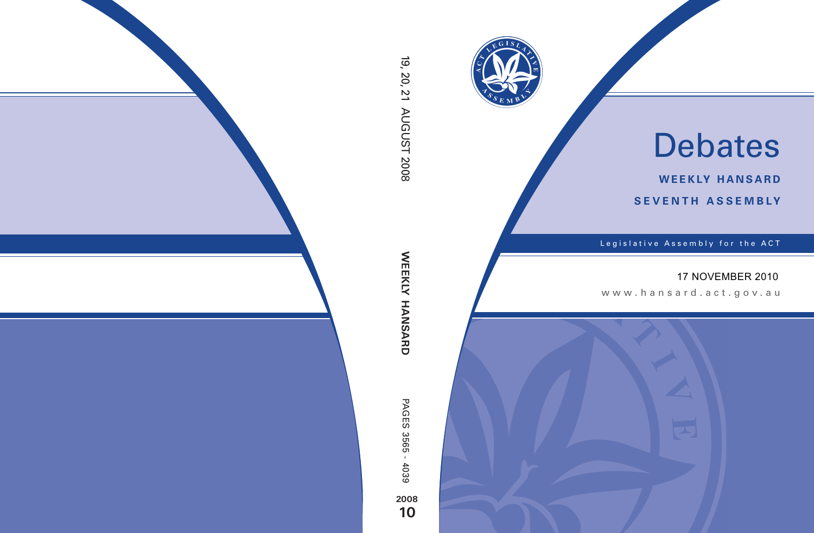

# Debates

**weekly hansard seventh asseMBly**

Legislative Assembly for the ACT

# 17 NOVEMBER 2010

www.hansard.act.gov.au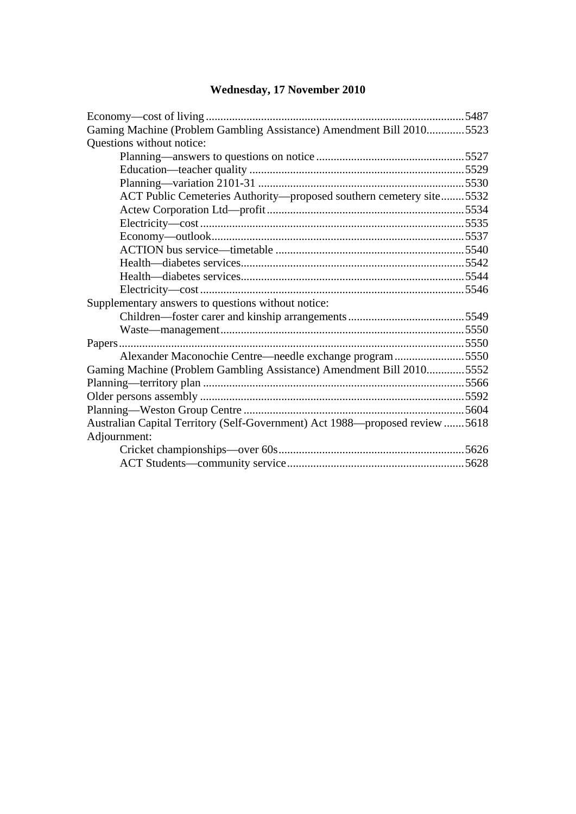# **Wednesday, 17 November 2010**

| Gaming Machine (Problem Gambling Assistance) Amendment Bill 20105523         |  |
|------------------------------------------------------------------------------|--|
| Questions without notice:                                                    |  |
|                                                                              |  |
|                                                                              |  |
|                                                                              |  |
| ACT Public Cemeteries Authority—proposed southern cemetery site5532          |  |
|                                                                              |  |
|                                                                              |  |
|                                                                              |  |
|                                                                              |  |
|                                                                              |  |
|                                                                              |  |
|                                                                              |  |
| Supplementary answers to questions without notice:                           |  |
|                                                                              |  |
|                                                                              |  |
|                                                                              |  |
| Alexander Maconochie Centre—needle exchange program5550                      |  |
| Gaming Machine (Problem Gambling Assistance) Amendment Bill 20105552         |  |
|                                                                              |  |
|                                                                              |  |
|                                                                              |  |
| Australian Capital Territory (Self-Government) Act 1988—proposed review 5618 |  |
| Adjournment:                                                                 |  |
|                                                                              |  |
|                                                                              |  |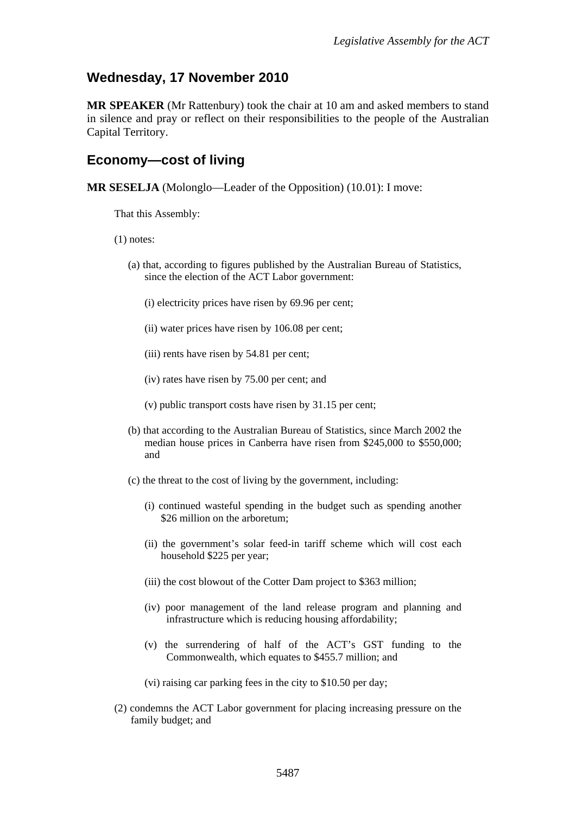## **Wednesday, 17 November 2010**

**MR SPEAKER** (Mr Rattenbury) took the chair at 10 am and asked members to stand in silence and pray or reflect on their responsibilities to the people of the Australian Capital Territory.

### <span id="page-3-0"></span>**Economy—cost of living**

**MR SESELJA** (Molonglo—Leader of the Opposition) (10.01): I move:

That this Assembly:

- (1) notes:
	- (a) that, according to figures published by the Australian Bureau of Statistics, since the election of the ACT Labor government:
		- (i) electricity prices have risen by 69.96 per cent;
		- (ii) water prices have risen by 106.08 per cent;
		- (iii) rents have risen by 54.81 per cent;
		- (iv) rates have risen by 75.00 per cent; and
		- (v) public transport costs have risen by 31.15 per cent;
	- (b) that according to the Australian Bureau of Statistics, since March 2002 the median house prices in Canberra have risen from \$245,000 to \$550,000; and
	- (c) the threat to the cost of living by the government, including:
		- (i) continued wasteful spending in the budget such as spending another \$26 million on the arboretum:
		- (ii) the government's solar feed-in tariff scheme which will cost each household \$225 per year;
		- (iii) the cost blowout of the Cotter Dam project to \$363 million;
		- (iv) poor management of the land release program and planning and infrastructure which is reducing housing affordability;
		- (v) the surrendering of half of the ACT's GST funding to the Commonwealth, which equates to \$455.7 million; and
		- (vi) raising car parking fees in the city to \$10.50 per day;
- (2) condemns the ACT Labor government for placing increasing pressure on the family budget; and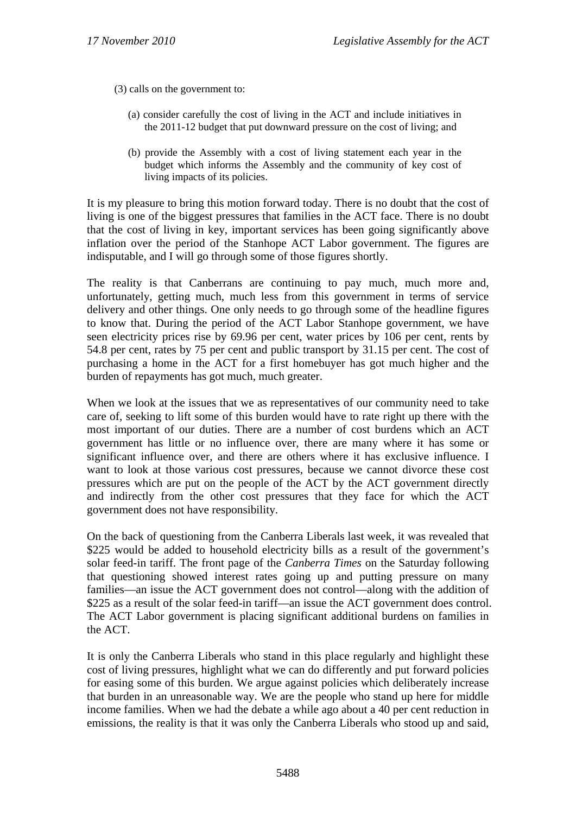(3) calls on the government to:

- (a) consider carefully the cost of living in the ACT and include initiatives in the 2011-12 budget that put downward pressure on the cost of living; and
- (b) provide the Assembly with a cost of living statement each year in the budget which informs the Assembly and the community of key cost of living impacts of its policies.

It is my pleasure to bring this motion forward today. There is no doubt that the cost of living is one of the biggest pressures that families in the ACT face. There is no doubt that the cost of living in key, important services has been going significantly above inflation over the period of the Stanhope ACT Labor government. The figures are indisputable, and I will go through some of those figures shortly.

The reality is that Canberrans are continuing to pay much, much more and, unfortunately, getting much, much less from this government in terms of service delivery and other things. One only needs to go through some of the headline figures to know that. During the period of the ACT Labor Stanhope government, we have seen electricity prices rise by 69.96 per cent, water prices by 106 per cent, rents by 54.8 per cent, rates by 75 per cent and public transport by 31.15 per cent. The cost of purchasing a home in the ACT for a first homebuyer has got much higher and the burden of repayments has got much, much greater.

When we look at the issues that we as representatives of our community need to take care of, seeking to lift some of this burden would have to rate right up there with the most important of our duties. There are a number of cost burdens which an ACT government has little or no influence over, there are many where it has some or significant influence over, and there are others where it has exclusive influence. I want to look at those various cost pressures, because we cannot divorce these cost pressures which are put on the people of the ACT by the ACT government directly and indirectly from the other cost pressures that they face for which the ACT government does not have responsibility.

On the back of questioning from the Canberra Liberals last week, it was revealed that \$225 would be added to household electricity bills as a result of the government's solar feed-in tariff. The front page of the *Canberra Times* on the Saturday following that questioning showed interest rates going up and putting pressure on many families—an issue the ACT government does not control—along with the addition of \$225 as a result of the solar feed-in tariff—an issue the ACT government does control. The ACT Labor government is placing significant additional burdens on families in the ACT.

It is only the Canberra Liberals who stand in this place regularly and highlight these cost of living pressures, highlight what we can do differently and put forward policies for easing some of this burden. We argue against policies which deliberately increase that burden in an unreasonable way. We are the people who stand up here for middle income families. When we had the debate a while ago about a 40 per cent reduction in emissions, the reality is that it was only the Canberra Liberals who stood up and said,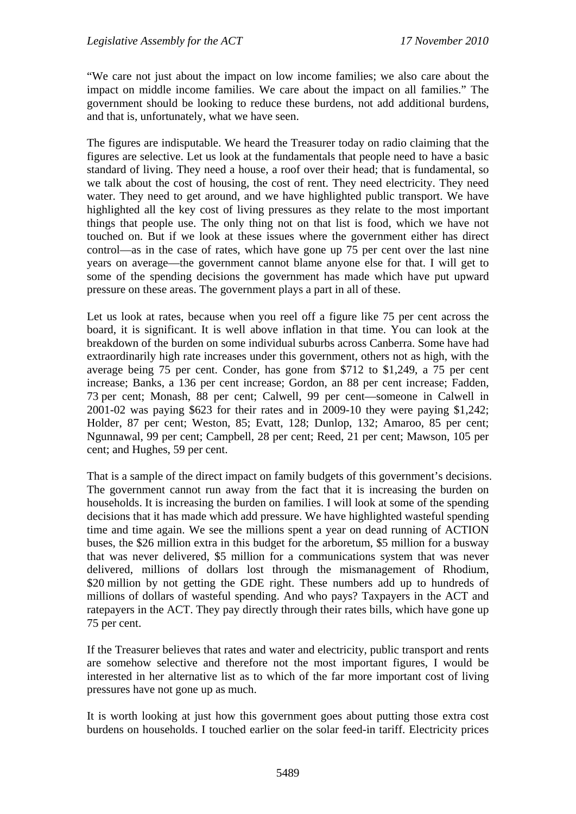"We care not just about the impact on low income families; we also care about the impact on middle income families. We care about the impact on all families." The government should be looking to reduce these burdens, not add additional burdens, and that is, unfortunately, what we have seen.

The figures are indisputable. We heard the Treasurer today on radio claiming that the figures are selective. Let us look at the fundamentals that people need to have a basic standard of living. They need a house, a roof over their head; that is fundamental, so we talk about the cost of housing, the cost of rent. They need electricity. They need water. They need to get around, and we have highlighted public transport. We have highlighted all the key cost of living pressures as they relate to the most important things that people use. The only thing not on that list is food, which we have not touched on. But if we look at these issues where the government either has direct control—as in the case of rates, which have gone up 75 per cent over the last nine years on average—the government cannot blame anyone else for that. I will get to some of the spending decisions the government has made which have put upward pressure on these areas. The government plays a part in all of these.

Let us look at rates, because when you reel off a figure like 75 per cent across the board, it is significant. It is well above inflation in that time. You can look at the breakdown of the burden on some individual suburbs across Canberra. Some have had extraordinarily high rate increases under this government, others not as high, with the average being 75 per cent. Conder, has gone from \$712 to \$1,249, a 75 per cent increase; Banks, a 136 per cent increase; Gordon, an 88 per cent increase; Fadden, 73 per cent; Monash, 88 per cent; Calwell, 99 per cent—someone in Calwell in 2001-02 was paying \$623 for their rates and in 2009-10 they were paying \$1,242; Holder, 87 per cent; Weston, 85; Evatt, 128; Dunlop, 132; Amaroo, 85 per cent; Ngunnawal, 99 per cent; Campbell, 28 per cent; Reed, 21 per cent; Mawson, 105 per cent; and Hughes, 59 per cent.

That is a sample of the direct impact on family budgets of this government's decisions. The government cannot run away from the fact that it is increasing the burden on households. It is increasing the burden on families. I will look at some of the spending decisions that it has made which add pressure. We have highlighted wasteful spending time and time again. We see the millions spent a year on dead running of ACTION buses, the \$26 million extra in this budget for the arboretum, \$5 million for a busway that was never delivered, \$5 million for a communications system that was never delivered, millions of dollars lost through the mismanagement of Rhodium, \$20 million by not getting the GDE right. These numbers add up to hundreds of millions of dollars of wasteful spending. And who pays? Taxpayers in the ACT and ratepayers in the ACT. They pay directly through their rates bills, which have gone up 75 per cent.

If the Treasurer believes that rates and water and electricity, public transport and rents are somehow selective and therefore not the most important figures, I would be interested in her alternative list as to which of the far more important cost of living pressures have not gone up as much.

It is worth looking at just how this government goes about putting those extra cost burdens on households. I touched earlier on the solar feed-in tariff. Electricity prices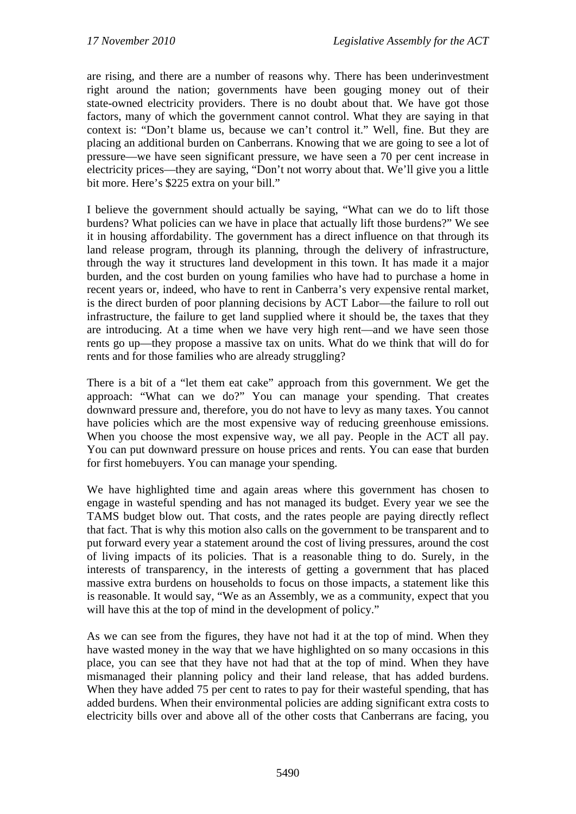are rising, and there are a number of reasons why. There has been underinvestment right around the nation; governments have been gouging money out of their state-owned electricity providers. There is no doubt about that. We have got those factors, many of which the government cannot control. What they are saying in that context is: "Don't blame us, because we can't control it." Well, fine. But they are placing an additional burden on Canberrans. Knowing that we are going to see a lot of pressure—we have seen significant pressure, we have seen a 70 per cent increase in electricity prices—they are saying, "Don't not worry about that. We'll give you a little bit more. Here's \$225 extra on your bill."

I believe the government should actually be saying, "What can we do to lift those burdens? What policies can we have in place that actually lift those burdens?" We see it in housing affordability. The government has a direct influence on that through its land release program, through its planning, through the delivery of infrastructure, through the way it structures land development in this town. It has made it a major burden, and the cost burden on young families who have had to purchase a home in recent years or, indeed, who have to rent in Canberra's very expensive rental market, is the direct burden of poor planning decisions by ACT Labor—the failure to roll out infrastructure, the failure to get land supplied where it should be, the taxes that they are introducing. At a time when we have very high rent—and we have seen those rents go up—they propose a massive tax on units. What do we think that will do for rents and for those families who are already struggling?

There is a bit of a "let them eat cake" approach from this government. We get the approach: "What can we do?" You can manage your spending. That creates downward pressure and, therefore, you do not have to levy as many taxes. You cannot have policies which are the most expensive way of reducing greenhouse emissions. When you choose the most expensive way, we all pay. People in the ACT all pay. You can put downward pressure on house prices and rents. You can ease that burden for first homebuyers. You can manage your spending.

We have highlighted time and again areas where this government has chosen to engage in wasteful spending and has not managed its budget. Every year we see the TAMS budget blow out. That costs, and the rates people are paying directly reflect that fact. That is why this motion also calls on the government to be transparent and to put forward every year a statement around the cost of living pressures, around the cost of living impacts of its policies. That is a reasonable thing to do. Surely, in the interests of transparency, in the interests of getting a government that has placed massive extra burdens on households to focus on those impacts, a statement like this is reasonable. It would say, "We as an Assembly, we as a community, expect that you will have this at the top of mind in the development of policy."

As we can see from the figures, they have not had it at the top of mind. When they have wasted money in the way that we have highlighted on so many occasions in this place, you can see that they have not had that at the top of mind. When they have mismanaged their planning policy and their land release, that has added burdens. When they have added 75 per cent to rates to pay for their wasteful spending, that has added burdens. When their environmental policies are adding significant extra costs to electricity bills over and above all of the other costs that Canberrans are facing, you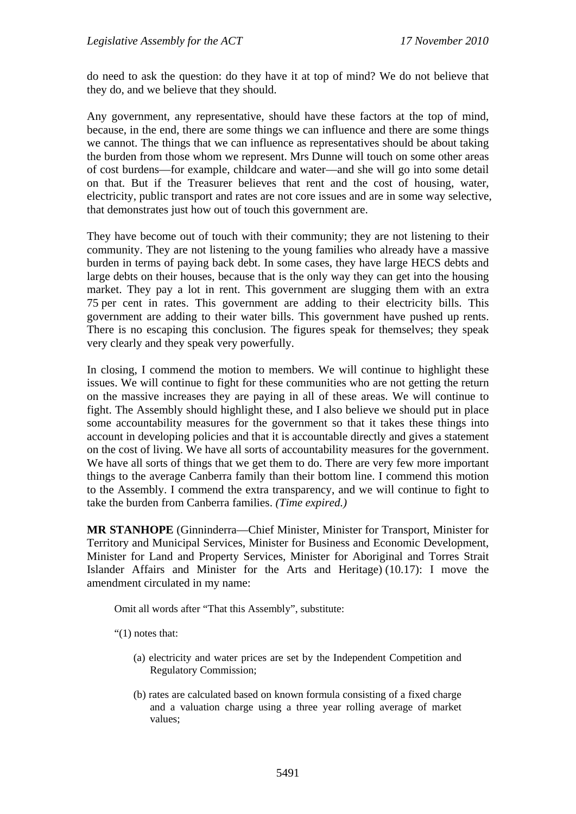do need to ask the question: do they have it at top of mind? We do not believe that they do, and we believe that they should.

Any government, any representative, should have these factors at the top of mind, because, in the end, there are some things we can influence and there are some things we cannot. The things that we can influence as representatives should be about taking the burden from those whom we represent. Mrs Dunne will touch on some other areas of cost burdens—for example, childcare and water—and she will go into some detail on that. But if the Treasurer believes that rent and the cost of housing, water, electricity, public transport and rates are not core issues and are in some way selective, that demonstrates just how out of touch this government are.

They have become out of touch with their community; they are not listening to their community. They are not listening to the young families who already have a massive burden in terms of paying back debt. In some cases, they have large HECS debts and large debts on their houses, because that is the only way they can get into the housing market. They pay a lot in rent. This government are slugging them with an extra 75 per cent in rates. This government are adding to their electricity bills. This government are adding to their water bills. This government have pushed up rents. There is no escaping this conclusion. The figures speak for themselves; they speak very clearly and they speak very powerfully.

In closing, I commend the motion to members. We will continue to highlight these issues. We will continue to fight for these communities who are not getting the return on the massive increases they are paying in all of these areas. We will continue to fight. The Assembly should highlight these, and I also believe we should put in place some accountability measures for the government so that it takes these things into account in developing policies and that it is accountable directly and gives a statement on the cost of living. We have all sorts of accountability measures for the government. We have all sorts of things that we get them to do. There are very few more important things to the average Canberra family than their bottom line. I commend this motion to the Assembly. I commend the extra transparency, and we will continue to fight to take the burden from Canberra families. *(Time expired.)*

**MR STANHOPE** (Ginninderra—Chief Minister, Minister for Transport, Minister for Territory and Municipal Services, Minister for Business and Economic Development, Minister for Land and Property Services, Minister for Aboriginal and Torres Strait Islander Affairs and Minister for the Arts and Heritage) (10.17): I move the amendment circulated in my name:

Omit all words after "That this Assembly", substitute:

"(1) notes that:

- (a) electricity and water prices are set by the Independent Competition and Regulatory Commission;
- (b) rates are calculated based on known formula consisting of a fixed charge and a valuation charge using a three year rolling average of market values;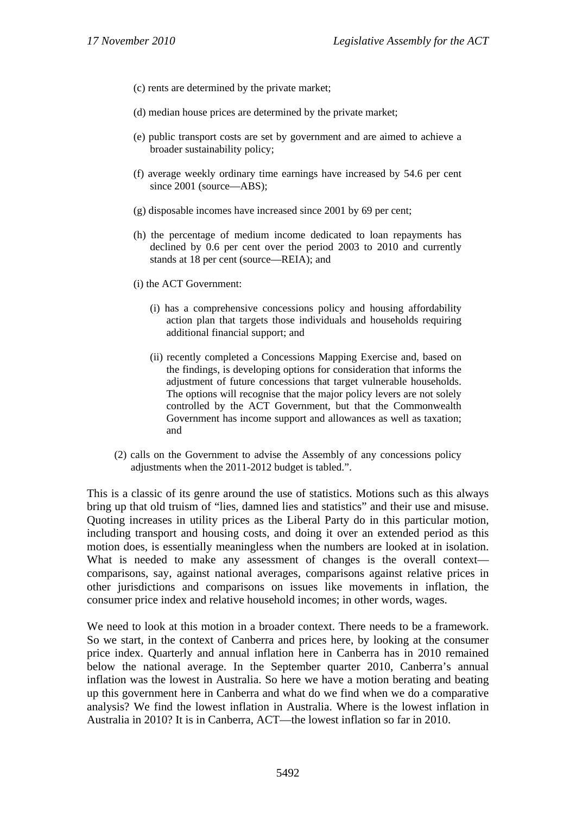- (c) rents are determined by the private market;
- (d) median house prices are determined by the private market;
- (e) public transport costs are set by government and are aimed to achieve a broader sustainability policy;
- (f) average weekly ordinary time earnings have increased by 54.6 per cent since 2001 (source—ABS);
- (g) disposable incomes have increased since 2001 by 69 per cent;
- (h) the percentage of medium income dedicated to loan repayments has declined by 0.6 per cent over the period 2003 to 2010 and currently stands at 18 per cent (source—REIA); and
- (i) the ACT Government:
	- (i) has a comprehensive concessions policy and housing affordability action plan that targets those individuals and households requiring additional financial support; and
	- (ii) recently completed a Concessions Mapping Exercise and, based on the findings, is developing options for consideration that informs the adjustment of future concessions that target vulnerable households. The options will recognise that the major policy levers are not solely controlled by the ACT Government, but that the Commonwealth Government has income support and allowances as well as taxation; and
- (2) calls on the Government to advise the Assembly of any concessions policy adjustments when the 2011-2012 budget is tabled.".

This is a classic of its genre around the use of statistics. Motions such as this always bring up that old truism of "lies, damned lies and statistics" and their use and misuse. Quoting increases in utility prices as the Liberal Party do in this particular motion, including transport and housing costs, and doing it over an extended period as this motion does, is essentially meaningless when the numbers are looked at in isolation. What is needed to make any assessment of changes is the overall context comparisons, say, against national averages, comparisons against relative prices in other jurisdictions and comparisons on issues like movements in inflation, the consumer price index and relative household incomes; in other words, wages.

We need to look at this motion in a broader context. There needs to be a framework. So we start, in the context of Canberra and prices here, by looking at the consumer price index. Quarterly and annual inflation here in Canberra has in 2010 remained below the national average. In the September quarter 2010, Canberra's annual inflation was the lowest in Australia. So here we have a motion berating and beating up this government here in Canberra and what do we find when we do a comparative analysis? We find the lowest inflation in Australia. Where is the lowest inflation in Australia in 2010? It is in Canberra, ACT—the lowest inflation so far in 2010.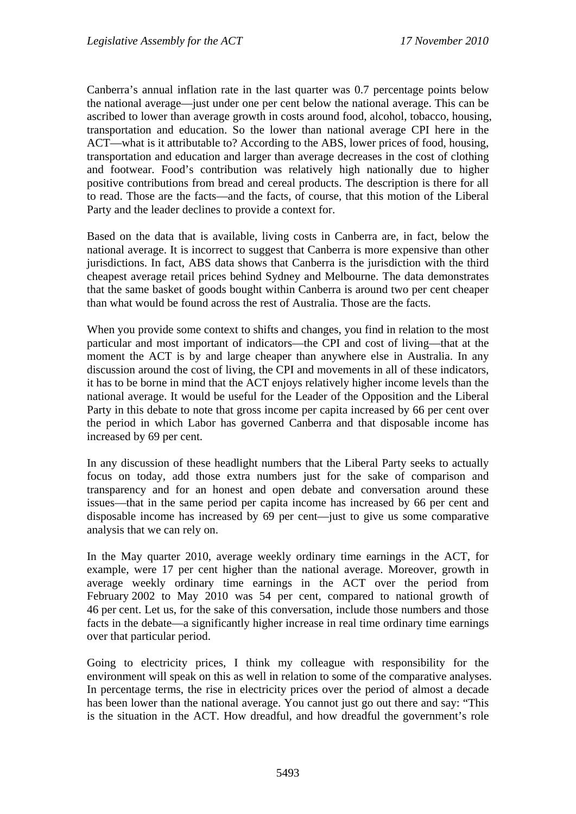Canberra's annual inflation rate in the last quarter was 0.7 percentage points below the national average—just under one per cent below the national average. This can be ascribed to lower than average growth in costs around food, alcohol, tobacco, housing, transportation and education. So the lower than national average CPI here in the ACT—what is it attributable to? According to the ABS, lower prices of food, housing, transportation and education and larger than average decreases in the cost of clothing and footwear. Food's contribution was relatively high nationally due to higher positive contributions from bread and cereal products. The description is there for all to read. Those are the facts—and the facts, of course, that this motion of the Liberal Party and the leader declines to provide a context for.

Based on the data that is available, living costs in Canberra are, in fact, below the national average. It is incorrect to suggest that Canberra is more expensive than other jurisdictions. In fact, ABS data shows that Canberra is the jurisdiction with the third cheapest average retail prices behind Sydney and Melbourne. The data demonstrates that the same basket of goods bought within Canberra is around two per cent cheaper than what would be found across the rest of Australia. Those are the facts.

When you provide some context to shifts and changes, you find in relation to the most particular and most important of indicators—the CPI and cost of living—that at the moment the ACT is by and large cheaper than anywhere else in Australia. In any discussion around the cost of living, the CPI and movements in all of these indicators, it has to be borne in mind that the ACT enjoys relatively higher income levels than the national average. It would be useful for the Leader of the Opposition and the Liberal Party in this debate to note that gross income per capita increased by 66 per cent over the period in which Labor has governed Canberra and that disposable income has increased by 69 per cent.

In any discussion of these headlight numbers that the Liberal Party seeks to actually focus on today, add those extra numbers just for the sake of comparison and transparency and for an honest and open debate and conversation around these issues—that in the same period per capita income has increased by 66 per cent and disposable income has increased by 69 per cent—just to give us some comparative analysis that we can rely on.

In the May quarter 2010, average weekly ordinary time earnings in the ACT, for example, were 17 per cent higher than the national average. Moreover, growth in average weekly ordinary time earnings in the ACT over the period from February 2002 to May 2010 was 54 per cent, compared to national growth of 46 per cent. Let us, for the sake of this conversation, include those numbers and those facts in the debate—a significantly higher increase in real time ordinary time earnings over that particular period.

Going to electricity prices, I think my colleague with responsibility for the environment will speak on this as well in relation to some of the comparative analyses. In percentage terms, the rise in electricity prices over the period of almost a decade has been lower than the national average. You cannot just go out there and say: "This is the situation in the ACT. How dreadful, and how dreadful the government's role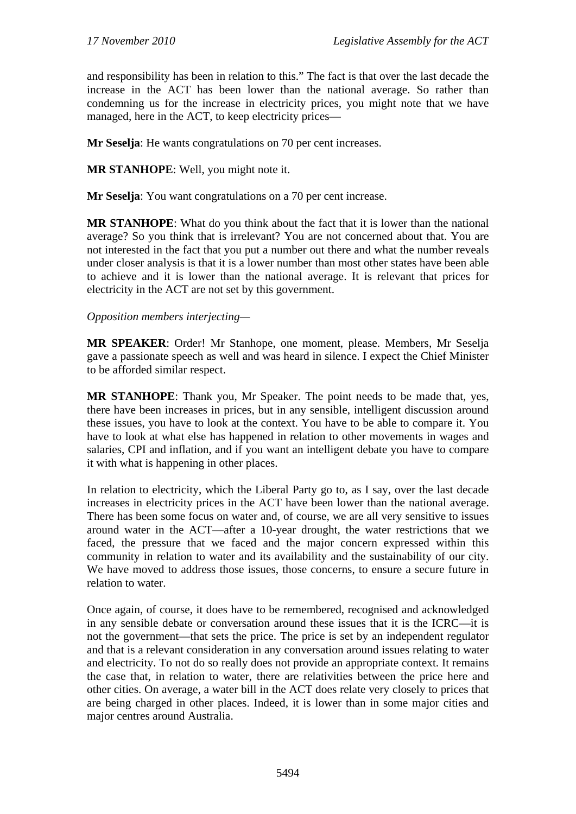and responsibility has been in relation to this." The fact is that over the last decade the increase in the ACT has been lower than the national average. So rather than condemning us for the increase in electricity prices, you might note that we have managed, here in the ACT, to keep electricity prices—

**Mr Seselja**: He wants congratulations on 70 per cent increases.

**MR STANHOPE**: Well, you might note it.

**Mr Seselja**: You want congratulations on a 70 per cent increase.

**MR STANHOPE**: What do you think about the fact that it is lower than the national average? So you think that is irrelevant? You are not concerned about that. You are not interested in the fact that you put a number out there and what the number reveals under closer analysis is that it is a lower number than most other states have been able to achieve and it is lower than the national average. It is relevant that prices for electricity in the ACT are not set by this government.

#### *Opposition members interjecting—*

**MR SPEAKER**: Order! Mr Stanhope, one moment, please. Members, Mr Seselja gave a passionate speech as well and was heard in silence. I expect the Chief Minister to be afforded similar respect.

**MR STANHOPE**: Thank you, Mr Speaker. The point needs to be made that, yes, there have been increases in prices, but in any sensible, intelligent discussion around these issues, you have to look at the context. You have to be able to compare it. You have to look at what else has happened in relation to other movements in wages and salaries, CPI and inflation, and if you want an intelligent debate you have to compare it with what is happening in other places.

In relation to electricity, which the Liberal Party go to, as I say, over the last decade increases in electricity prices in the ACT have been lower than the national average. There has been some focus on water and, of course, we are all very sensitive to issues around water in the ACT—after a 10-year drought, the water restrictions that we faced, the pressure that we faced and the major concern expressed within this community in relation to water and its availability and the sustainability of our city. We have moved to address those issues, those concerns, to ensure a secure future in relation to water.

Once again, of course, it does have to be remembered, recognised and acknowledged in any sensible debate or conversation around these issues that it is the ICRC—it is not the government—that sets the price. The price is set by an independent regulator and that is a relevant consideration in any conversation around issues relating to water and electricity. To not do so really does not provide an appropriate context. It remains the case that, in relation to water, there are relativities between the price here and other cities. On average, a water bill in the ACT does relate very closely to prices that are being charged in other places. Indeed, it is lower than in some major cities and major centres around Australia.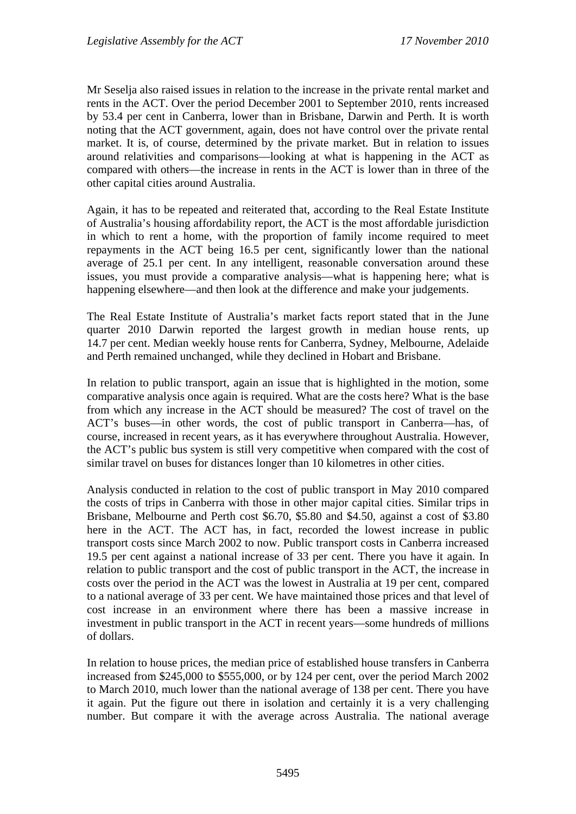Mr Seselja also raised issues in relation to the increase in the private rental market and rents in the ACT. Over the period December 2001 to September 2010, rents increased by 53.4 per cent in Canberra, lower than in Brisbane, Darwin and Perth. It is worth noting that the ACT government, again, does not have control over the private rental market. It is, of course, determined by the private market. But in relation to issues around relativities and comparisons—looking at what is happening in the ACT as compared with others—the increase in rents in the ACT is lower than in three of the other capital cities around Australia.

Again, it has to be repeated and reiterated that, according to the Real Estate Institute of Australia's housing affordability report, the ACT is the most affordable jurisdiction in which to rent a home, with the proportion of family income required to meet repayments in the ACT being 16.5 per cent, significantly lower than the national average of 25.1 per cent. In any intelligent, reasonable conversation around these issues, you must provide a comparative analysis—what is happening here; what is happening elsewhere—and then look at the difference and make your judgements.

The Real Estate Institute of Australia's market facts report stated that in the June quarter 2010 Darwin reported the largest growth in median house rents, up 14.7 per cent. Median weekly house rents for Canberra, Sydney, Melbourne, Adelaide and Perth remained unchanged, while they declined in Hobart and Brisbane.

In relation to public transport, again an issue that is highlighted in the motion, some comparative analysis once again is required. What are the costs here? What is the base from which any increase in the ACT should be measured? The cost of travel on the ACT's buses—in other words, the cost of public transport in Canberra—has, of course, increased in recent years, as it has everywhere throughout Australia. However, the ACT's public bus system is still very competitive when compared with the cost of similar travel on buses for distances longer than 10 kilometres in other cities.

Analysis conducted in relation to the cost of public transport in May 2010 compared the costs of trips in Canberra with those in other major capital cities. Similar trips in Brisbane, Melbourne and Perth cost \$6.70, \$5.80 and \$4.50, against a cost of \$3.80 here in the ACT. The ACT has, in fact, recorded the lowest increase in public transport costs since March 2002 to now. Public transport costs in Canberra increased 19.5 per cent against a national increase of 33 per cent. There you have it again. In relation to public transport and the cost of public transport in the ACT, the increase in costs over the period in the ACT was the lowest in Australia at 19 per cent, compared to a national average of 33 per cent. We have maintained those prices and that level of cost increase in an environment where there has been a massive increase in investment in public transport in the ACT in recent years—some hundreds of millions of dollars.

In relation to house prices, the median price of established house transfers in Canberra increased from \$245,000 to \$555,000, or by 124 per cent, over the period March 2002 to March 2010, much lower than the national average of 138 per cent. There you have it again. Put the figure out there in isolation and certainly it is a very challenging number. But compare it with the average across Australia. The national average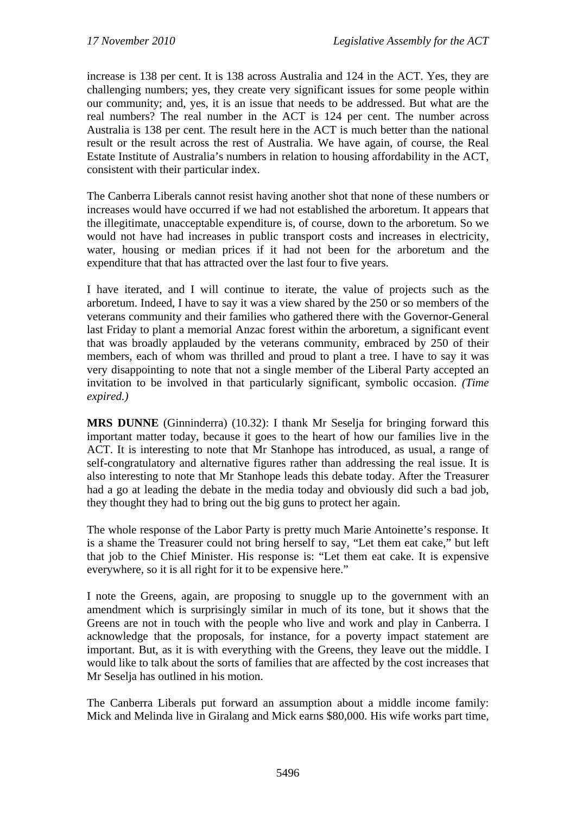increase is 138 per cent. It is 138 across Australia and 124 in the ACT. Yes, they are challenging numbers; yes, they create very significant issues for some people within our community; and, yes, it is an issue that needs to be addressed. But what are the real numbers? The real number in the ACT is 124 per cent. The number across Australia is 138 per cent. The result here in the ACT is much better than the national result or the result across the rest of Australia. We have again, of course, the Real Estate Institute of Australia's numbers in relation to housing affordability in the ACT, consistent with their particular index.

The Canberra Liberals cannot resist having another shot that none of these numbers or increases would have occurred if we had not established the arboretum. It appears that the illegitimate, unacceptable expenditure is, of course, down to the arboretum. So we would not have had increases in public transport costs and increases in electricity, water, housing or median prices if it had not been for the arboretum and the expenditure that that has attracted over the last four to five years.

I have iterated, and I will continue to iterate, the value of projects such as the arboretum. Indeed, I have to say it was a view shared by the 250 or so members of the veterans community and their families who gathered there with the Governor-General last Friday to plant a memorial Anzac forest within the arboretum, a significant event that was broadly applauded by the veterans community, embraced by 250 of their members, each of whom was thrilled and proud to plant a tree. I have to say it was very disappointing to note that not a single member of the Liberal Party accepted an invitation to be involved in that particularly significant, symbolic occasion. *(Time expired.)*

**MRS DUNNE** (Ginninderra) (10.32): I thank Mr Seselja for bringing forward this important matter today, because it goes to the heart of how our families live in the ACT. It is interesting to note that Mr Stanhope has introduced, as usual, a range of self-congratulatory and alternative figures rather than addressing the real issue. It is also interesting to note that Mr Stanhope leads this debate today. After the Treasurer had a go at leading the debate in the media today and obviously did such a bad job, they thought they had to bring out the big guns to protect her again.

The whole response of the Labor Party is pretty much Marie Antoinette's response. It is a shame the Treasurer could not bring herself to say, "Let them eat cake," but left that job to the Chief Minister. His response is: "Let them eat cake. It is expensive everywhere, so it is all right for it to be expensive here."

I note the Greens, again, are proposing to snuggle up to the government with an amendment which is surprisingly similar in much of its tone, but it shows that the Greens are not in touch with the people who live and work and play in Canberra. I acknowledge that the proposals, for instance, for a poverty impact statement are important. But, as it is with everything with the Greens, they leave out the middle. I would like to talk about the sorts of families that are affected by the cost increases that Mr Seselja has outlined in his motion.

The Canberra Liberals put forward an assumption about a middle income family: Mick and Melinda live in Giralang and Mick earns \$80,000. His wife works part time,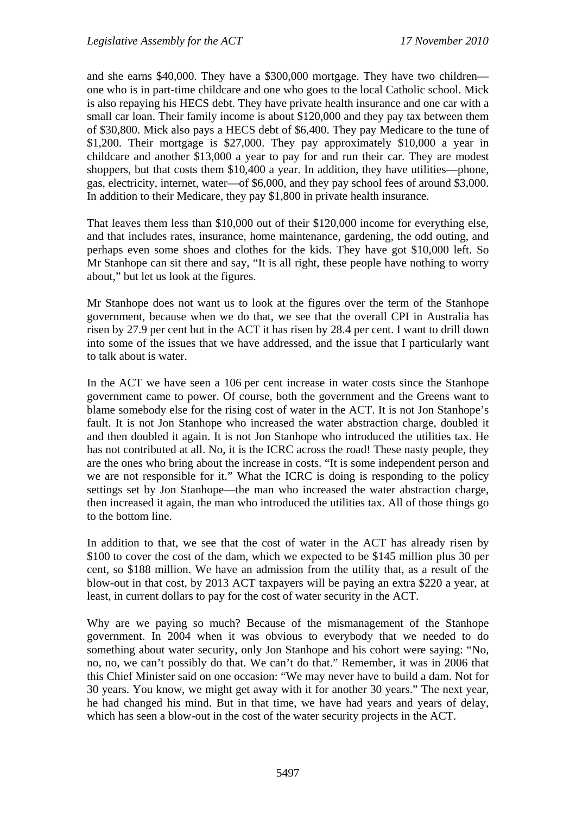and she earns \$40,000. They have a \$300,000 mortgage. They have two children one who is in part-time childcare and one who goes to the local Catholic school. Mick is also repaying his HECS debt. They have private health insurance and one car with a small car loan. Their family income is about \$120,000 and they pay tax between them of \$30,800. Mick also pays a HECS debt of \$6,400. They pay Medicare to the tune of \$1,200. Their mortgage is \$27,000. They pay approximately \$10,000 a year in childcare and another \$13,000 a year to pay for and run their car. They are modest shoppers, but that costs them \$10,400 a year. In addition, they have utilities—phone, gas, electricity, internet, water—of \$6,000, and they pay school fees of around \$3,000. In addition to their Medicare, they pay \$1,800 in private health insurance.

That leaves them less than \$10,000 out of their \$120,000 income for everything else, and that includes rates, insurance, home maintenance, gardening, the odd outing, and perhaps even some shoes and clothes for the kids. They have got \$10,000 left. So Mr Stanhope can sit there and say, "It is all right, these people have nothing to worry about," but let us look at the figures.

Mr Stanhope does not want us to look at the figures over the term of the Stanhope government, because when we do that, we see that the overall CPI in Australia has risen by 27.9 per cent but in the ACT it has risen by 28.4 per cent. I want to drill down into some of the issues that we have addressed, and the issue that I particularly want to talk about is water.

In the ACT we have seen a 106 per cent increase in water costs since the Stanhope government came to power. Of course, both the government and the Greens want to blame somebody else for the rising cost of water in the ACT. It is not Jon Stanhope's fault. It is not Jon Stanhope who increased the water abstraction charge, doubled it and then doubled it again. It is not Jon Stanhope who introduced the utilities tax. He has not contributed at all. No, it is the ICRC across the road! These nasty people, they are the ones who bring about the increase in costs. "It is some independent person and we are not responsible for it." What the ICRC is doing is responding to the policy settings set by Jon Stanhope—the man who increased the water abstraction charge, then increased it again, the man who introduced the utilities tax. All of those things go to the bottom line.

In addition to that, we see that the cost of water in the ACT has already risen by \$100 to cover the cost of the dam, which we expected to be \$145 million plus 30 per cent, so \$188 million. We have an admission from the utility that, as a result of the blow-out in that cost, by 2013 ACT taxpayers will be paying an extra \$220 a year, at least, in current dollars to pay for the cost of water security in the ACT.

Why are we paying so much? Because of the mismanagement of the Stanhope government. In 2004 when it was obvious to everybody that we needed to do something about water security, only Jon Stanhope and his cohort were saying: "No, no, no, we can't possibly do that. We can't do that." Remember, it was in 2006 that this Chief Minister said on one occasion: "We may never have to build a dam. Not for 30 years. You know, we might get away with it for another 30 years." The next year, he had changed his mind. But in that time, we have had years and years of delay, which has seen a blow-out in the cost of the water security projects in the ACT.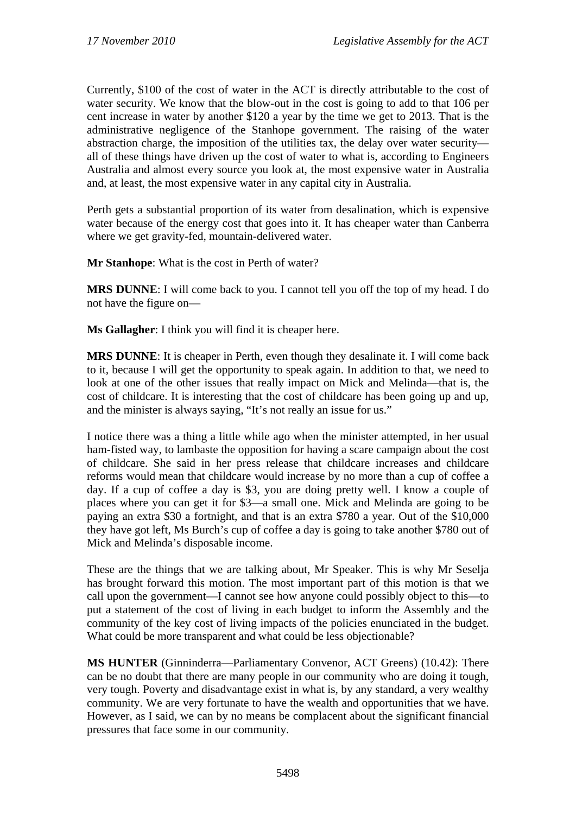Currently, \$100 of the cost of water in the ACT is directly attributable to the cost of water security. We know that the blow-out in the cost is going to add to that 106 per cent increase in water by another \$120 a year by the time we get to 2013. That is the administrative negligence of the Stanhope government. The raising of the water abstraction charge, the imposition of the utilities tax, the delay over water security all of these things have driven up the cost of water to what is, according to Engineers Australia and almost every source you look at, the most expensive water in Australia and, at least, the most expensive water in any capital city in Australia.

Perth gets a substantial proportion of its water from desalination, which is expensive water because of the energy cost that goes into it. It has cheaper water than Canberra where we get gravity-fed, mountain-delivered water.

**Mr Stanhope**: What is the cost in Perth of water?

**MRS DUNNE**: I will come back to you. I cannot tell you off the top of my head. I do not have the figure on—

**Ms Gallagher**: I think you will find it is cheaper here.

**MRS DUNNE**: It is cheaper in Perth, even though they desalinate it. I will come back to it, because I will get the opportunity to speak again. In addition to that, we need to look at one of the other issues that really impact on Mick and Melinda—that is, the cost of childcare. It is interesting that the cost of childcare has been going up and up, and the minister is always saying, "It's not really an issue for us."

I notice there was a thing a little while ago when the minister attempted, in her usual ham-fisted way, to lambaste the opposition for having a scare campaign about the cost of childcare. She said in her press release that childcare increases and childcare reforms would mean that childcare would increase by no more than a cup of coffee a day. If a cup of coffee a day is \$3, you are doing pretty well. I know a couple of places where you can get it for \$3—a small one. Mick and Melinda are going to be paying an extra \$30 a fortnight, and that is an extra \$780 a year. Out of the \$10,000 they have got left, Ms Burch's cup of coffee a day is going to take another \$780 out of Mick and Melinda's disposable income.

These are the things that we are talking about, Mr Speaker. This is why Mr Seselja has brought forward this motion. The most important part of this motion is that we call upon the government—I cannot see how anyone could possibly object to this—to put a statement of the cost of living in each budget to inform the Assembly and the community of the key cost of living impacts of the policies enunciated in the budget. What could be more transparent and what could be less objectionable?

**MS HUNTER** (Ginninderra—Parliamentary Convenor, ACT Greens) (10.42): There can be no doubt that there are many people in our community who are doing it tough, very tough. Poverty and disadvantage exist in what is, by any standard, a very wealthy community. We are very fortunate to have the wealth and opportunities that we have. However, as I said, we can by no means be complacent about the significant financial pressures that face some in our community.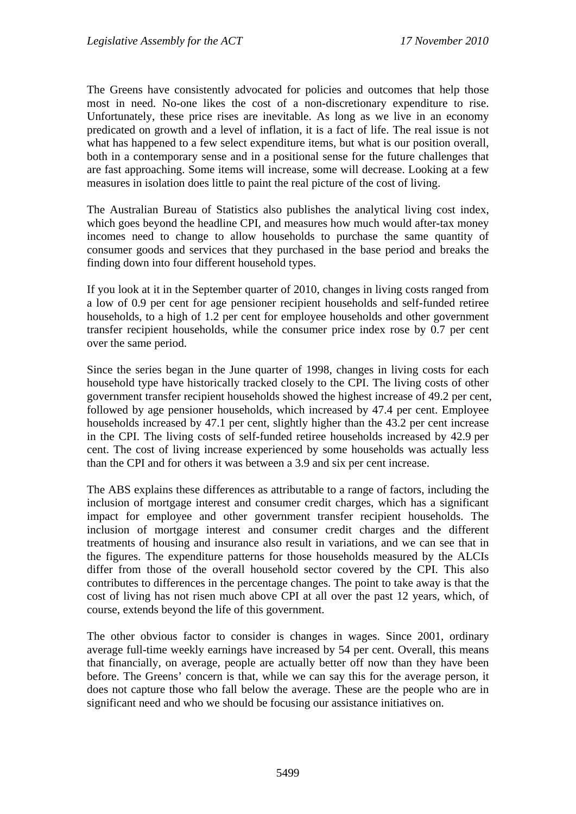The Greens have consistently advocated for policies and outcomes that help those most in need. No-one likes the cost of a non-discretionary expenditure to rise. Unfortunately, these price rises are inevitable. As long as we live in an economy predicated on growth and a level of inflation, it is a fact of life. The real issue is not what has happened to a few select expenditure items, but what is our position overall, both in a contemporary sense and in a positional sense for the future challenges that are fast approaching. Some items will increase, some will decrease. Looking at a few measures in isolation does little to paint the real picture of the cost of living.

The Australian Bureau of Statistics also publishes the analytical living cost index, which goes beyond the headline CPI, and measures how much would after-tax money incomes need to change to allow households to purchase the same quantity of consumer goods and services that they purchased in the base period and breaks the finding down into four different household types.

If you look at it in the September quarter of 2010, changes in living costs ranged from a low of 0.9 per cent for age pensioner recipient households and self-funded retiree households, to a high of 1.2 per cent for employee households and other government transfer recipient households, while the consumer price index rose by 0.7 per cent over the same period.

Since the series began in the June quarter of 1998, changes in living costs for each household type have historically tracked closely to the CPI. The living costs of other government transfer recipient households showed the highest increase of 49.2 per cent, followed by age pensioner households, which increased by 47.4 per cent. Employee households increased by 47.1 per cent, slightly higher than the 43.2 per cent increase in the CPI. The living costs of self-funded retiree households increased by 42.9 per cent. The cost of living increase experienced by some households was actually less than the CPI and for others it was between a 3.9 and six per cent increase.

The ABS explains these differences as attributable to a range of factors, including the inclusion of mortgage interest and consumer credit charges, which has a significant impact for employee and other government transfer recipient households. The inclusion of mortgage interest and consumer credit charges and the different treatments of housing and insurance also result in variations, and we can see that in the figures. The expenditure patterns for those households measured by the ALCIs differ from those of the overall household sector covered by the CPI. This also contributes to differences in the percentage changes. The point to take away is that the cost of living has not risen much above CPI at all over the past 12 years, which, of course, extends beyond the life of this government.

The other obvious factor to consider is changes in wages. Since 2001, ordinary average full-time weekly earnings have increased by 54 per cent. Overall, this means that financially, on average, people are actually better off now than they have been before. The Greens' concern is that, while we can say this for the average person, it does not capture those who fall below the average. These are the people who are in significant need and who we should be focusing our assistance initiatives on.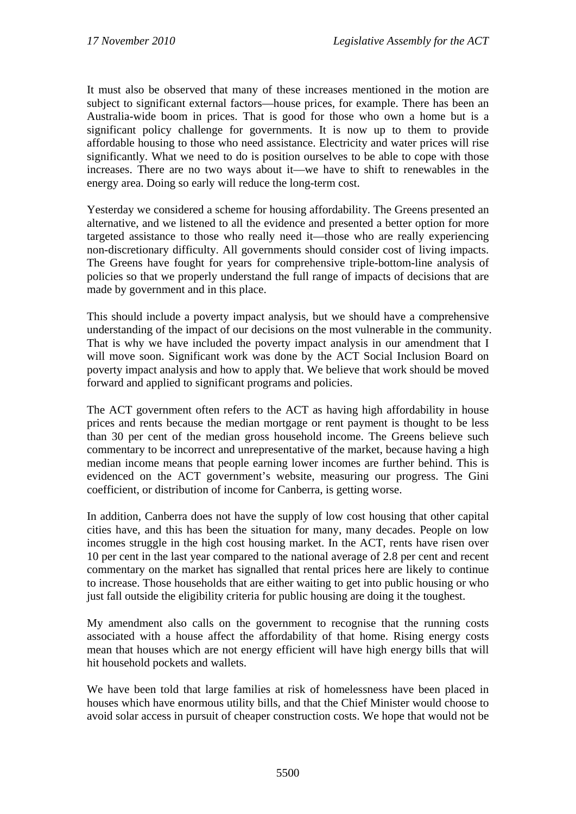It must also be observed that many of these increases mentioned in the motion are subject to significant external factors—house prices, for example. There has been an Australia-wide boom in prices. That is good for those who own a home but is a significant policy challenge for governments. It is now up to them to provide affordable housing to those who need assistance. Electricity and water prices will rise significantly. What we need to do is position ourselves to be able to cope with those increases. There are no two ways about it—we have to shift to renewables in the energy area. Doing so early will reduce the long-term cost.

Yesterday we considered a scheme for housing affordability. The Greens presented an alternative, and we listened to all the evidence and presented a better option for more targeted assistance to those who really need it—those who are really experiencing non-discretionary difficulty. All governments should consider cost of living impacts. The Greens have fought for years for comprehensive triple-bottom-line analysis of policies so that we properly understand the full range of impacts of decisions that are made by government and in this place.

This should include a poverty impact analysis, but we should have a comprehensive understanding of the impact of our decisions on the most vulnerable in the community. That is why we have included the poverty impact analysis in our amendment that I will move soon. Significant work was done by the ACT Social Inclusion Board on poverty impact analysis and how to apply that. We believe that work should be moved forward and applied to significant programs and policies.

The ACT government often refers to the ACT as having high affordability in house prices and rents because the median mortgage or rent payment is thought to be less than 30 per cent of the median gross household income. The Greens believe such commentary to be incorrect and unrepresentative of the market, because having a high median income means that people earning lower incomes are further behind. This is evidenced on the ACT government's website, measuring our progress. The Gini coefficient, or distribution of income for Canberra, is getting worse.

In addition, Canberra does not have the supply of low cost housing that other capital cities have, and this has been the situation for many, many decades. People on low incomes struggle in the high cost housing market. In the ACT, rents have risen over 10 per cent in the last year compared to the national average of 2.8 per cent and recent commentary on the market has signalled that rental prices here are likely to continue to increase. Those households that are either waiting to get into public housing or who just fall outside the eligibility criteria for public housing are doing it the toughest.

My amendment also calls on the government to recognise that the running costs associated with a house affect the affordability of that home. Rising energy costs mean that houses which are not energy efficient will have high energy bills that will hit household pockets and wallets.

We have been told that large families at risk of homelessness have been placed in houses which have enormous utility bills, and that the Chief Minister would choose to avoid solar access in pursuit of cheaper construction costs. We hope that would not be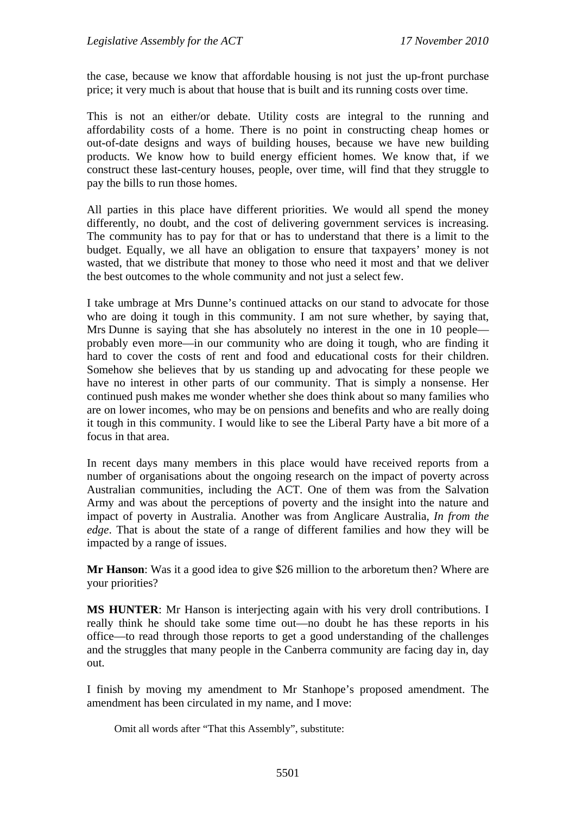the case, because we know that affordable housing is not just the up-front purchase price; it very much is about that house that is built and its running costs over time.

This is not an either/or debate. Utility costs are integral to the running and affordability costs of a home. There is no point in constructing cheap homes or out-of-date designs and ways of building houses, because we have new building products. We know how to build energy efficient homes. We know that, if we construct these last-century houses, people, over time, will find that they struggle to pay the bills to run those homes.

All parties in this place have different priorities. We would all spend the money differently, no doubt, and the cost of delivering government services is increasing. The community has to pay for that or has to understand that there is a limit to the budget. Equally, we all have an obligation to ensure that taxpayers' money is not wasted, that we distribute that money to those who need it most and that we deliver the best outcomes to the whole community and not just a select few.

I take umbrage at Mrs Dunne's continued attacks on our stand to advocate for those who are doing it tough in this community. I am not sure whether, by saying that, Mrs Dunne is saying that she has absolutely no interest in the one in 10 people probably even more—in our community who are doing it tough, who are finding it hard to cover the costs of rent and food and educational costs for their children. Somehow she believes that by us standing up and advocating for these people we have no interest in other parts of our community. That is simply a nonsense. Her continued push makes me wonder whether she does think about so many families who are on lower incomes, who may be on pensions and benefits and who are really doing it tough in this community. I would like to see the Liberal Party have a bit more of a focus in that area.

In recent days many members in this place would have received reports from a number of organisations about the ongoing research on the impact of poverty across Australian communities, including the ACT. One of them was from the Salvation Army and was about the perceptions of poverty and the insight into the nature and impact of poverty in Australia. Another was from Anglicare Australia, *In from the edge*. That is about the state of a range of different families and how they will be impacted by a range of issues.

**Mr Hanson**: Was it a good idea to give \$26 million to the arboretum then? Where are your priorities?

**MS HUNTER**: Mr Hanson is interjecting again with his very droll contributions. I really think he should take some time out—no doubt he has these reports in his office—to read through those reports to get a good understanding of the challenges and the struggles that many people in the Canberra community are facing day in, day out.

I finish by moving my amendment to Mr Stanhope's proposed amendment. The amendment has been circulated in my name, and I move:

Omit all words after "That this Assembly", substitute: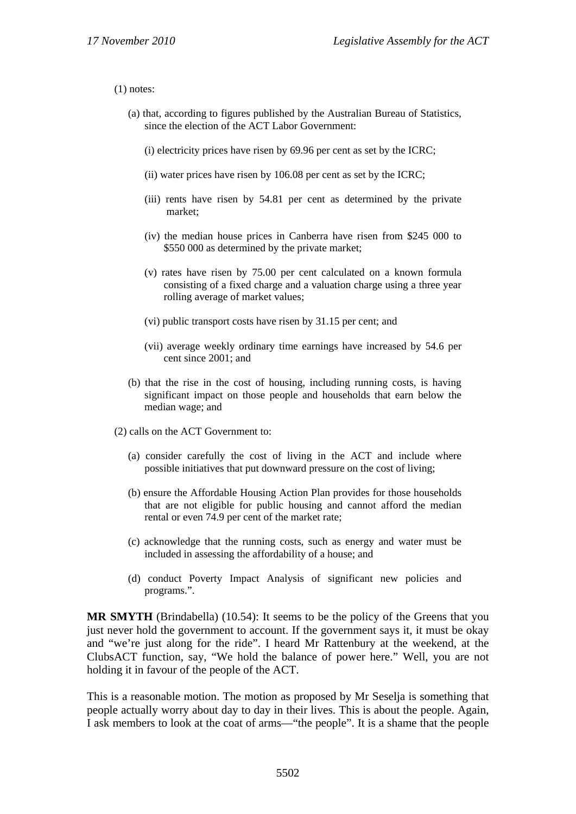#### (1) notes:

- (a) that, according to figures published by the Australian Bureau of Statistics, since the election of the ACT Labor Government:
	- (i) electricity prices have risen by 69.96 per cent as set by the ICRC;
	- (ii) water prices have risen by 106.08 per cent as set by the ICRC;
	- (iii) rents have risen by 54.81 per cent as determined by the private market;
	- (iv) the median house prices in Canberra have risen from \$245 000 to \$550 000 as determined by the private market;
	- (v) rates have risen by 75.00 per cent calculated on a known formula consisting of a fixed charge and a valuation charge using a three year rolling average of market values;
	- (vi) public transport costs have risen by 31.15 per cent; and
	- (vii) average weekly ordinary time earnings have increased by 54.6 per cent since 2001; and
- (b) that the rise in the cost of housing, including running costs, is having significant impact on those people and households that earn below the median wage; and
- (2) calls on the ACT Government to:
	- (a) consider carefully the cost of living in the ACT and include where possible initiatives that put downward pressure on the cost of living;
	- (b) ensure the Affordable Housing Action Plan provides for those households that are not eligible for public housing and cannot afford the median rental or even 74.9 per cent of the market rate;
	- (c) acknowledge that the running costs, such as energy and water must be included in assessing the affordability of a house; and
	- (d) conduct Poverty Impact Analysis of significant new policies and programs.".

**MR SMYTH** (Brindabella) (10.54): It seems to be the policy of the Greens that you just never hold the government to account. If the government says it, it must be okay and "we're just along for the ride". I heard Mr Rattenbury at the weekend, at the ClubsACT function, say, "We hold the balance of power here." Well, you are not holding it in favour of the people of the ACT.

This is a reasonable motion. The motion as proposed by Mr Seselja is something that people actually worry about day to day in their lives. This is about the people. Again, I ask members to look at the coat of arms—"the people". It is a shame that the people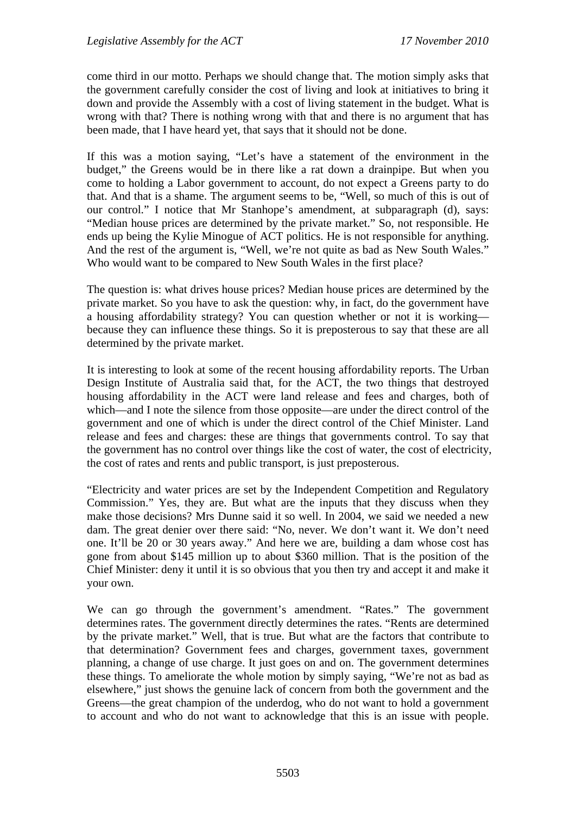come third in our motto. Perhaps we should change that. The motion simply asks that the government carefully consider the cost of living and look at initiatives to bring it down and provide the Assembly with a cost of living statement in the budget. What is wrong with that? There is nothing wrong with that and there is no argument that has been made, that I have heard yet, that says that it should not be done.

If this was a motion saying, "Let's have a statement of the environment in the budget," the Greens would be in there like a rat down a drainpipe. But when you come to holding a Labor government to account, do not expect a Greens party to do that. And that is a shame. The argument seems to be, "Well, so much of this is out of our control." I notice that Mr Stanhope's amendment, at subparagraph (d), says: "Median house prices are determined by the private market." So, not responsible. He ends up being the Kylie Minogue of ACT politics. He is not responsible for anything. And the rest of the argument is, "Well, we're not quite as bad as New South Wales." Who would want to be compared to New South Wales in the first place?

The question is: what drives house prices? Median house prices are determined by the private market. So you have to ask the question: why, in fact, do the government have a housing affordability strategy? You can question whether or not it is working because they can influence these things. So it is preposterous to say that these are all determined by the private market.

It is interesting to look at some of the recent housing affordability reports. The Urban Design Institute of Australia said that, for the ACT, the two things that destroyed housing affordability in the ACT were land release and fees and charges, both of which—and I note the silence from those opposite—are under the direct control of the government and one of which is under the direct control of the Chief Minister. Land release and fees and charges: these are things that governments control. To say that the government has no control over things like the cost of water, the cost of electricity, the cost of rates and rents and public transport, is just preposterous.

"Electricity and water prices are set by the Independent Competition and Regulatory Commission." Yes, they are. But what are the inputs that they discuss when they make those decisions? Mrs Dunne said it so well. In 2004, we said we needed a new dam. The great denier over there said: "No, never. We don't want it. We don't need one. It'll be 20 or 30 years away." And here we are, building a dam whose cost has gone from about \$145 million up to about \$360 million. That is the position of the Chief Minister: deny it until it is so obvious that you then try and accept it and make it your own.

We can go through the government's amendment. "Rates." The government determines rates. The government directly determines the rates. "Rents are determined by the private market." Well, that is true. But what are the factors that contribute to that determination? Government fees and charges, government taxes, government planning, a change of use charge. It just goes on and on. The government determines these things. To ameliorate the whole motion by simply saying, "We're not as bad as elsewhere," just shows the genuine lack of concern from both the government and the Greens—the great champion of the underdog, who do not want to hold a government to account and who do not want to acknowledge that this is an issue with people.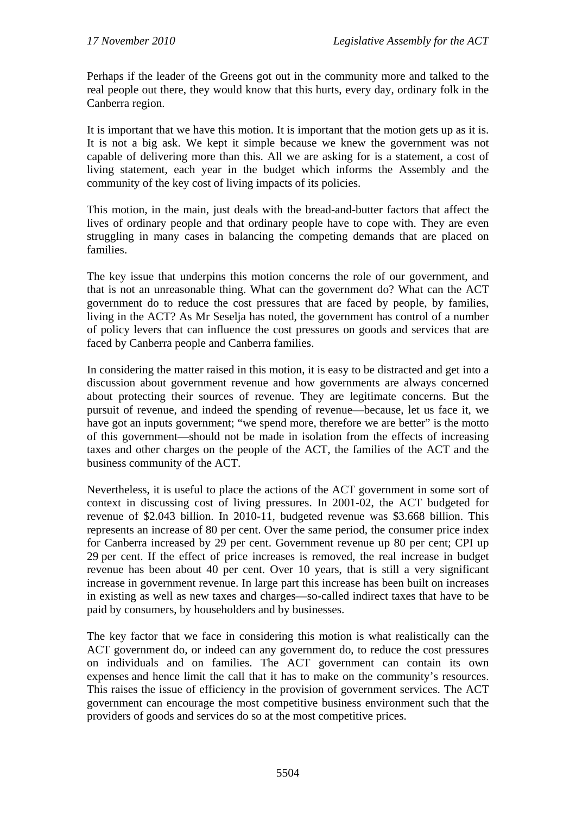Perhaps if the leader of the Greens got out in the community more and talked to the real people out there, they would know that this hurts, every day, ordinary folk in the Canberra region.

It is important that we have this motion. It is important that the motion gets up as it is. It is not a big ask. We kept it simple because we knew the government was not capable of delivering more than this. All we are asking for is a statement, a cost of living statement, each year in the budget which informs the Assembly and the community of the key cost of living impacts of its policies.

This motion, in the main, just deals with the bread-and-butter factors that affect the lives of ordinary people and that ordinary people have to cope with. They are even struggling in many cases in balancing the competing demands that are placed on families.

The key issue that underpins this motion concerns the role of our government, and that is not an unreasonable thing. What can the government do? What can the ACT government do to reduce the cost pressures that are faced by people, by families, living in the ACT? As Mr Seselja has noted, the government has control of a number of policy levers that can influence the cost pressures on goods and services that are faced by Canberra people and Canberra families.

In considering the matter raised in this motion, it is easy to be distracted and get into a discussion about government revenue and how governments are always concerned about protecting their sources of revenue. They are legitimate concerns. But the pursuit of revenue, and indeed the spending of revenue—because, let us face it, we have got an inputs government; "we spend more, therefore we are better" is the motto of this government—should not be made in isolation from the effects of increasing taxes and other charges on the people of the ACT, the families of the ACT and the business community of the ACT.

Nevertheless, it is useful to place the actions of the ACT government in some sort of context in discussing cost of living pressures. In 2001-02, the ACT budgeted for revenue of \$2.043 billion. In 2010-11, budgeted revenue was \$3.668 billion. This represents an increase of 80 per cent. Over the same period, the consumer price index for Canberra increased by 29 per cent. Government revenue up 80 per cent; CPI up 29 per cent. If the effect of price increases is removed, the real increase in budget revenue has been about 40 per cent. Over 10 years, that is still a very significant increase in government revenue. In large part this increase has been built on increases in existing as well as new taxes and charges—so-called indirect taxes that have to be paid by consumers, by householders and by businesses.

The key factor that we face in considering this motion is what realistically can the ACT government do, or indeed can any government do, to reduce the cost pressures on individuals and on families. The ACT government can contain its own expenses and hence limit the call that it has to make on the community's resources. This raises the issue of efficiency in the provision of government services. The ACT government can encourage the most competitive business environment such that the providers of goods and services do so at the most competitive prices.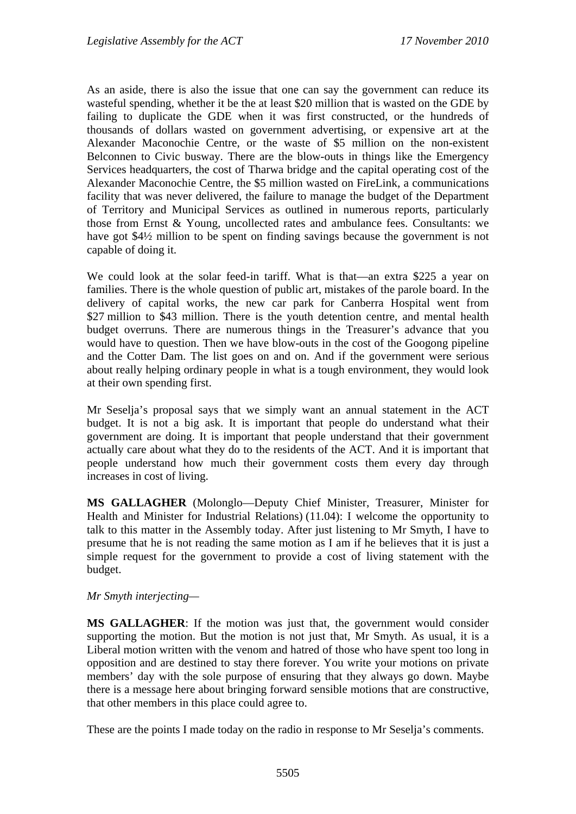As an aside, there is also the issue that one can say the government can reduce its wasteful spending, whether it be the at least \$20 million that is wasted on the GDE by failing to duplicate the GDE when it was first constructed, or the hundreds of thousands of dollars wasted on government advertising, or expensive art at the Alexander Maconochie Centre, or the waste of \$5 million on the non-existent Belconnen to Civic busway. There are the blow-outs in things like the Emergency Services headquarters, the cost of Tharwa bridge and the capital operating cost of the Alexander Maconochie Centre, the \$5 million wasted on FireLink, a communications facility that was never delivered, the failure to manage the budget of the Department of Territory and Municipal Services as outlined in numerous reports, particularly those from Ernst & Young, uncollected rates and ambulance fees. Consultants: we have got \$4½ million to be spent on finding savings because the government is not capable of doing it.

We could look at the solar feed-in tariff. What is that—an extra \$225 a year on families. There is the whole question of public art, mistakes of the parole board. In the delivery of capital works, the new car park for Canberra Hospital went from \$27 million to \$43 million. There is the youth detention centre, and mental health budget overruns. There are numerous things in the Treasurer's advance that you would have to question. Then we have blow-outs in the cost of the Googong pipeline and the Cotter Dam. The list goes on and on. And if the government were serious about really helping ordinary people in what is a tough environment, they would look at their own spending first.

Mr Seselja's proposal says that we simply want an annual statement in the ACT budget. It is not a big ask. It is important that people do understand what their government are doing. It is important that people understand that their government actually care about what they do to the residents of the ACT. And it is important that people understand how much their government costs them every day through increases in cost of living.

**MS GALLAGHER** (Molonglo—Deputy Chief Minister, Treasurer, Minister for Health and Minister for Industrial Relations) (11.04): I welcome the opportunity to talk to this matter in the Assembly today. After just listening to Mr Smyth, I have to presume that he is not reading the same motion as I am if he believes that it is just a simple request for the government to provide a cost of living statement with the budget.

*Mr Smyth interjecting—* 

**MS GALLAGHER**: If the motion was just that, the government would consider supporting the motion. But the motion is not just that, Mr Smyth. As usual, it is a Liberal motion written with the venom and hatred of those who have spent too long in opposition and are destined to stay there forever. You write your motions on private members' day with the sole purpose of ensuring that they always go down. Maybe there is a message here about bringing forward sensible motions that are constructive, that other members in this place could agree to.

These are the points I made today on the radio in response to Mr Seselja's comments.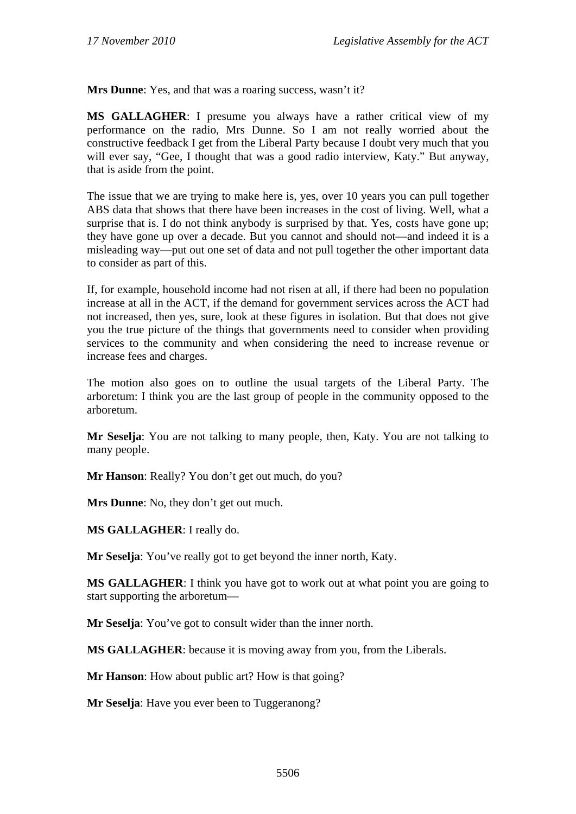**Mrs Dunne**: Yes, and that was a roaring success, wasn't it?

**MS GALLAGHER**: I presume you always have a rather critical view of my performance on the radio, Mrs Dunne. So I am not really worried about the constructive feedback I get from the Liberal Party because I doubt very much that you will ever say, "Gee, I thought that was a good radio interview, Katy." But anyway, that is aside from the point.

The issue that we are trying to make here is, yes, over 10 years you can pull together ABS data that shows that there have been increases in the cost of living. Well, what a surprise that is. I do not think anybody is surprised by that. Yes, costs have gone up; they have gone up over a decade. But you cannot and should not—and indeed it is a misleading way—put out one set of data and not pull together the other important data to consider as part of this.

If, for example, household income had not risen at all, if there had been no population increase at all in the ACT, if the demand for government services across the ACT had not increased, then yes, sure, look at these figures in isolation. But that does not give you the true picture of the things that governments need to consider when providing services to the community and when considering the need to increase revenue or increase fees and charges.

The motion also goes on to outline the usual targets of the Liberal Party. The arboretum: I think you are the last group of people in the community opposed to the arboretum.

**Mr Seselja**: You are not talking to many people, then, Katy. You are not talking to many people.

**Mr Hanson**: Really? You don't get out much, do you?

**Mrs Dunne**: No, they don't get out much.

**MS GALLAGHER**: I really do.

**Mr Seselja**: You've really got to get beyond the inner north, Katy.

**MS GALLAGHER**: I think you have got to work out at what point you are going to start supporting the arboretum—

**Mr Seselja**: You've got to consult wider than the inner north.

**MS GALLAGHER**: because it is moving away from you, from the Liberals.

**Mr Hanson:** How about public art? How is that going?

**Mr Seselja**: Have you ever been to Tuggeranong?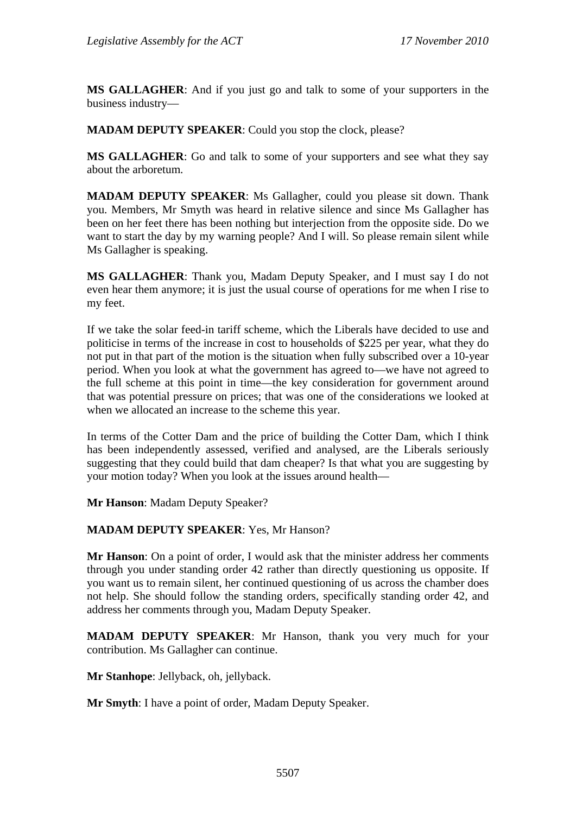**MS GALLAGHER**: And if you just go and talk to some of your supporters in the business industry—

**MADAM DEPUTY SPEAKER**: Could you stop the clock, please?

**MS GALLAGHER**: Go and talk to some of your supporters and see what they say about the arboretum.

**MADAM DEPUTY SPEAKER**: Ms Gallagher, could you please sit down. Thank you. Members, Mr Smyth was heard in relative silence and since Ms Gallagher has been on her feet there has been nothing but interjection from the opposite side. Do we want to start the day by my warning people? And I will. So please remain silent while Ms Gallagher is speaking.

**MS GALLAGHER**: Thank you, Madam Deputy Speaker, and I must say I do not even hear them anymore; it is just the usual course of operations for me when I rise to my feet.

If we take the solar feed-in tariff scheme, which the Liberals have decided to use and politicise in terms of the increase in cost to households of \$225 per year, what they do not put in that part of the motion is the situation when fully subscribed over a 10-year period. When you look at what the government has agreed to—we have not agreed to the full scheme at this point in time—the key consideration for government around that was potential pressure on prices; that was one of the considerations we looked at when we allocated an increase to the scheme this year.

In terms of the Cotter Dam and the price of building the Cotter Dam, which I think has been independently assessed, verified and analysed, are the Liberals seriously suggesting that they could build that dam cheaper? Is that what you are suggesting by your motion today? When you look at the issues around health—

**Mr Hanson**: Madam Deputy Speaker?

#### **MADAM DEPUTY SPEAKER**: Yes, Mr Hanson?

**Mr Hanson**: On a point of order, I would ask that the minister address her comments through you under standing order 42 rather than directly questioning us opposite. If you want us to remain silent, her continued questioning of us across the chamber does not help. She should follow the standing orders, specifically standing order 42, and address her comments through you, Madam Deputy Speaker.

**MADAM DEPUTY SPEAKER**: Mr Hanson, thank you very much for your contribution. Ms Gallagher can continue.

**Mr Stanhope**: Jellyback, oh, jellyback.

**Mr Smyth**: I have a point of order, Madam Deputy Speaker.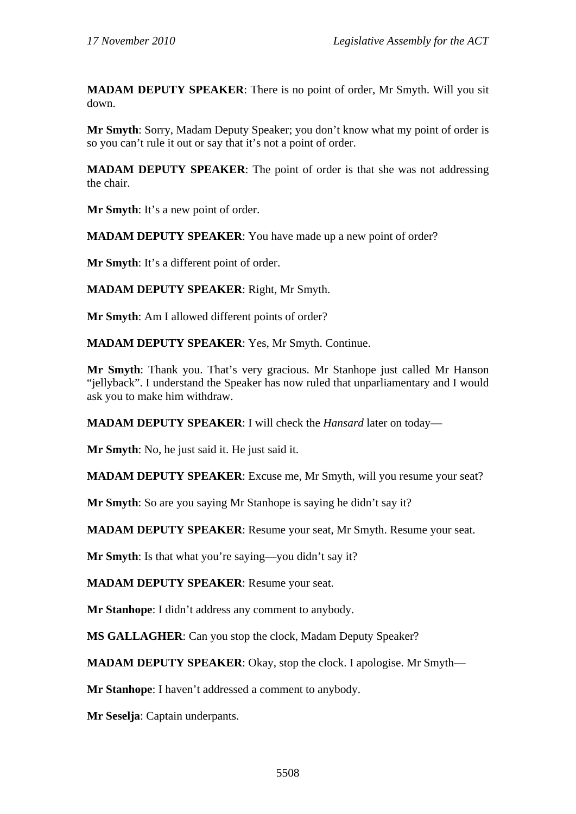**MADAM DEPUTY SPEAKER**: There is no point of order, Mr Smyth. Will you sit down.

**Mr Smyth**: Sorry, Madam Deputy Speaker; you don't know what my point of order is so you can't rule it out or say that it's not a point of order.

**MADAM DEPUTY SPEAKER**: The point of order is that she was not addressing the chair.

**Mr Smyth**: It's a new point of order.

**MADAM DEPUTY SPEAKER**: You have made up a new point of order?

**Mr Smyth**: It's a different point of order.

**MADAM DEPUTY SPEAKER**: Right, Mr Smyth.

**Mr Smyth**: Am I allowed different points of order?

**MADAM DEPUTY SPEAKER**: Yes, Mr Smyth. Continue.

**Mr Smyth**: Thank you. That's very gracious. Mr Stanhope just called Mr Hanson "jellyback". I understand the Speaker has now ruled that unparliamentary and I would ask you to make him withdraw.

**MADAM DEPUTY SPEAKER**: I will check the *Hansard* later on today—

**Mr Smyth**: No, he just said it. He just said it.

**MADAM DEPUTY SPEAKER**: Excuse me, Mr Smyth, will you resume your seat?

**Mr Smyth**: So are you saying Mr Stanhope is saying he didn't say it?

**MADAM DEPUTY SPEAKER**: Resume your seat, Mr Smyth. Resume your seat.

**Mr Smyth**: Is that what you're saying—you didn't say it?

**MADAM DEPUTY SPEAKER**: Resume your seat.

**Mr Stanhope**: I didn't address any comment to anybody.

**MS GALLAGHER**: Can you stop the clock, Madam Deputy Speaker?

**MADAM DEPUTY SPEAKER**: Okay, stop the clock. I apologise. Mr Smyth—

**Mr Stanhope**: I haven't addressed a comment to anybody.

**Mr Seselja**: Captain underpants.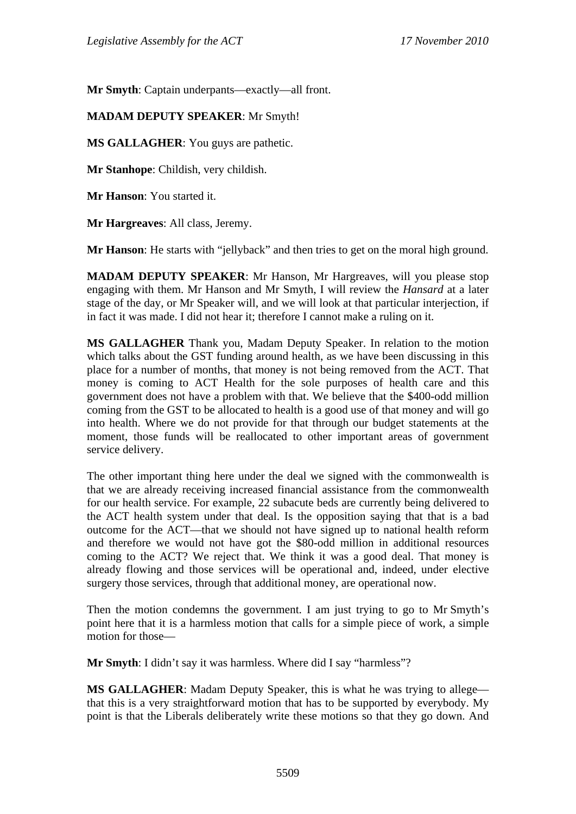**Mr Smyth**: Captain underpants—exactly—all front.

#### **MADAM DEPUTY SPEAKER**: Mr Smyth!

**MS GALLAGHER**: You guys are pathetic.

**Mr Stanhope**: Childish, very childish.

**Mr Hanson**: You started it.

**Mr Hargreaves**: All class, Jeremy.

**Mr Hanson**: He starts with "jellyback" and then tries to get on the moral high ground.

**MADAM DEPUTY SPEAKER**: Mr Hanson, Mr Hargreaves, will you please stop engaging with them. Mr Hanson and Mr Smyth, I will review the *Hansard* at a later stage of the day, or Mr Speaker will, and we will look at that particular interjection, if in fact it was made. I did not hear it; therefore I cannot make a ruling on it.

**MS GALLAGHER** Thank you, Madam Deputy Speaker. In relation to the motion which talks about the GST funding around health, as we have been discussing in this place for a number of months, that money is not being removed from the ACT. That money is coming to ACT Health for the sole purposes of health care and this government does not have a problem with that. We believe that the \$400-odd million coming from the GST to be allocated to health is a good use of that money and will go into health. Where we do not provide for that through our budget statements at the moment, those funds will be reallocated to other important areas of government service delivery.

The other important thing here under the deal we signed with the commonwealth is that we are already receiving increased financial assistance from the commonwealth for our health service. For example, 22 subacute beds are currently being delivered to the ACT health system under that deal. Is the opposition saying that that is a bad outcome for the ACT—that we should not have signed up to national health reform and therefore we would not have got the \$80-odd million in additional resources coming to the ACT? We reject that. We think it was a good deal. That money is already flowing and those services will be operational and, indeed, under elective surgery those services, through that additional money, are operational now.

Then the motion condemns the government. I am just trying to go to Mr Smyth's point here that it is a harmless motion that calls for a simple piece of work, a simple motion for those—

**Mr Smyth**: I didn't say it was harmless. Where did I say "harmless"?

**MS GALLAGHER**: Madam Deputy Speaker, this is what he was trying to allege that this is a very straightforward motion that has to be supported by everybody. My point is that the Liberals deliberately write these motions so that they go down. And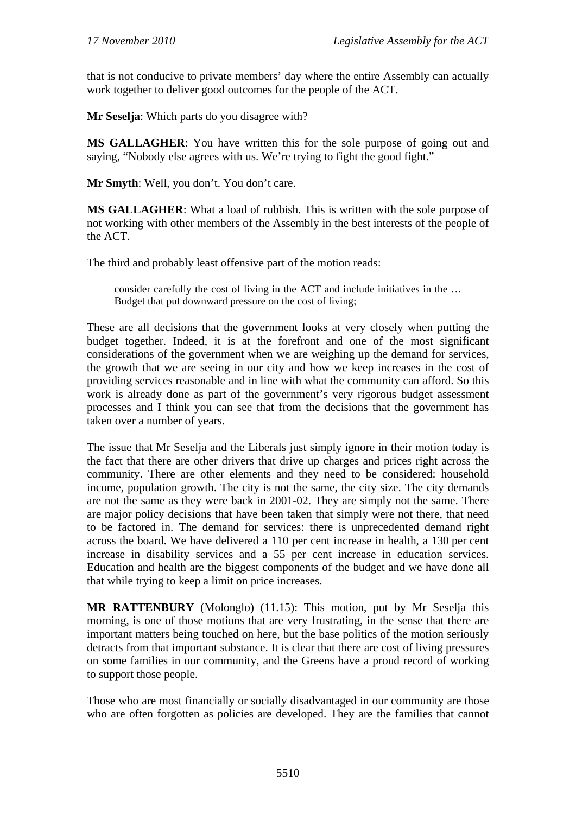that is not conducive to private members' day where the entire Assembly can actually work together to deliver good outcomes for the people of the ACT.

**Mr Seselja**: Which parts do you disagree with?

**MS GALLAGHER**: You have written this for the sole purpose of going out and saying, "Nobody else agrees with us. We're trying to fight the good fight."

**Mr Smyth**: Well, you don't. You don't care.

**MS GALLAGHER**: What a load of rubbish. This is written with the sole purpose of not working with other members of the Assembly in the best interests of the people of the ACT.

The third and probably least offensive part of the motion reads:

consider carefully the cost of living in the ACT and include initiatives in the … Budget that put downward pressure on the cost of living;

These are all decisions that the government looks at very closely when putting the budget together. Indeed, it is at the forefront and one of the most significant considerations of the government when we are weighing up the demand for services, the growth that we are seeing in our city and how we keep increases in the cost of providing services reasonable and in line with what the community can afford. So this work is already done as part of the government's very rigorous budget assessment processes and I think you can see that from the decisions that the government has taken over a number of years.

The issue that Mr Seselja and the Liberals just simply ignore in their motion today is the fact that there are other drivers that drive up charges and prices right across the community. There are other elements and they need to be considered: household income, population growth. The city is not the same, the city size. The city demands are not the same as they were back in 2001-02. They are simply not the same. There are major policy decisions that have been taken that simply were not there, that need to be factored in. The demand for services: there is unprecedented demand right across the board. We have delivered a 110 per cent increase in health, a 130 per cent increase in disability services and a 55 per cent increase in education services. Education and health are the biggest components of the budget and we have done all that while trying to keep a limit on price increases.

**MR RATTENBURY** (Molonglo) (11.15): This motion, put by Mr Seselja this morning, is one of those motions that are very frustrating, in the sense that there are important matters being touched on here, but the base politics of the motion seriously detracts from that important substance. It is clear that there are cost of living pressures on some families in our community, and the Greens have a proud record of working to support those people.

Those who are most financially or socially disadvantaged in our community are those who are often forgotten as policies are developed. They are the families that cannot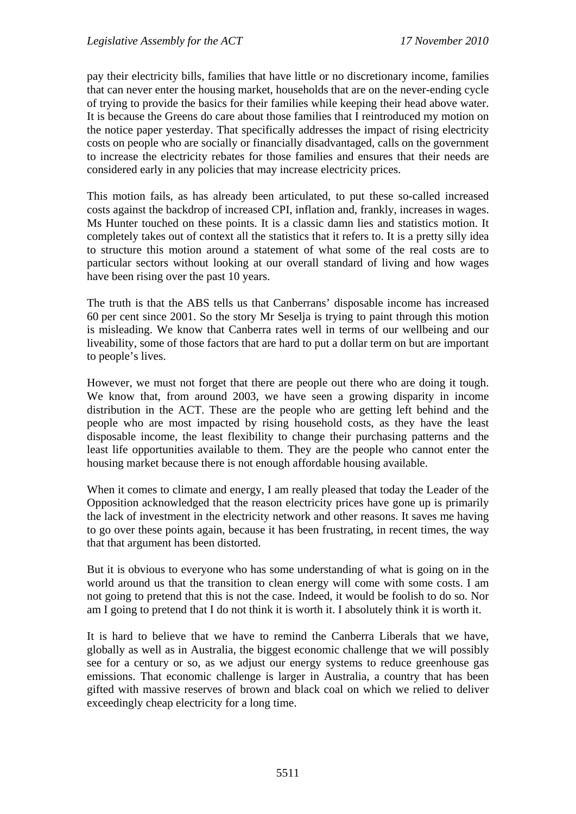pay their electricity bills, families that have little or no discretionary income, families that can never enter the housing market, households that are on the never-ending cycle of trying to provide the basics for their families while keeping their head above water. It is because the Greens do care about those families that I reintroduced my motion on the notice paper yesterday. That specifically addresses the impact of rising electricity costs on people who are socially or financially disadvantaged, calls on the government to increase the electricity rebates for those families and ensures that their needs are considered early in any policies that may increase electricity prices.

This motion fails, as has already been articulated, to put these so-called increased costs against the backdrop of increased CPI, inflation and, frankly, increases in wages. Ms Hunter touched on these points. It is a classic damn lies and statistics motion. It completely takes out of context all the statistics that it refers to. It is a pretty silly idea to structure this motion around a statement of what some of the real costs are to particular sectors without looking at our overall standard of living and how wages have been rising over the past 10 years.

The truth is that the ABS tells us that Canberrans' disposable income has increased 60 per cent since 2001. So the story Mr Seselja is trying to paint through this motion is misleading. We know that Canberra rates well in terms of our wellbeing and our liveability, some of those factors that are hard to put a dollar term on but are important to people's lives.

However, we must not forget that there are people out there who are doing it tough. We know that, from around 2003, we have seen a growing disparity in income distribution in the ACT. These are the people who are getting left behind and the people who are most impacted by rising household costs, as they have the least disposable income, the least flexibility to change their purchasing patterns and the least life opportunities available to them. They are the people who cannot enter the housing market because there is not enough affordable housing available.

When it comes to climate and energy, I am really pleased that today the Leader of the Opposition acknowledged that the reason electricity prices have gone up is primarily the lack of investment in the electricity network and other reasons. It saves me having to go over these points again, because it has been frustrating, in recent times, the way that that argument has been distorted.

But it is obvious to everyone who has some understanding of what is going on in the world around us that the transition to clean energy will come with some costs. I am not going to pretend that this is not the case. Indeed, it would be foolish to do so. Nor am I going to pretend that I do not think it is worth it. I absolutely think it is worth it.

It is hard to believe that we have to remind the Canberra Liberals that we have, globally as well as in Australia, the biggest economic challenge that we will possibly see for a century or so, as we adjust our energy systems to reduce greenhouse gas emissions. That economic challenge is larger in Australia, a country that has been gifted with massive reserves of brown and black coal on which we relied to deliver exceedingly cheap electricity for a long time.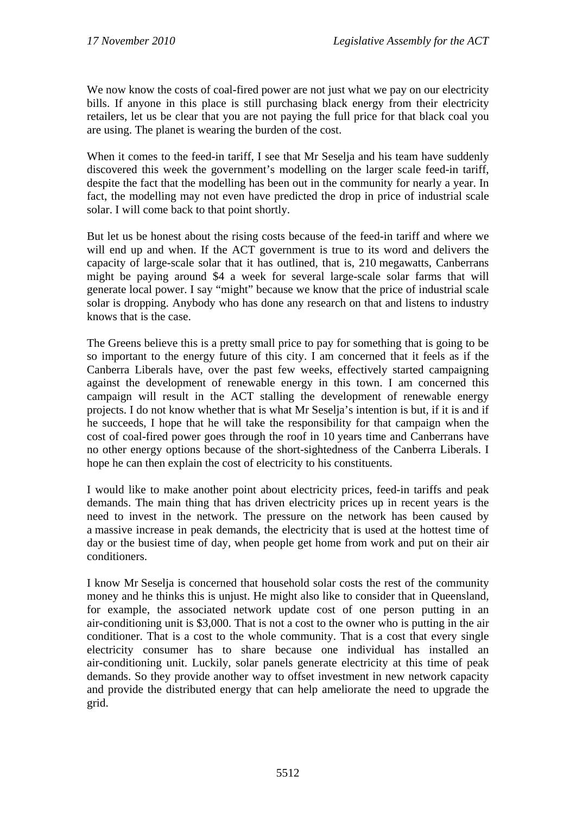We now know the costs of coal-fired power are not just what we pay on our electricity bills. If anyone in this place is still purchasing black energy from their electricity retailers, let us be clear that you are not paying the full price for that black coal you are using. The planet is wearing the burden of the cost.

When it comes to the feed-in tariff, I see that Mr Seselja and his team have suddenly discovered this week the government's modelling on the larger scale feed-in tariff, despite the fact that the modelling has been out in the community for nearly a year. In fact, the modelling may not even have predicted the drop in price of industrial scale solar. I will come back to that point shortly.

But let us be honest about the rising costs because of the feed-in tariff and where we will end up and when. If the ACT government is true to its word and delivers the capacity of large-scale solar that it has outlined, that is, 210 megawatts, Canberrans might be paying around \$4 a week for several large-scale solar farms that will generate local power. I say "might" because we know that the price of industrial scale solar is dropping. Anybody who has done any research on that and listens to industry knows that is the case.

The Greens believe this is a pretty small price to pay for something that is going to be so important to the energy future of this city. I am concerned that it feels as if the Canberra Liberals have, over the past few weeks, effectively started campaigning against the development of renewable energy in this town. I am concerned this campaign will result in the ACT stalling the development of renewable energy projects. I do not know whether that is what Mr Seselja's intention is but, if it is and if he succeeds, I hope that he will take the responsibility for that campaign when the cost of coal-fired power goes through the roof in 10 years time and Canberrans have no other energy options because of the short-sightedness of the Canberra Liberals. I hope he can then explain the cost of electricity to his constituents.

I would like to make another point about electricity prices, feed-in tariffs and peak demands. The main thing that has driven electricity prices up in recent years is the need to invest in the network. The pressure on the network has been caused by a massive increase in peak demands, the electricity that is used at the hottest time of day or the busiest time of day, when people get home from work and put on their air conditioners.

I know Mr Seselja is concerned that household solar costs the rest of the community money and he thinks this is unjust. He might also like to consider that in Queensland, for example, the associated network update cost of one person putting in an air-conditioning unit is \$3,000. That is not a cost to the owner who is putting in the air conditioner. That is a cost to the whole community. That is a cost that every single electricity consumer has to share because one individual has installed an air-conditioning unit. Luckily, solar panels generate electricity at this time of peak demands. So they provide another way to offset investment in new network capacity and provide the distributed energy that can help ameliorate the need to upgrade the grid.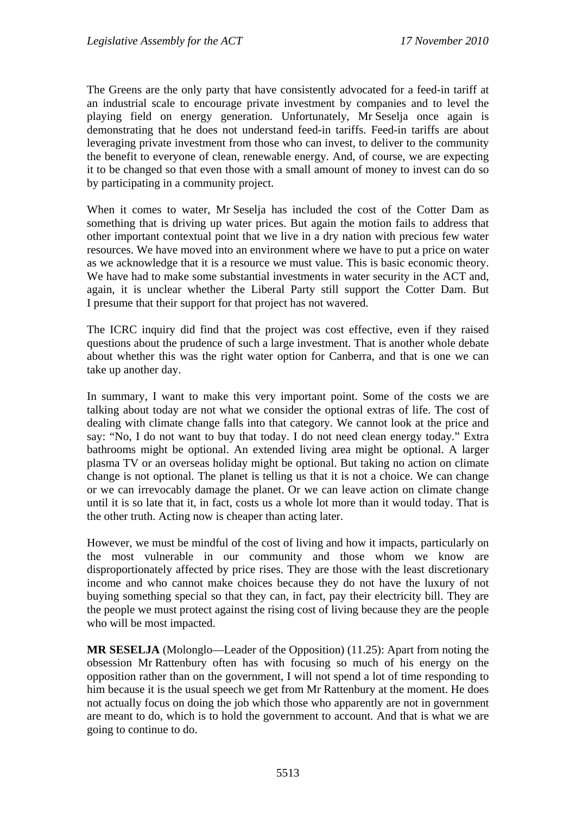The Greens are the only party that have consistently advocated for a feed-in tariff at an industrial scale to encourage private investment by companies and to level the playing field on energy generation. Unfortunately, Mr Seselja once again is demonstrating that he does not understand feed-in tariffs. Feed-in tariffs are about leveraging private investment from those who can invest, to deliver to the community the benefit to everyone of clean, renewable energy. And, of course, we are expecting it to be changed so that even those with a small amount of money to invest can do so by participating in a community project.

When it comes to water, Mr Seselja has included the cost of the Cotter Dam as something that is driving up water prices. But again the motion fails to address that other important contextual point that we live in a dry nation with precious few water resources. We have moved into an environment where we have to put a price on water as we acknowledge that it is a resource we must value. This is basic economic theory. We have had to make some substantial investments in water security in the ACT and, again, it is unclear whether the Liberal Party still support the Cotter Dam. But I presume that their support for that project has not wavered.

The ICRC inquiry did find that the project was cost effective, even if they raised questions about the prudence of such a large investment. That is another whole debate about whether this was the right water option for Canberra, and that is one we can take up another day.

In summary, I want to make this very important point. Some of the costs we are talking about today are not what we consider the optional extras of life. The cost of dealing with climate change falls into that category. We cannot look at the price and say: "No, I do not want to buy that today. I do not need clean energy today." Extra bathrooms might be optional. An extended living area might be optional. A larger plasma TV or an overseas holiday might be optional. But taking no action on climate change is not optional. The planet is telling us that it is not a choice. We can change or we can irrevocably damage the planet. Or we can leave action on climate change until it is so late that it, in fact, costs us a whole lot more than it would today. That is the other truth. Acting now is cheaper than acting later.

However, we must be mindful of the cost of living and how it impacts, particularly on the most vulnerable in our community and those whom we know are disproportionately affected by price rises. They are those with the least discretionary income and who cannot make choices because they do not have the luxury of not buying something special so that they can, in fact, pay their electricity bill. They are the people we must protect against the rising cost of living because they are the people who will be most impacted.

**MR SESELJA** (Molonglo—Leader of the Opposition) (11.25): Apart from noting the obsession Mr Rattenbury often has with focusing so much of his energy on the opposition rather than on the government, I will not spend a lot of time responding to him because it is the usual speech we get from Mr Rattenbury at the moment. He does not actually focus on doing the job which those who apparently are not in government are meant to do, which is to hold the government to account. And that is what we are going to continue to do.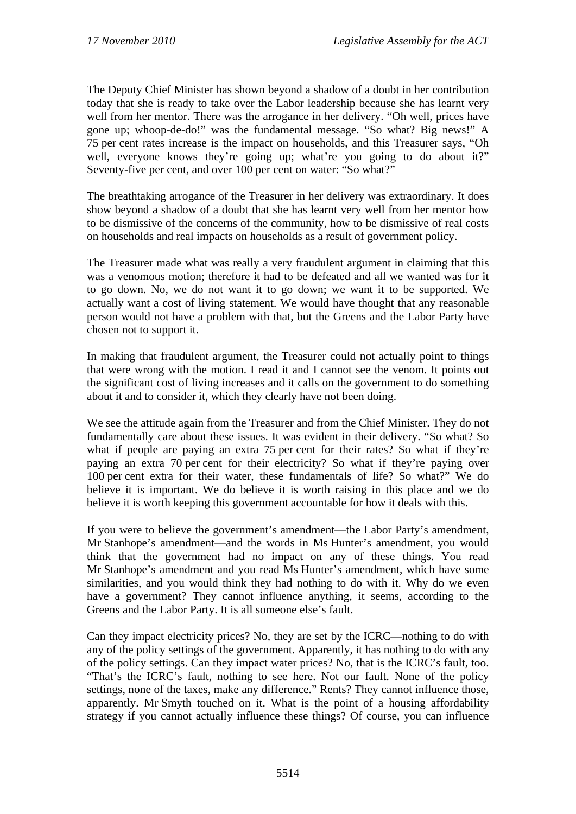The Deputy Chief Minister has shown beyond a shadow of a doubt in her contribution today that she is ready to take over the Labor leadership because she has learnt very well from her mentor. There was the arrogance in her delivery. "Oh well, prices have gone up; whoop-de-do!" was the fundamental message. "So what? Big news!" A 75 per cent rates increase is the impact on households, and this Treasurer says, "Oh well, everyone knows they're going up; what're you going to do about it?" Seventy-five per cent, and over 100 per cent on water: "So what?"

The breathtaking arrogance of the Treasurer in her delivery was extraordinary. It does show beyond a shadow of a doubt that she has learnt very well from her mentor how to be dismissive of the concerns of the community, how to be dismissive of real costs on households and real impacts on households as a result of government policy.

The Treasurer made what was really a very fraudulent argument in claiming that this was a venomous motion; therefore it had to be defeated and all we wanted was for it to go down. No, we do not want it to go down; we want it to be supported. We actually want a cost of living statement. We would have thought that any reasonable person would not have a problem with that, but the Greens and the Labor Party have chosen not to support it.

In making that fraudulent argument, the Treasurer could not actually point to things that were wrong with the motion. I read it and I cannot see the venom. It points out the significant cost of living increases and it calls on the government to do something about it and to consider it, which they clearly have not been doing.

We see the attitude again from the Treasurer and from the Chief Minister. They do not fundamentally care about these issues. It was evident in their delivery. "So what? So what if people are paying an extra 75 per cent for their rates? So what if they're paying an extra 70 per cent for their electricity? So what if they're paying over 100 per cent extra for their water, these fundamentals of life? So what?" We do believe it is important. We do believe it is worth raising in this place and we do believe it is worth keeping this government accountable for how it deals with this.

If you were to believe the government's amendment—the Labor Party's amendment, Mr Stanhope's amendment—and the words in Ms Hunter's amendment, you would think that the government had no impact on any of these things. You read Mr Stanhope's amendment and you read Ms Hunter's amendment, which have some similarities, and you would think they had nothing to do with it. Why do we even have a government? They cannot influence anything, it seems, according to the Greens and the Labor Party. It is all someone else's fault.

Can they impact electricity prices? No, they are set by the ICRC—nothing to do with any of the policy settings of the government. Apparently, it has nothing to do with any of the policy settings. Can they impact water prices? No, that is the ICRC's fault, too. "That's the ICRC's fault, nothing to see here. Not our fault. None of the policy settings, none of the taxes, make any difference." Rents? They cannot influence those, apparently. Mr Smyth touched on it. What is the point of a housing affordability strategy if you cannot actually influence these things? Of course, you can influence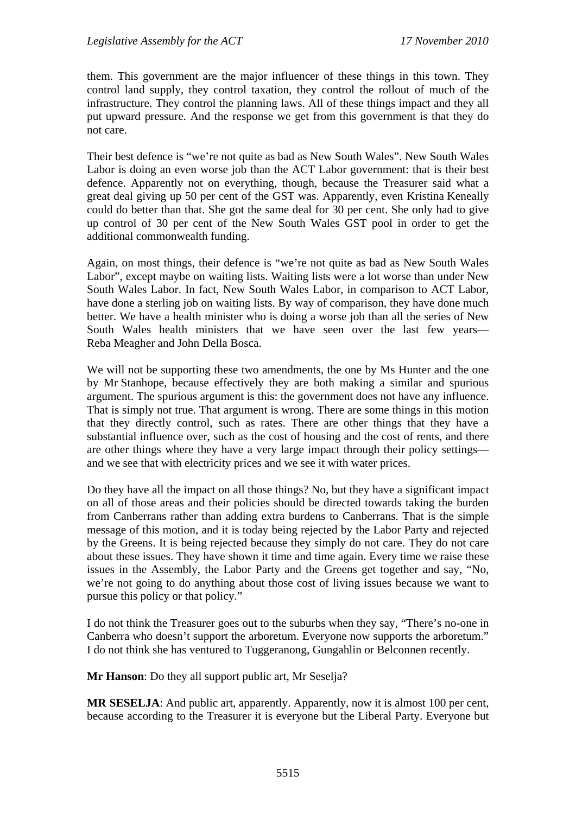them. This government are the major influencer of these things in this town. They control land supply, they control taxation, they control the rollout of much of the infrastructure. They control the planning laws. All of these things impact and they all put upward pressure. And the response we get from this government is that they do not care.

Their best defence is "we're not quite as bad as New South Wales". New South Wales Labor is doing an even worse job than the ACT Labor government: that is their best defence. Apparently not on everything, though, because the Treasurer said what a great deal giving up 50 per cent of the GST was. Apparently, even Kristina Keneally could do better than that. She got the same deal for 30 per cent. She only had to give up control of 30 per cent of the New South Wales GST pool in order to get the additional commonwealth funding.

Again, on most things, their defence is "we're not quite as bad as New South Wales Labor", except maybe on waiting lists. Waiting lists were a lot worse than under New South Wales Labor. In fact, New South Wales Labor, in comparison to ACT Labor, have done a sterling job on waiting lists. By way of comparison, they have done much better. We have a health minister who is doing a worse job than all the series of New South Wales health ministers that we have seen over the last few years— Reba Meagher and John Della Bosca.

We will not be supporting these two amendments, the one by Ms Hunter and the one by Mr Stanhope, because effectively they are both making a similar and spurious argument. The spurious argument is this: the government does not have any influence. That is simply not true. That argument is wrong. There are some things in this motion that they directly control, such as rates. There are other things that they have a substantial influence over, such as the cost of housing and the cost of rents, and there are other things where they have a very large impact through their policy settings and we see that with electricity prices and we see it with water prices.

Do they have all the impact on all those things? No, but they have a significant impact on all of those areas and their policies should be directed towards taking the burden from Canberrans rather than adding extra burdens to Canberrans. That is the simple message of this motion, and it is today being rejected by the Labor Party and rejected by the Greens. It is being rejected because they simply do not care. They do not care about these issues. They have shown it time and time again. Every time we raise these issues in the Assembly, the Labor Party and the Greens get together and say, "No, we're not going to do anything about those cost of living issues because we want to pursue this policy or that policy."

I do not think the Treasurer goes out to the suburbs when they say, "There's no-one in Canberra who doesn't support the arboretum. Everyone now supports the arboretum." I do not think she has ventured to Tuggeranong, Gungahlin or Belconnen recently.

**Mr Hanson**: Do they all support public art, Mr Seselja?

**MR SESELJA**: And public art, apparently. Apparently, now it is almost 100 per cent, because according to the Treasurer it is everyone but the Liberal Party. Everyone but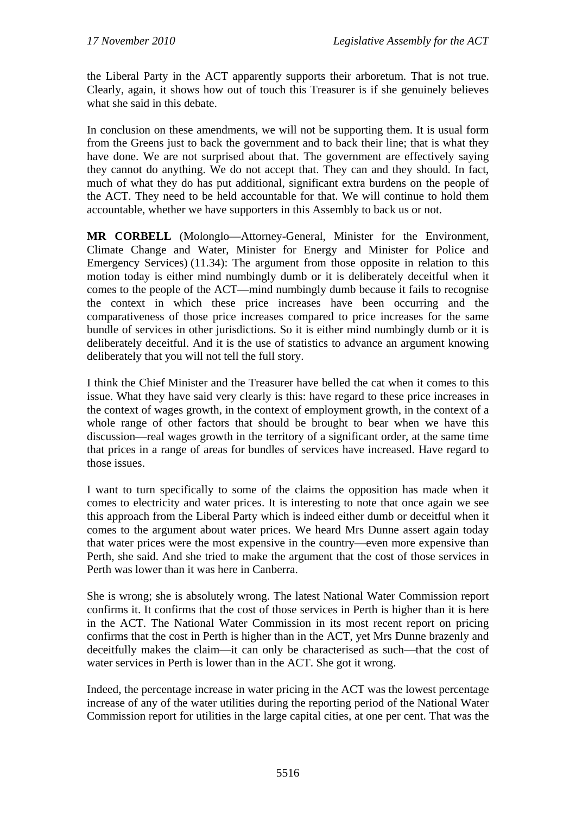the Liberal Party in the ACT apparently supports their arboretum. That is not true. Clearly, again, it shows how out of touch this Treasurer is if she genuinely believes what she said in this debate.

In conclusion on these amendments, we will not be supporting them. It is usual form from the Greens just to back the government and to back their line; that is what they have done. We are not surprised about that. The government are effectively saying they cannot do anything. We do not accept that. They can and they should. In fact, much of what they do has put additional, significant extra burdens on the people of the ACT. They need to be held accountable for that. We will continue to hold them accountable, whether we have supporters in this Assembly to back us or not.

**MR CORBELL** (Molonglo—Attorney-General, Minister for the Environment, Climate Change and Water, Minister for Energy and Minister for Police and Emergency Services) (11.34): The argument from those opposite in relation to this motion today is either mind numbingly dumb or it is deliberately deceitful when it comes to the people of the ACT—mind numbingly dumb because it fails to recognise the context in which these price increases have been occurring and the comparativeness of those price increases compared to price increases for the same bundle of services in other jurisdictions. So it is either mind numbingly dumb or it is deliberately deceitful. And it is the use of statistics to advance an argument knowing deliberately that you will not tell the full story.

I think the Chief Minister and the Treasurer have belled the cat when it comes to this issue. What they have said very clearly is this: have regard to these price increases in the context of wages growth, in the context of employment growth, in the context of a whole range of other factors that should be brought to bear when we have this discussion—real wages growth in the territory of a significant order, at the same time that prices in a range of areas for bundles of services have increased. Have regard to those issues.

I want to turn specifically to some of the claims the opposition has made when it comes to electricity and water prices. It is interesting to note that once again we see this approach from the Liberal Party which is indeed either dumb or deceitful when it comes to the argument about water prices. We heard Mrs Dunne assert again today that water prices were the most expensive in the country—even more expensive than Perth, she said. And she tried to make the argument that the cost of those services in Perth was lower than it was here in Canberra.

She is wrong; she is absolutely wrong. The latest National Water Commission report confirms it. It confirms that the cost of those services in Perth is higher than it is here in the ACT. The National Water Commission in its most recent report on pricing confirms that the cost in Perth is higher than in the ACT, yet Mrs Dunne brazenly and deceitfully makes the claim—it can only be characterised as such—that the cost of water services in Perth is lower than in the ACT. She got it wrong.

Indeed, the percentage increase in water pricing in the ACT was the lowest percentage increase of any of the water utilities during the reporting period of the National Water Commission report for utilities in the large capital cities, at one per cent. That was the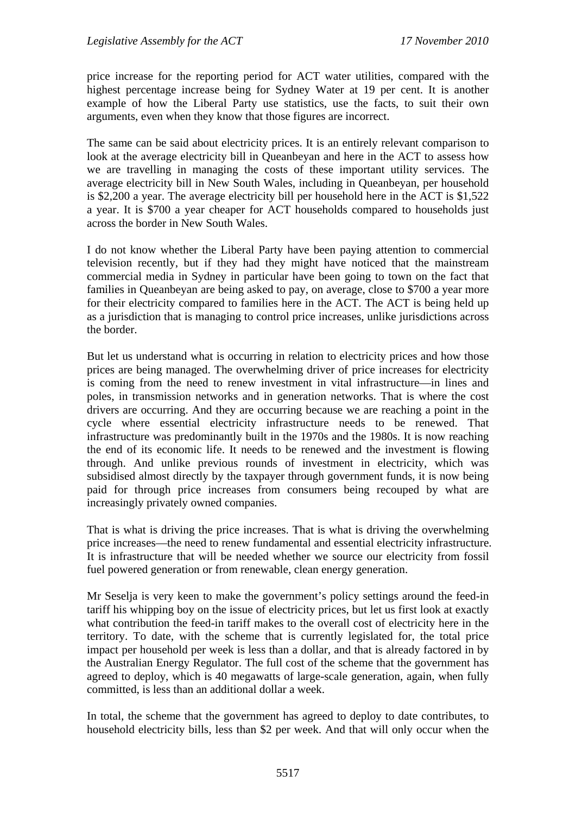price increase for the reporting period for ACT water utilities, compared with the highest percentage increase being for Sydney Water at 19 per cent. It is another example of how the Liberal Party use statistics, use the facts, to suit their own arguments, even when they know that those figures are incorrect.

The same can be said about electricity prices. It is an entirely relevant comparison to look at the average electricity bill in Queanbeyan and here in the ACT to assess how we are travelling in managing the costs of these important utility services. The average electricity bill in New South Wales, including in Queanbeyan, per household is \$2,200 a year. The average electricity bill per household here in the ACT is \$1,522 a year. It is \$700 a year cheaper for ACT households compared to households just across the border in New South Wales.

I do not know whether the Liberal Party have been paying attention to commercial television recently, but if they had they might have noticed that the mainstream commercial media in Sydney in particular have been going to town on the fact that families in Queanbeyan are being asked to pay, on average, close to \$700 a year more for their electricity compared to families here in the ACT. The ACT is being held up as a jurisdiction that is managing to control price increases, unlike jurisdictions across the border.

But let us understand what is occurring in relation to electricity prices and how those prices are being managed. The overwhelming driver of price increases for electricity is coming from the need to renew investment in vital infrastructure—in lines and poles, in transmission networks and in generation networks. That is where the cost drivers are occurring. And they are occurring because we are reaching a point in the cycle where essential electricity infrastructure needs to be renewed. That infrastructure was predominantly built in the 1970s and the 1980s. It is now reaching the end of its economic life. It needs to be renewed and the investment is flowing through. And unlike previous rounds of investment in electricity, which was subsidised almost directly by the taxpayer through government funds, it is now being paid for through price increases from consumers being recouped by what are increasingly privately owned companies.

That is what is driving the price increases. That is what is driving the overwhelming price increases—the need to renew fundamental and essential electricity infrastructure. It is infrastructure that will be needed whether we source our electricity from fossil fuel powered generation or from renewable, clean energy generation.

Mr Seselja is very keen to make the government's policy settings around the feed-in tariff his whipping boy on the issue of electricity prices, but let us first look at exactly what contribution the feed-in tariff makes to the overall cost of electricity here in the territory. To date, with the scheme that is currently legislated for, the total price impact per household per week is less than a dollar, and that is already factored in by the Australian Energy Regulator. The full cost of the scheme that the government has agreed to deploy, which is 40 megawatts of large-scale generation, again, when fully committed, is less than an additional dollar a week.

In total, the scheme that the government has agreed to deploy to date contributes, to household electricity bills, less than \$2 per week. And that will only occur when the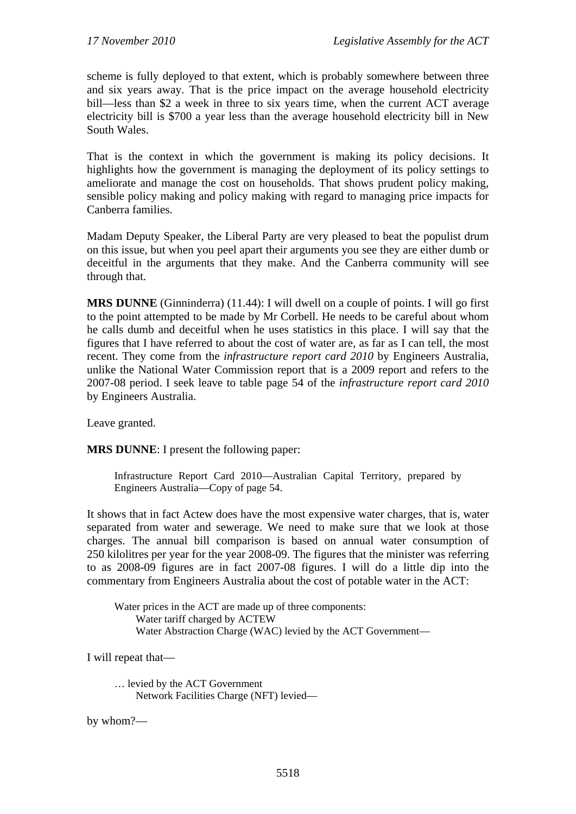scheme is fully deployed to that extent, which is probably somewhere between three and six years away. That is the price impact on the average household electricity bill—less than \$2 a week in three to six years time, when the current ACT average electricity bill is \$700 a year less than the average household electricity bill in New South Wales.

That is the context in which the government is making its policy decisions. It highlights how the government is managing the deployment of its policy settings to ameliorate and manage the cost on households. That shows prudent policy making, sensible policy making and policy making with regard to managing price impacts for Canberra families.

Madam Deputy Speaker, the Liberal Party are very pleased to beat the populist drum on this issue, but when you peel apart their arguments you see they are either dumb or deceitful in the arguments that they make. And the Canberra community will see through that.

**MRS DUNNE** (Ginninderra) (11.44): I will dwell on a couple of points. I will go first to the point attempted to be made by Mr Corbell. He needs to be careful about whom he calls dumb and deceitful when he uses statistics in this place. I will say that the figures that I have referred to about the cost of water are, as far as I can tell, the most recent. They come from the *infrastructure report card 2010* by Engineers Australia, unlike the National Water Commission report that is a 2009 report and refers to the 2007-08 period. I seek leave to table page 54 of the *infrastructure report card 2010* by Engineers Australia.

Leave granted.

**MRS DUNNE**: I present the following paper:

Infrastructure Report Card 2010—Australian Capital Territory, prepared by Engineers Australia—Copy of page 54.

It shows that in fact Actew does have the most expensive water charges, that is, water separated from water and sewerage. We need to make sure that we look at those charges. The annual bill comparison is based on annual water consumption of 250 kilolitres per year for the year 2008-09. The figures that the minister was referring to as 2008-09 figures are in fact 2007-08 figures. I will do a little dip into the commentary from Engineers Australia about the cost of potable water in the ACT:

Water prices in the ACT are made up of three components: Water tariff charged by ACTEW Water Abstraction Charge (WAC) levied by the ACT Government—

I will repeat that—

… levied by the ACT Government Network Facilities Charge (NFT) levied—

by whom?—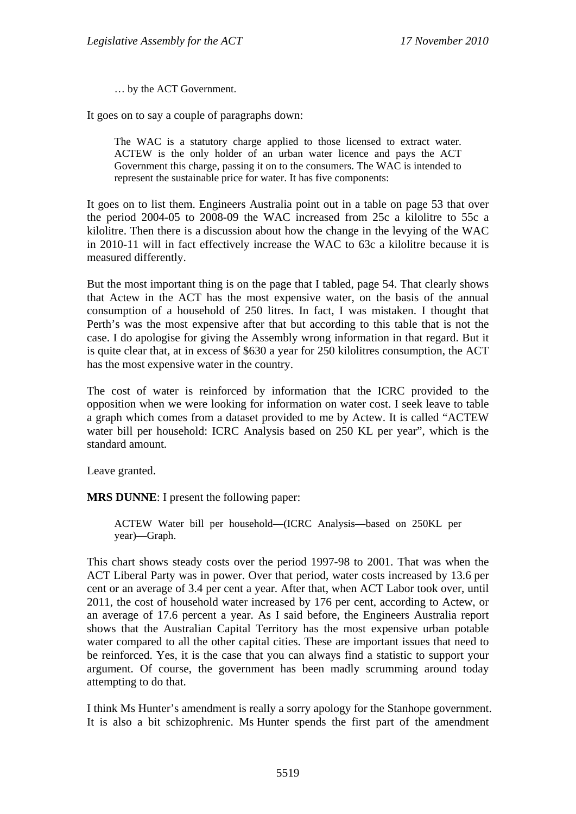… by the ACT Government.

It goes on to say a couple of paragraphs down:

The WAC is a statutory charge applied to those licensed to extract water. ACTEW is the only holder of an urban water licence and pays the ACT Government this charge, passing it on to the consumers. The WAC is intended to represent the sustainable price for water. It has five components:

It goes on to list them. Engineers Australia point out in a table on page 53 that over the period 2004-05 to 2008-09 the WAC increased from 25c a kilolitre to 55c a kilolitre. Then there is a discussion about how the change in the levying of the WAC in 2010-11 will in fact effectively increase the WAC to 63c a kilolitre because it is measured differently.

But the most important thing is on the page that I tabled, page 54. That clearly shows that Actew in the ACT has the most expensive water, on the basis of the annual consumption of a household of 250 litres. In fact, I was mistaken. I thought that Perth's was the most expensive after that but according to this table that is not the case. I do apologise for giving the Assembly wrong information in that regard. But it is quite clear that, at in excess of \$630 a year for 250 kilolitres consumption, the ACT has the most expensive water in the country.

The cost of water is reinforced by information that the ICRC provided to the opposition when we were looking for information on water cost. I seek leave to table a graph which comes from a dataset provided to me by Actew. It is called "ACTEW water bill per household: ICRC Analysis based on 250 KL per year", which is the standard amount.

Leave granted.

**MRS DUNNE**: I present the following paper:

ACTEW Water bill per household—(ICRC Analysis—based on 250KL per year)—Graph.

This chart shows steady costs over the period 1997-98 to 2001. That was when the ACT Liberal Party was in power. Over that period, water costs increased by 13.6 per cent or an average of 3.4 per cent a year. After that, when ACT Labor took over, until 2011, the cost of household water increased by 176 per cent, according to Actew, or an average of 17.6 percent a year. As I said before, the Engineers Australia report shows that the Australian Capital Territory has the most expensive urban potable water compared to all the other capital cities. These are important issues that need to be reinforced. Yes, it is the case that you can always find a statistic to support your argument. Of course, the government has been madly scrumming around today attempting to do that.

I think Ms Hunter's amendment is really a sorry apology for the Stanhope government. It is also a bit schizophrenic. Ms Hunter spends the first part of the amendment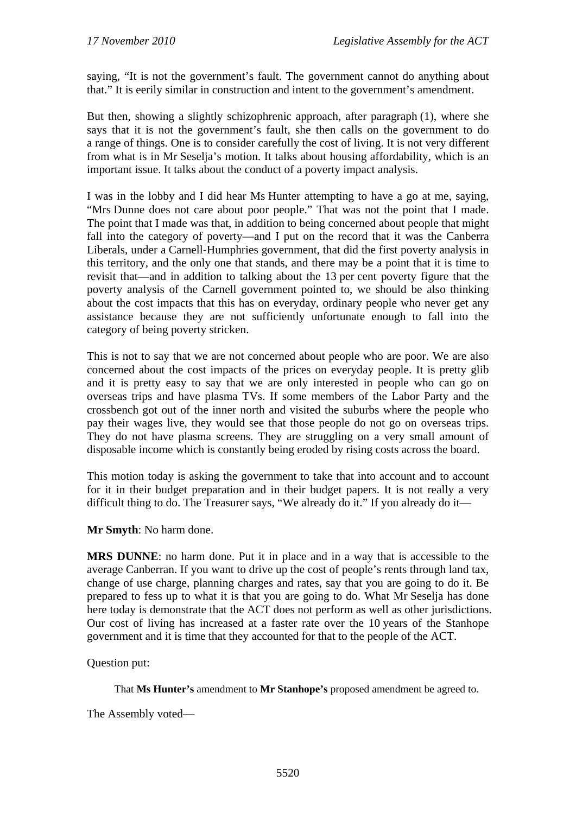saying, "It is not the government's fault. The government cannot do anything about that." It is eerily similar in construction and intent to the government's amendment.

But then, showing a slightly schizophrenic approach, after paragraph (1), where she says that it is not the government's fault, she then calls on the government to do a range of things. One is to consider carefully the cost of living. It is not very different from what is in Mr Seselja's motion. It talks about housing affordability, which is an important issue. It talks about the conduct of a poverty impact analysis.

I was in the lobby and I did hear Ms Hunter attempting to have a go at me, saying, "Mrs Dunne does not care about poor people." That was not the point that I made. The point that I made was that, in addition to being concerned about people that might fall into the category of poverty—and I put on the record that it was the Canberra Liberals, under a Carnell-Humphries government, that did the first poverty analysis in this territory, and the only one that stands, and there may be a point that it is time to revisit that—and in addition to talking about the 13 per cent poverty figure that the poverty analysis of the Carnell government pointed to, we should be also thinking about the cost impacts that this has on everyday, ordinary people who never get any assistance because they are not sufficiently unfortunate enough to fall into the category of being poverty stricken.

This is not to say that we are not concerned about people who are poor. We are also concerned about the cost impacts of the prices on everyday people. It is pretty glib and it is pretty easy to say that we are only interested in people who can go on overseas trips and have plasma TVs. If some members of the Labor Party and the crossbench got out of the inner north and visited the suburbs where the people who pay their wages live, they would see that those people do not go on overseas trips. They do not have plasma screens. They are struggling on a very small amount of disposable income which is constantly being eroded by rising costs across the board.

This motion today is asking the government to take that into account and to account for it in their budget preparation and in their budget papers. It is not really a very difficult thing to do. The Treasurer says, "We already do it." If you already do it—

**Mr Smyth**: No harm done.

**MRS DUNNE**: no harm done. Put it in place and in a way that is accessible to the average Canberran. If you want to drive up the cost of people's rents through land tax, change of use charge, planning charges and rates, say that you are going to do it. Be prepared to fess up to what it is that you are going to do. What Mr Seselja has done here today is demonstrate that the ACT does not perform as well as other jurisdictions. Our cost of living has increased at a faster rate over the 10 years of the Stanhope government and it is time that they accounted for that to the people of the ACT.

Question put:

That **Ms Hunter's** amendment to **Mr Stanhope's** proposed amendment be agreed to.

The Assembly voted—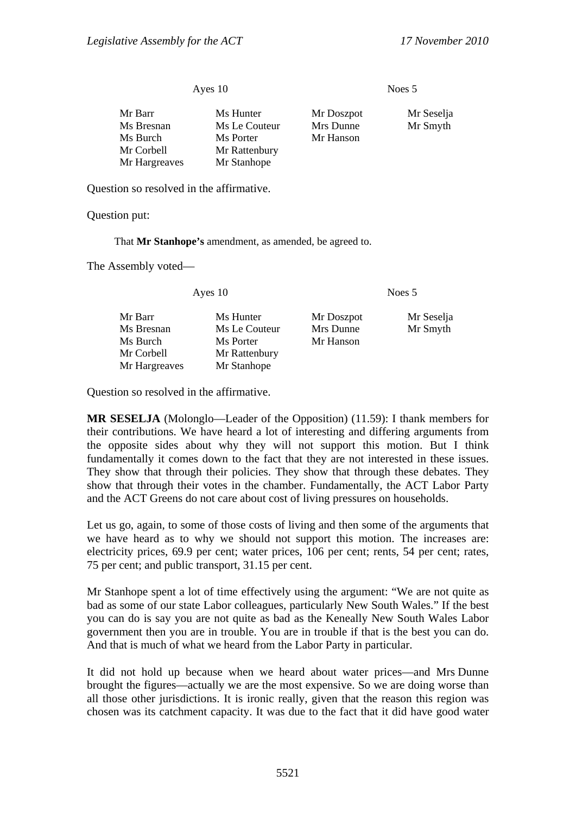Ayes 10 Noes 5

| Mr Barr<br>Ms Bresnan<br>Ms Burch<br>Mr Corbell | Ms Hunter<br>Ms Le Couteur<br>Ms Porter<br>Mr Rattenbury | Mr Doszpot<br>Mrs Dunne<br>Mr Hanson | Mr Seselja<br>Mr Smyth |
|-------------------------------------------------|----------------------------------------------------------|--------------------------------------|------------------------|
| Mr Hargreaves                                   | Mr Stanhope                                              |                                      |                        |
|                                                 |                                                          |                                      |                        |

Question so resolved in the affirmative.

Question put:

That **Mr Stanhope's** amendment, as amended, be agreed to.

The Assembly voted—

Ayes 10 Noes 5

| Mr Barr       | Ms Hunter     | Mr Doszpot | Mr Seselja |
|---------------|---------------|------------|------------|
| Ms Bresnan    | Ms Le Couteur | Mrs Dunne  | Mr Smyth   |
| Ms Burch      | Ms Porter     | Mr Hanson  |            |
| Mr Corbell    | Mr Rattenbury |            |            |
| Mr Hargreaves | Mr Stanhope   |            |            |

Question so resolved in the affirmative.

**MR SESELJA** (Molonglo—Leader of the Opposition) (11.59): I thank members for their contributions. We have heard a lot of interesting and differing arguments from the opposite sides about why they will not support this motion. But I think fundamentally it comes down to the fact that they are not interested in these issues. They show that through their policies. They show that through these debates. They show that through their votes in the chamber. Fundamentally, the ACT Labor Party and the ACT Greens do not care about cost of living pressures on households.

Let us go, again, to some of those costs of living and then some of the arguments that we have heard as to why we should not support this motion. The increases are: electricity prices, 69.9 per cent; water prices, 106 per cent; rents, 54 per cent; rates, 75 per cent; and public transport, 31.15 per cent.

Mr Stanhope spent a lot of time effectively using the argument: "We are not quite as bad as some of our state Labor colleagues, particularly New South Wales." If the best you can do is say you are not quite as bad as the Keneally New South Wales Labor government then you are in trouble. You are in trouble if that is the best you can do. And that is much of what we heard from the Labor Party in particular.

It did not hold up because when we heard about water prices—and Mrs Dunne brought the figures—actually we are the most expensive. So we are doing worse than all those other jurisdictions. It is ironic really, given that the reason this region was chosen was its catchment capacity. It was due to the fact that it did have good water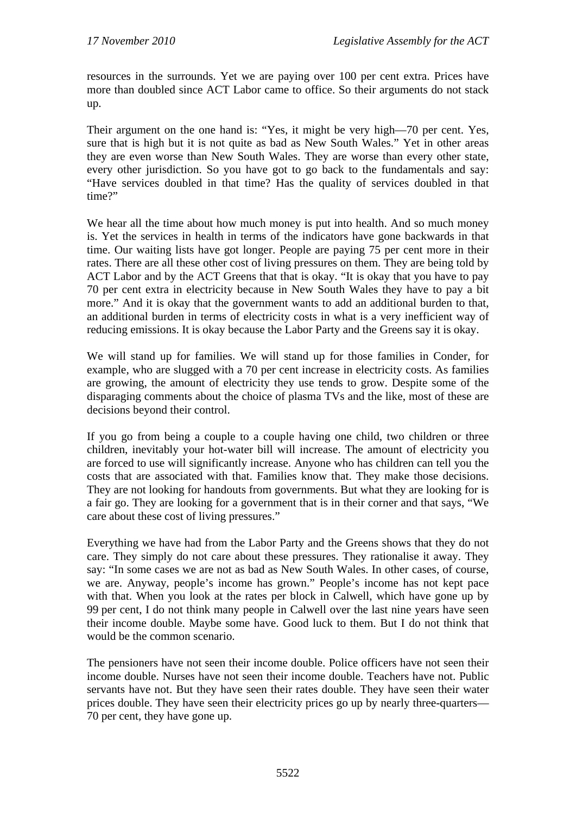resources in the surrounds. Yet we are paying over 100 per cent extra. Prices have more than doubled since ACT Labor came to office. So their arguments do not stack up.

Their argument on the one hand is: "Yes, it might be very high—70 per cent. Yes, sure that is high but it is not quite as bad as New South Wales." Yet in other areas they are even worse than New South Wales. They are worse than every other state, every other jurisdiction. So you have got to go back to the fundamentals and say: "Have services doubled in that time? Has the quality of services doubled in that time?"

We hear all the time about how much money is put into health. And so much money is. Yet the services in health in terms of the indicators have gone backwards in that time. Our waiting lists have got longer. People are paying 75 per cent more in their rates. There are all these other cost of living pressures on them. They are being told by ACT Labor and by the ACT Greens that that is okay. "It is okay that you have to pay 70 per cent extra in electricity because in New South Wales they have to pay a bit more." And it is okay that the government wants to add an additional burden to that, an additional burden in terms of electricity costs in what is a very inefficient way of reducing emissions. It is okay because the Labor Party and the Greens say it is okay.

We will stand up for families. We will stand up for those families in Conder, for example, who are slugged with a 70 per cent increase in electricity costs. As families are growing, the amount of electricity they use tends to grow. Despite some of the disparaging comments about the choice of plasma TVs and the like, most of these are decisions beyond their control.

If you go from being a couple to a couple having one child, two children or three children, inevitably your hot-water bill will increase. The amount of electricity you are forced to use will significantly increase. Anyone who has children can tell you the costs that are associated with that. Families know that. They make those decisions. They are not looking for handouts from governments. But what they are looking for is a fair go. They are looking for a government that is in their corner and that says, "We care about these cost of living pressures."

Everything we have had from the Labor Party and the Greens shows that they do not care. They simply do not care about these pressures. They rationalise it away. They say: "In some cases we are not as bad as New South Wales. In other cases, of course, we are. Anyway, people's income has grown." People's income has not kept pace with that. When you look at the rates per block in Calwell, which have gone up by 99 per cent, I do not think many people in Calwell over the last nine years have seen their income double. Maybe some have. Good luck to them. But I do not think that would be the common scenario.

The pensioners have not seen their income double. Police officers have not seen their income double. Nurses have not seen their income double. Teachers have not. Public servants have not. But they have seen their rates double. They have seen their water prices double. They have seen their electricity prices go up by nearly three-quarters— 70 per cent, they have gone up.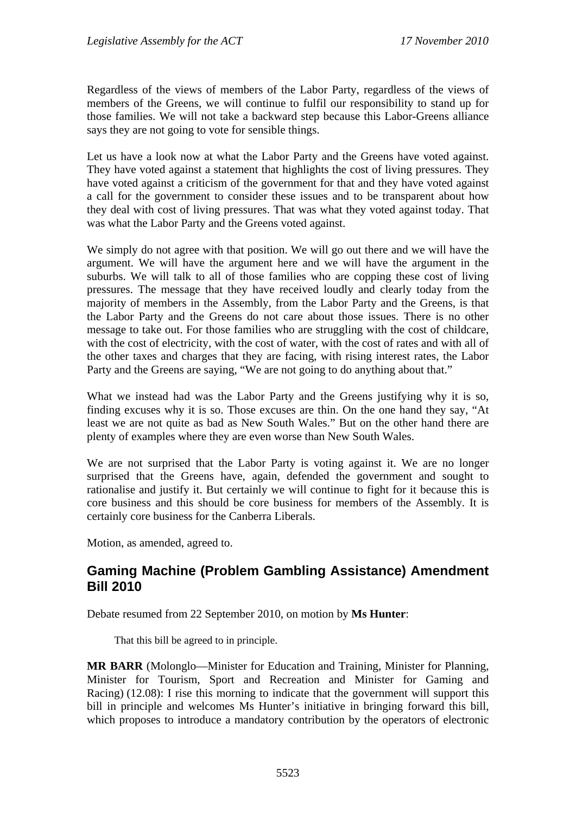Regardless of the views of members of the Labor Party, regardless of the views of members of the Greens, we will continue to fulfil our responsibility to stand up for those families. We will not take a backward step because this Labor-Greens alliance says they are not going to vote for sensible things.

Let us have a look now at what the Labor Party and the Greens have voted against. They have voted against a statement that highlights the cost of living pressures. They have voted against a criticism of the government for that and they have voted against a call for the government to consider these issues and to be transparent about how they deal with cost of living pressures. That was what they voted against today. That was what the Labor Party and the Greens voted against.

We simply do not agree with that position. We will go out there and we will have the argument. We will have the argument here and we will have the argument in the suburbs. We will talk to all of those families who are copping these cost of living pressures. The message that they have received loudly and clearly today from the majority of members in the Assembly, from the Labor Party and the Greens, is that the Labor Party and the Greens do not care about those issues. There is no other message to take out. For those families who are struggling with the cost of childcare, with the cost of electricity, with the cost of water, with the cost of rates and with all of the other taxes and charges that they are facing, with rising interest rates, the Labor Party and the Greens are saying, "We are not going to do anything about that."

What we instead had was the Labor Party and the Greens justifying why it is so, finding excuses why it is so. Those excuses are thin. On the one hand they say, "At least we are not quite as bad as New South Wales." But on the other hand there are plenty of examples where they are even worse than New South Wales.

We are not surprised that the Labor Party is voting against it. We are no longer surprised that the Greens have, again, defended the government and sought to rationalise and justify it. But certainly we will continue to fight for it because this is core business and this should be core business for members of the Assembly. It is certainly core business for the Canberra Liberals.

Motion, as amended, agreed to.

# **Gaming Machine (Problem Gambling Assistance) Amendment Bill 2010**

Debate resumed from 22 September 2010, on motion by **Ms Hunter**:

That this bill be agreed to in principle.

**MR BARR** (Molonglo—Minister for Education and Training, Minister for Planning, Minister for Tourism, Sport and Recreation and Minister for Gaming and Racing) (12.08): I rise this morning to indicate that the government will support this bill in principle and welcomes Ms Hunter's initiative in bringing forward this bill, which proposes to introduce a mandatory contribution by the operators of electronic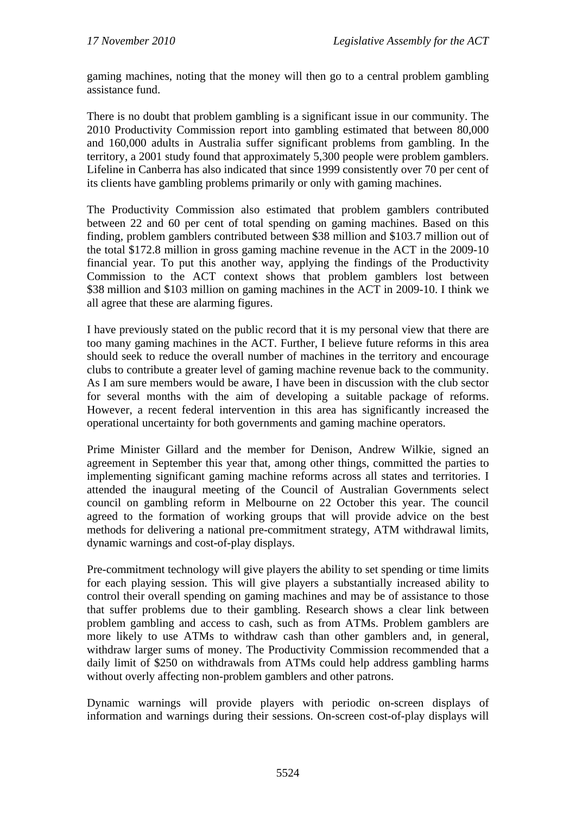gaming machines, noting that the money will then go to a central problem gambling assistance fund.

There is no doubt that problem gambling is a significant issue in our community. The 2010 Productivity Commission report into gambling estimated that between 80,000 and 160,000 adults in Australia suffer significant problems from gambling. In the territory, a 2001 study found that approximately 5,300 people were problem gamblers. Lifeline in Canberra has also indicated that since 1999 consistently over 70 per cent of its clients have gambling problems primarily or only with gaming machines.

The Productivity Commission also estimated that problem gamblers contributed between 22 and 60 per cent of total spending on gaming machines. Based on this finding, problem gamblers contributed between \$38 million and \$103.7 million out of the total \$172.8 million in gross gaming machine revenue in the ACT in the 2009-10 financial year. To put this another way, applying the findings of the Productivity Commission to the ACT context shows that problem gamblers lost between \$38 million and \$103 million on gaming machines in the ACT in 2009-10. I think we all agree that these are alarming figures.

I have previously stated on the public record that it is my personal view that there are too many gaming machines in the ACT. Further, I believe future reforms in this area should seek to reduce the overall number of machines in the territory and encourage clubs to contribute a greater level of gaming machine revenue back to the community. As I am sure members would be aware, I have been in discussion with the club sector for several months with the aim of developing a suitable package of reforms. However, a recent federal intervention in this area has significantly increased the operational uncertainty for both governments and gaming machine operators.

Prime Minister Gillard and the member for Denison, Andrew Wilkie, signed an agreement in September this year that, among other things, committed the parties to implementing significant gaming machine reforms across all states and territories. I attended the inaugural meeting of the Council of Australian Governments select council on gambling reform in Melbourne on 22 October this year. The council agreed to the formation of working groups that will provide advice on the best methods for delivering a national pre-commitment strategy, ATM withdrawal limits, dynamic warnings and cost-of-play displays.

Pre-commitment technology will give players the ability to set spending or time limits for each playing session. This will give players a substantially increased ability to control their overall spending on gaming machines and may be of assistance to those that suffer problems due to their gambling. Research shows a clear link between problem gambling and access to cash, such as from ATMs. Problem gamblers are more likely to use ATMs to withdraw cash than other gamblers and, in general, withdraw larger sums of money. The Productivity Commission recommended that a daily limit of \$250 on withdrawals from ATMs could help address gambling harms without overly affecting non-problem gamblers and other patrons.

Dynamic warnings will provide players with periodic on-screen displays of information and warnings during their sessions. On-screen cost-of-play displays will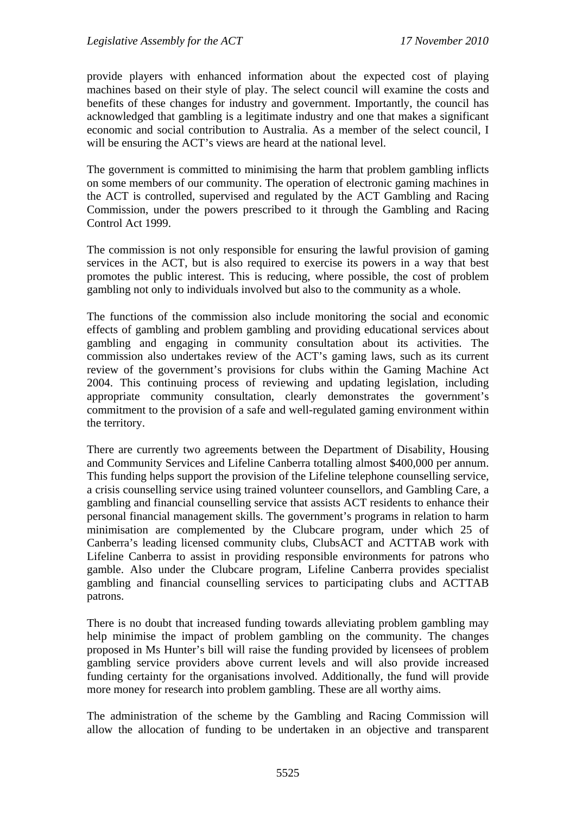provide players with enhanced information about the expected cost of playing machines based on their style of play. The select council will examine the costs and benefits of these changes for industry and government. Importantly, the council has acknowledged that gambling is a legitimate industry and one that makes a significant economic and social contribution to Australia. As a member of the select council, I will be ensuring the ACT's views are heard at the national level.

The government is committed to minimising the harm that problem gambling inflicts on some members of our community. The operation of electronic gaming machines in the ACT is controlled, supervised and regulated by the ACT Gambling and Racing Commission, under the powers prescribed to it through the Gambling and Racing Control Act 1999.

The commission is not only responsible for ensuring the lawful provision of gaming services in the ACT, but is also required to exercise its powers in a way that best promotes the public interest. This is reducing, where possible, the cost of problem gambling not only to individuals involved but also to the community as a whole.

The functions of the commission also include monitoring the social and economic effects of gambling and problem gambling and providing educational services about gambling and engaging in community consultation about its activities. The commission also undertakes review of the ACT's gaming laws, such as its current review of the government's provisions for clubs within the Gaming Machine Act 2004. This continuing process of reviewing and updating legislation, including appropriate community consultation, clearly demonstrates the government's commitment to the provision of a safe and well-regulated gaming environment within the territory.

There are currently two agreements between the Department of Disability, Housing and Community Services and Lifeline Canberra totalling almost \$400,000 per annum. This funding helps support the provision of the Lifeline telephone counselling service, a crisis counselling service using trained volunteer counsellors, and Gambling Care, a gambling and financial counselling service that assists ACT residents to enhance their personal financial management skills. The government's programs in relation to harm minimisation are complemented by the Clubcare program, under which 25 of Canberra's leading licensed community clubs, ClubsACT and ACTTAB work with Lifeline Canberra to assist in providing responsible environments for patrons who gamble. Also under the Clubcare program, Lifeline Canberra provides specialist gambling and financial counselling services to participating clubs and ACTTAB patrons.

There is no doubt that increased funding towards alleviating problem gambling may help minimise the impact of problem gambling on the community. The changes proposed in Ms Hunter's bill will raise the funding provided by licensees of problem gambling service providers above current levels and will also provide increased funding certainty for the organisations involved. Additionally, the fund will provide more money for research into problem gambling. These are all worthy aims.

The administration of the scheme by the Gambling and Racing Commission will allow the allocation of funding to be undertaken in an objective and transparent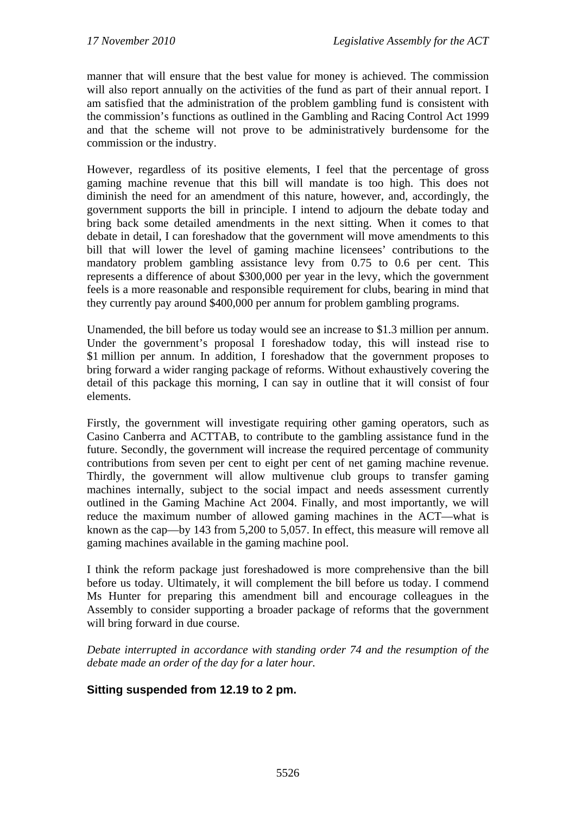manner that will ensure that the best value for money is achieved. The commission will also report annually on the activities of the fund as part of their annual report. I am satisfied that the administration of the problem gambling fund is consistent with the commission's functions as outlined in the Gambling and Racing Control Act 1999 and that the scheme will not prove to be administratively burdensome for the commission or the industry.

However, regardless of its positive elements, I feel that the percentage of gross gaming machine revenue that this bill will mandate is too high. This does not diminish the need for an amendment of this nature, however, and, accordingly, the government supports the bill in principle. I intend to adjourn the debate today and bring back some detailed amendments in the next sitting. When it comes to that debate in detail, I can foreshadow that the government will move amendments to this bill that will lower the level of gaming machine licensees' contributions to the mandatory problem gambling assistance levy from 0.75 to 0.6 per cent. This represents a difference of about \$300,000 per year in the levy, which the government feels is a more reasonable and responsible requirement for clubs, bearing in mind that they currently pay around \$400,000 per annum for problem gambling programs.

Unamended, the bill before us today would see an increase to \$1.3 million per annum. Under the government's proposal I foreshadow today, this will instead rise to \$1 million per annum. In addition, I foreshadow that the government proposes to bring forward a wider ranging package of reforms. Without exhaustively covering the detail of this package this morning, I can say in outline that it will consist of four elements.

Firstly, the government will investigate requiring other gaming operators, such as Casino Canberra and ACTTAB, to contribute to the gambling assistance fund in the future. Secondly, the government will increase the required percentage of community contributions from seven per cent to eight per cent of net gaming machine revenue. Thirdly, the government will allow multivenue club groups to transfer gaming machines internally, subject to the social impact and needs assessment currently outlined in the Gaming Machine Act 2004. Finally, and most importantly, we will reduce the maximum number of allowed gaming machines in the ACT—what is known as the cap—by 143 from 5,200 to 5,057. In effect, this measure will remove all gaming machines available in the gaming machine pool.

I think the reform package just foreshadowed is more comprehensive than the bill before us today. Ultimately, it will complement the bill before us today. I commend Ms Hunter for preparing this amendment bill and encourage colleagues in the Assembly to consider supporting a broader package of reforms that the government will bring forward in due course.

*Debate interrupted in accordance with standing order 74 and the resumption of the debate made an order of the day for a later hour.* 

# **Sitting suspended from 12.19 to 2 pm.**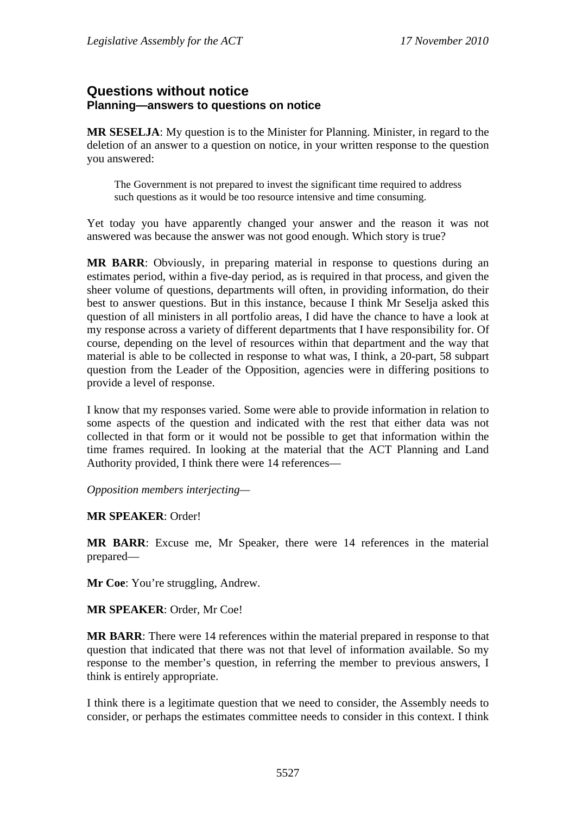# **Questions without notice Planning—answers to questions on notice**

**MR SESELJA**: My question is to the Minister for Planning. Minister, in regard to the deletion of an answer to a question on notice, in your written response to the question you answered:

The Government is not prepared to invest the significant time required to address such questions as it would be too resource intensive and time consuming.

Yet today you have apparently changed your answer and the reason it was not answered was because the answer was not good enough. Which story is true?

**MR BARR**: Obviously, in preparing material in response to questions during an estimates period, within a five-day period, as is required in that process, and given the sheer volume of questions, departments will often, in providing information, do their best to answer questions. But in this instance, because I think Mr Seselja asked this question of all ministers in all portfolio areas, I did have the chance to have a look at my response across a variety of different departments that I have responsibility for. Of course, depending on the level of resources within that department and the way that material is able to be collected in response to what was, I think, a 20-part, 58 subpart question from the Leader of the Opposition, agencies were in differing positions to provide a level of response.

I know that my responses varied. Some were able to provide information in relation to some aspects of the question and indicated with the rest that either data was not collected in that form or it would not be possible to get that information within the time frames required. In looking at the material that the ACT Planning and Land Authority provided, I think there were 14 references—

*Opposition members interjecting—* 

#### **MR SPEAKER**: Order!

**MR BARR**: Excuse me, Mr Speaker, there were 14 references in the material prepared—

**Mr Coe**: You're struggling, Andrew.

**MR SPEAKER**: Order, Mr Coe!

**MR BARR**: There were 14 references within the material prepared in response to that question that indicated that there was not that level of information available. So my response to the member's question, in referring the member to previous answers, I think is entirely appropriate.

I think there is a legitimate question that we need to consider, the Assembly needs to consider, or perhaps the estimates committee needs to consider in this context. I think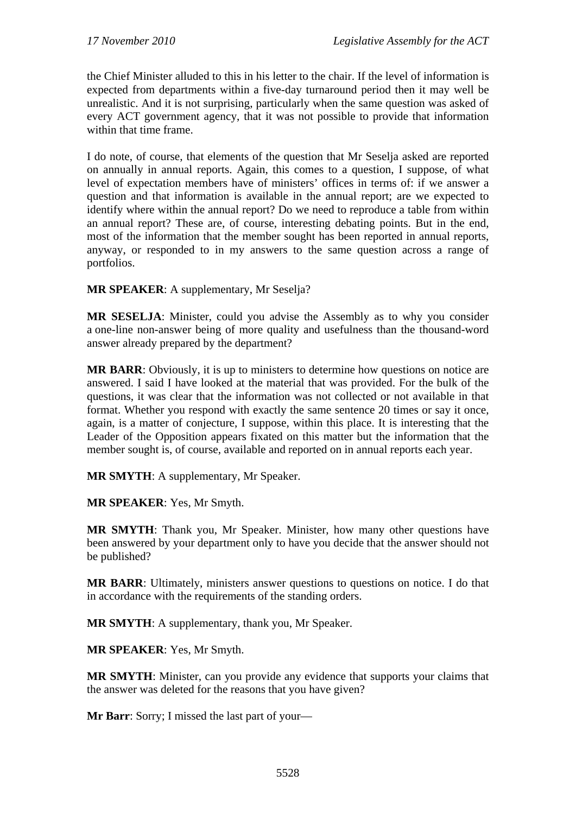the Chief Minister alluded to this in his letter to the chair. If the level of information is expected from departments within a five-day turnaround period then it may well be unrealistic. And it is not surprising, particularly when the same question was asked of every ACT government agency, that it was not possible to provide that information within that time frame.

I do note, of course, that elements of the question that Mr Seselja asked are reported on annually in annual reports. Again, this comes to a question, I suppose, of what level of expectation members have of ministers' offices in terms of: if we answer a question and that information is available in the annual report; are we expected to identify where within the annual report? Do we need to reproduce a table from within an annual report? These are, of course, interesting debating points. But in the end, most of the information that the member sought has been reported in annual reports, anyway, or responded to in my answers to the same question across a range of portfolios.

**MR SPEAKER**: A supplementary, Mr Seselja?

**MR SESELJA**: Minister, could you advise the Assembly as to why you consider a one-line non-answer being of more quality and usefulness than the thousand-word answer already prepared by the department?

**MR BARR**: Obviously, it is up to ministers to determine how questions on notice are answered. I said I have looked at the material that was provided. For the bulk of the questions, it was clear that the information was not collected or not available in that format. Whether you respond with exactly the same sentence 20 times or say it once, again, is a matter of conjecture, I suppose, within this place. It is interesting that the Leader of the Opposition appears fixated on this matter but the information that the member sought is, of course, available and reported on in annual reports each year.

**MR SMYTH**: A supplementary, Mr Speaker.

**MR SPEAKER**: Yes, Mr Smyth.

**MR SMYTH**: Thank you, Mr Speaker. Minister, how many other questions have been answered by your department only to have you decide that the answer should not be published?

**MR BARR**: Ultimately, ministers answer questions to questions on notice. I do that in accordance with the requirements of the standing orders.

**MR SMYTH**: A supplementary, thank you, Mr Speaker.

**MR SPEAKER**: Yes, Mr Smyth.

**MR SMYTH**: Minister, can you provide any evidence that supports your claims that the answer was deleted for the reasons that you have given?

**Mr Barr**: Sorry; I missed the last part of your—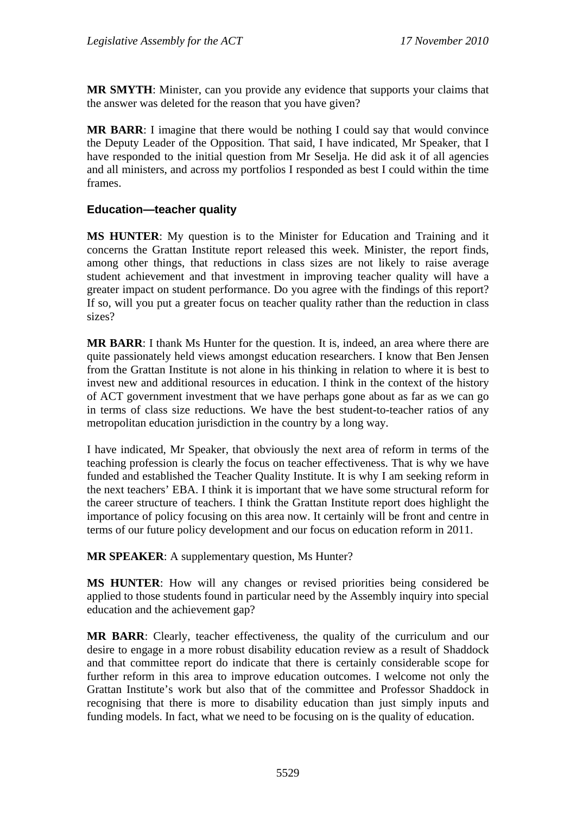**MR SMYTH**: Minister, can you provide any evidence that supports your claims that the answer was deleted for the reason that you have given?

**MR BARR**: I imagine that there would be nothing I could say that would convince the Deputy Leader of the Opposition. That said, I have indicated, Mr Speaker, that I have responded to the initial question from Mr Seselja. He did ask it of all agencies and all ministers, and across my portfolios I responded as best I could within the time frames.

# **Education—teacher quality**

**MS HUNTER**: My question is to the Minister for Education and Training and it concerns the Grattan Institute report released this week. Minister, the report finds, among other things, that reductions in class sizes are not likely to raise average student achievement and that investment in improving teacher quality will have a greater impact on student performance. Do you agree with the findings of this report? If so, will you put a greater focus on teacher quality rather than the reduction in class sizes?

**MR BARR**: I thank Ms Hunter for the question. It is, indeed, an area where there are quite passionately held views amongst education researchers. I know that Ben Jensen from the Grattan Institute is not alone in his thinking in relation to where it is best to invest new and additional resources in education. I think in the context of the history of ACT government investment that we have perhaps gone about as far as we can go in terms of class size reductions. We have the best student-to-teacher ratios of any metropolitan education jurisdiction in the country by a long way.

I have indicated, Mr Speaker, that obviously the next area of reform in terms of the teaching profession is clearly the focus on teacher effectiveness. That is why we have funded and established the Teacher Quality Institute. It is why I am seeking reform in the next teachers' EBA. I think it is important that we have some structural reform for the career structure of teachers. I think the Grattan Institute report does highlight the importance of policy focusing on this area now. It certainly will be front and centre in terms of our future policy development and our focus on education reform in 2011.

**MR SPEAKER:** A supplementary question, Ms Hunter?

**MS HUNTER**: How will any changes or revised priorities being considered be applied to those students found in particular need by the Assembly inquiry into special education and the achievement gap?

**MR BARR**: Clearly, teacher effectiveness, the quality of the curriculum and our desire to engage in a more robust disability education review as a result of Shaddock and that committee report do indicate that there is certainly considerable scope for further reform in this area to improve education outcomes. I welcome not only the Grattan Institute's work but also that of the committee and Professor Shaddock in recognising that there is more to disability education than just simply inputs and funding models. In fact, what we need to be focusing on is the quality of education.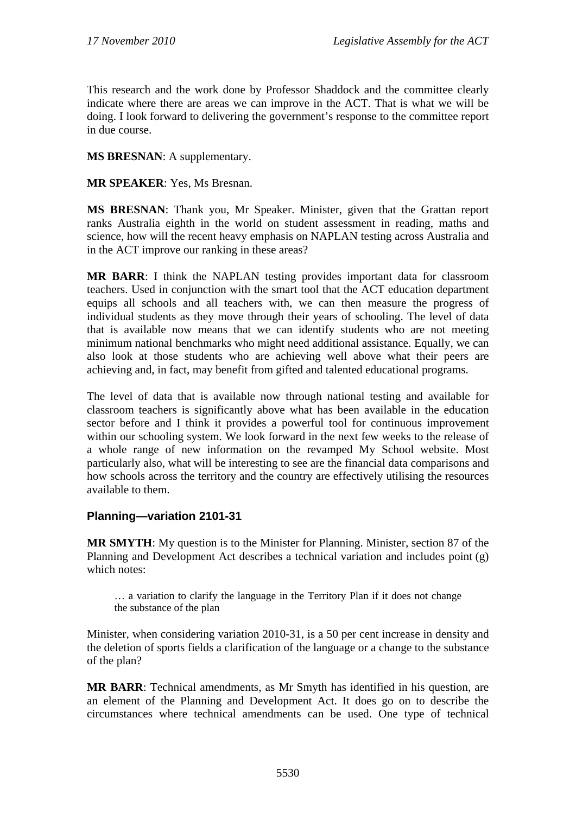This research and the work done by Professor Shaddock and the committee clearly indicate where there are areas we can improve in the ACT. That is what we will be doing. I look forward to delivering the government's response to the committee report in due course.

# **MS BRESNAN**: A supplementary.

**MR SPEAKER**: Yes, Ms Bresnan.

**MS BRESNAN**: Thank you, Mr Speaker. Minister, given that the Grattan report ranks Australia eighth in the world on student assessment in reading, maths and science, how will the recent heavy emphasis on NAPLAN testing across Australia and in the ACT improve our ranking in these areas?

**MR BARR**: I think the NAPLAN testing provides important data for classroom teachers. Used in conjunction with the smart tool that the ACT education department equips all schools and all teachers with, we can then measure the progress of individual students as they move through their years of schooling. The level of data that is available now means that we can identify students who are not meeting minimum national benchmarks who might need additional assistance. Equally, we can also look at those students who are achieving well above what their peers are achieving and, in fact, may benefit from gifted and talented educational programs.

The level of data that is available now through national testing and available for classroom teachers is significantly above what has been available in the education sector before and I think it provides a powerful tool for continuous improvement within our schooling system. We look forward in the next few weeks to the release of a whole range of new information on the revamped My School website. Most particularly also, what will be interesting to see are the financial data comparisons and how schools across the territory and the country are effectively utilising the resources available to them.

#### **Planning—variation 2101-31**

**MR SMYTH**: My question is to the Minister for Planning. Minister, section 87 of the Planning and Development Act describes a technical variation and includes point (g) which notes:

… a variation to clarify the language in the Territory Plan if it does not change the substance of the plan

Minister, when considering variation 2010-31, is a 50 per cent increase in density and the deletion of sports fields a clarification of the language or a change to the substance of the plan?

**MR BARR**: Technical amendments, as Mr Smyth has identified in his question, are an element of the Planning and Development Act. It does go on to describe the circumstances where technical amendments can be used. One type of technical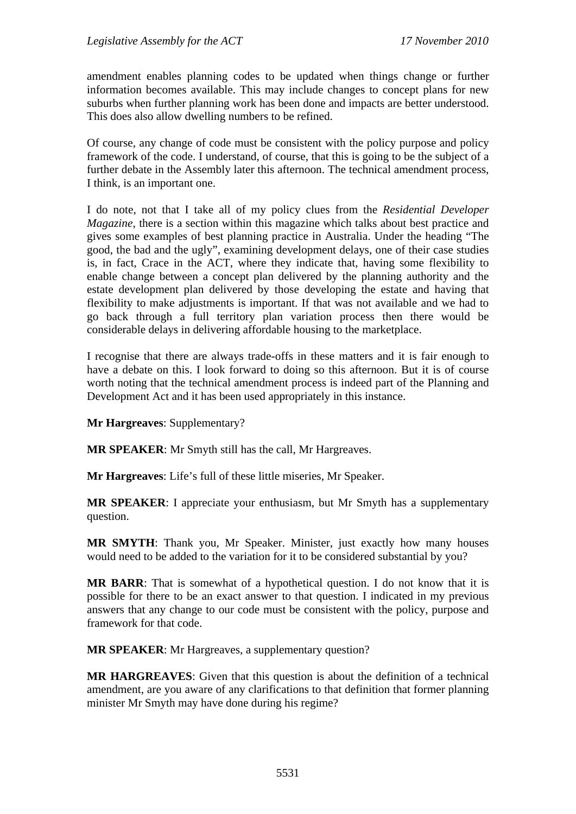amendment enables planning codes to be updated when things change or further information becomes available. This may include changes to concept plans for new suburbs when further planning work has been done and impacts are better understood. This does also allow dwelling numbers to be refined.

Of course, any change of code must be consistent with the policy purpose and policy framework of the code. I understand, of course, that this is going to be the subject of a further debate in the Assembly later this afternoon. The technical amendment process, I think, is an important one.

I do note, not that I take all of my policy clues from the *Residential Developer Magazine*, there is a section within this magazine which talks about best practice and gives some examples of best planning practice in Australia. Under the heading "The good, the bad and the ugly", examining development delays, one of their case studies is, in fact, Crace in the ACT, where they indicate that, having some flexibility to enable change between a concept plan delivered by the planning authority and the estate development plan delivered by those developing the estate and having that flexibility to make adjustments is important. If that was not available and we had to go back through a full territory plan variation process then there would be considerable delays in delivering affordable housing to the marketplace.

I recognise that there are always trade-offs in these matters and it is fair enough to have a debate on this. I look forward to doing so this afternoon. But it is of course worth noting that the technical amendment process is indeed part of the Planning and Development Act and it has been used appropriately in this instance.

**Mr Hargreaves**: Supplementary?

**MR SPEAKER**: Mr Smyth still has the call, Mr Hargreaves.

**Mr Hargreaves**: Life's full of these little miseries, Mr Speaker.

**MR SPEAKER**: I appreciate your enthusiasm, but Mr Smyth has a supplementary question.

**MR SMYTH**: Thank you, Mr Speaker. Minister, just exactly how many houses would need to be added to the variation for it to be considered substantial by you?

**MR BARR**: That is somewhat of a hypothetical question. I do not know that it is possible for there to be an exact answer to that question. I indicated in my previous answers that any change to our code must be consistent with the policy, purpose and framework for that code.

**MR SPEAKER**: Mr Hargreaves, a supplementary question?

**MR HARGREAVES**: Given that this question is about the definition of a technical amendment, are you aware of any clarifications to that definition that former planning minister Mr Smyth may have done during his regime?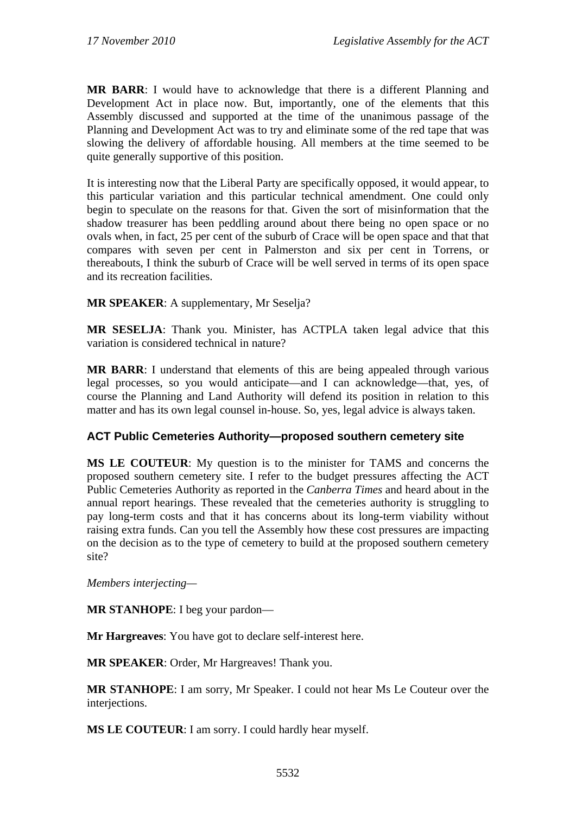**MR BARR**: I would have to acknowledge that there is a different Planning and Development Act in place now. But, importantly, one of the elements that this Assembly discussed and supported at the time of the unanimous passage of the Planning and Development Act was to try and eliminate some of the red tape that was slowing the delivery of affordable housing. All members at the time seemed to be quite generally supportive of this position.

It is interesting now that the Liberal Party are specifically opposed, it would appear, to this particular variation and this particular technical amendment. One could only begin to speculate on the reasons for that. Given the sort of misinformation that the shadow treasurer has been peddling around about there being no open space or no ovals when, in fact, 25 per cent of the suburb of Crace will be open space and that that compares with seven per cent in Palmerston and six per cent in Torrens, or thereabouts, I think the suburb of Crace will be well served in terms of its open space and its recreation facilities.

**MR SPEAKER**: A supplementary, Mr Seselja?

**MR SESELJA**: Thank you. Minister, has ACTPLA taken legal advice that this variation is considered technical in nature?

**MR BARR**: I understand that elements of this are being appealed through various legal processes, so you would anticipate—and I can acknowledge—that, yes, of course the Planning and Land Authority will defend its position in relation to this matter and has its own legal counsel in-house. So, yes, legal advice is always taken.

#### **ACT Public Cemeteries Authority—proposed southern cemetery site**

**MS LE COUTEUR**: My question is to the minister for TAMS and concerns the proposed southern cemetery site. I refer to the budget pressures affecting the ACT Public Cemeteries Authority as reported in the *Canberra Times* and heard about in the annual report hearings. These revealed that the cemeteries authority is struggling to pay long-term costs and that it has concerns about its long-term viability without raising extra funds. Can you tell the Assembly how these cost pressures are impacting on the decision as to the type of cemetery to build at the proposed southern cemetery site?

*Members interjecting—*

**MR STANHOPE**: I beg your pardon—

**Mr Hargreaves**: You have got to declare self-interest here.

**MR SPEAKER**: Order, Mr Hargreaves! Thank you.

**MR STANHOPE**: I am sorry, Mr Speaker. I could not hear Ms Le Couteur over the interjections.

**MS LE COUTEUR**: I am sorry. I could hardly hear myself.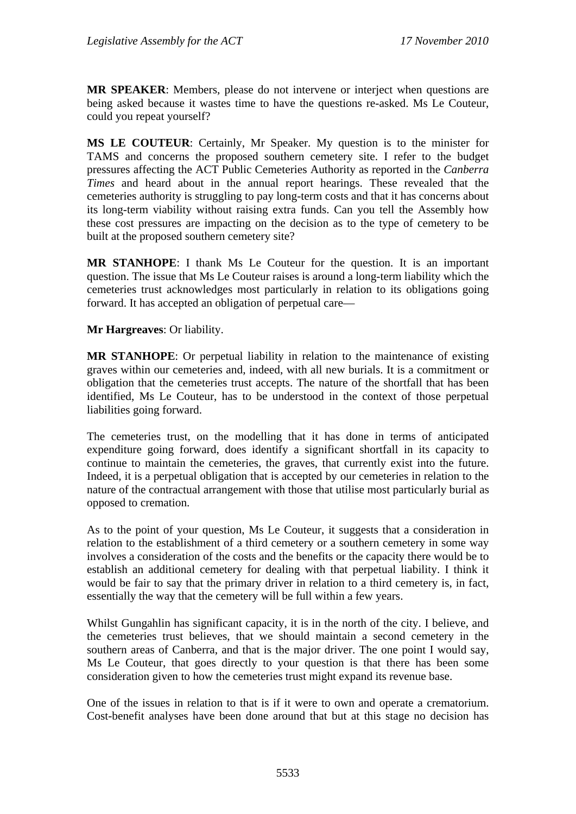**MR SPEAKER**: Members, please do not intervene or interject when questions are being asked because it wastes time to have the questions re-asked. Ms Le Couteur, could you repeat yourself?

**MS LE COUTEUR**: Certainly, Mr Speaker. My question is to the minister for TAMS and concerns the proposed southern cemetery site. I refer to the budget pressures affecting the ACT Public Cemeteries Authority as reported in the *Canberra Times* and heard about in the annual report hearings. These revealed that the cemeteries authority is struggling to pay long-term costs and that it has concerns about its long-term viability without raising extra funds. Can you tell the Assembly how these cost pressures are impacting on the decision as to the type of cemetery to be built at the proposed southern cemetery site?

**MR STANHOPE**: I thank Ms Le Couteur for the question. It is an important question. The issue that Ms Le Couteur raises is around a long-term liability which the cemeteries trust acknowledges most particularly in relation to its obligations going forward. It has accepted an obligation of perpetual care—

**Mr Hargreaves**: Or liability.

**MR STANHOPE**: Or perpetual liability in relation to the maintenance of existing graves within our cemeteries and, indeed, with all new burials. It is a commitment or obligation that the cemeteries trust accepts. The nature of the shortfall that has been identified, Ms Le Couteur, has to be understood in the context of those perpetual liabilities going forward.

The cemeteries trust, on the modelling that it has done in terms of anticipated expenditure going forward, does identify a significant shortfall in its capacity to continue to maintain the cemeteries, the graves, that currently exist into the future. Indeed, it is a perpetual obligation that is accepted by our cemeteries in relation to the nature of the contractual arrangement with those that utilise most particularly burial as opposed to cremation.

As to the point of your question, Ms Le Couteur, it suggests that a consideration in relation to the establishment of a third cemetery or a southern cemetery in some way involves a consideration of the costs and the benefits or the capacity there would be to establish an additional cemetery for dealing with that perpetual liability. I think it would be fair to say that the primary driver in relation to a third cemetery is, in fact, essentially the way that the cemetery will be full within a few years.

Whilst Gungahlin has significant capacity, it is in the north of the city. I believe, and the cemeteries trust believes, that we should maintain a second cemetery in the southern areas of Canberra, and that is the major driver. The one point I would say, Ms Le Couteur, that goes directly to your question is that there has been some consideration given to how the cemeteries trust might expand its revenue base.

One of the issues in relation to that is if it were to own and operate a crematorium. Cost-benefit analyses have been done around that but at this stage no decision has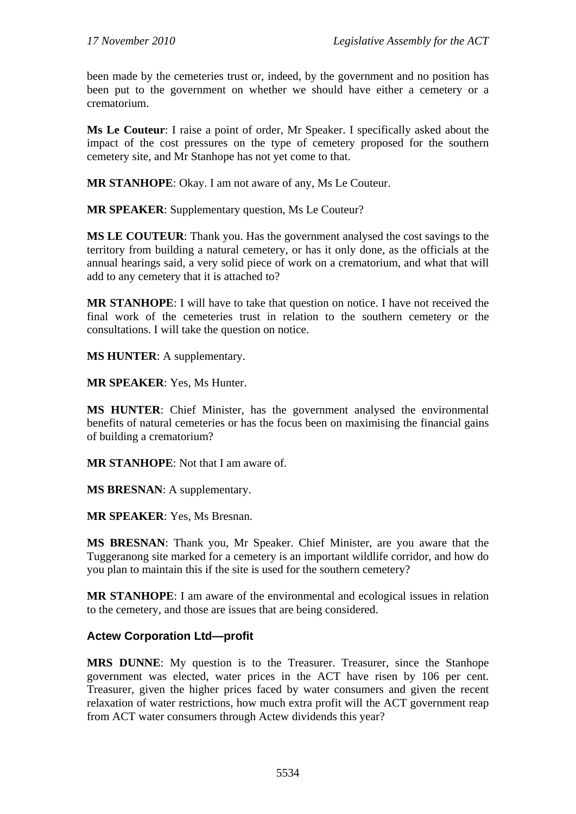been made by the cemeteries trust or, indeed, by the government and no position has been put to the government on whether we should have either a cemetery or a crematorium.

**Ms Le Couteur**: I raise a point of order, Mr Speaker. I specifically asked about the impact of the cost pressures on the type of cemetery proposed for the southern cemetery site, and Mr Stanhope has not yet come to that.

**MR STANHOPE**: Okay. I am not aware of any, Ms Le Couteur.

**MR SPEAKER**: Supplementary question, Ms Le Couteur?

**MS LE COUTEUR**: Thank you. Has the government analysed the cost savings to the territory from building a natural cemetery, or has it only done, as the officials at the annual hearings said, a very solid piece of work on a crematorium, and what that will add to any cemetery that it is attached to?

**MR STANHOPE**: I will have to take that question on notice. I have not received the final work of the cemeteries trust in relation to the southern cemetery or the consultations. I will take the question on notice.

**MS HUNTER**: A supplementary.

**MR SPEAKER**: Yes, Ms Hunter.

**MS HUNTER**: Chief Minister, has the government analysed the environmental benefits of natural cemeteries or has the focus been on maximising the financial gains of building a crematorium?

**MR STANHOPE**: Not that I am aware of.

**MS BRESNAN**: A supplementary.

**MR SPEAKER**: Yes, Ms Bresnan.

**MS BRESNAN**: Thank you, Mr Speaker. Chief Minister, are you aware that the Tuggeranong site marked for a cemetery is an important wildlife corridor, and how do you plan to maintain this if the site is used for the southern cemetery?

**MR STANHOPE**: I am aware of the environmental and ecological issues in relation to the cemetery, and those are issues that are being considered.

#### **Actew Corporation Ltd—profit**

**MRS DUNNE**: My question is to the Treasurer. Treasurer, since the Stanhope government was elected, water prices in the ACT have risen by 106 per cent. Treasurer, given the higher prices faced by water consumers and given the recent relaxation of water restrictions, how much extra profit will the ACT government reap from ACT water consumers through Actew dividends this year?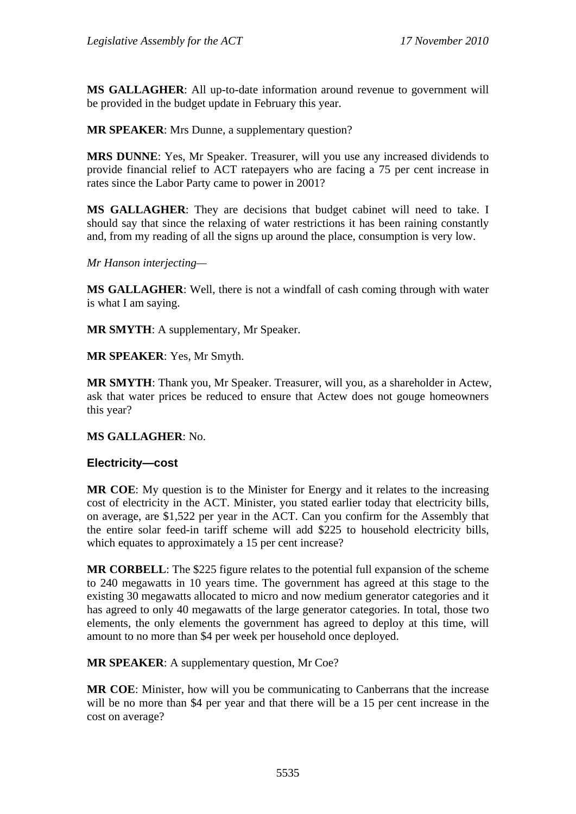**MS GALLAGHER**: All up-to-date information around revenue to government will be provided in the budget update in February this year.

**MR SPEAKER**: Mrs Dunne, a supplementary question?

**MRS DUNNE**: Yes, Mr Speaker. Treasurer, will you use any increased dividends to provide financial relief to ACT ratepayers who are facing a 75 per cent increase in rates since the Labor Party came to power in 2001?

**MS GALLAGHER**: They are decisions that budget cabinet will need to take. I should say that since the relaxing of water restrictions it has been raining constantly and, from my reading of all the signs up around the place, consumption is very low.

*Mr Hanson interjecting—*

**MS GALLAGHER**: Well, there is not a windfall of cash coming through with water is what I am saying.

**MR SMYTH**: A supplementary, Mr Speaker.

**MR SPEAKER**: Yes, Mr Smyth.

**MR SMYTH**: Thank you, Mr Speaker. Treasurer, will you, as a shareholder in Actew, ask that water prices be reduced to ensure that Actew does not gouge homeowners this year?

#### **MS GALLAGHER**: No.

#### **Electricity—cost**

**MR COE**: My question is to the Minister for Energy and it relates to the increasing cost of electricity in the ACT. Minister, you stated earlier today that electricity bills, on average, are \$1,522 per year in the ACT. Can you confirm for the Assembly that the entire solar feed-in tariff scheme will add \$225 to household electricity bills, which equates to approximately a 15 per cent increase?

**MR CORBELL**: The \$225 figure relates to the potential full expansion of the scheme to 240 megawatts in 10 years time. The government has agreed at this stage to the existing 30 megawatts allocated to micro and now medium generator categories and it has agreed to only 40 megawatts of the large generator categories. In total, those two elements, the only elements the government has agreed to deploy at this time, will amount to no more than \$4 per week per household once deployed.

**MR SPEAKER**: A supplementary question, Mr Coe?

**MR COE**: Minister, how will you be communicating to Canberrans that the increase will be no more than \$4 per year and that there will be a 15 per cent increase in the cost on average?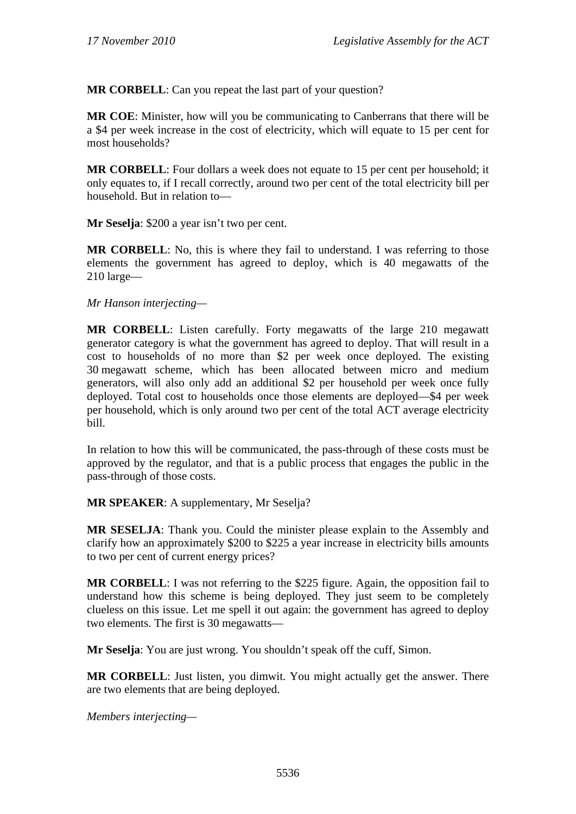**MR CORBELL**: Can you repeat the last part of your question?

**MR COE**: Minister, how will you be communicating to Canberrans that there will be a \$4 per week increase in the cost of electricity, which will equate to 15 per cent for most households?

**MR CORBELL**: Four dollars a week does not equate to 15 per cent per household; it only equates to, if I recall correctly, around two per cent of the total electricity bill per household. But in relation to—

**Mr Seselja**: \$200 a year isn't two per cent.

**MR CORBELL:** No, this is where they fail to understand. I was referring to those elements the government has agreed to deploy, which is 40 megawatts of the 210 large—

*Mr Hanson interjecting—* 

**MR CORBELL**: Listen carefully. Forty megawatts of the large 210 megawatt generator category is what the government has agreed to deploy. That will result in a cost to households of no more than \$2 per week once deployed. The existing 30 megawatt scheme, which has been allocated between micro and medium generators, will also only add an additional \$2 per household per week once fully deployed. Total cost to households once those elements are deployed—\$4 per week per household, which is only around two per cent of the total ACT average electricity bill.

In relation to how this will be communicated, the pass-through of these costs must be approved by the regulator, and that is a public process that engages the public in the pass-through of those costs.

**MR SPEAKER**: A supplementary, Mr Seselja?

**MR SESELJA**: Thank you. Could the minister please explain to the Assembly and clarify how an approximately \$200 to \$225 a year increase in electricity bills amounts to two per cent of current energy prices?

**MR CORBELL**: I was not referring to the \$225 figure. Again, the opposition fail to understand how this scheme is being deployed. They just seem to be completely clueless on this issue. Let me spell it out again: the government has agreed to deploy two elements. The first is 30 megawatts—

**Mr Seselja**: You are just wrong. You shouldn't speak off the cuff, Simon.

**MR CORBELL**: Just listen, you dimwit. You might actually get the answer. There are two elements that are being deployed.

*Members interjecting—*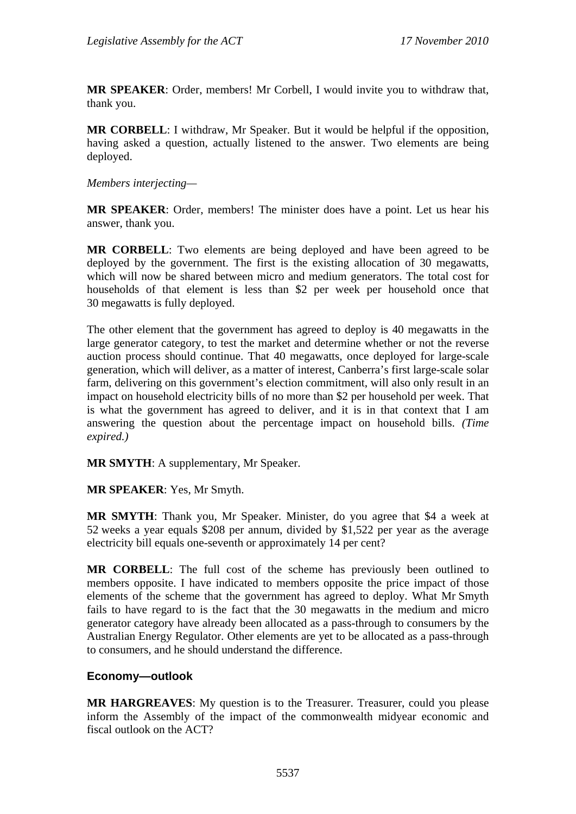**MR SPEAKER**: Order, members! Mr Corbell, I would invite you to withdraw that, thank you.

**MR CORBELL**: I withdraw, Mr Speaker. But it would be helpful if the opposition, having asked a question, actually listened to the answer. Two elements are being deployed.

*Members interjecting—* 

**MR SPEAKER**: Order, members! The minister does have a point. Let us hear his answer, thank you.

**MR CORBELL**: Two elements are being deployed and have been agreed to be deployed by the government. The first is the existing allocation of 30 megawatts, which will now be shared between micro and medium generators. The total cost for households of that element is less than \$2 per week per household once that 30 megawatts is fully deployed.

The other element that the government has agreed to deploy is 40 megawatts in the large generator category, to test the market and determine whether or not the reverse auction process should continue. That 40 megawatts, once deployed for large-scale generation, which will deliver, as a matter of interest, Canberra's first large-scale solar farm, delivering on this government's election commitment, will also only result in an impact on household electricity bills of no more than \$2 per household per week. That is what the government has agreed to deliver, and it is in that context that I am answering the question about the percentage impact on household bills. *(Time expired.)*

**MR SMYTH**: A supplementary, Mr Speaker.

**MR SPEAKER**: Yes, Mr Smyth.

**MR SMYTH**: Thank you, Mr Speaker. Minister, do you agree that \$4 a week at 52 weeks a year equals \$208 per annum, divided by \$1,522 per year as the average electricity bill equals one-seventh or approximately 14 per cent?

**MR CORBELL**: The full cost of the scheme has previously been outlined to members opposite. I have indicated to members opposite the price impact of those elements of the scheme that the government has agreed to deploy. What Mr Smyth fails to have regard to is the fact that the 30 megawatts in the medium and micro generator category have already been allocated as a pass-through to consumers by the Australian Energy Regulator. Other elements are yet to be allocated as a pass-through to consumers, and he should understand the difference.

#### **Economy—outlook**

**MR HARGREAVES**: My question is to the Treasurer. Treasurer, could you please inform the Assembly of the impact of the commonwealth midyear economic and fiscal outlook on the ACT?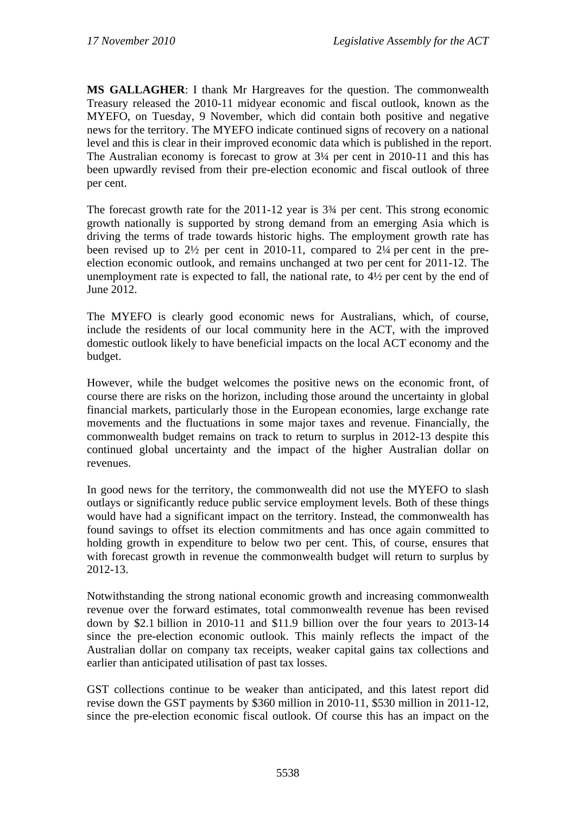**MS GALLAGHER**: I thank Mr Hargreaves for the question. The commonwealth Treasury released the 2010-11 midyear economic and fiscal outlook, known as the MYEFO, on Tuesday, 9 November, which did contain both positive and negative news for the territory. The MYEFO indicate continued signs of recovery on a national level and this is clear in their improved economic data which is published in the report. The Australian economy is forecast to grow at 3¼ per cent in 2010-11 and this has been upwardly revised from their pre-election economic and fiscal outlook of three per cent.

The forecast growth rate for the 2011-12 year is 3¾ per cent. This strong economic growth nationally is supported by strong demand from an emerging Asia which is driving the terms of trade towards historic highs. The employment growth rate has been revised up to 2½ per cent in 2010-11, compared to 2¼ per cent in the preelection economic outlook, and remains unchanged at two per cent for 2011-12. The unemployment rate is expected to fall, the national rate, to 4½ per cent by the end of June 2012.

The MYEFO is clearly good economic news for Australians, which, of course, include the residents of our local community here in the ACT, with the improved domestic outlook likely to have beneficial impacts on the local ACT economy and the budget.

However, while the budget welcomes the positive news on the economic front, of course there are risks on the horizon, including those around the uncertainty in global financial markets, particularly those in the European economies, large exchange rate movements and the fluctuations in some major taxes and revenue. Financially, the commonwealth budget remains on track to return to surplus in 2012-13 despite this continued global uncertainty and the impact of the higher Australian dollar on revenues.

In good news for the territory, the commonwealth did not use the MYEFO to slash outlays or significantly reduce public service employment levels. Both of these things would have had a significant impact on the territory. Instead, the commonwealth has found savings to offset its election commitments and has once again committed to holding growth in expenditure to below two per cent. This, of course, ensures that with forecast growth in revenue the commonwealth budget will return to surplus by 2012-13.

Notwithstanding the strong national economic growth and increasing commonwealth revenue over the forward estimates, total commonwealth revenue has been revised down by \$2.1 billion in 2010-11 and \$11.9 billion over the four years to 2013-14 since the pre-election economic outlook. This mainly reflects the impact of the Australian dollar on company tax receipts, weaker capital gains tax collections and earlier than anticipated utilisation of past tax losses.

GST collections continue to be weaker than anticipated, and this latest report did revise down the GST payments by \$360 million in 2010-11, \$530 million in 2011-12, since the pre-election economic fiscal outlook. Of course this has an impact on the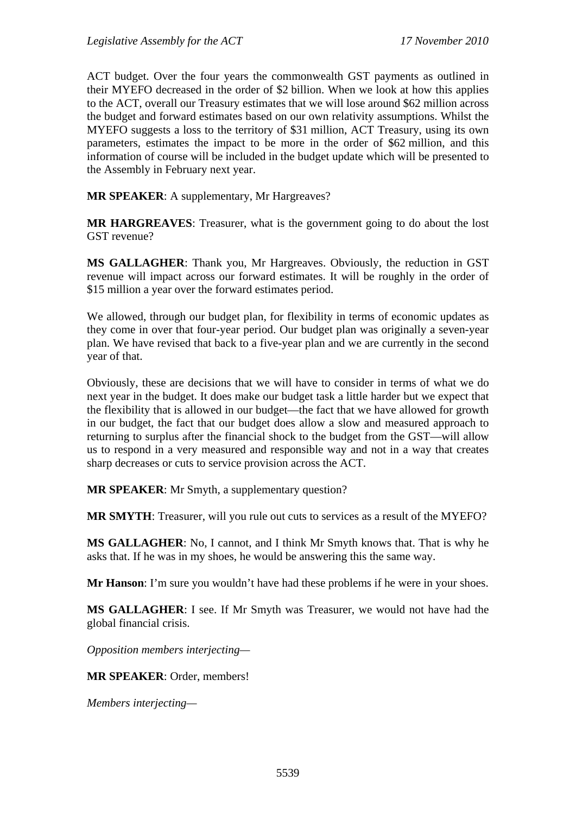ACT budget. Over the four years the commonwealth GST payments as outlined in their MYEFO decreased in the order of \$2 billion. When we look at how this applies to the ACT, overall our Treasury estimates that we will lose around \$62 million across the budget and forward estimates based on our own relativity assumptions. Whilst the MYEFO suggests a loss to the territory of \$31 million, ACT Treasury, using its own parameters, estimates the impact to be more in the order of \$62 million, and this information of course will be included in the budget update which will be presented to the Assembly in February next year.

**MR SPEAKER**: A supplementary, Mr Hargreaves?

**MR HARGREAVES**: Treasurer, what is the government going to do about the lost GST revenue?

**MS GALLAGHER**: Thank you, Mr Hargreaves. Obviously, the reduction in GST revenue will impact across our forward estimates. It will be roughly in the order of \$15 million a year over the forward estimates period.

We allowed, through our budget plan, for flexibility in terms of economic updates as they come in over that four-year period. Our budget plan was originally a seven-year plan. We have revised that back to a five-year plan and we are currently in the second year of that.

Obviously, these are decisions that we will have to consider in terms of what we do next year in the budget. It does make our budget task a little harder but we expect that the flexibility that is allowed in our budget—the fact that we have allowed for growth in our budget, the fact that our budget does allow a slow and measured approach to returning to surplus after the financial shock to the budget from the GST—will allow us to respond in a very measured and responsible way and not in a way that creates sharp decreases or cuts to service provision across the ACT.

**MR SPEAKER**: Mr Smyth, a supplementary question?

**MR SMYTH**: Treasurer, will you rule out cuts to services as a result of the MYEFO?

**MS GALLAGHER**: No, I cannot, and I think Mr Smyth knows that. That is why he asks that. If he was in my shoes, he would be answering this the same way.

**Mr Hanson**: I'm sure you wouldn't have had these problems if he were in your shoes.

**MS GALLAGHER**: I see. If Mr Smyth was Treasurer, we would not have had the global financial crisis.

*Opposition members interjecting—* 

**MR SPEAKER**: Order, members!

*Members interjecting—*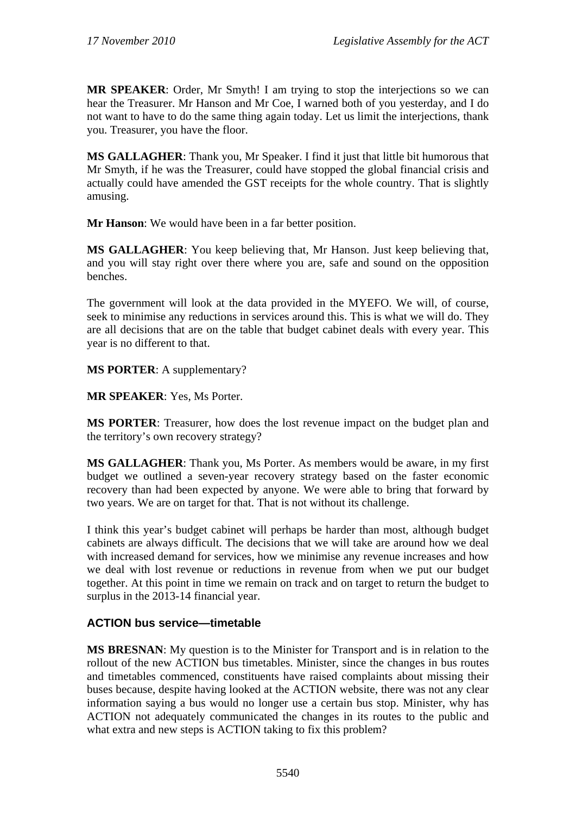**MR SPEAKER**: Order, Mr Smyth! I am trying to stop the interjections so we can hear the Treasurer. Mr Hanson and Mr Coe, I warned both of you yesterday, and I do not want to have to do the same thing again today. Let us limit the interjections, thank you. Treasurer, you have the floor.

**MS GALLAGHER**: Thank you, Mr Speaker. I find it just that little bit humorous that Mr Smyth, if he was the Treasurer, could have stopped the global financial crisis and actually could have amended the GST receipts for the whole country. That is slightly amusing.

**Mr Hanson**: We would have been in a far better position.

**MS GALLAGHER**: You keep believing that, Mr Hanson. Just keep believing that, and you will stay right over there where you are, safe and sound on the opposition benches.

The government will look at the data provided in the MYEFO. We will, of course, seek to minimise any reductions in services around this. This is what we will do. They are all decisions that are on the table that budget cabinet deals with every year. This year is no different to that.

**MS PORTER**: A supplementary?

**MR SPEAKER**: Yes, Ms Porter.

**MS PORTER**: Treasurer, how does the lost revenue impact on the budget plan and the territory's own recovery strategy?

**MS GALLAGHER**: Thank you, Ms Porter. As members would be aware, in my first budget we outlined a seven-year recovery strategy based on the faster economic recovery than had been expected by anyone. We were able to bring that forward by two years. We are on target for that. That is not without its challenge.

I think this year's budget cabinet will perhaps be harder than most, although budget cabinets are always difficult. The decisions that we will take are around how we deal with increased demand for services, how we minimise any revenue increases and how we deal with lost revenue or reductions in revenue from when we put our budget together. At this point in time we remain on track and on target to return the budget to surplus in the 2013-14 financial year.

# **ACTION bus service—timetable**

**MS BRESNAN**: My question is to the Minister for Transport and is in relation to the rollout of the new ACTION bus timetables. Minister, since the changes in bus routes and timetables commenced, constituents have raised complaints about missing their buses because, despite having looked at the ACTION website, there was not any clear information saying a bus would no longer use a certain bus stop. Minister, why has ACTION not adequately communicated the changes in its routes to the public and what extra and new steps is ACTION taking to fix this problem?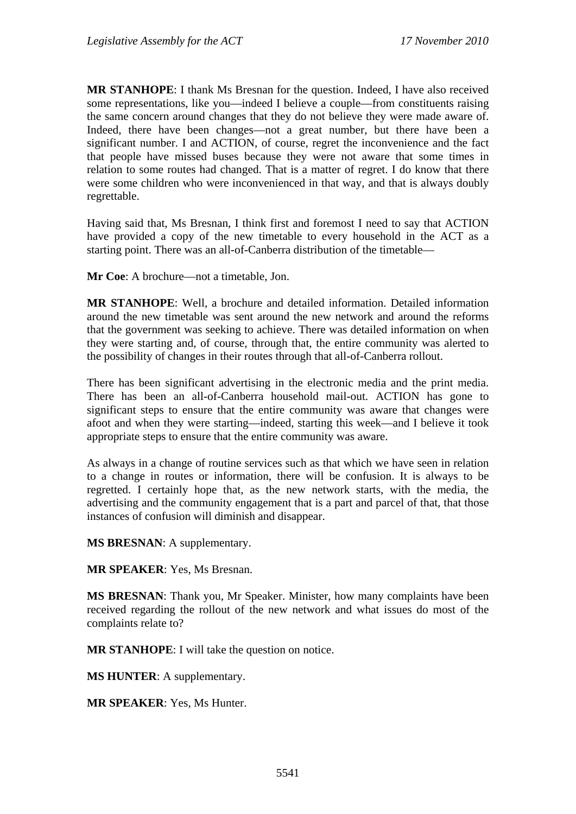**MR STANHOPE**: I thank Ms Bresnan for the question. Indeed, I have also received some representations, like you—indeed I believe a couple—from constituents raising the same concern around changes that they do not believe they were made aware of. Indeed, there have been changes—not a great number, but there have been a significant number. I and ACTION, of course, regret the inconvenience and the fact that people have missed buses because they were not aware that some times in relation to some routes had changed. That is a matter of regret. I do know that there were some children who were inconvenienced in that way, and that is always doubly regrettable.

Having said that, Ms Bresnan, I think first and foremost I need to say that ACTION have provided a copy of the new timetable to every household in the ACT as a starting point. There was an all-of-Canberra distribution of the timetable—

**Mr Coe**: A brochure—not a timetable, Jon.

**MR STANHOPE**: Well, a brochure and detailed information. Detailed information around the new timetable was sent around the new network and around the reforms that the government was seeking to achieve. There was detailed information on when they were starting and, of course, through that, the entire community was alerted to the possibility of changes in their routes through that all-of-Canberra rollout.

There has been significant advertising in the electronic media and the print media. There has been an all-of-Canberra household mail-out. ACTION has gone to significant steps to ensure that the entire community was aware that changes were afoot and when they were starting—indeed, starting this week—and I believe it took appropriate steps to ensure that the entire community was aware.

As always in a change of routine services such as that which we have seen in relation to a change in routes or information, there will be confusion. It is always to be regretted. I certainly hope that, as the new network starts, with the media, the advertising and the community engagement that is a part and parcel of that, that those instances of confusion will diminish and disappear.

**MS BRESNAN**: A supplementary.

**MR SPEAKER**: Yes, Ms Bresnan.

**MS BRESNAN**: Thank you, Mr Speaker. Minister, how many complaints have been received regarding the rollout of the new network and what issues do most of the complaints relate to?

**MR STANHOPE**: I will take the question on notice.

**MS HUNTER**: A supplementary.

**MR SPEAKER**: Yes, Ms Hunter.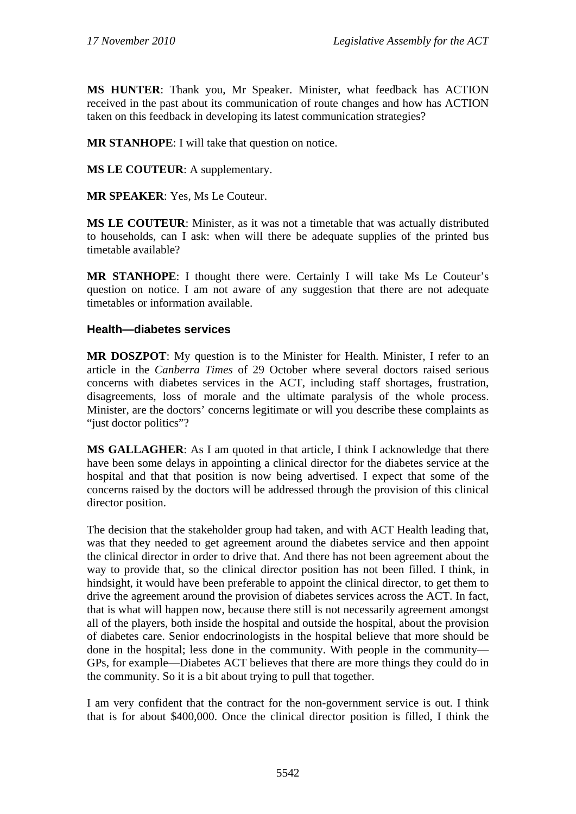**MS HUNTER**: Thank you, Mr Speaker. Minister, what feedback has ACTION received in the past about its communication of route changes and how has ACTION taken on this feedback in developing its latest communication strategies?

**MR STANHOPE**: I will take that question on notice.

**MS LE COUTEUR**: A supplementary.

**MR SPEAKER**: Yes, Ms Le Couteur.

**MS LE COUTEUR**: Minister, as it was not a timetable that was actually distributed to households, can I ask: when will there be adequate supplies of the printed bus timetable available?

**MR STANHOPE**: I thought there were. Certainly I will take Ms Le Couteur's question on notice. I am not aware of any suggestion that there are not adequate timetables or information available.

# **Health—diabetes services**

**MR DOSZPOT**: My question is to the Minister for Health. Minister, I refer to an article in the *Canberra Times* of 29 October where several doctors raised serious concerns with diabetes services in the ACT, including staff shortages, frustration, disagreements, loss of morale and the ultimate paralysis of the whole process. Minister, are the doctors' concerns legitimate or will you describe these complaints as "just doctor politics"?

**MS GALLAGHER**: As I am quoted in that article, I think I acknowledge that there have been some delays in appointing a clinical director for the diabetes service at the hospital and that that position is now being advertised. I expect that some of the concerns raised by the doctors will be addressed through the provision of this clinical director position.

The decision that the stakeholder group had taken, and with ACT Health leading that, was that they needed to get agreement around the diabetes service and then appoint the clinical director in order to drive that. And there has not been agreement about the way to provide that, so the clinical director position has not been filled. I think, in hindsight, it would have been preferable to appoint the clinical director, to get them to drive the agreement around the provision of diabetes services across the ACT. In fact, that is what will happen now, because there still is not necessarily agreement amongst all of the players, both inside the hospital and outside the hospital, about the provision of diabetes care. Senior endocrinologists in the hospital believe that more should be done in the hospital; less done in the community. With people in the community— GPs, for example—Diabetes ACT believes that there are more things they could do in the community. So it is a bit about trying to pull that together.

I am very confident that the contract for the non-government service is out. I think that is for about \$400,000. Once the clinical director position is filled, I think the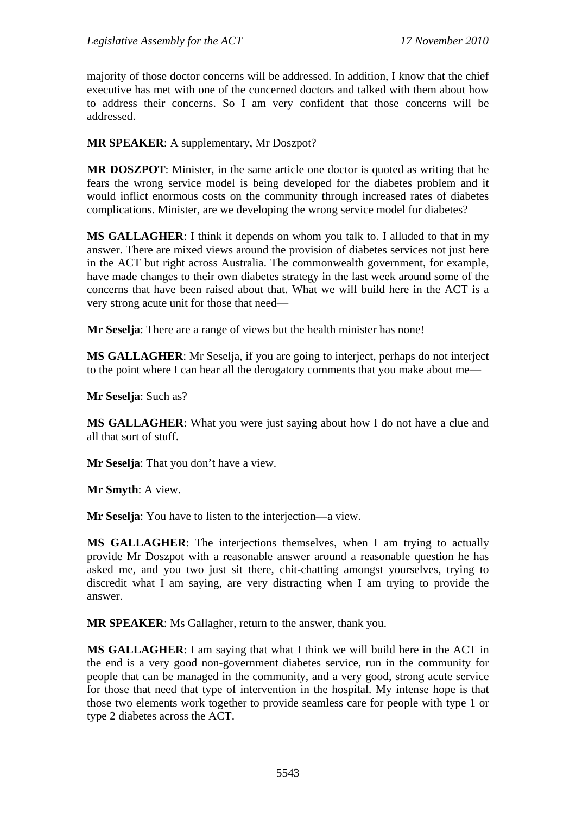majority of those doctor concerns will be addressed. In addition, I know that the chief executive has met with one of the concerned doctors and talked with them about how to address their concerns. So I am very confident that those concerns will be addressed.

**MR SPEAKER**: A supplementary, Mr Doszpot?

**MR DOSZPOT**: Minister, in the same article one doctor is quoted as writing that he fears the wrong service model is being developed for the diabetes problem and it would inflict enormous costs on the community through increased rates of diabetes complications. Minister, are we developing the wrong service model for diabetes?

**MS GALLAGHER**: I think it depends on whom you talk to. I alluded to that in my answer. There are mixed views around the provision of diabetes services not just here in the ACT but right across Australia. The commonwealth government, for example, have made changes to their own diabetes strategy in the last week around some of the concerns that have been raised about that. What we will build here in the ACT is a very strong acute unit for those that need—

**Mr Seselja**: There are a range of views but the health minister has none!

**MS GALLAGHER**: Mr Seselja, if you are going to interject, perhaps do not interject to the point where I can hear all the derogatory comments that you make about me—

**Mr Seselja**: Such as?

**MS GALLAGHER**: What you were just saying about how I do not have a clue and all that sort of stuff.

**Mr Seselja**: That you don't have a view.

**Mr Smyth**: A view.

**Mr Seselja**: You have to listen to the interjection—a view.

**MS GALLAGHER**: The interjections themselves, when I am trying to actually provide Mr Doszpot with a reasonable answer around a reasonable question he has asked me, and you two just sit there, chit-chatting amongst yourselves, trying to discredit what I am saying, are very distracting when I am trying to provide the answer.

**MR SPEAKER**: Ms Gallagher, return to the answer, thank you.

**MS GALLAGHER**: I am saying that what I think we will build here in the ACT in the end is a very good non-government diabetes service, run in the community for people that can be managed in the community, and a very good, strong acute service for those that need that type of intervention in the hospital. My intense hope is that those two elements work together to provide seamless care for people with type 1 or type 2 diabetes across the ACT.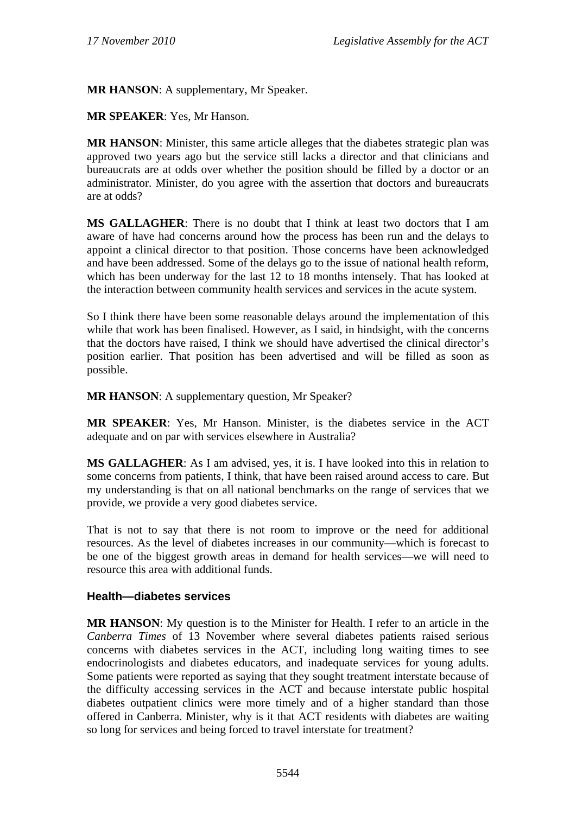**MR HANSON**: A supplementary, Mr Speaker.

**MR SPEAKER**: Yes, Mr Hanson.

**MR HANSON**: Minister, this same article alleges that the diabetes strategic plan was approved two years ago but the service still lacks a director and that clinicians and bureaucrats are at odds over whether the position should be filled by a doctor or an administrator. Minister, do you agree with the assertion that doctors and bureaucrats are at odds?

**MS GALLAGHER**: There is no doubt that I think at least two doctors that I am aware of have had concerns around how the process has been run and the delays to appoint a clinical director to that position. Those concerns have been acknowledged and have been addressed. Some of the delays go to the issue of national health reform, which has been underway for the last 12 to 18 months intensely. That has looked at the interaction between community health services and services in the acute system.

So I think there have been some reasonable delays around the implementation of this while that work has been finalised. However, as I said, in hindsight, with the concerns that the doctors have raised, I think we should have advertised the clinical director's position earlier. That position has been advertised and will be filled as soon as possible.

**MR HANSON**: A supplementary question, Mr Speaker?

**MR SPEAKER**: Yes, Mr Hanson. Minister, is the diabetes service in the ACT adequate and on par with services elsewhere in Australia?

**MS GALLAGHER**: As I am advised, yes, it is. I have looked into this in relation to some concerns from patients, I think, that have been raised around access to care. But my understanding is that on all national benchmarks on the range of services that we provide, we provide a very good diabetes service.

That is not to say that there is not room to improve or the need for additional resources. As the level of diabetes increases in our community—which is forecast to be one of the biggest growth areas in demand for health services—we will need to resource this area with additional funds.

#### **Health—diabetes services**

**MR HANSON**: My question is to the Minister for Health. I refer to an article in the *Canberra Times* of 13 November where several diabetes patients raised serious concerns with diabetes services in the ACT, including long waiting times to see endocrinologists and diabetes educators, and inadequate services for young adults. Some patients were reported as saying that they sought treatment interstate because of the difficulty accessing services in the ACT and because interstate public hospital diabetes outpatient clinics were more timely and of a higher standard than those offered in Canberra. Minister, why is it that ACT residents with diabetes are waiting so long for services and being forced to travel interstate for treatment?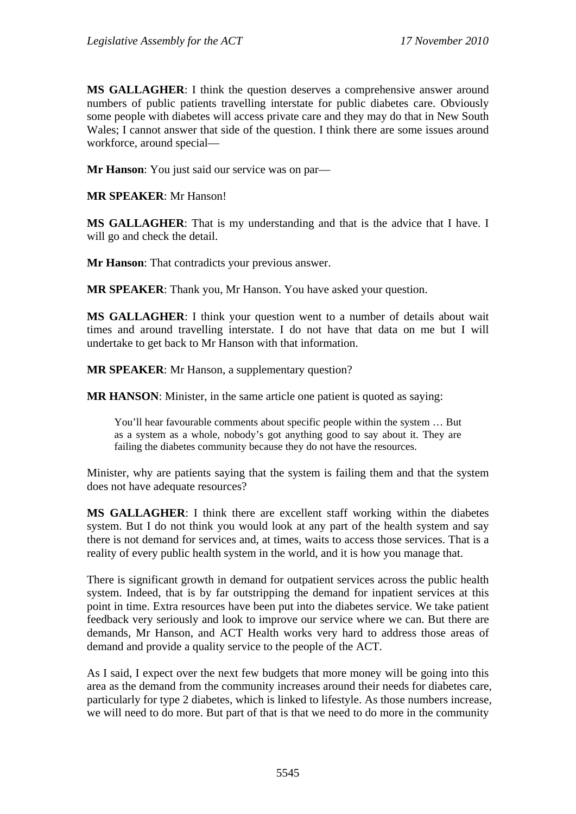**MS GALLAGHER**: I think the question deserves a comprehensive answer around numbers of public patients travelling interstate for public diabetes care. Obviously some people with diabetes will access private care and they may do that in New South Wales; I cannot answer that side of the question. I think there are some issues around workforce, around special—

**Mr Hanson**: You just said our service was on par—

**MR SPEAKER**: Mr Hanson!

**MS GALLAGHER**: That is my understanding and that is the advice that I have. I will go and check the detail.

**Mr Hanson**: That contradicts your previous answer.

**MR SPEAKER**: Thank you, Mr Hanson. You have asked your question.

**MS GALLAGHER**: I think your question went to a number of details about wait times and around travelling interstate. I do not have that data on me but I will undertake to get back to Mr Hanson with that information.

**MR SPEAKER**: Mr Hanson, a supplementary question?

**MR HANSON**: Minister, in the same article one patient is quoted as saying:

You'll hear favourable comments about specific people within the system … But as a system as a whole, nobody's got anything good to say about it. They are failing the diabetes community because they do not have the resources.

Minister, why are patients saying that the system is failing them and that the system does not have adequate resources?

**MS GALLAGHER**: I think there are excellent staff working within the diabetes system. But I do not think you would look at any part of the health system and say there is not demand for services and, at times, waits to access those services. That is a reality of every public health system in the world, and it is how you manage that.

There is significant growth in demand for outpatient services across the public health system. Indeed, that is by far outstripping the demand for inpatient services at this point in time. Extra resources have been put into the diabetes service. We take patient feedback very seriously and look to improve our service where we can. But there are demands, Mr Hanson, and ACT Health works very hard to address those areas of demand and provide a quality service to the people of the ACT.

As I said, I expect over the next few budgets that more money will be going into this area as the demand from the community increases around their needs for diabetes care, particularly for type 2 diabetes, which is linked to lifestyle. As those numbers increase, we will need to do more. But part of that is that we need to do more in the community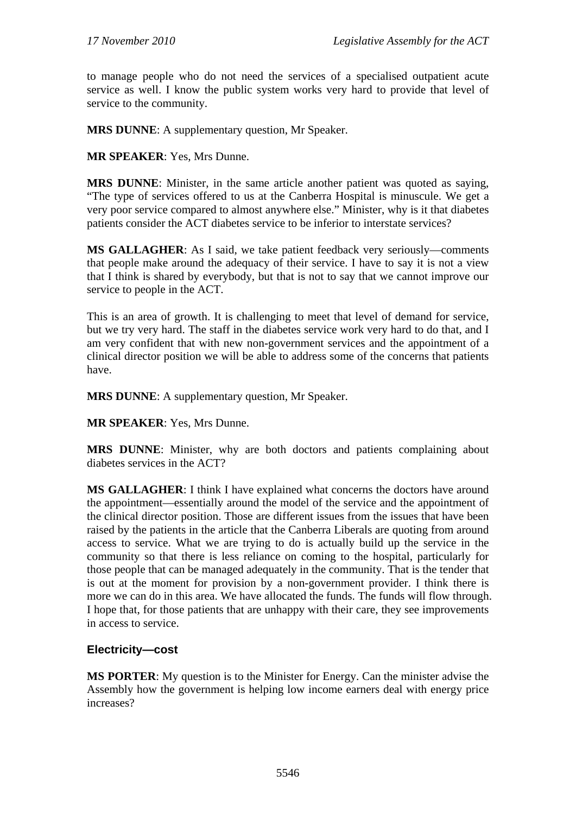to manage people who do not need the services of a specialised outpatient acute service as well. I know the public system works very hard to provide that level of service to the community.

**MRS DUNNE**: A supplementary question, Mr Speaker.

**MR SPEAKER**: Yes, Mrs Dunne.

**MRS DUNNE**: Minister, in the same article another patient was quoted as saying, "The type of services offered to us at the Canberra Hospital is minuscule. We get a very poor service compared to almost anywhere else." Minister, why is it that diabetes patients consider the ACT diabetes service to be inferior to interstate services?

**MS GALLAGHER**: As I said, we take patient feedback very seriously—comments that people make around the adequacy of their service. I have to say it is not a view that I think is shared by everybody, but that is not to say that we cannot improve our service to people in the ACT.

This is an area of growth. It is challenging to meet that level of demand for service, but we try very hard. The staff in the diabetes service work very hard to do that, and I am very confident that with new non-government services and the appointment of a clinical director position we will be able to address some of the concerns that patients have.

**MRS DUNNE**: A supplementary question, Mr Speaker.

**MR SPEAKER**: Yes, Mrs Dunne.

**MRS DUNNE**: Minister, why are both doctors and patients complaining about diabetes services in the ACT?

**MS GALLAGHER**: I think I have explained what concerns the doctors have around the appointment—essentially around the model of the service and the appointment of the clinical director position. Those are different issues from the issues that have been raised by the patients in the article that the Canberra Liberals are quoting from around access to service. What we are trying to do is actually build up the service in the community so that there is less reliance on coming to the hospital, particularly for those people that can be managed adequately in the community. That is the tender that is out at the moment for provision by a non-government provider. I think there is more we can do in this area. We have allocated the funds. The funds will flow through. I hope that, for those patients that are unhappy with their care, they see improvements in access to service.

#### **Electricity—cost**

**MS PORTER**: My question is to the Minister for Energy. Can the minister advise the Assembly how the government is helping low income earners deal with energy price increases?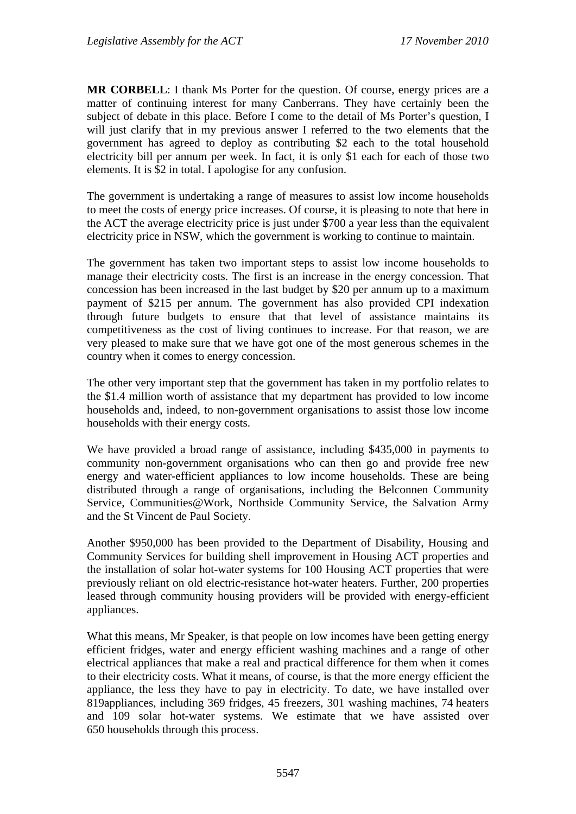**MR CORBELL**: I thank Ms Porter for the question. Of course, energy prices are a matter of continuing interest for many Canberrans. They have certainly been the subject of debate in this place. Before I come to the detail of Ms Porter's question, I will just clarify that in my previous answer I referred to the two elements that the government has agreed to deploy as contributing \$2 each to the total household electricity bill per annum per week. In fact, it is only \$1 each for each of those two elements. It is \$2 in total. I apologise for any confusion.

The government is undertaking a range of measures to assist low income households to meet the costs of energy price increases. Of course, it is pleasing to note that here in the ACT the average electricity price is just under \$700 a year less than the equivalent electricity price in NSW, which the government is working to continue to maintain.

The government has taken two important steps to assist low income households to manage their electricity costs. The first is an increase in the energy concession. That concession has been increased in the last budget by \$20 per annum up to a maximum payment of \$215 per annum. The government has also provided CPI indexation through future budgets to ensure that that level of assistance maintains its competitiveness as the cost of living continues to increase. For that reason, we are very pleased to make sure that we have got one of the most generous schemes in the country when it comes to energy concession.

The other very important step that the government has taken in my portfolio relates to the \$1.4 million worth of assistance that my department has provided to low income households and, indeed, to non-government organisations to assist those low income households with their energy costs.

We have provided a broad range of assistance, including \$435,000 in payments to community non-government organisations who can then go and provide free new energy and water-efficient appliances to low income households. These are being distributed through a range of organisations, including the Belconnen Community Service, Communities@Work, Northside Community Service, the Salvation Army and the St Vincent de Paul Society.

Another \$950,000 has been provided to the Department of Disability, Housing and Community Services for building shell improvement in Housing ACT properties and the installation of solar hot-water systems for 100 Housing ACT properties that were previously reliant on old electric-resistance hot-water heaters. Further, 200 properties leased through community housing providers will be provided with energy-efficient appliances.

What this means, Mr Speaker, is that people on low incomes have been getting energy efficient fridges, water and energy efficient washing machines and a range of other electrical appliances that make a real and practical difference for them when it comes to their electricity costs. What it means, of course, is that the more energy efficient the appliance, the less they have to pay in electricity. To date, we have installed over 819appliances, including 369 fridges, 45 freezers, 301 washing machines, 74 heaters and 109 solar hot-water systems. We estimate that we have assisted over 650 households through this process.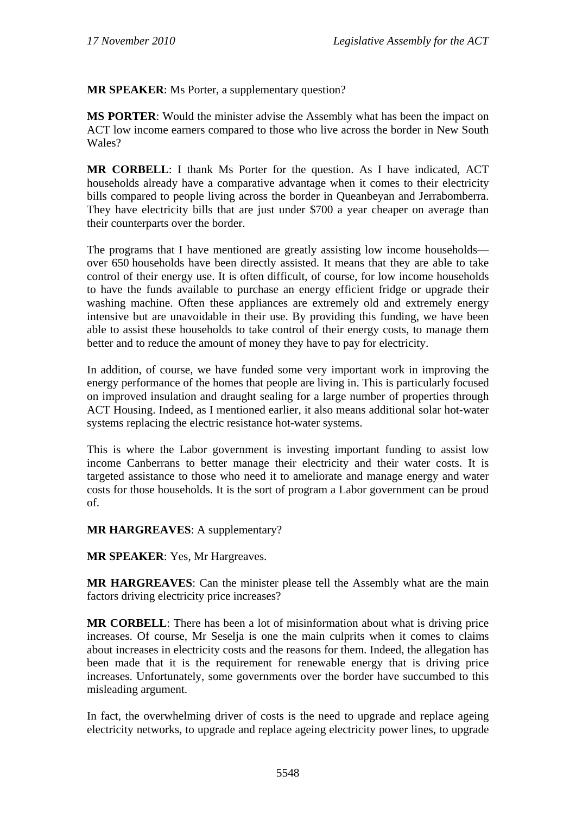**MR SPEAKER**: Ms Porter, a supplementary question?

**MS PORTER**: Would the minister advise the Assembly what has been the impact on ACT low income earners compared to those who live across the border in New South Wales?

**MR CORBELL**: I thank Ms Porter for the question. As I have indicated, ACT households already have a comparative advantage when it comes to their electricity bills compared to people living across the border in Queanbeyan and Jerrabomberra. They have electricity bills that are just under \$700 a year cheaper on average than their counterparts over the border.

The programs that I have mentioned are greatly assisting low income households over 650 households have been directly assisted. It means that they are able to take control of their energy use. It is often difficult, of course, for low income households to have the funds available to purchase an energy efficient fridge or upgrade their washing machine. Often these appliances are extremely old and extremely energy intensive but are unavoidable in their use. By providing this funding, we have been able to assist these households to take control of their energy costs, to manage them better and to reduce the amount of money they have to pay for electricity.

In addition, of course, we have funded some very important work in improving the energy performance of the homes that people are living in. This is particularly focused on improved insulation and draught sealing for a large number of properties through ACT Housing. Indeed, as I mentioned earlier, it also means additional solar hot-water systems replacing the electric resistance hot-water systems.

This is where the Labor government is investing important funding to assist low income Canberrans to better manage their electricity and their water costs. It is targeted assistance to those who need it to ameliorate and manage energy and water costs for those households. It is the sort of program a Labor government can be proud of.

**MR HARGREAVES**: A supplementary?

**MR SPEAKER**: Yes, Mr Hargreaves.

**MR HARGREAVES**: Can the minister please tell the Assembly what are the main factors driving electricity price increases?

**MR CORBELL**: There has been a lot of misinformation about what is driving price increases. Of course, Mr Seselja is one the main culprits when it comes to claims about increases in electricity costs and the reasons for them. Indeed, the allegation has been made that it is the requirement for renewable energy that is driving price increases. Unfortunately, some governments over the border have succumbed to this misleading argument.

In fact, the overwhelming driver of costs is the need to upgrade and replace ageing electricity networks, to upgrade and replace ageing electricity power lines, to upgrade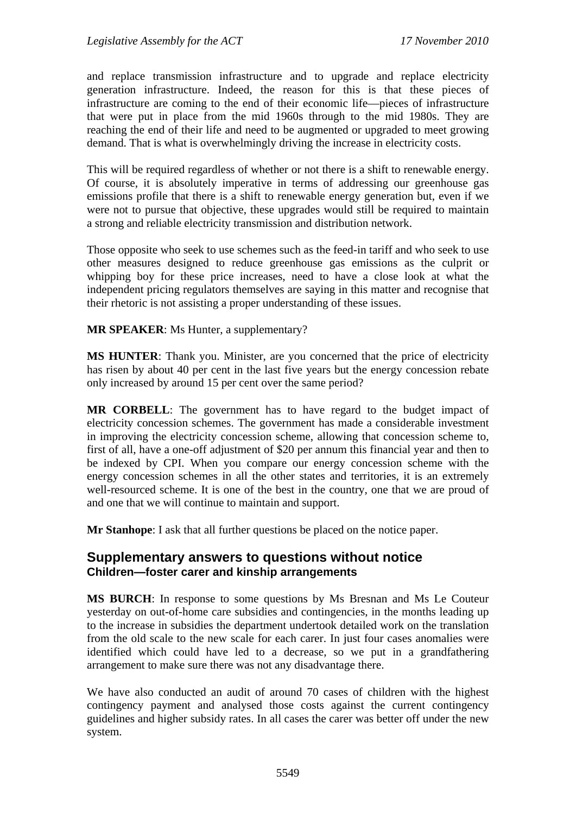and replace transmission infrastructure and to upgrade and replace electricity generation infrastructure. Indeed, the reason for this is that these pieces of infrastructure are coming to the end of their economic life—pieces of infrastructure that were put in place from the mid 1960s through to the mid 1980s. They are reaching the end of their life and need to be augmented or upgraded to meet growing demand. That is what is overwhelmingly driving the increase in electricity costs.

This will be required regardless of whether or not there is a shift to renewable energy. Of course, it is absolutely imperative in terms of addressing our greenhouse gas emissions profile that there is a shift to renewable energy generation but, even if we were not to pursue that objective, these upgrades would still be required to maintain a strong and reliable electricity transmission and distribution network.

Those opposite who seek to use schemes such as the feed-in tariff and who seek to use other measures designed to reduce greenhouse gas emissions as the culprit or whipping boy for these price increases, need to have a close look at what the independent pricing regulators themselves are saying in this matter and recognise that their rhetoric is not assisting a proper understanding of these issues.

**MR SPEAKER**: Ms Hunter, a supplementary?

**MS HUNTER**: Thank you. Minister, are you concerned that the price of electricity has risen by about 40 per cent in the last five years but the energy concession rebate only increased by around 15 per cent over the same period?

**MR CORBELL**: The government has to have regard to the budget impact of electricity concession schemes. The government has made a considerable investment in improving the electricity concession scheme, allowing that concession scheme to, first of all, have a one-off adjustment of \$20 per annum this financial year and then to be indexed by CPI. When you compare our energy concession scheme with the energy concession schemes in all the other states and territories, it is an extremely well-resourced scheme. It is one of the best in the country, one that we are proud of and one that we will continue to maintain and support.

**Mr Stanhope**: I ask that all further questions be placed on the notice paper.

# **Supplementary answers to questions without notice Children—foster carer and kinship arrangements**

**MS BURCH**: In response to some questions by Ms Bresnan and Ms Le Couteur yesterday on out-of-home care subsidies and contingencies, in the months leading up to the increase in subsidies the department undertook detailed work on the translation from the old scale to the new scale for each carer. In just four cases anomalies were identified which could have led to a decrease, so we put in a grandfathering arrangement to make sure there was not any disadvantage there.

We have also conducted an audit of around 70 cases of children with the highest contingency payment and analysed those costs against the current contingency guidelines and higher subsidy rates. In all cases the carer was better off under the new system.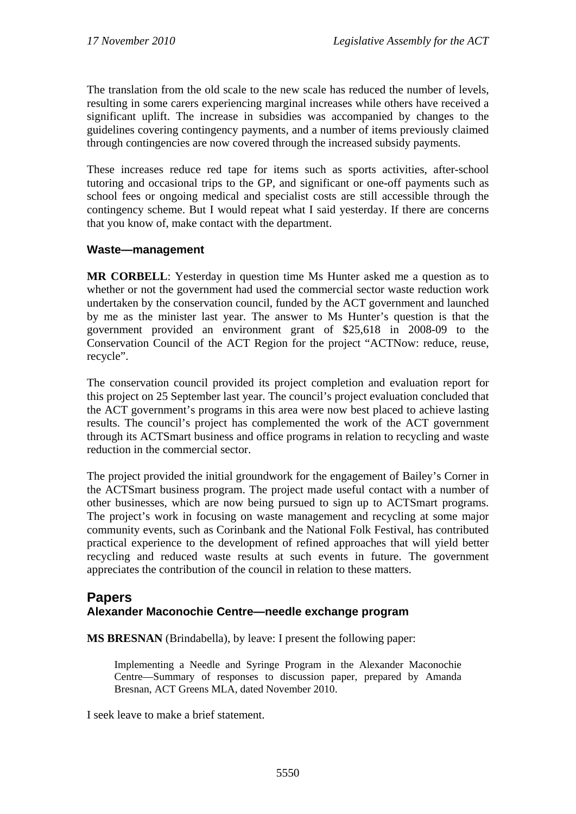The translation from the old scale to the new scale has reduced the number of levels, resulting in some carers experiencing marginal increases while others have received a significant uplift. The increase in subsidies was accompanied by changes to the guidelines covering contingency payments, and a number of items previously claimed through contingencies are now covered through the increased subsidy payments.

These increases reduce red tape for items such as sports activities, after-school tutoring and occasional trips to the GP, and significant or one-off payments such as school fees or ongoing medical and specialist costs are still accessible through the contingency scheme. But I would repeat what I said yesterday. If there are concerns that you know of, make contact with the department.

# **Waste—management**

**MR CORBELL**: Yesterday in question time Ms Hunter asked me a question as to whether or not the government had used the commercial sector waste reduction work undertaken by the conservation council, funded by the ACT government and launched by me as the minister last year. The answer to Ms Hunter's question is that the government provided an environment grant of \$25,618 in 2008-09 to the Conservation Council of the ACT Region for the project "ACTNow: reduce, reuse, recycle".

The conservation council provided its project completion and evaluation report for this project on 25 September last year. The council's project evaluation concluded that the ACT government's programs in this area were now best placed to achieve lasting results. The council's project has complemented the work of the ACT government through its ACTSmart business and office programs in relation to recycling and waste reduction in the commercial sector.

The project provided the initial groundwork for the engagement of Bailey's Corner in the ACTSmart business program. The project made useful contact with a number of other businesses, which are now being pursued to sign up to ACTSmart programs. The project's work in focusing on waste management and recycling at some major community events, such as Corinbank and the National Folk Festival, has contributed practical experience to the development of refined approaches that will yield better recycling and reduced waste results at such events in future. The government appreciates the contribution of the council in relation to these matters.

# **Papers Alexander Maconochie Centre—needle exchange program**

**MS BRESNAN** (Brindabella), by leave: I present the following paper:

Implementing a Needle and Syringe Program in the Alexander Maconochie Centre—Summary of responses to discussion paper, prepared by Amanda Bresnan, ACT Greens MLA, dated November 2010.

I seek leave to make a brief statement.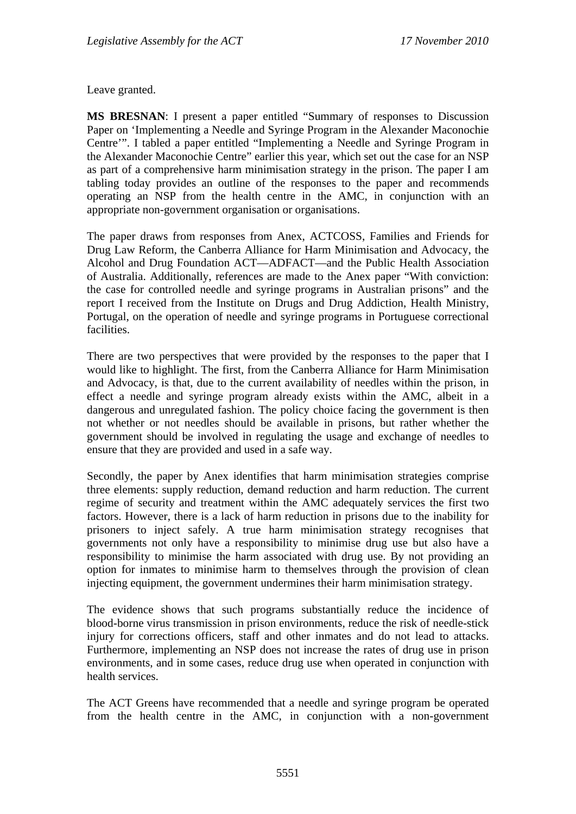Leave granted.

**MS BRESNAN**: I present a paper entitled "Summary of responses to Discussion Paper on 'Implementing a Needle and Syringe Program in the Alexander Maconochie Centre'". I tabled a paper entitled "Implementing a Needle and Syringe Program in the Alexander Maconochie Centre" earlier this year, which set out the case for an NSP as part of a comprehensive harm minimisation strategy in the prison. The paper I am tabling today provides an outline of the responses to the paper and recommends operating an NSP from the health centre in the AMC, in conjunction with an appropriate non-government organisation or organisations.

The paper draws from responses from Anex, ACTCOSS, Families and Friends for Drug Law Reform, the Canberra Alliance for Harm Minimisation and Advocacy, the Alcohol and Drug Foundation ACT—ADFACT—and the Public Health Association of Australia. Additionally, references are made to the Anex paper "With conviction: the case for controlled needle and syringe programs in Australian prisons" and the report I received from the Institute on Drugs and Drug Addiction, Health Ministry, Portugal, on the operation of needle and syringe programs in Portuguese correctional facilities.

There are two perspectives that were provided by the responses to the paper that I would like to highlight. The first, from the Canberra Alliance for Harm Minimisation and Advocacy, is that, due to the current availability of needles within the prison, in effect a needle and syringe program already exists within the AMC, albeit in a dangerous and unregulated fashion. The policy choice facing the government is then not whether or not needles should be available in prisons, but rather whether the government should be involved in regulating the usage and exchange of needles to ensure that they are provided and used in a safe way.

Secondly, the paper by Anex identifies that harm minimisation strategies comprise three elements: supply reduction, demand reduction and harm reduction. The current regime of security and treatment within the AMC adequately services the first two factors. However, there is a lack of harm reduction in prisons due to the inability for prisoners to inject safely. A true harm minimisation strategy recognises that governments not only have a responsibility to minimise drug use but also have a responsibility to minimise the harm associated with drug use. By not providing an option for inmates to minimise harm to themselves through the provision of clean injecting equipment, the government undermines their harm minimisation strategy.

The evidence shows that such programs substantially reduce the incidence of blood-borne virus transmission in prison environments, reduce the risk of needle-stick injury for corrections officers, staff and other inmates and do not lead to attacks. Furthermore, implementing an NSP does not increase the rates of drug use in prison environments, and in some cases, reduce drug use when operated in conjunction with health services.

The ACT Greens have recommended that a needle and syringe program be operated from the health centre in the AMC, in conjunction with a non-government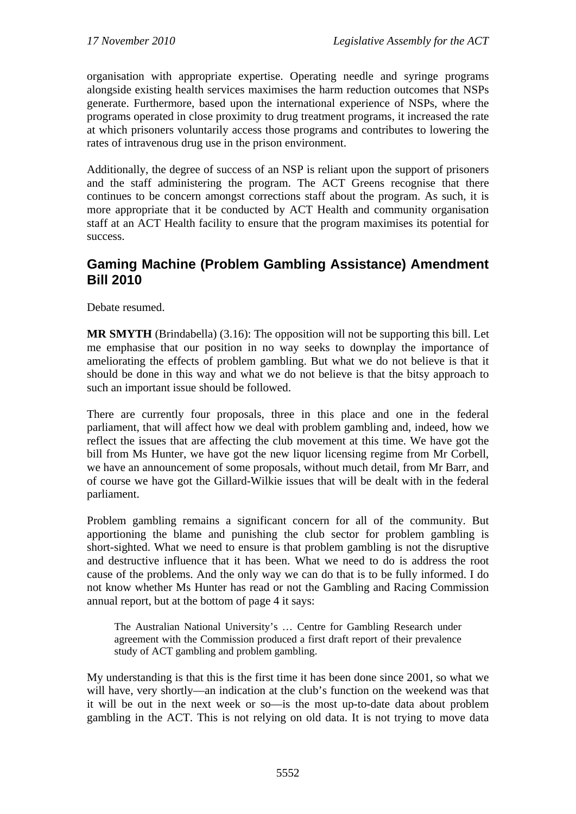organisation with appropriate expertise. Operating needle and syringe programs alongside existing health services maximises the harm reduction outcomes that NSPs generate. Furthermore, based upon the international experience of NSPs, where the programs operated in close proximity to drug treatment programs, it increased the rate at which prisoners voluntarily access those programs and contributes to lowering the rates of intravenous drug use in the prison environment.

Additionally, the degree of success of an NSP is reliant upon the support of prisoners and the staff administering the program. The ACT Greens recognise that there continues to be concern amongst corrections staff about the program. As such, it is more appropriate that it be conducted by ACT Health and community organisation staff at an ACT Health facility to ensure that the program maximises its potential for success.

# **Gaming Machine (Problem Gambling Assistance) Amendment Bill 2010**

Debate resumed.

**MR SMYTH** (Brindabella) (3.16): The opposition will not be supporting this bill. Let me emphasise that our position in no way seeks to downplay the importance of ameliorating the effects of problem gambling. But what we do not believe is that it should be done in this way and what we do not believe is that the bitsy approach to such an important issue should be followed.

There are currently four proposals, three in this place and one in the federal parliament, that will affect how we deal with problem gambling and, indeed, how we reflect the issues that are affecting the club movement at this time. We have got the bill from Ms Hunter, we have got the new liquor licensing regime from Mr Corbell, we have an announcement of some proposals, without much detail, from Mr Barr, and of course we have got the Gillard-Wilkie issues that will be dealt with in the federal parliament.

Problem gambling remains a significant concern for all of the community. But apportioning the blame and punishing the club sector for problem gambling is short-sighted. What we need to ensure is that problem gambling is not the disruptive and destructive influence that it has been. What we need to do is address the root cause of the problems. And the only way we can do that is to be fully informed. I do not know whether Ms Hunter has read or not the Gambling and Racing Commission annual report, but at the bottom of page 4 it says:

The Australian National University's … Centre for Gambling Research under agreement with the Commission produced a first draft report of their prevalence study of ACT gambling and problem gambling.

My understanding is that this is the first time it has been done since 2001, so what we will have, very shortly—an indication at the club's function on the weekend was that it will be out in the next week or so—is the most up-to-date data about problem gambling in the ACT. This is not relying on old data. It is not trying to move data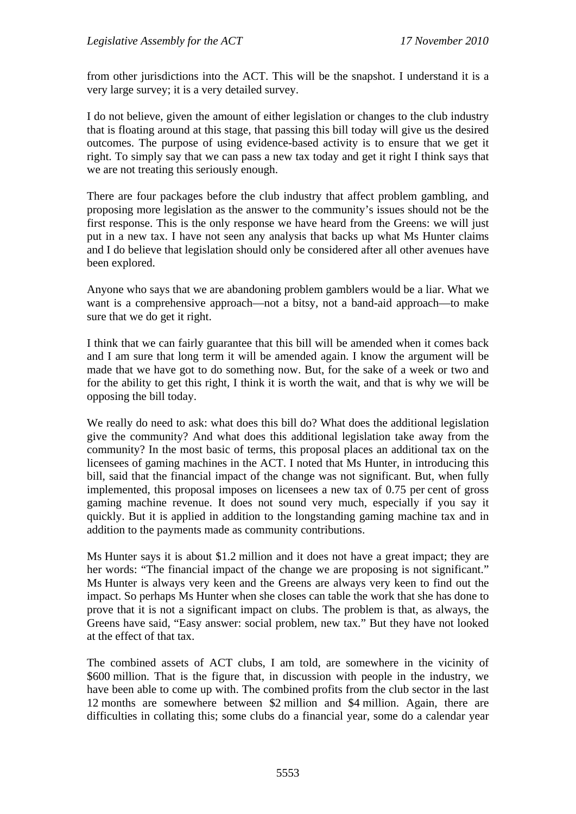from other jurisdictions into the ACT. This will be the snapshot. I understand it is a very large survey; it is a very detailed survey.

I do not believe, given the amount of either legislation or changes to the club industry that is floating around at this stage, that passing this bill today will give us the desired outcomes. The purpose of using evidence-based activity is to ensure that we get it right. To simply say that we can pass a new tax today and get it right I think says that we are not treating this seriously enough.

There are four packages before the club industry that affect problem gambling, and proposing more legislation as the answer to the community's issues should not be the first response. This is the only response we have heard from the Greens: we will just put in a new tax. I have not seen any analysis that backs up what Ms Hunter claims and I do believe that legislation should only be considered after all other avenues have been explored.

Anyone who says that we are abandoning problem gamblers would be a liar. What we want is a comprehensive approach—not a bitsy, not a band-aid approach—to make sure that we do get it right.

I think that we can fairly guarantee that this bill will be amended when it comes back and I am sure that long term it will be amended again. I know the argument will be made that we have got to do something now. But, for the sake of a week or two and for the ability to get this right, I think it is worth the wait, and that is why we will be opposing the bill today.

We really do need to ask: what does this bill do? What does the additional legislation give the community? And what does this additional legislation take away from the community? In the most basic of terms, this proposal places an additional tax on the licensees of gaming machines in the ACT. I noted that Ms Hunter, in introducing this bill, said that the financial impact of the change was not significant. But, when fully implemented, this proposal imposes on licensees a new tax of 0.75 per cent of gross gaming machine revenue. It does not sound very much, especially if you say it quickly. But it is applied in addition to the longstanding gaming machine tax and in addition to the payments made as community contributions.

Ms Hunter says it is about \$1.2 million and it does not have a great impact; they are her words: "The financial impact of the change we are proposing is not significant." Ms Hunter is always very keen and the Greens are always very keen to find out the impact. So perhaps Ms Hunter when she closes can table the work that she has done to prove that it is not a significant impact on clubs. The problem is that, as always, the Greens have said, "Easy answer: social problem, new tax." But they have not looked at the effect of that tax.

The combined assets of ACT clubs, I am told, are somewhere in the vicinity of \$600 million. That is the figure that, in discussion with people in the industry, we have been able to come up with. The combined profits from the club sector in the last 12 months are somewhere between \$2 million and \$4 million. Again, there are difficulties in collating this; some clubs do a financial year, some do a calendar year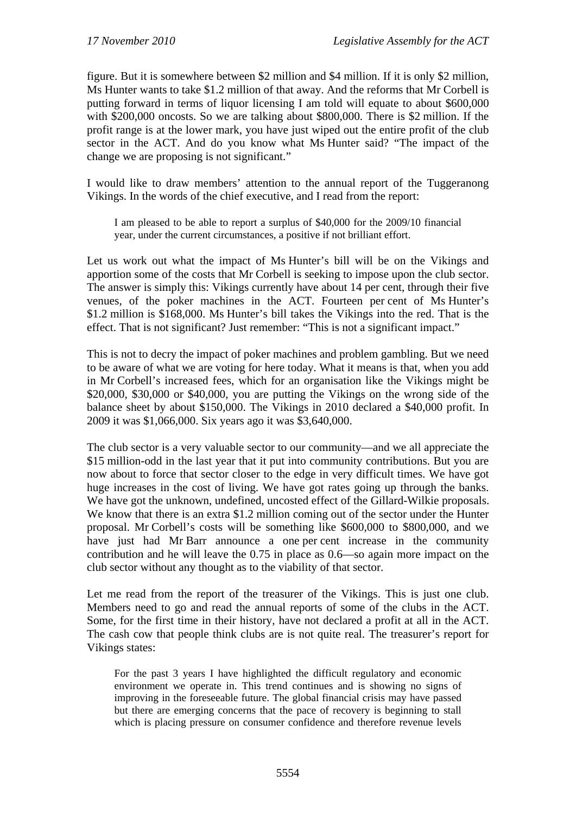figure. But it is somewhere between \$2 million and \$4 million. If it is only \$2 million, Ms Hunter wants to take \$1.2 million of that away. And the reforms that Mr Corbell is putting forward in terms of liquor licensing I am told will equate to about \$600,000 with \$200,000 oncosts. So we are talking about \$800,000. There is \$2 million. If the profit range is at the lower mark, you have just wiped out the entire profit of the club sector in the ACT. And do you know what Ms Hunter said? "The impact of the change we are proposing is not significant."

I would like to draw members' attention to the annual report of the Tuggeranong Vikings. In the words of the chief executive, and I read from the report:

I am pleased to be able to report a surplus of \$40,000 for the 2009/10 financial year, under the current circumstances, a positive if not brilliant effort.

Let us work out what the impact of Ms Hunter's bill will be on the Vikings and apportion some of the costs that Mr Corbell is seeking to impose upon the club sector. The answer is simply this: Vikings currently have about 14 per cent, through their five venues, of the poker machines in the ACT. Fourteen per cent of Ms Hunter's \$1.2 million is \$168,000. Ms Hunter's bill takes the Vikings into the red. That is the effect. That is not significant? Just remember: "This is not a significant impact."

This is not to decry the impact of poker machines and problem gambling. But we need to be aware of what we are voting for here today. What it means is that, when you add in Mr Corbell's increased fees, which for an organisation like the Vikings might be \$20,000, \$30,000 or \$40,000, you are putting the Vikings on the wrong side of the balance sheet by about \$150,000. The Vikings in 2010 declared a \$40,000 profit. In 2009 it was \$1,066,000. Six years ago it was \$3,640,000.

The club sector is a very valuable sector to our community—and we all appreciate the \$15 million-odd in the last year that it put into community contributions. But you are now about to force that sector closer to the edge in very difficult times. We have got huge increases in the cost of living. We have got rates going up through the banks. We have got the unknown, undefined, uncosted effect of the Gillard-Wilkie proposals. We know that there is an extra \$1.2 million coming out of the sector under the Hunter proposal. Mr Corbell's costs will be something like \$600,000 to \$800,000, and we have just had Mr Barr announce a one per cent increase in the community contribution and he will leave the 0.75 in place as 0.6—so again more impact on the club sector without any thought as to the viability of that sector.

Let me read from the report of the treasurer of the Vikings. This is just one club. Members need to go and read the annual reports of some of the clubs in the ACT. Some, for the first time in their history, have not declared a profit at all in the ACT. The cash cow that people think clubs are is not quite real. The treasurer's report for Vikings states:

For the past 3 years I have highlighted the difficult regulatory and economic environment we operate in. This trend continues and is showing no signs of improving in the foreseeable future. The global financial crisis may have passed but there are emerging concerns that the pace of recovery is beginning to stall which is placing pressure on consumer confidence and therefore revenue levels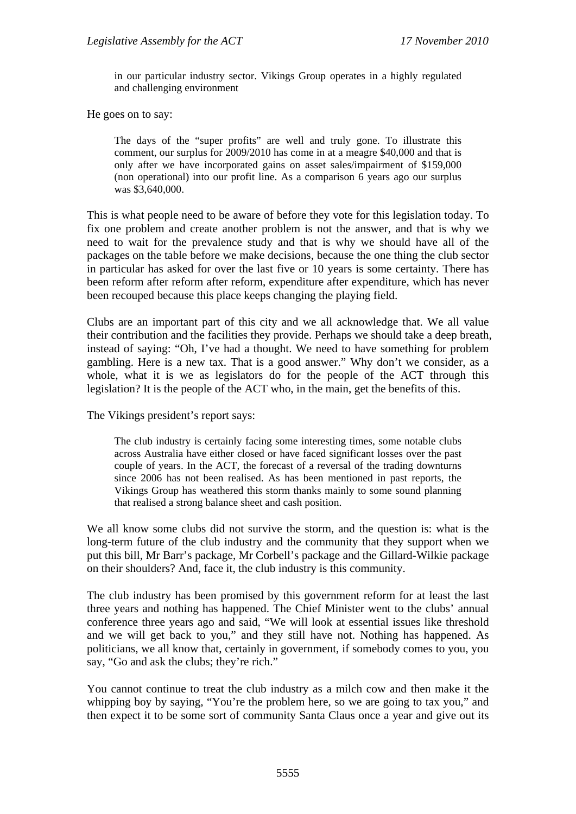in our particular industry sector. Vikings Group operates in a highly regulated and challenging environment

He goes on to say:

The days of the "super profits" are well and truly gone. To illustrate this comment, our surplus for 2009/2010 has come in at a meagre \$40,000 and that is only after we have incorporated gains on asset sales/impairment of \$159,000 (non operational) into our profit line. As a comparison 6 years ago our surplus was \$3,640,000.

This is what people need to be aware of before they vote for this legislation today. To fix one problem and create another problem is not the answer, and that is why we need to wait for the prevalence study and that is why we should have all of the packages on the table before we make decisions, because the one thing the club sector in particular has asked for over the last five or 10 years is some certainty. There has been reform after reform after reform, expenditure after expenditure, which has never been recouped because this place keeps changing the playing field.

Clubs are an important part of this city and we all acknowledge that. We all value their contribution and the facilities they provide. Perhaps we should take a deep breath, instead of saying: "Oh, I've had a thought. We need to have something for problem gambling. Here is a new tax. That is a good answer." Why don't we consider, as a whole, what it is we as legislators do for the people of the ACT through this legislation? It is the people of the ACT who, in the main, get the benefits of this.

The Vikings president's report says:

The club industry is certainly facing some interesting times, some notable clubs across Australia have either closed or have faced significant losses over the past couple of years. In the ACT, the forecast of a reversal of the trading downturns since 2006 has not been realised. As has been mentioned in past reports, the Vikings Group has weathered this storm thanks mainly to some sound planning that realised a strong balance sheet and cash position.

We all know some clubs did not survive the storm, and the question is: what is the long-term future of the club industry and the community that they support when we put this bill, Mr Barr's package, Mr Corbell's package and the Gillard-Wilkie package on their shoulders? And, face it, the club industry is this community.

The club industry has been promised by this government reform for at least the last three years and nothing has happened. The Chief Minister went to the clubs' annual conference three years ago and said, "We will look at essential issues like threshold and we will get back to you," and they still have not. Nothing has happened. As politicians, we all know that, certainly in government, if somebody comes to you, you say, "Go and ask the clubs; they're rich."

You cannot continue to treat the club industry as a milch cow and then make it the whipping boy by saying, "You're the problem here, so we are going to tax you," and then expect it to be some sort of community Santa Claus once a year and give out its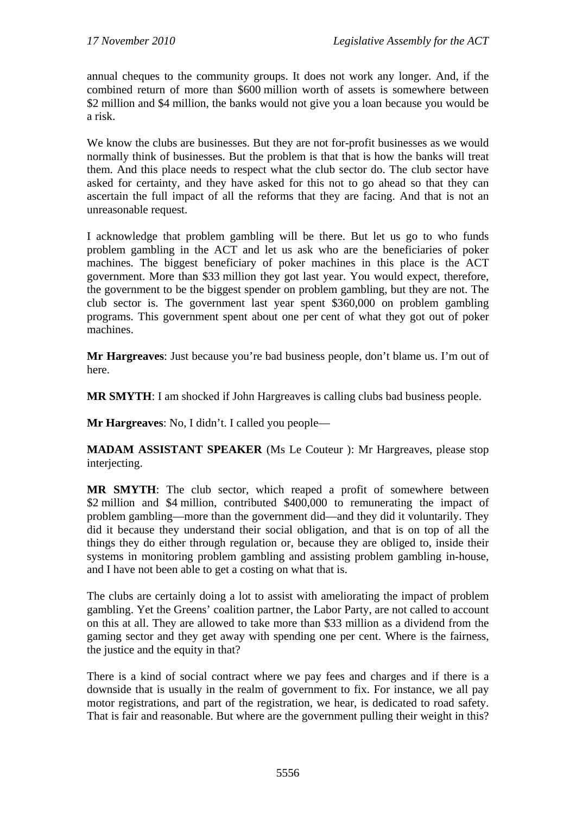annual cheques to the community groups. It does not work any longer. And, if the combined return of more than \$600 million worth of assets is somewhere between \$2 million and \$4 million, the banks would not give you a loan because you would be a risk.

We know the clubs are businesses. But they are not for-profit businesses as we would normally think of businesses. But the problem is that that is how the banks will treat them. And this place needs to respect what the club sector do. The club sector have asked for certainty, and they have asked for this not to go ahead so that they can ascertain the full impact of all the reforms that they are facing. And that is not an unreasonable request.

I acknowledge that problem gambling will be there. But let us go to who funds problem gambling in the ACT and let us ask who are the beneficiaries of poker machines. The biggest beneficiary of poker machines in this place is the ACT government. More than \$33 million they got last year. You would expect, therefore, the government to be the biggest spender on problem gambling, but they are not. The club sector is. The government last year spent \$360,000 on problem gambling programs. This government spent about one per cent of what they got out of poker machines.

**Mr Hargreaves**: Just because you're bad business people, don't blame us. I'm out of here.

**MR SMYTH**: I am shocked if John Hargreaves is calling clubs bad business people.

**Mr Hargreaves**: No, I didn't. I called you people—

**MADAM ASSISTANT SPEAKER** (Ms Le Couteur ): Mr Hargreaves, please stop interjecting.

**MR SMYTH**: The club sector, which reaped a profit of somewhere between \$2 million and \$4 million, contributed \$400,000 to remunerating the impact of problem gambling—more than the government did—and they did it voluntarily. They did it because they understand their social obligation, and that is on top of all the things they do either through regulation or, because they are obliged to, inside their systems in monitoring problem gambling and assisting problem gambling in-house, and I have not been able to get a costing on what that is.

The clubs are certainly doing a lot to assist with ameliorating the impact of problem gambling. Yet the Greens' coalition partner, the Labor Party, are not called to account on this at all. They are allowed to take more than \$33 million as a dividend from the gaming sector and they get away with spending one per cent. Where is the fairness, the justice and the equity in that?

There is a kind of social contract where we pay fees and charges and if there is a downside that is usually in the realm of government to fix. For instance, we all pay motor registrations, and part of the registration, we hear, is dedicated to road safety. That is fair and reasonable. But where are the government pulling their weight in this?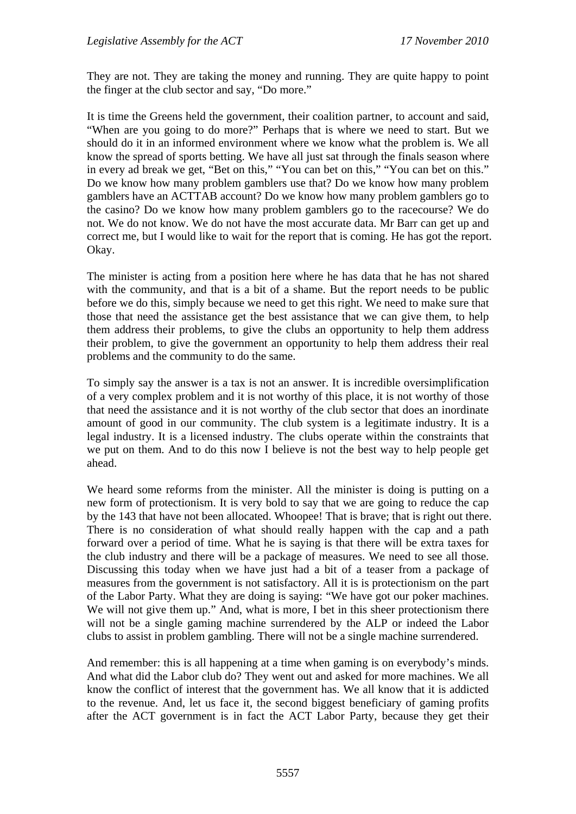They are not. They are taking the money and running. They are quite happy to point the finger at the club sector and say, "Do more."

It is time the Greens held the government, their coalition partner, to account and said, "When are you going to do more?" Perhaps that is where we need to start. But we should do it in an informed environment where we know what the problem is. We all know the spread of sports betting. We have all just sat through the finals season where in every ad break we get, "Bet on this," "You can bet on this," "You can bet on this." Do we know how many problem gamblers use that? Do we know how many problem gamblers have an ACTTAB account? Do we know how many problem gamblers go to the casino? Do we know how many problem gamblers go to the racecourse? We do not. We do not know. We do not have the most accurate data. Mr Barr can get up and correct me, but I would like to wait for the report that is coming. He has got the report. Okay.

The minister is acting from a position here where he has data that he has not shared with the community, and that is a bit of a shame. But the report needs to be public before we do this, simply because we need to get this right. We need to make sure that those that need the assistance get the best assistance that we can give them, to help them address their problems, to give the clubs an opportunity to help them address their problem, to give the government an opportunity to help them address their real problems and the community to do the same.

To simply say the answer is a tax is not an answer. It is incredible oversimplification of a very complex problem and it is not worthy of this place, it is not worthy of those that need the assistance and it is not worthy of the club sector that does an inordinate amount of good in our community. The club system is a legitimate industry. It is a legal industry. It is a licensed industry. The clubs operate within the constraints that we put on them. And to do this now I believe is not the best way to help people get ahead.

We heard some reforms from the minister. All the minister is doing is putting on a new form of protectionism. It is very bold to say that we are going to reduce the cap by the 143 that have not been allocated. Whoopee! That is brave; that is right out there. There is no consideration of what should really happen with the cap and a path forward over a period of time. What he is saying is that there will be extra taxes for the club industry and there will be a package of measures. We need to see all those. Discussing this today when we have just had a bit of a teaser from a package of measures from the government is not satisfactory. All it is is protectionism on the part of the Labor Party. What they are doing is saying: "We have got our poker machines. We will not give them up." And, what is more, I bet in this sheer protectionism there will not be a single gaming machine surrendered by the ALP or indeed the Labor clubs to assist in problem gambling. There will not be a single machine surrendered.

And remember: this is all happening at a time when gaming is on everybody's minds. And what did the Labor club do? They went out and asked for more machines. We all know the conflict of interest that the government has. We all know that it is addicted to the revenue. And, let us face it, the second biggest beneficiary of gaming profits after the ACT government is in fact the ACT Labor Party, because they get their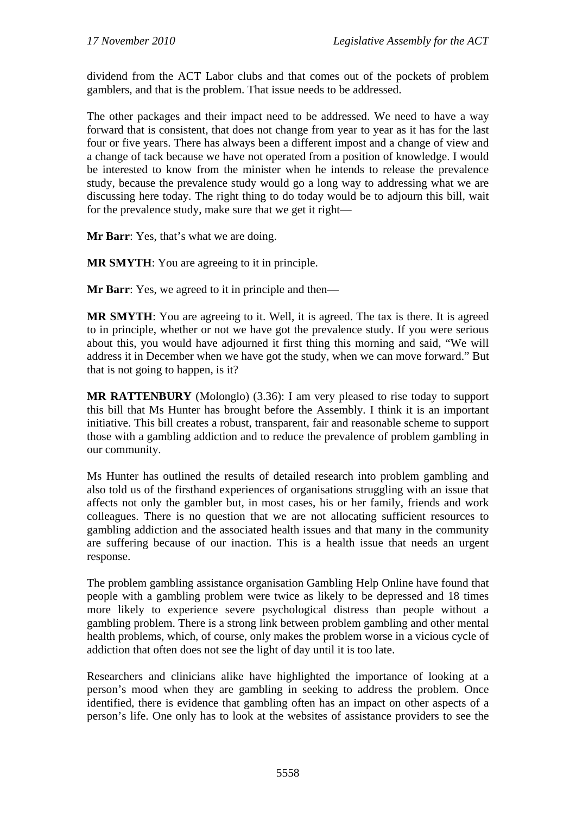dividend from the ACT Labor clubs and that comes out of the pockets of problem gamblers, and that is the problem. That issue needs to be addressed.

The other packages and their impact need to be addressed. We need to have a way forward that is consistent, that does not change from year to year as it has for the last four or five years. There has always been a different impost and a change of view and a change of tack because we have not operated from a position of knowledge. I would be interested to know from the minister when he intends to release the prevalence study, because the prevalence study would go a long way to addressing what we are discussing here today. The right thing to do today would be to adjourn this bill, wait for the prevalence study, make sure that we get it right—

**Mr Barr**: Yes, that's what we are doing.

**MR SMYTH**: You are agreeing to it in principle.

**Mr Barr**: Yes, we agreed to it in principle and then—

**MR SMYTH**: You are agreeing to it. Well, it is agreed. The tax is there. It is agreed to in principle, whether or not we have got the prevalence study. If you were serious about this, you would have adjourned it first thing this morning and said, "We will address it in December when we have got the study, when we can move forward." But that is not going to happen, is it?

**MR RATTENBURY** (Molonglo) (3.36): I am very pleased to rise today to support this bill that Ms Hunter has brought before the Assembly. I think it is an important initiative. This bill creates a robust, transparent, fair and reasonable scheme to support those with a gambling addiction and to reduce the prevalence of problem gambling in our community.

Ms Hunter has outlined the results of detailed research into problem gambling and also told us of the firsthand experiences of organisations struggling with an issue that affects not only the gambler but, in most cases, his or her family, friends and work colleagues. There is no question that we are not allocating sufficient resources to gambling addiction and the associated health issues and that many in the community are suffering because of our inaction. This is a health issue that needs an urgent response.

The problem gambling assistance organisation Gambling Help Online have found that people with a gambling problem were twice as likely to be depressed and 18 times more likely to experience severe psychological distress than people without a gambling problem. There is a strong link between problem gambling and other mental health problems, which, of course, only makes the problem worse in a vicious cycle of addiction that often does not see the light of day until it is too late.

Researchers and clinicians alike have highlighted the importance of looking at a person's mood when they are gambling in seeking to address the problem. Once identified, there is evidence that gambling often has an impact on other aspects of a person's life. One only has to look at the websites of assistance providers to see the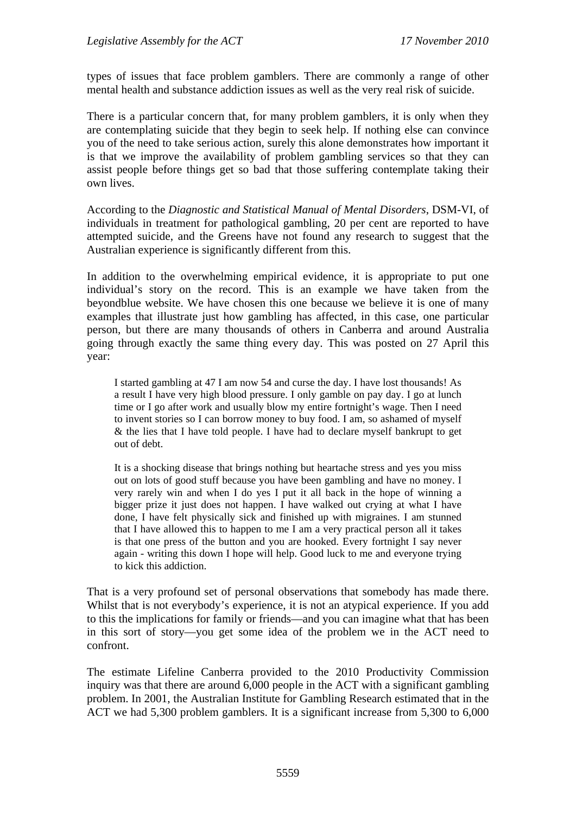types of issues that face problem gamblers. There are commonly a range of other mental health and substance addiction issues as well as the very real risk of suicide.

There is a particular concern that, for many problem gamblers, it is only when they are contemplating suicide that they begin to seek help. If nothing else can convince you of the need to take serious action, surely this alone demonstrates how important it is that we improve the availability of problem gambling services so that they can assist people before things get so bad that those suffering contemplate taking their own lives.

According to the *Diagnostic and Statistical Manual of Mental Disorders*, DSM-VI, of individuals in treatment for pathological gambling, 20 per cent are reported to have attempted suicide, and the Greens have not found any research to suggest that the Australian experience is significantly different from this.

In addition to the overwhelming empirical evidence, it is appropriate to put one individual's story on the record. This is an example we have taken from the beyondblue website. We have chosen this one because we believe it is one of many examples that illustrate just how gambling has affected, in this case, one particular person, but there are many thousands of others in Canberra and around Australia going through exactly the same thing every day. This was posted on 27 April this year:

I started gambling at 47 I am now 54 and curse the day. I have lost thousands! As a result I have very high blood pressure. I only gamble on pay day. I go at lunch time or I go after work and usually blow my entire fortnight's wage. Then I need to invent stories so I can borrow money to buy food. I am, so ashamed of myself & the lies that I have told people. I have had to declare myself bankrupt to get out of debt.

It is a shocking disease that brings nothing but heartache stress and yes you miss out on lots of good stuff because you have been gambling and have no money. I very rarely win and when I do yes I put it all back in the hope of winning a bigger prize it just does not happen. I have walked out crying at what I have done, I have felt physically sick and finished up with migraines. I am stunned that I have allowed this to happen to me I am a very practical person all it takes is that one press of the button and you are hooked. Every fortnight I say never again - writing this down I hope will help. Good luck to me and everyone trying to kick this addiction.

That is a very profound set of personal observations that somebody has made there. Whilst that is not everybody's experience, it is not an atypical experience. If you add to this the implications for family or friends—and you can imagine what that has been in this sort of story—you get some idea of the problem we in the ACT need to confront.

The estimate Lifeline Canberra provided to the 2010 Productivity Commission inquiry was that there are around 6,000 people in the ACT with a significant gambling problem. In 2001, the Australian Institute for Gambling Research estimated that in the ACT we had 5,300 problem gamblers. It is a significant increase from 5,300 to 6,000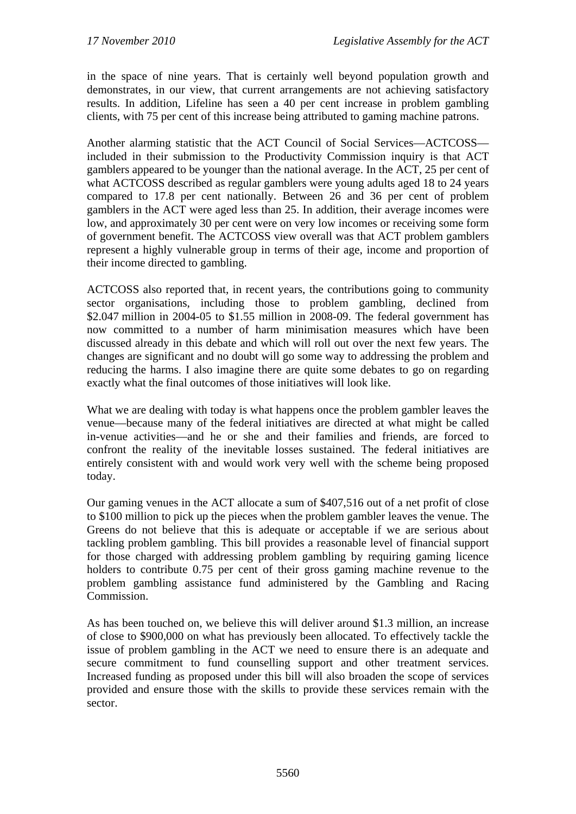in the space of nine years. That is certainly well beyond population growth and demonstrates, in our view, that current arrangements are not achieving satisfactory results. In addition, Lifeline has seen a 40 per cent increase in problem gambling clients, with 75 per cent of this increase being attributed to gaming machine patrons.

Another alarming statistic that the ACT Council of Social Services—ACTCOSS included in their submission to the Productivity Commission inquiry is that ACT gamblers appeared to be younger than the national average. In the ACT, 25 per cent of what ACTCOSS described as regular gamblers were young adults aged 18 to 24 years compared to 17.8 per cent nationally. Between 26 and 36 per cent of problem gamblers in the ACT were aged less than 25. In addition, their average incomes were low, and approximately 30 per cent were on very low incomes or receiving some form of government benefit. The ACTCOSS view overall was that ACT problem gamblers represent a highly vulnerable group in terms of their age, income and proportion of their income directed to gambling.

ACTCOSS also reported that, in recent years, the contributions going to community sector organisations, including those to problem gambling, declined from \$2.047 million in 2004-05 to \$1.55 million in 2008-09. The federal government has now committed to a number of harm minimisation measures which have been discussed already in this debate and which will roll out over the next few years. The changes are significant and no doubt will go some way to addressing the problem and reducing the harms. I also imagine there are quite some debates to go on regarding exactly what the final outcomes of those initiatives will look like.

What we are dealing with today is what happens once the problem gambler leaves the venue—because many of the federal initiatives are directed at what might be called in-venue activities—and he or she and their families and friends, are forced to confront the reality of the inevitable losses sustained. The federal initiatives are entirely consistent with and would work very well with the scheme being proposed today.

Our gaming venues in the ACT allocate a sum of \$407,516 out of a net profit of close to \$100 million to pick up the pieces when the problem gambler leaves the venue. The Greens do not believe that this is adequate or acceptable if we are serious about tackling problem gambling. This bill provides a reasonable level of financial support for those charged with addressing problem gambling by requiring gaming licence holders to contribute 0.75 per cent of their gross gaming machine revenue to the problem gambling assistance fund administered by the Gambling and Racing Commission.

As has been touched on, we believe this will deliver around \$1.3 million, an increase of close to \$900,000 on what has previously been allocated. To effectively tackle the issue of problem gambling in the ACT we need to ensure there is an adequate and secure commitment to fund counselling support and other treatment services. Increased funding as proposed under this bill will also broaden the scope of services provided and ensure those with the skills to provide these services remain with the sector.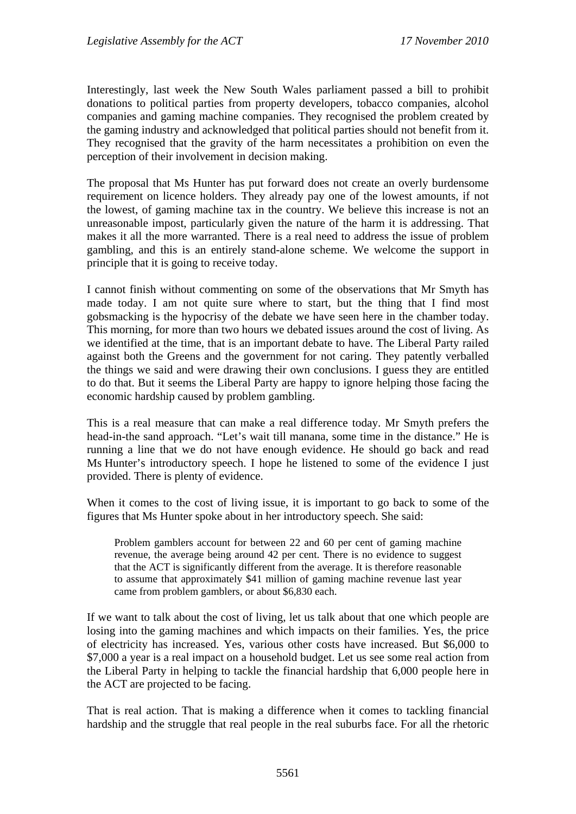Interestingly, last week the New South Wales parliament passed a bill to prohibit donations to political parties from property developers, tobacco companies, alcohol companies and gaming machine companies. They recognised the problem created by the gaming industry and acknowledged that political parties should not benefit from it. They recognised that the gravity of the harm necessitates a prohibition on even the perception of their involvement in decision making.

The proposal that Ms Hunter has put forward does not create an overly burdensome requirement on licence holders. They already pay one of the lowest amounts, if not the lowest, of gaming machine tax in the country. We believe this increase is not an unreasonable impost, particularly given the nature of the harm it is addressing. That makes it all the more warranted. There is a real need to address the issue of problem gambling, and this is an entirely stand-alone scheme. We welcome the support in principle that it is going to receive today.

I cannot finish without commenting on some of the observations that Mr Smyth has made today. I am not quite sure where to start, but the thing that I find most gobsmacking is the hypocrisy of the debate we have seen here in the chamber today. This morning, for more than two hours we debated issues around the cost of living. As we identified at the time, that is an important debate to have. The Liberal Party railed against both the Greens and the government for not caring. They patently verballed the things we said and were drawing their own conclusions. I guess they are entitled to do that. But it seems the Liberal Party are happy to ignore helping those facing the economic hardship caused by problem gambling.

This is a real measure that can make a real difference today. Mr Smyth prefers the head-in-the sand approach. "Let's wait till manana, some time in the distance." He is running a line that we do not have enough evidence. He should go back and read Ms Hunter's introductory speech. I hope he listened to some of the evidence I just provided. There is plenty of evidence.

When it comes to the cost of living issue, it is important to go back to some of the figures that Ms Hunter spoke about in her introductory speech. She said:

Problem gamblers account for between 22 and 60 per cent of gaming machine revenue, the average being around 42 per cent. There is no evidence to suggest that the ACT is significantly different from the average. It is therefore reasonable to assume that approximately \$41 million of gaming machine revenue last year came from problem gamblers, or about \$6,830 each.

If we want to talk about the cost of living, let us talk about that one which people are losing into the gaming machines and which impacts on their families. Yes, the price of electricity has increased. Yes, various other costs have increased. But \$6,000 to \$7,000 a year is a real impact on a household budget. Let us see some real action from the Liberal Party in helping to tackle the financial hardship that 6,000 people here in the ACT are projected to be facing.

That is real action. That is making a difference when it comes to tackling financial hardship and the struggle that real people in the real suburbs face. For all the rhetoric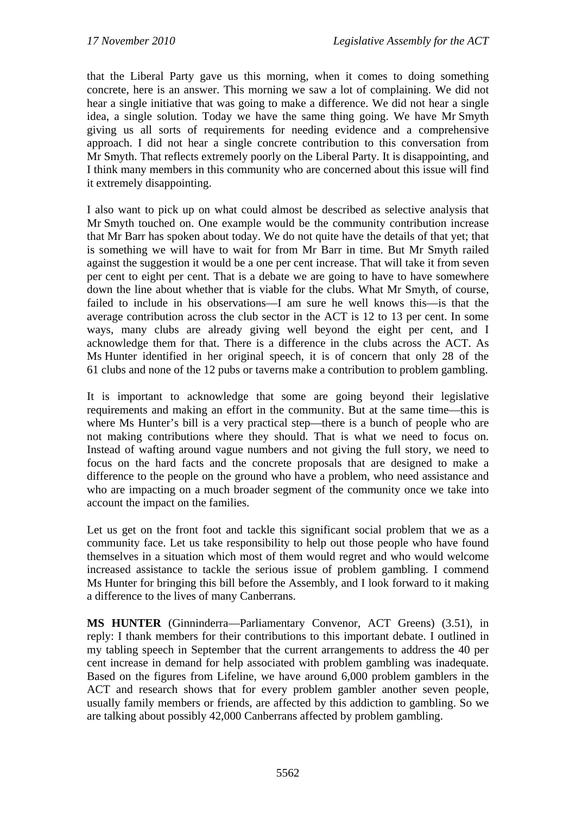that the Liberal Party gave us this morning, when it comes to doing something concrete, here is an answer. This morning we saw a lot of complaining. We did not hear a single initiative that was going to make a difference. We did not hear a single idea, a single solution. Today we have the same thing going. We have Mr Smyth giving us all sorts of requirements for needing evidence and a comprehensive approach. I did not hear a single concrete contribution to this conversation from Mr Smyth. That reflects extremely poorly on the Liberal Party. It is disappointing, and I think many members in this community who are concerned about this issue will find it extremely disappointing.

I also want to pick up on what could almost be described as selective analysis that Mr Smyth touched on. One example would be the community contribution increase that Mr Barr has spoken about today. We do not quite have the details of that yet; that is something we will have to wait for from Mr Barr in time. But Mr Smyth railed against the suggestion it would be a one per cent increase. That will take it from seven per cent to eight per cent. That is a debate we are going to have to have somewhere down the line about whether that is viable for the clubs. What Mr Smyth, of course, failed to include in his observations—I am sure he well knows this—is that the average contribution across the club sector in the ACT is 12 to 13 per cent. In some ways, many clubs are already giving well beyond the eight per cent, and I acknowledge them for that. There is a difference in the clubs across the ACT. As Ms Hunter identified in her original speech, it is of concern that only 28 of the 61 clubs and none of the 12 pubs or taverns make a contribution to problem gambling.

It is important to acknowledge that some are going beyond their legislative requirements and making an effort in the community. But at the same time—this is where Ms Hunter's bill is a very practical step—there is a bunch of people who are not making contributions where they should. That is what we need to focus on. Instead of wafting around vague numbers and not giving the full story, we need to focus on the hard facts and the concrete proposals that are designed to make a difference to the people on the ground who have a problem, who need assistance and who are impacting on a much broader segment of the community once we take into account the impact on the families.

Let us get on the front foot and tackle this significant social problem that we as a community face. Let us take responsibility to help out those people who have found themselves in a situation which most of them would regret and who would welcome increased assistance to tackle the serious issue of problem gambling. I commend Ms Hunter for bringing this bill before the Assembly, and I look forward to it making a difference to the lives of many Canberrans.

**MS HUNTER** (Ginninderra—Parliamentary Convenor, ACT Greens) (3.51), in reply: I thank members for their contributions to this important debate. I outlined in my tabling speech in September that the current arrangements to address the 40 per cent increase in demand for help associated with problem gambling was inadequate. Based on the figures from Lifeline, we have around 6,000 problem gamblers in the ACT and research shows that for every problem gambler another seven people, usually family members or friends, are affected by this addiction to gambling. So we are talking about possibly 42,000 Canberrans affected by problem gambling.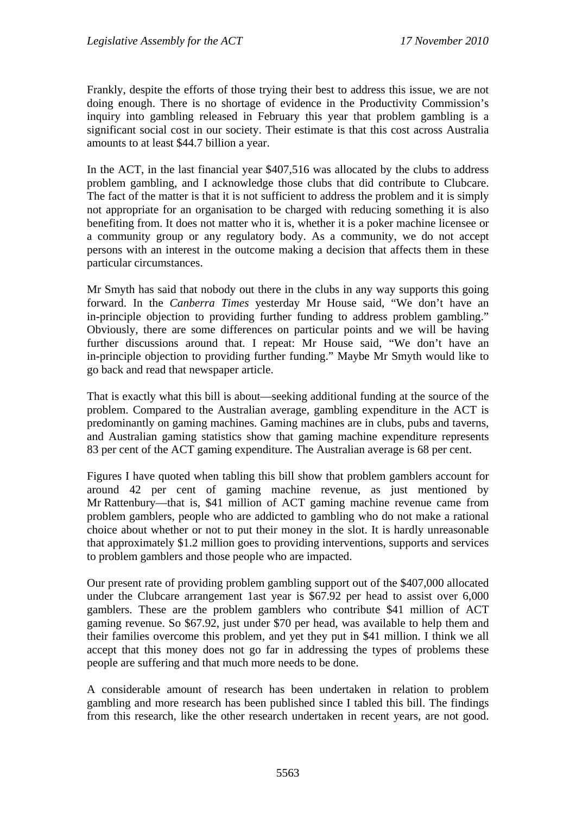Frankly, despite the efforts of those trying their best to address this issue, we are not doing enough. There is no shortage of evidence in the Productivity Commission's inquiry into gambling released in February this year that problem gambling is a significant social cost in our society. Their estimate is that this cost across Australia amounts to at least \$44.7 billion a year.

In the ACT, in the last financial year \$407,516 was allocated by the clubs to address problem gambling, and I acknowledge those clubs that did contribute to Clubcare. The fact of the matter is that it is not sufficient to address the problem and it is simply not appropriate for an organisation to be charged with reducing something it is also benefiting from. It does not matter who it is, whether it is a poker machine licensee or a community group or any regulatory body. As a community, we do not accept persons with an interest in the outcome making a decision that affects them in these particular circumstances.

Mr Smyth has said that nobody out there in the clubs in any way supports this going forward. In the *Canberra Times* yesterday Mr House said, "We don't have an in-principle objection to providing further funding to address problem gambling." Obviously, there are some differences on particular points and we will be having further discussions around that. I repeat: Mr House said, "We don't have an in-principle objection to providing further funding." Maybe Mr Smyth would like to go back and read that newspaper article.

That is exactly what this bill is about—seeking additional funding at the source of the problem. Compared to the Australian average, gambling expenditure in the ACT is predominantly on gaming machines. Gaming machines are in clubs, pubs and taverns, and Australian gaming statistics show that gaming machine expenditure represents 83 per cent of the ACT gaming expenditure. The Australian average is 68 per cent.

Figures I have quoted when tabling this bill show that problem gamblers account for around 42 per cent of gaming machine revenue, as just mentioned by Mr Rattenbury—that is, \$41 million of ACT gaming machine revenue came from problem gamblers, people who are addicted to gambling who do not make a rational choice about whether or not to put their money in the slot. It is hardly unreasonable that approximately \$1.2 million goes to providing interventions, supports and services to problem gamblers and those people who are impacted.

Our present rate of providing problem gambling support out of the \$407,000 allocated under the Clubcare arrangement 1ast year is \$67.92 per head to assist over 6,000 gamblers. These are the problem gamblers who contribute \$41 million of ACT gaming revenue. So \$67.92, just under \$70 per head, was available to help them and their families overcome this problem, and yet they put in \$41 million. I think we all accept that this money does not go far in addressing the types of problems these people are suffering and that much more needs to be done.

A considerable amount of research has been undertaken in relation to problem gambling and more research has been published since I tabled this bill. The findings from this research, like the other research undertaken in recent years, are not good.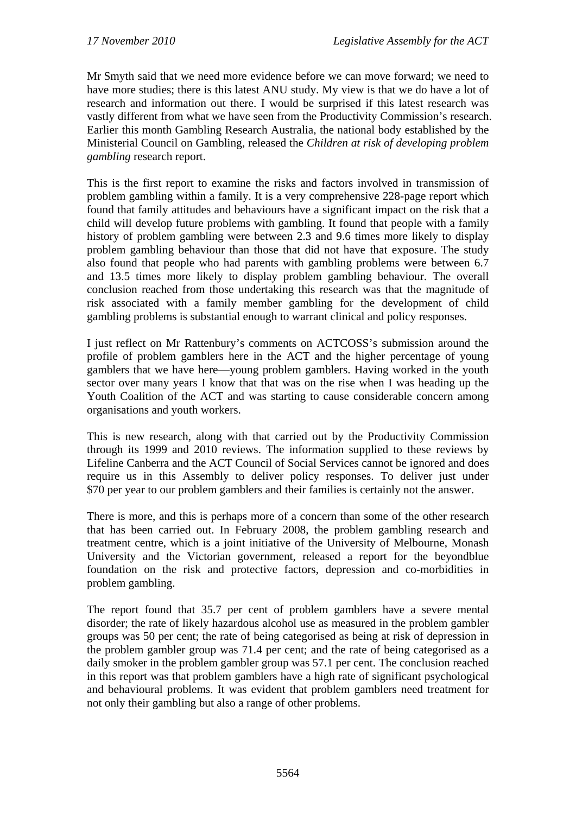Mr Smyth said that we need more evidence before we can move forward; we need to have more studies; there is this latest ANU study. My view is that we do have a lot of research and information out there. I would be surprised if this latest research was vastly different from what we have seen from the Productivity Commission's research. Earlier this month Gambling Research Australia, the national body established by the Ministerial Council on Gambling, released the *Children at risk of developing problem gambling* research report.

This is the first report to examine the risks and factors involved in transmission of problem gambling within a family. It is a very comprehensive 228-page report which found that family attitudes and behaviours have a significant impact on the risk that a child will develop future problems with gambling. It found that people with a family history of problem gambling were between 2.3 and 9.6 times more likely to display problem gambling behaviour than those that did not have that exposure. The study also found that people who had parents with gambling problems were between 6.7 and 13.5 times more likely to display problem gambling behaviour. The overall conclusion reached from those undertaking this research was that the magnitude of risk associated with a family member gambling for the development of child gambling problems is substantial enough to warrant clinical and policy responses.

I just reflect on Mr Rattenbury's comments on ACTCOSS's submission around the profile of problem gamblers here in the ACT and the higher percentage of young gamblers that we have here—young problem gamblers. Having worked in the youth sector over many years I know that that was on the rise when I was heading up the Youth Coalition of the ACT and was starting to cause considerable concern among organisations and youth workers.

This is new research, along with that carried out by the Productivity Commission through its 1999 and 2010 reviews. The information supplied to these reviews by Lifeline Canberra and the ACT Council of Social Services cannot be ignored and does require us in this Assembly to deliver policy responses. To deliver just under \$70 per year to our problem gamblers and their families is certainly not the answer.

There is more, and this is perhaps more of a concern than some of the other research that has been carried out. In February 2008, the problem gambling research and treatment centre, which is a joint initiative of the University of Melbourne, Monash University and the Victorian government, released a report for the beyondblue foundation on the risk and protective factors, depression and co-morbidities in problem gambling.

The report found that 35.7 per cent of problem gamblers have a severe mental disorder; the rate of likely hazardous alcohol use as measured in the problem gambler groups was 50 per cent; the rate of being categorised as being at risk of depression in the problem gambler group was 71.4 per cent; and the rate of being categorised as a daily smoker in the problem gambler group was 57.1 per cent. The conclusion reached in this report was that problem gamblers have a high rate of significant psychological and behavioural problems. It was evident that problem gamblers need treatment for not only their gambling but also a range of other problems.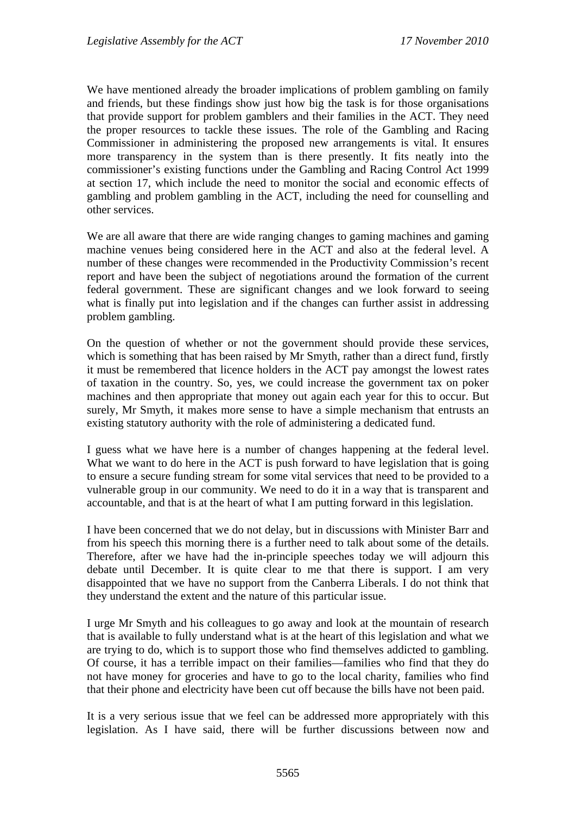We have mentioned already the broader implications of problem gambling on family and friends, but these findings show just how big the task is for those organisations that provide support for problem gamblers and their families in the ACT. They need the proper resources to tackle these issues. The role of the Gambling and Racing Commissioner in administering the proposed new arrangements is vital. It ensures more transparency in the system than is there presently. It fits neatly into the commissioner's existing functions under the Gambling and Racing Control Act 1999 at section 17, which include the need to monitor the social and economic effects of gambling and problem gambling in the ACT, including the need for counselling and other services.

We are all aware that there are wide ranging changes to gaming machines and gaming machine venues being considered here in the ACT and also at the federal level. A number of these changes were recommended in the Productivity Commission's recent report and have been the subject of negotiations around the formation of the current federal government. These are significant changes and we look forward to seeing what is finally put into legislation and if the changes can further assist in addressing problem gambling.

On the question of whether or not the government should provide these services, which is something that has been raised by Mr Smyth, rather than a direct fund, firstly it must be remembered that licence holders in the ACT pay amongst the lowest rates of taxation in the country. So, yes, we could increase the government tax on poker machines and then appropriate that money out again each year for this to occur. But surely, Mr Smyth, it makes more sense to have a simple mechanism that entrusts an existing statutory authority with the role of administering a dedicated fund.

I guess what we have here is a number of changes happening at the federal level. What we want to do here in the ACT is push forward to have legislation that is going to ensure a secure funding stream for some vital services that need to be provided to a vulnerable group in our community. We need to do it in a way that is transparent and accountable, and that is at the heart of what I am putting forward in this legislation.

I have been concerned that we do not delay, but in discussions with Minister Barr and from his speech this morning there is a further need to talk about some of the details. Therefore, after we have had the in-principle speeches today we will adjourn this debate until December. It is quite clear to me that there is support. I am very disappointed that we have no support from the Canberra Liberals. I do not think that they understand the extent and the nature of this particular issue.

I urge Mr Smyth and his colleagues to go away and look at the mountain of research that is available to fully understand what is at the heart of this legislation and what we are trying to do, which is to support those who find themselves addicted to gambling. Of course, it has a terrible impact on their families—families who find that they do not have money for groceries and have to go to the local charity, families who find that their phone and electricity have been cut off because the bills have not been paid.

It is a very serious issue that we feel can be addressed more appropriately with this legislation. As I have said, there will be further discussions between now and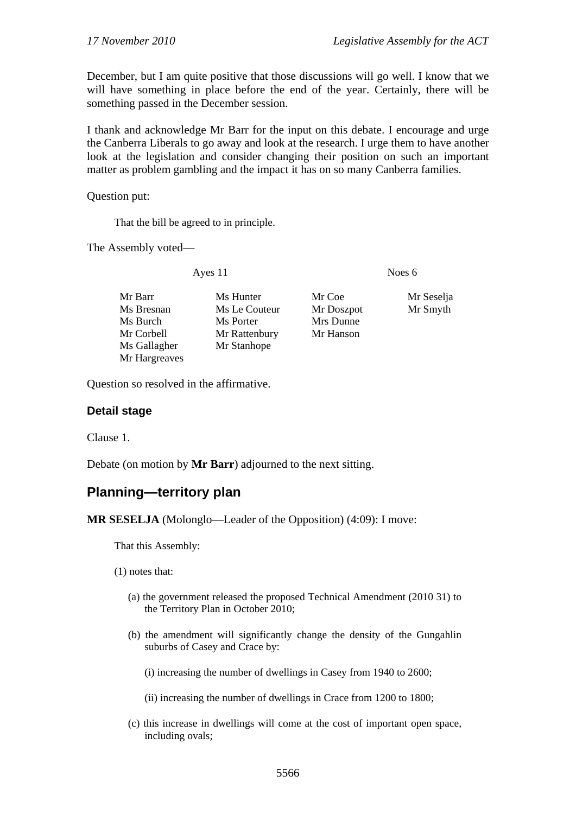December, but I am quite positive that those discussions will go well. I know that we will have something in place before the end of the year. Certainly, there will be something passed in the December session.

I thank and acknowledge Mr Barr for the input on this debate. I encourage and urge the Canberra Liberals to go away and look at the research. I urge them to have another look at the legislation and consider changing their position on such an important matter as problem gambling and the impact it has on so many Canberra families.

Question put:

That the bill be agreed to in principle.

The Assembly voted—

Ayes 11 Noes 6

- Mr Barr Ms Hunter Mr Coe Mr Seselja Ms Bresnan Ms Le Couteur Mr Doszpot Mr Smyth Ms Burch Ms Porter Mrs Dunne Mr Corbell Mr Rattenbury Mr Hanson Ms Gallagher Mr Stanhope Mr Hargreaves
- 

Question so resolved in the affirmative.

## **Detail stage**

Clause 1.

Debate (on motion by **Mr Barr**) adjourned to the next sitting.

# **Planning—territory plan**

**MR SESELJA** (Molonglo—Leader of the Opposition) (4:09): I move:

That this Assembly:

- (1) notes that:
	- (a) the government released the proposed Technical Amendment (2010 31) to the Territory Plan in October 2010;
	- (b) the amendment will significantly change the density of the Gungahlin suburbs of Casey and Crace by:

(i) increasing the number of dwellings in Casey from 1940 to 2600;

(ii) increasing the number of dwellings in Crace from 1200 to 1800;

(c) this increase in dwellings will come at the cost of important open space, including ovals;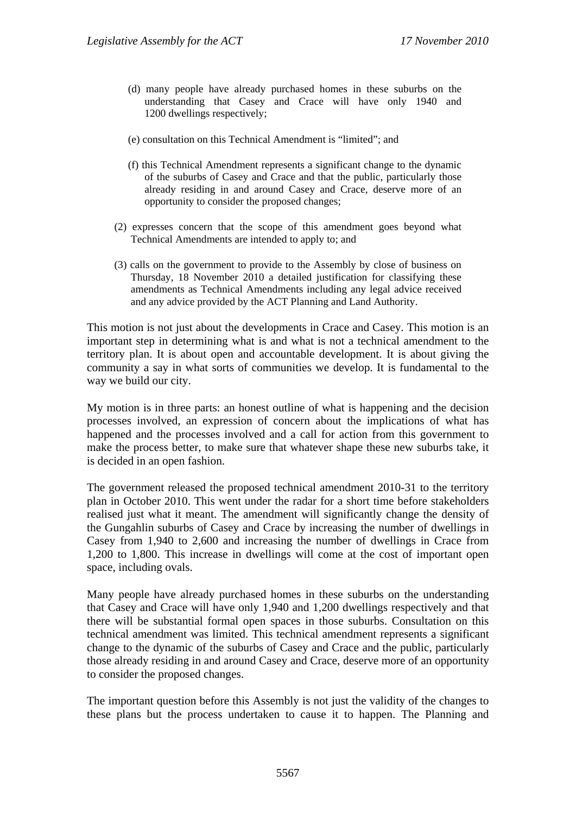- (d) many people have already purchased homes in these suburbs on the understanding that Casey and Crace will have only 1940 and 1200 dwellings respectively;
- (e) consultation on this Technical Amendment is "limited"; and
- (f) this Technical Amendment represents a significant change to the dynamic of the suburbs of Casey and Crace and that the public, particularly those already residing in and around Casey and Crace, deserve more of an opportunity to consider the proposed changes;
- (2) expresses concern that the scope of this amendment goes beyond what Technical Amendments are intended to apply to; and
- (3) calls on the government to provide to the Assembly by close of business on Thursday, 18 November 2010 a detailed justification for classifying these amendments as Technical Amendments including any legal advice received and any advice provided by the ACT Planning and Land Authority.

This motion is not just about the developments in Crace and Casey. This motion is an important step in determining what is and what is not a technical amendment to the territory plan. It is about open and accountable development. It is about giving the community a say in what sorts of communities we develop. It is fundamental to the way we build our city.

My motion is in three parts: an honest outline of what is happening and the decision processes involved, an expression of concern about the implications of what has happened and the processes involved and a call for action from this government to make the process better, to make sure that whatever shape these new suburbs take, it is decided in an open fashion.

The government released the proposed technical amendment 2010-31 to the territory plan in October 2010. This went under the radar for a short time before stakeholders realised just what it meant. The amendment will significantly change the density of the Gungahlin suburbs of Casey and Crace by increasing the number of dwellings in Casey from 1,940 to 2,600 and increasing the number of dwellings in Crace from 1,200 to 1,800. This increase in dwellings will come at the cost of important open space, including ovals.

Many people have already purchased homes in these suburbs on the understanding that Casey and Crace will have only 1,940 and 1,200 dwellings respectively and that there will be substantial formal open spaces in those suburbs. Consultation on this technical amendment was limited. This technical amendment represents a significant change to the dynamic of the suburbs of Casey and Crace and the public, particularly those already residing in and around Casey and Crace, deserve more of an opportunity to consider the proposed changes.

The important question before this Assembly is not just the validity of the changes to these plans but the process undertaken to cause it to happen. The Planning and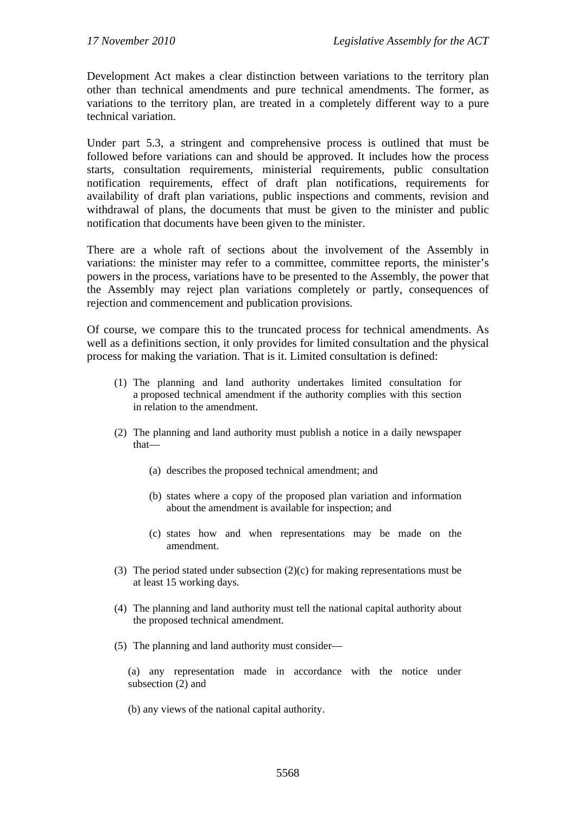Development Act makes a clear distinction between variations to the territory plan other than technical amendments and pure technical amendments. The former, as variations to the territory plan, are treated in a completely different way to a pure technical variation.

Under part 5.3, a stringent and comprehensive process is outlined that must be followed before variations can and should be approved. It includes how the process starts, consultation requirements, ministerial requirements, public consultation notification requirements, effect of draft plan notifications, requirements for availability of draft plan variations, public inspections and comments, revision and withdrawal of plans, the documents that must be given to the minister and public notification that documents have been given to the minister.

There are a whole raft of sections about the involvement of the Assembly in variations: the minister may refer to a committee, committee reports, the minister's powers in the process, variations have to be presented to the Assembly, the power that the Assembly may reject plan variations completely or partly, consequences of rejection and commencement and publication provisions.

Of course, we compare this to the truncated process for technical amendments. As well as a definitions section, it only provides for limited consultation and the physical process for making the variation. That is it. Limited consultation is defined:

- (1) The planning and land authority undertakes limited consultation for a proposed technical amendment if the authority complies with this section in relation to the amendment.
- (2) The planning and land authority must publish a notice in a daily newspaper that—
	- (a) describes the proposed technical amendment; and
	- (b) states where a copy of the proposed plan variation and information about the amendment is available for inspection; and
	- (c) states how and when representations may be made on the amendment.
- (3) The period stated under subsection (2)(c) for making representations must be at least 15 working days.
- (4) The planning and land authority must tell the national capital authority about the proposed technical amendment.
- (5) The planning and land authority must consider—

(a) any representation made in accordance with the notice under subsection (2) and

(b) any views of the national capital authority.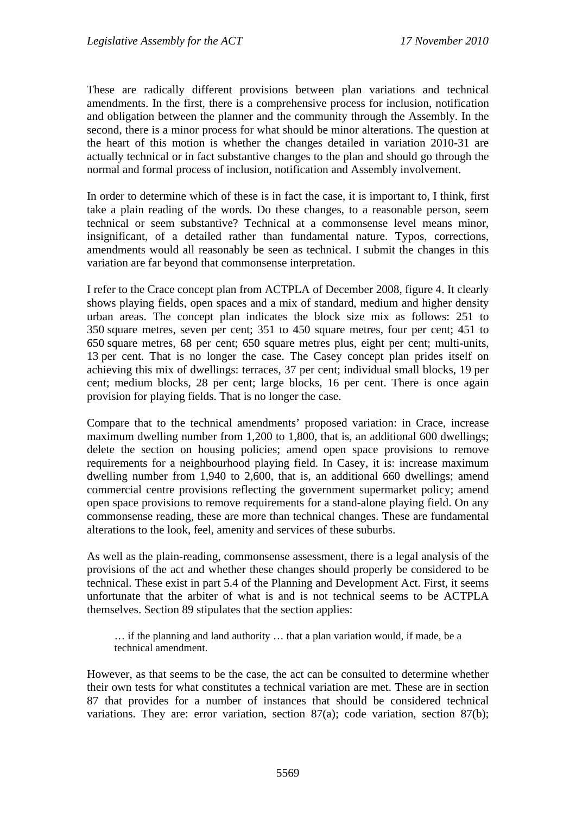These are radically different provisions between plan variations and technical amendments. In the first, there is a comprehensive process for inclusion, notification and obligation between the planner and the community through the Assembly. In the second, there is a minor process for what should be minor alterations. The question at the heart of this motion is whether the changes detailed in variation 2010-31 are actually technical or in fact substantive changes to the plan and should go through the normal and formal process of inclusion, notification and Assembly involvement.

In order to determine which of these is in fact the case, it is important to, I think, first take a plain reading of the words. Do these changes, to a reasonable person, seem technical or seem substantive? Technical at a commonsense level means minor, insignificant, of a detailed rather than fundamental nature. Typos, corrections, amendments would all reasonably be seen as technical. I submit the changes in this variation are far beyond that commonsense interpretation.

I refer to the Crace concept plan from ACTPLA of December 2008, figure 4. It clearly shows playing fields, open spaces and a mix of standard, medium and higher density urban areas. The concept plan indicates the block size mix as follows: 251 to 350 square metres, seven per cent; 351 to 450 square metres, four per cent; 451 to 650 square metres, 68 per cent; 650 square metres plus, eight per cent; multi-units, 13 per cent. That is no longer the case. The Casey concept plan prides itself on achieving this mix of dwellings: terraces, 37 per cent; individual small blocks, 19 per cent; medium blocks, 28 per cent; large blocks, 16 per cent. There is once again provision for playing fields. That is no longer the case.

Compare that to the technical amendments' proposed variation: in Crace, increase maximum dwelling number from 1,200 to 1,800, that is, an additional 600 dwellings; delete the section on housing policies; amend open space provisions to remove requirements for a neighbourhood playing field. In Casey, it is: increase maximum dwelling number from 1,940 to 2,600, that is, an additional 660 dwellings; amend commercial centre provisions reflecting the government supermarket policy; amend open space provisions to remove requirements for a stand-alone playing field. On any commonsense reading, these are more than technical changes. These are fundamental alterations to the look, feel, amenity and services of these suburbs.

As well as the plain-reading, commonsense assessment, there is a legal analysis of the provisions of the act and whether these changes should properly be considered to be technical. These exist in part 5.4 of the Planning and Development Act. First, it seems unfortunate that the arbiter of what is and is not technical seems to be ACTPLA themselves. Section 89 stipulates that the section applies:

… if the planning and land authority … that a plan variation would, if made, be a technical amendment.

However, as that seems to be the case, the act can be consulted to determine whether their own tests for what constitutes a technical variation are met. These are in section 87 that provides for a number of instances that should be considered technical variations. They are: error variation, section 87(a); code variation, section 87(b);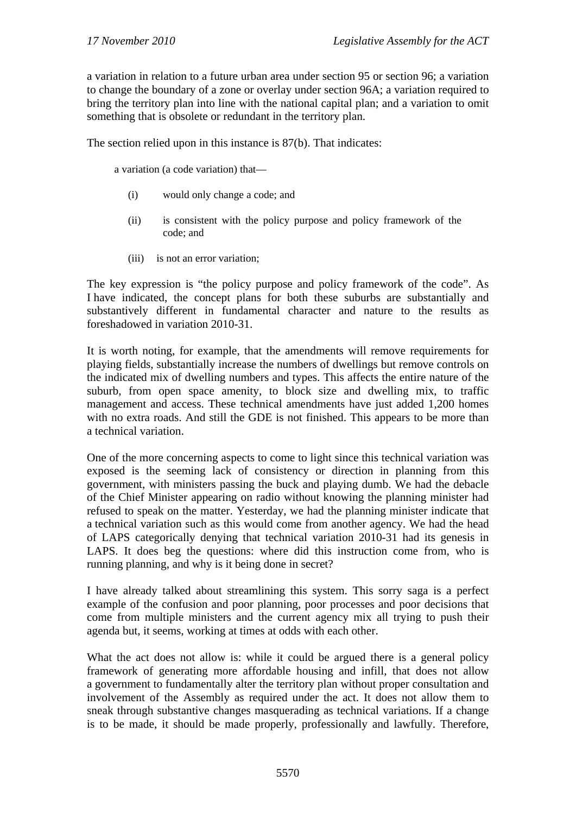a variation in relation to a future urban area under section 95 or section 96; a variation to change the boundary of a zone or overlay under section 96A; a variation required to bring the territory plan into line with the national capital plan; and a variation to omit something that is obsolete or redundant in the territory plan.

The section relied upon in this instance is 87(b). That indicates:

a variation (a code variation) that—

- (i) would only change a code; and
- (ii) is consistent with the policy purpose and policy framework of the code; and
- (iii) is not an error variation;

The key expression is "the policy purpose and policy framework of the code". As I have indicated, the concept plans for both these suburbs are substantially and substantively different in fundamental character and nature to the results as foreshadowed in variation 2010-31.

It is worth noting, for example, that the amendments will remove requirements for playing fields, substantially increase the numbers of dwellings but remove controls on the indicated mix of dwelling numbers and types. This affects the entire nature of the suburb, from open space amenity, to block size and dwelling mix, to traffic management and access. These technical amendments have just added 1,200 homes with no extra roads. And still the GDE is not finished. This appears to be more than a technical variation.

One of the more concerning aspects to come to light since this technical variation was exposed is the seeming lack of consistency or direction in planning from this government, with ministers passing the buck and playing dumb. We had the debacle of the Chief Minister appearing on radio without knowing the planning minister had refused to speak on the matter. Yesterday, we had the planning minister indicate that a technical variation such as this would come from another agency. We had the head of LAPS categorically denying that technical variation 2010-31 had its genesis in LAPS. It does beg the questions: where did this instruction come from, who is running planning, and why is it being done in secret?

I have already talked about streamlining this system. This sorry saga is a perfect example of the confusion and poor planning, poor processes and poor decisions that come from multiple ministers and the current agency mix all trying to push their agenda but, it seems, working at times at odds with each other.

What the act does not allow is: while it could be argued there is a general policy framework of generating more affordable housing and infill, that does not allow a government to fundamentally alter the territory plan without proper consultation and involvement of the Assembly as required under the act. It does not allow them to sneak through substantive changes masquerading as technical variations. If a change is to be made, it should be made properly, professionally and lawfully. Therefore,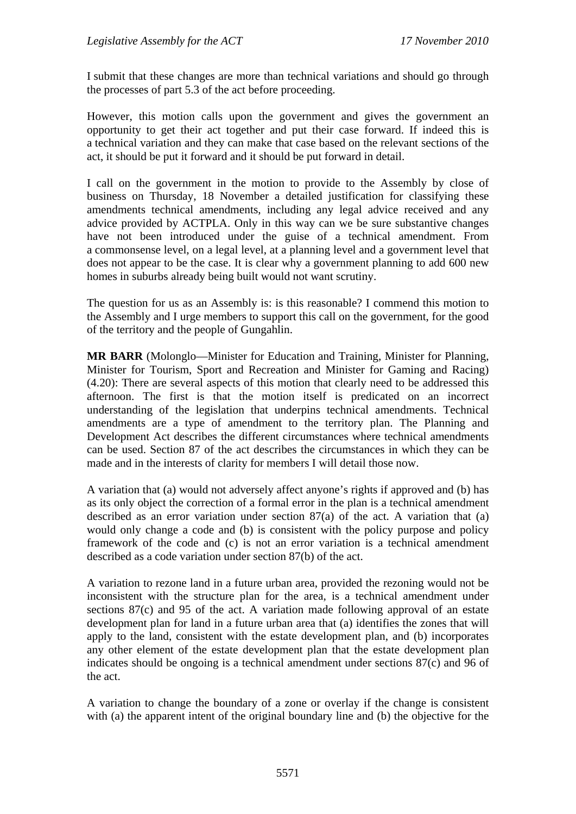I submit that these changes are more than technical variations and should go through the processes of part 5.3 of the act before proceeding.

However, this motion calls upon the government and gives the government an opportunity to get their act together and put their case forward. If indeed this is a technical variation and they can make that case based on the relevant sections of the act, it should be put it forward and it should be put forward in detail.

I call on the government in the motion to provide to the Assembly by close of business on Thursday, 18 November a detailed justification for classifying these amendments technical amendments, including any legal advice received and any advice provided by ACTPLA. Only in this way can we be sure substantive changes have not been introduced under the guise of a technical amendment. From a commonsense level, on a legal level, at a planning level and a government level that does not appear to be the case. It is clear why a government planning to add 600 new homes in suburbs already being built would not want scrutiny.

The question for us as an Assembly is: is this reasonable? I commend this motion to the Assembly and I urge members to support this call on the government, for the good of the territory and the people of Gungahlin.

**MR BARR** (Molonglo—Minister for Education and Training, Minister for Planning, Minister for Tourism, Sport and Recreation and Minister for Gaming and Racing) (4.20): There are several aspects of this motion that clearly need to be addressed this afternoon. The first is that the motion itself is predicated on an incorrect understanding of the legislation that underpins technical amendments. Technical amendments are a type of amendment to the territory plan. The Planning and Development Act describes the different circumstances where technical amendments can be used. Section 87 of the act describes the circumstances in which they can be made and in the interests of clarity for members I will detail those now.

A variation that (a) would not adversely affect anyone's rights if approved and (b) has as its only object the correction of a formal error in the plan is a technical amendment described as an error variation under section 87(a) of the act. A variation that (a) would only change a code and (b) is consistent with the policy purpose and policy framework of the code and (c) is not an error variation is a technical amendment described as a code variation under section 87(b) of the act.

A variation to rezone land in a future urban area, provided the rezoning would not be inconsistent with the structure plan for the area, is a technical amendment under sections 87(c) and 95 of the act. A variation made following approval of an estate development plan for land in a future urban area that (a) identifies the zones that will apply to the land, consistent with the estate development plan, and (b) incorporates any other element of the estate development plan that the estate development plan indicates should be ongoing is a technical amendment under sections 87(c) and 96 of the act.

A variation to change the boundary of a zone or overlay if the change is consistent with (a) the apparent intent of the original boundary line and (b) the objective for the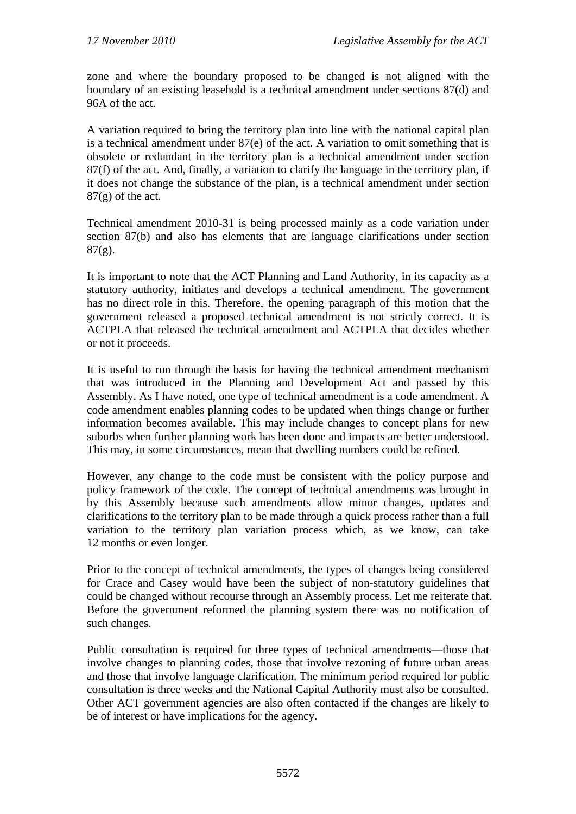zone and where the boundary proposed to be changed is not aligned with the boundary of an existing leasehold is a technical amendment under sections 87(d) and 96A of the act.

A variation required to bring the territory plan into line with the national capital plan is a technical amendment under 87(e) of the act. A variation to omit something that is obsolete or redundant in the territory plan is a technical amendment under section 87(f) of the act. And, finally, a variation to clarify the language in the territory plan, if it does not change the substance of the plan, is a technical amendment under section  $87(g)$  of the act.

Technical amendment 2010-31 is being processed mainly as a code variation under section 87(b) and also has elements that are language clarifications under section  $87(g)$ .

It is important to note that the ACT Planning and Land Authority, in its capacity as a statutory authority, initiates and develops a technical amendment. The government has no direct role in this. Therefore, the opening paragraph of this motion that the government released a proposed technical amendment is not strictly correct. It is ACTPLA that released the technical amendment and ACTPLA that decides whether or not it proceeds.

It is useful to run through the basis for having the technical amendment mechanism that was introduced in the Planning and Development Act and passed by this Assembly. As I have noted, one type of technical amendment is a code amendment. A code amendment enables planning codes to be updated when things change or further information becomes available. This may include changes to concept plans for new suburbs when further planning work has been done and impacts are better understood. This may, in some circumstances, mean that dwelling numbers could be refined.

However, any change to the code must be consistent with the policy purpose and policy framework of the code. The concept of technical amendments was brought in by this Assembly because such amendments allow minor changes, updates and clarifications to the territory plan to be made through a quick process rather than a full variation to the territory plan variation process which, as we know, can take 12 months or even longer.

Prior to the concept of technical amendments, the types of changes being considered for Crace and Casey would have been the subject of non-statutory guidelines that could be changed without recourse through an Assembly process. Let me reiterate that. Before the government reformed the planning system there was no notification of such changes.

Public consultation is required for three types of technical amendments—those that involve changes to planning codes, those that involve rezoning of future urban areas and those that involve language clarification. The minimum period required for public consultation is three weeks and the National Capital Authority must also be consulted. Other ACT government agencies are also often contacted if the changes are likely to be of interest or have implications for the agency.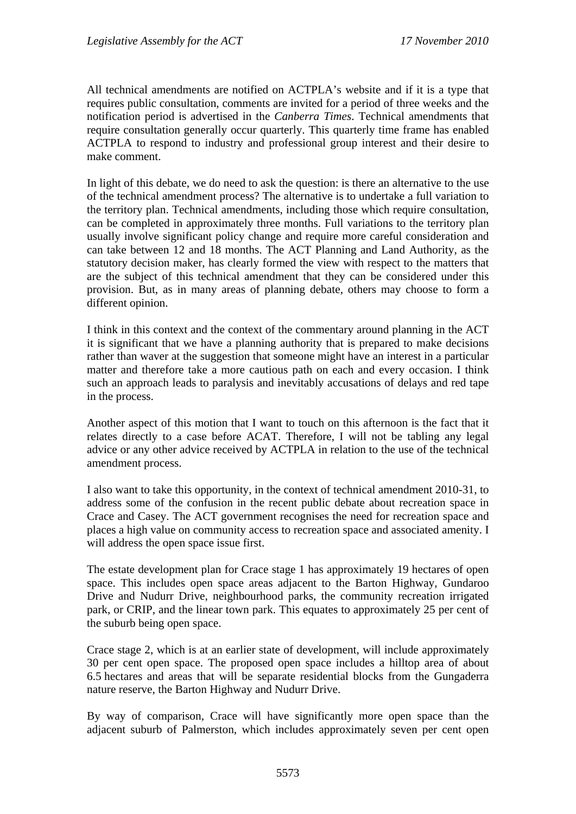All technical amendments are notified on ACTPLA's website and if it is a type that requires public consultation, comments are invited for a period of three weeks and the notification period is advertised in the *Canberra Times*. Technical amendments that require consultation generally occur quarterly. This quarterly time frame has enabled ACTPLA to respond to industry and professional group interest and their desire to make comment.

In light of this debate, we do need to ask the question: is there an alternative to the use of the technical amendment process? The alternative is to undertake a full variation to the territory plan. Technical amendments, including those which require consultation, can be completed in approximately three months. Full variations to the territory plan usually involve significant policy change and require more careful consideration and can take between 12 and 18 months. The ACT Planning and Land Authority, as the statutory decision maker, has clearly formed the view with respect to the matters that are the subject of this technical amendment that they can be considered under this provision. But, as in many areas of planning debate, others may choose to form a different opinion.

I think in this context and the context of the commentary around planning in the ACT it is significant that we have a planning authority that is prepared to make decisions rather than waver at the suggestion that someone might have an interest in a particular matter and therefore take a more cautious path on each and every occasion. I think such an approach leads to paralysis and inevitably accusations of delays and red tape in the process.

Another aspect of this motion that I want to touch on this afternoon is the fact that it relates directly to a case before ACAT. Therefore, I will not be tabling any legal advice or any other advice received by ACTPLA in relation to the use of the technical amendment process.

I also want to take this opportunity, in the context of technical amendment 2010-31, to address some of the confusion in the recent public debate about recreation space in Crace and Casey. The ACT government recognises the need for recreation space and places a high value on community access to recreation space and associated amenity. I will address the open space issue first.

The estate development plan for Crace stage 1 has approximately 19 hectares of open space. This includes open space areas adjacent to the Barton Highway, Gundaroo Drive and Nudurr Drive, neighbourhood parks, the community recreation irrigated park, or CRIP, and the linear town park. This equates to approximately 25 per cent of the suburb being open space.

Crace stage 2, which is at an earlier state of development, will include approximately 30 per cent open space. The proposed open space includes a hilltop area of about 6.5 hectares and areas that will be separate residential blocks from the Gungaderra nature reserve, the Barton Highway and Nudurr Drive.

By way of comparison, Crace will have significantly more open space than the adjacent suburb of Palmerston, which includes approximately seven per cent open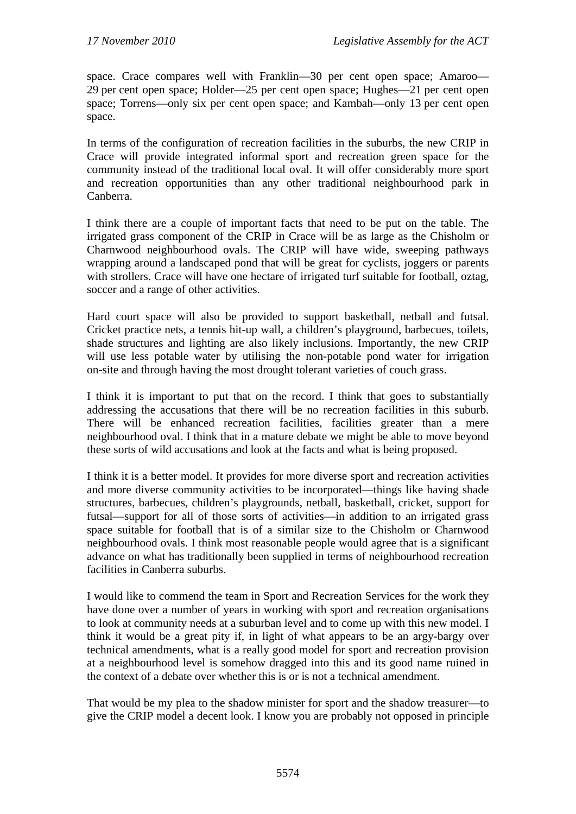space. Crace compares well with Franklin—30 per cent open space; Amaroo— 29 per cent open space; Holder—25 per cent open space; Hughes—21 per cent open space; Torrens—only six per cent open space; and Kambah—only 13 per cent open space.

In terms of the configuration of recreation facilities in the suburbs, the new CRIP in Crace will provide integrated informal sport and recreation green space for the community instead of the traditional local oval. It will offer considerably more sport and recreation opportunities than any other traditional neighbourhood park in Canberra.

I think there are a couple of important facts that need to be put on the table. The irrigated grass component of the CRIP in Crace will be as large as the Chisholm or Charnwood neighbourhood ovals. The CRIP will have wide, sweeping pathways wrapping around a landscaped pond that will be great for cyclists, joggers or parents with strollers. Crace will have one hectare of irrigated turf suitable for football, oztag, soccer and a range of other activities.

Hard court space will also be provided to support basketball, netball and futsal. Cricket practice nets, a tennis hit-up wall, a children's playground, barbecues, toilets, shade structures and lighting are also likely inclusions. Importantly, the new CRIP will use less potable water by utilising the non-potable pond water for irrigation on-site and through having the most drought tolerant varieties of couch grass.

I think it is important to put that on the record. I think that goes to substantially addressing the accusations that there will be no recreation facilities in this suburb. There will be enhanced recreation facilities, facilities greater than a mere neighbourhood oval. I think that in a mature debate we might be able to move beyond these sorts of wild accusations and look at the facts and what is being proposed.

I think it is a better model. It provides for more diverse sport and recreation activities and more diverse community activities to be incorporated—things like having shade structures, barbecues, children's playgrounds, netball, basketball, cricket, support for futsal—support for all of those sorts of activities—in addition to an irrigated grass space suitable for football that is of a similar size to the Chisholm or Charnwood neighbourhood ovals. I think most reasonable people would agree that is a significant advance on what has traditionally been supplied in terms of neighbourhood recreation facilities in Canberra suburbs.

I would like to commend the team in Sport and Recreation Services for the work they have done over a number of years in working with sport and recreation organisations to look at community needs at a suburban level and to come up with this new model. I think it would be a great pity if, in light of what appears to be an argy-bargy over technical amendments, what is a really good model for sport and recreation provision at a neighbourhood level is somehow dragged into this and its good name ruined in the context of a debate over whether this is or is not a technical amendment.

That would be my plea to the shadow minister for sport and the shadow treasurer—to give the CRIP model a decent look. I know you are probably not opposed in principle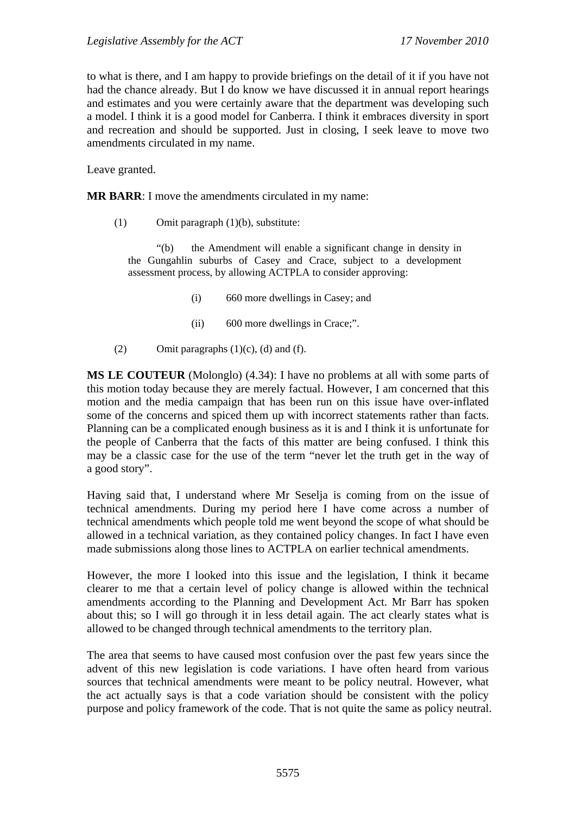to what is there, and I am happy to provide briefings on the detail of it if you have not had the chance already. But I do know we have discussed it in annual report hearings and estimates and you were certainly aware that the department was developing such a model. I think it is a good model for Canberra. I think it embraces diversity in sport and recreation and should be supported. Just in closing, I seek leave to move two amendments circulated in my name.

Leave granted.

**MR BARR:** I move the amendments circulated in my name:

(1) Omit paragraph (1)(b), substitute:

 "(b) the Amendment will enable a significant change in density in the Gungahlin suburbs of Casey and Crace, subject to a development assessment process, by allowing ACTPLA to consider approving:

- (i) 660 more dwellings in Casey; and
- (ii) 600 more dwellings in Crace;".
- (2) Omit paragraphs  $(1)(c)$ ,  $(d)$  and  $(f)$ .

**MS LE COUTEUR** (Molonglo) (4.34): I have no problems at all with some parts of this motion today because they are merely factual. However, I am concerned that this motion and the media campaign that has been run on this issue have over-inflated some of the concerns and spiced them up with incorrect statements rather than facts. Planning can be a complicated enough business as it is and I think it is unfortunate for the people of Canberra that the facts of this matter are being confused. I think this may be a classic case for the use of the term "never let the truth get in the way of a good story".

Having said that, I understand where Mr Seselja is coming from on the issue of technical amendments. During my period here I have come across a number of technical amendments which people told me went beyond the scope of what should be allowed in a technical variation, as they contained policy changes. In fact I have even made submissions along those lines to ACTPLA on earlier technical amendments.

However, the more I looked into this issue and the legislation, I think it became clearer to me that a certain level of policy change is allowed within the technical amendments according to the Planning and Development Act. Mr Barr has spoken about this; so I will go through it in less detail again. The act clearly states what is allowed to be changed through technical amendments to the territory plan.

The area that seems to have caused most confusion over the past few years since the advent of this new legislation is code variations. I have often heard from various sources that technical amendments were meant to be policy neutral. However, what the act actually says is that a code variation should be consistent with the policy purpose and policy framework of the code. That is not quite the same as policy neutral.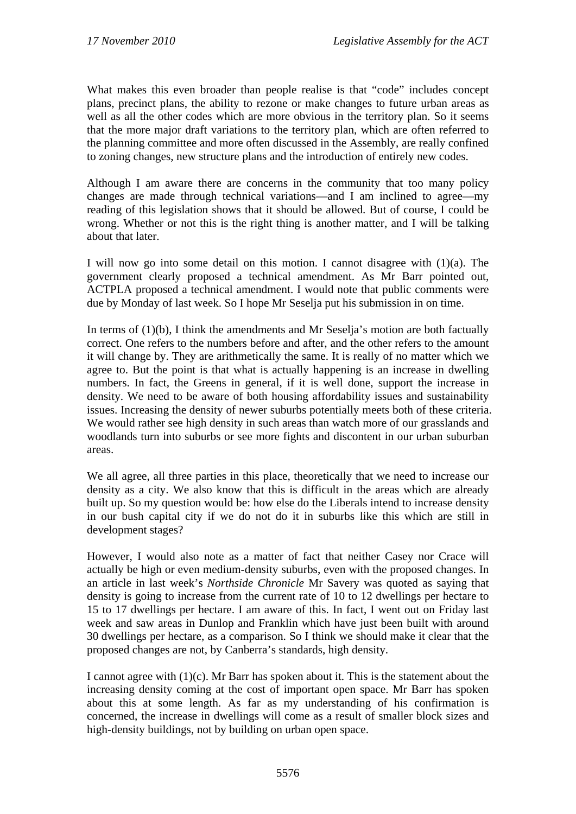What makes this even broader than people realise is that "code" includes concept plans, precinct plans, the ability to rezone or make changes to future urban areas as well as all the other codes which are more obvious in the territory plan. So it seems that the more major draft variations to the territory plan, which are often referred to the planning committee and more often discussed in the Assembly, are really confined to zoning changes, new structure plans and the introduction of entirely new codes.

Although I am aware there are concerns in the community that too many policy changes are made through technical variations—and I am inclined to agree—my reading of this legislation shows that it should be allowed. But of course, I could be wrong. Whether or not this is the right thing is another matter, and I will be talking about that later.

I will now go into some detail on this motion. I cannot disagree with (1)(a). The government clearly proposed a technical amendment. As Mr Barr pointed out, ACTPLA proposed a technical amendment. I would note that public comments were due by Monday of last week. So I hope Mr Seselja put his submission in on time.

In terms of  $(1)(b)$ , I think the amendments and Mr Seselja's motion are both factually correct. One refers to the numbers before and after, and the other refers to the amount it will change by. They are arithmetically the same. It is really of no matter which we agree to. But the point is that what is actually happening is an increase in dwelling numbers. In fact, the Greens in general, if it is well done, support the increase in density. We need to be aware of both housing affordability issues and sustainability issues. Increasing the density of newer suburbs potentially meets both of these criteria. We would rather see high density in such areas than watch more of our grasslands and woodlands turn into suburbs or see more fights and discontent in our urban suburban areas.

We all agree, all three parties in this place, theoretically that we need to increase our density as a city. We also know that this is difficult in the areas which are already built up. So my question would be: how else do the Liberals intend to increase density in our bush capital city if we do not do it in suburbs like this which are still in development stages?

However, I would also note as a matter of fact that neither Casey nor Crace will actually be high or even medium-density suburbs, even with the proposed changes. In an article in last week's *Northside Chronicle* Mr Savery was quoted as saying that density is going to increase from the current rate of 10 to 12 dwellings per hectare to 15 to 17 dwellings per hectare. I am aware of this. In fact, I went out on Friday last week and saw areas in Dunlop and Franklin which have just been built with around 30 dwellings per hectare, as a comparison. So I think we should make it clear that the proposed changes are not, by Canberra's standards, high density.

I cannot agree with (1)(c). Mr Barr has spoken about it. This is the statement about the increasing density coming at the cost of important open space. Mr Barr has spoken about this at some length. As far as my understanding of his confirmation is concerned, the increase in dwellings will come as a result of smaller block sizes and high-density buildings, not by building on urban open space.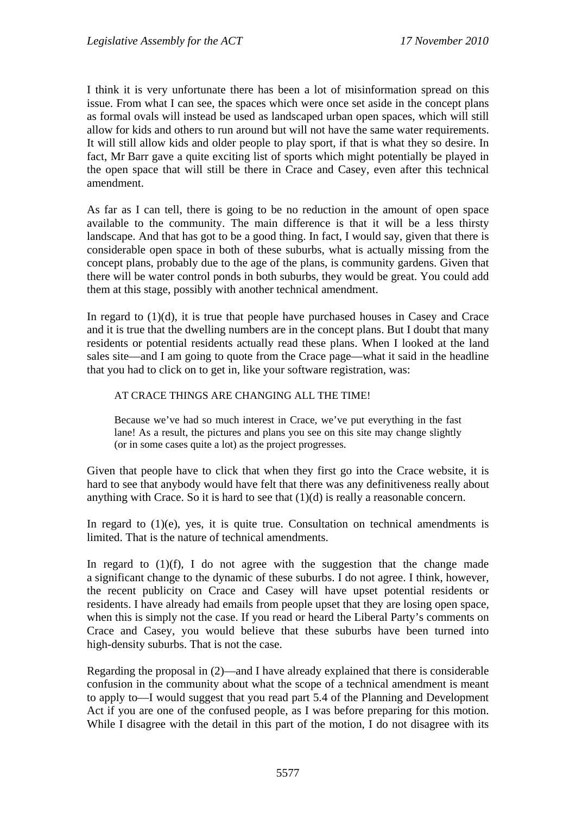I think it is very unfortunate there has been a lot of misinformation spread on this issue. From what I can see, the spaces which were once set aside in the concept plans as formal ovals will instead be used as landscaped urban open spaces, which will still allow for kids and others to run around but will not have the same water requirements. It will still allow kids and older people to play sport, if that is what they so desire. In fact, Mr Barr gave a quite exciting list of sports which might potentially be played in the open space that will still be there in Crace and Casey, even after this technical amendment.

As far as I can tell, there is going to be no reduction in the amount of open space available to the community. The main difference is that it will be a less thirsty landscape. And that has got to be a good thing. In fact, I would say, given that there is considerable open space in both of these suburbs, what is actually missing from the concept plans, probably due to the age of the plans, is community gardens. Given that there will be water control ponds in both suburbs, they would be great. You could add them at this stage, possibly with another technical amendment.

In regard to (1)(d), it is true that people have purchased houses in Casey and Crace and it is true that the dwelling numbers are in the concept plans. But I doubt that many residents or potential residents actually read these plans. When I looked at the land sales site—and I am going to quote from the Crace page—what it said in the headline that you had to click on to get in, like your software registration, was:

### AT CRACE THINGS ARE CHANGING ALL THE TIME!

Because we've had so much interest in Crace, we've put everything in the fast lane! As a result, the pictures and plans you see on this site may change slightly (or in some cases quite a lot) as the project progresses.

Given that people have to click that when they first go into the Crace website, it is hard to see that anybody would have felt that there was any definitiveness really about anything with Crace. So it is hard to see that (1)(d) is really a reasonable concern.

In regard to  $(1)(e)$ , yes, it is quite true. Consultation on technical amendments is limited. That is the nature of technical amendments.

In regard to  $(1)(f)$ , I do not agree with the suggestion that the change made a significant change to the dynamic of these suburbs. I do not agree. I think, however, the recent publicity on Crace and Casey will have upset potential residents or residents. I have already had emails from people upset that they are losing open space, when this is simply not the case. If you read or heard the Liberal Party's comments on Crace and Casey, you would believe that these suburbs have been turned into high-density suburbs. That is not the case.

Regarding the proposal in (2)—and I have already explained that there is considerable confusion in the community about what the scope of a technical amendment is meant to apply to—I would suggest that you read part 5.4 of the Planning and Development Act if you are one of the confused people, as I was before preparing for this motion. While I disagree with the detail in this part of the motion, I do not disagree with its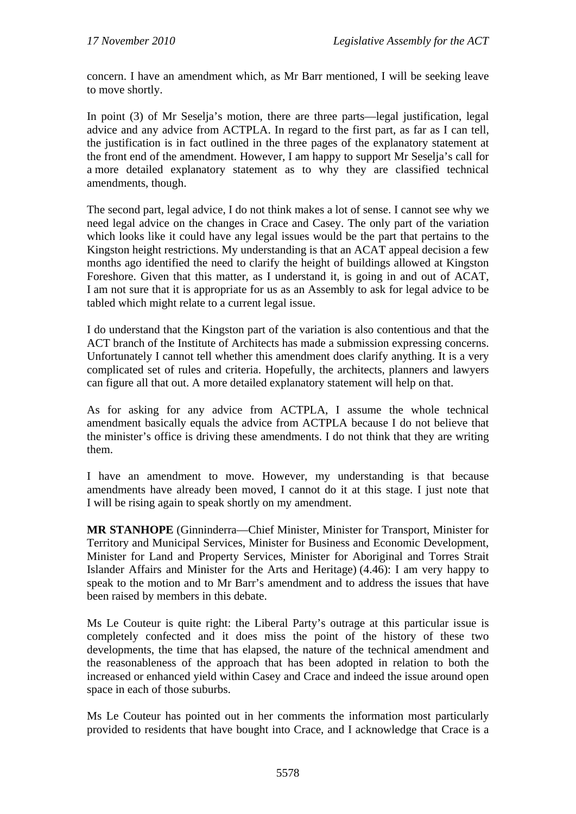concern. I have an amendment which, as Mr Barr mentioned, I will be seeking leave to move shortly.

In point (3) of Mr Seselja's motion, there are three parts—legal justification, legal advice and any advice from ACTPLA. In regard to the first part, as far as I can tell, the justification is in fact outlined in the three pages of the explanatory statement at the front end of the amendment. However, I am happy to support Mr Seselja's call for a more detailed explanatory statement as to why they are classified technical amendments, though.

The second part, legal advice, I do not think makes a lot of sense. I cannot see why we need legal advice on the changes in Crace and Casey. The only part of the variation which looks like it could have any legal issues would be the part that pertains to the Kingston height restrictions. My understanding is that an ACAT appeal decision a few months ago identified the need to clarify the height of buildings allowed at Kingston Foreshore. Given that this matter, as I understand it, is going in and out of ACAT, I am not sure that it is appropriate for us as an Assembly to ask for legal advice to be tabled which might relate to a current legal issue.

I do understand that the Kingston part of the variation is also contentious and that the ACT branch of the Institute of Architects has made a submission expressing concerns. Unfortunately I cannot tell whether this amendment does clarify anything. It is a very complicated set of rules and criteria. Hopefully, the architects, planners and lawyers can figure all that out. A more detailed explanatory statement will help on that.

As for asking for any advice from ACTPLA, I assume the whole technical amendment basically equals the advice from ACTPLA because I do not believe that the minister's office is driving these amendments. I do not think that they are writing them.

I have an amendment to move. However, my understanding is that because amendments have already been moved, I cannot do it at this stage. I just note that I will be rising again to speak shortly on my amendment.

**MR STANHOPE** (Ginninderra—Chief Minister, Minister for Transport, Minister for Territory and Municipal Services, Minister for Business and Economic Development, Minister for Land and Property Services, Minister for Aboriginal and Torres Strait Islander Affairs and Minister for the Arts and Heritage) (4.46): I am very happy to speak to the motion and to Mr Barr's amendment and to address the issues that have been raised by members in this debate.

Ms Le Couteur is quite right: the Liberal Party's outrage at this particular issue is completely confected and it does miss the point of the history of these two developments, the time that has elapsed, the nature of the technical amendment and the reasonableness of the approach that has been adopted in relation to both the increased or enhanced yield within Casey and Crace and indeed the issue around open space in each of those suburbs.

Ms Le Couteur has pointed out in her comments the information most particularly provided to residents that have bought into Crace, and I acknowledge that Crace is a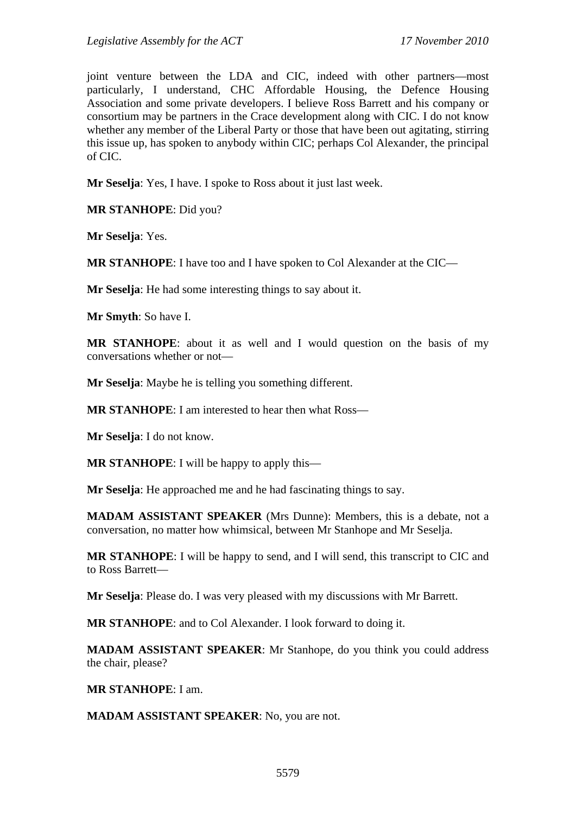joint venture between the LDA and CIC, indeed with other partners—most particularly, I understand, CHC Affordable Housing, the Defence Housing Association and some private developers. I believe Ross Barrett and his company or consortium may be partners in the Crace development along with CIC. I do not know whether any member of the Liberal Party or those that have been out agitating, stirring this issue up, has spoken to anybody within CIC; perhaps Col Alexander, the principal of CIC.

**Mr Seselja**: Yes, I have. I spoke to Ross about it just last week.

**MR STANHOPE**: Did you?

**Mr Seselja**: Yes.

**MR STANHOPE**: I have too and I have spoken to Col Alexander at the CIC—

**Mr Seselja**: He had some interesting things to say about it.

**Mr Smyth**: So have I.

**MR STANHOPE**: about it as well and I would question on the basis of my conversations whether or not—

**Mr Seselja**: Maybe he is telling you something different.

**MR STANHOPE**: I am interested to hear then what Ross—

**Mr Seselja**: I do not know.

**MR STANHOPE**: I will be happy to apply this—

**Mr Seselja**: He approached me and he had fascinating things to say.

**MADAM ASSISTANT SPEAKER** (Mrs Dunne): Members, this is a debate, not a conversation, no matter how whimsical, between Mr Stanhope and Mr Seselja.

**MR STANHOPE**: I will be happy to send, and I will send, this transcript to CIC and to Ross Barrett—

**Mr Seselja**: Please do. I was very pleased with my discussions with Mr Barrett.

**MR STANHOPE**: and to Col Alexander. I look forward to doing it.

**MADAM ASSISTANT SPEAKER**: Mr Stanhope, do you think you could address the chair, please?

**MR STANHOPE**: I am.

**MADAM ASSISTANT SPEAKER**: No, you are not.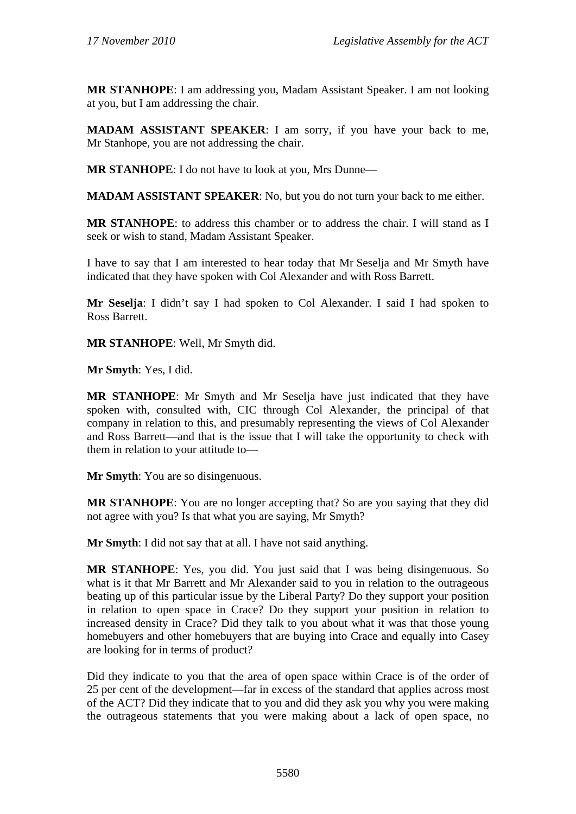**MR STANHOPE**: I am addressing you, Madam Assistant Speaker. I am not looking at you, but I am addressing the chair.

**MADAM ASSISTANT SPEAKER**: I am sorry, if you have your back to me, Mr Stanhope, you are not addressing the chair.

**MR STANHOPE**: I do not have to look at you, Mrs Dunne—

**MADAM ASSISTANT SPEAKER**: No, but you do not turn your back to me either.

**MR STANHOPE**: to address this chamber or to address the chair. I will stand as I seek or wish to stand, Madam Assistant Speaker.

I have to say that I am interested to hear today that Mr Seselja and Mr Smyth have indicated that they have spoken with Col Alexander and with Ross Barrett.

**Mr Seselja**: I didn't say I had spoken to Col Alexander. I said I had spoken to Ross Barrett.

**MR STANHOPE**: Well, Mr Smyth did.

**Mr Smyth**: Yes, I did.

**MR STANHOPE**: Mr Smyth and Mr Seselja have just indicated that they have spoken with, consulted with, CIC through Col Alexander, the principal of that company in relation to this, and presumably representing the views of Col Alexander and Ross Barrett—and that is the issue that I will take the opportunity to check with them in relation to your attitude to—

**Mr Smyth**: You are so disingenuous.

**MR STANHOPE**: You are no longer accepting that? So are you saying that they did not agree with you? Is that what you are saying, Mr Smyth?

**Mr Smyth**: I did not say that at all. I have not said anything.

**MR STANHOPE**: Yes, you did. You just said that I was being disingenuous. So what is it that Mr Barrett and Mr Alexander said to you in relation to the outrageous beating up of this particular issue by the Liberal Party? Do they support your position in relation to open space in Crace? Do they support your position in relation to increased density in Crace? Did they talk to you about what it was that those young homebuyers and other homebuyers that are buying into Crace and equally into Casey are looking for in terms of product?

Did they indicate to you that the area of open space within Crace is of the order of 25 per cent of the development—far in excess of the standard that applies across most of the ACT? Did they indicate that to you and did they ask you why you were making the outrageous statements that you were making about a lack of open space, no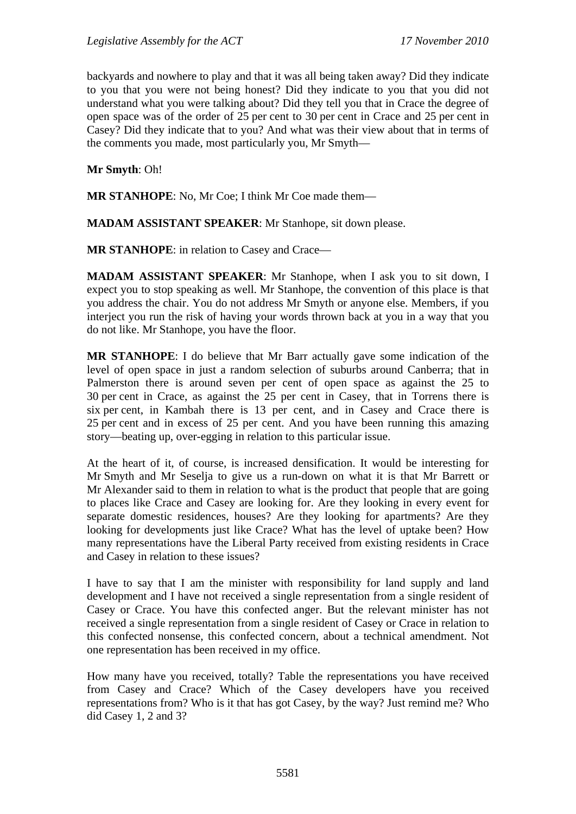backyards and nowhere to play and that it was all being taken away? Did they indicate to you that you were not being honest? Did they indicate to you that you did not understand what you were talking about? Did they tell you that in Crace the degree of open space was of the order of 25 per cent to 30 per cent in Crace and 25 per cent in Casey? Did they indicate that to you? And what was their view about that in terms of the comments you made, most particularly you, Mr Smyth—

**Mr Smyth**: Oh!

**MR STANHOPE**: No, Mr Coe; I think Mr Coe made them—

**MADAM ASSISTANT SPEAKER**: Mr Stanhope, sit down please.

**MR STANHOPE**: in relation to Casey and Crace—

**MADAM ASSISTANT SPEAKER**: Mr Stanhope, when I ask you to sit down, I expect you to stop speaking as well. Mr Stanhope, the convention of this place is that you address the chair. You do not address Mr Smyth or anyone else. Members, if you interject you run the risk of having your words thrown back at you in a way that you do not like. Mr Stanhope, you have the floor.

**MR STANHOPE**: I do believe that Mr Barr actually gave some indication of the level of open space in just a random selection of suburbs around Canberra; that in Palmerston there is around seven per cent of open space as against the 25 to 30 per cent in Crace, as against the 25 per cent in Casey, that in Torrens there is six per cent, in Kambah there is 13 per cent, and in Casey and Crace there is 25 per cent and in excess of 25 per cent. And you have been running this amazing story—beating up, over-egging in relation to this particular issue.

At the heart of it, of course, is increased densification. It would be interesting for Mr Smyth and Mr Seselja to give us a run-down on what it is that Mr Barrett or Mr Alexander said to them in relation to what is the product that people that are going to places like Crace and Casey are looking for. Are they looking in every event for separate domestic residences, houses? Are they looking for apartments? Are they looking for developments just like Crace? What has the level of uptake been? How many representations have the Liberal Party received from existing residents in Crace and Casey in relation to these issues?

I have to say that I am the minister with responsibility for land supply and land development and I have not received a single representation from a single resident of Casey or Crace. You have this confected anger. But the relevant minister has not received a single representation from a single resident of Casey or Crace in relation to this confected nonsense, this confected concern, about a technical amendment. Not one representation has been received in my office.

How many have you received, totally? Table the representations you have received from Casey and Crace? Which of the Casey developers have you received representations from? Who is it that has got Casey, by the way? Just remind me? Who did Casey 1, 2 and 3?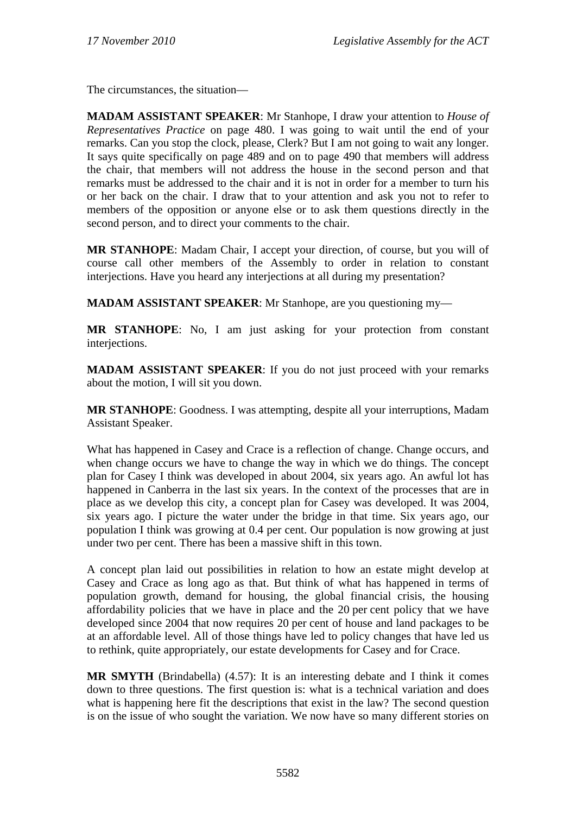The circumstances, the situation—

**MADAM ASSISTANT SPEAKER**: Mr Stanhope, I draw your attention to *House of Representatives Practice* on page 480. I was going to wait until the end of your remarks. Can you stop the clock, please, Clerk? But I am not going to wait any longer. It says quite specifically on page 489 and on to page 490 that members will address the chair, that members will not address the house in the second person and that remarks must be addressed to the chair and it is not in order for a member to turn his or her back on the chair. I draw that to your attention and ask you not to refer to members of the opposition or anyone else or to ask them questions directly in the second person, and to direct your comments to the chair.

**MR STANHOPE**: Madam Chair, I accept your direction, of course, but you will of course call other members of the Assembly to order in relation to constant interjections. Have you heard any interjections at all during my presentation?

**MADAM ASSISTANT SPEAKER**: Mr Stanhope, are you questioning my—

**MR STANHOPE**: No, I am just asking for your protection from constant interjections.

**MADAM ASSISTANT SPEAKER**: If you do not just proceed with your remarks about the motion, I will sit you down.

**MR STANHOPE**: Goodness. I was attempting, despite all your interruptions, Madam Assistant Speaker.

What has happened in Casey and Crace is a reflection of change. Change occurs, and when change occurs we have to change the way in which we do things. The concept plan for Casey I think was developed in about 2004, six years ago. An awful lot has happened in Canberra in the last six years. In the context of the processes that are in place as we develop this city, a concept plan for Casey was developed. It was 2004, six years ago. I picture the water under the bridge in that time. Six years ago, our population I think was growing at 0.4 per cent. Our population is now growing at just under two per cent. There has been a massive shift in this town.

A concept plan laid out possibilities in relation to how an estate might develop at Casey and Crace as long ago as that. But think of what has happened in terms of population growth, demand for housing, the global financial crisis, the housing affordability policies that we have in place and the 20 per cent policy that we have developed since 2004 that now requires 20 per cent of house and land packages to be at an affordable level. All of those things have led to policy changes that have led us to rethink, quite appropriately, our estate developments for Casey and for Crace.

**MR SMYTH** (Brindabella) (4.57): It is an interesting debate and I think it comes down to three questions. The first question is: what is a technical variation and does what is happening here fit the descriptions that exist in the law? The second question is on the issue of who sought the variation. We now have so many different stories on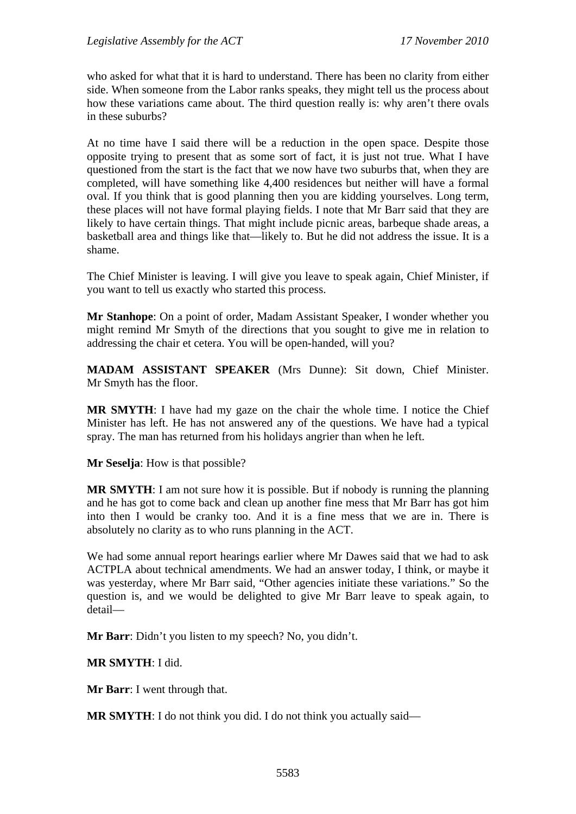who asked for what that it is hard to understand. There has been no clarity from either side. When someone from the Labor ranks speaks, they might tell us the process about how these variations came about. The third question really is: why aren't there ovals in these suburbs?

At no time have I said there will be a reduction in the open space. Despite those opposite trying to present that as some sort of fact, it is just not true. What I have questioned from the start is the fact that we now have two suburbs that, when they are completed, will have something like 4,400 residences but neither will have a formal oval. If you think that is good planning then you are kidding yourselves. Long term, these places will not have formal playing fields. I note that Mr Barr said that they are likely to have certain things. That might include picnic areas, barbeque shade areas, a basketball area and things like that—likely to. But he did not address the issue. It is a shame.

The Chief Minister is leaving. I will give you leave to speak again, Chief Minister, if you want to tell us exactly who started this process.

**Mr Stanhope**: On a point of order, Madam Assistant Speaker, I wonder whether you might remind Mr Smyth of the directions that you sought to give me in relation to addressing the chair et cetera. You will be open-handed, will you?

**MADAM ASSISTANT SPEAKER** (Mrs Dunne): Sit down, Chief Minister. Mr Smyth has the floor.

**MR SMYTH**: I have had my gaze on the chair the whole time. I notice the Chief Minister has left. He has not answered any of the questions. We have had a typical spray. The man has returned from his holidays angrier than when he left.

**Mr Seselja**: How is that possible?

**MR SMYTH**: I am not sure how it is possible. But if nobody is running the planning and he has got to come back and clean up another fine mess that Mr Barr has got him into then I would be cranky too. And it is a fine mess that we are in. There is absolutely no clarity as to who runs planning in the ACT.

We had some annual report hearings earlier where Mr Dawes said that we had to ask ACTPLA about technical amendments. We had an answer today, I think, or maybe it was yesterday, where Mr Barr said, "Other agencies initiate these variations." So the question is, and we would be delighted to give Mr Barr leave to speak again, to detail—

**Mr Barr**: Didn't you listen to my speech? No, you didn't.

**MR SMYTH**: I did.

**Mr Barr**: I went through that.

**MR SMYTH**: I do not think you did. I do not think you actually said—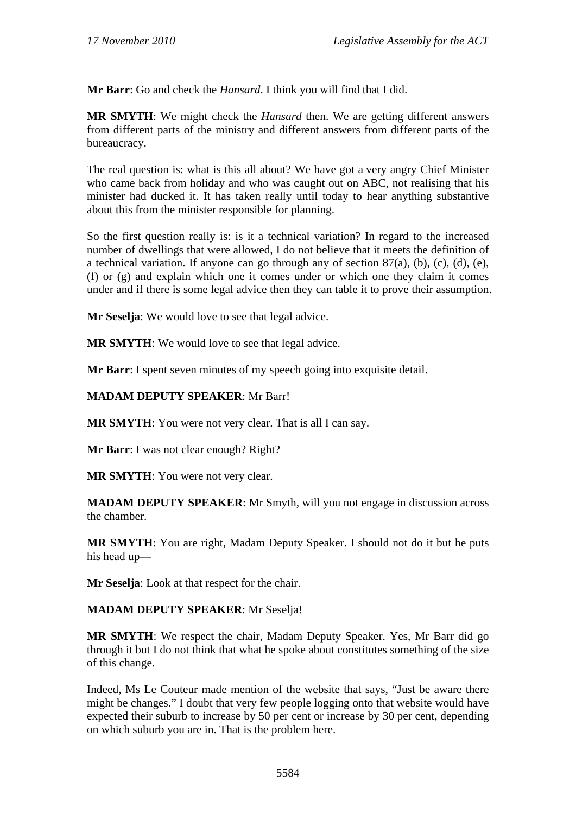**Mr Barr**: Go and check the *Hansard*. I think you will find that I did.

**MR SMYTH**: We might check the *Hansard* then. We are getting different answers from different parts of the ministry and different answers from different parts of the bureaucracy.

The real question is: what is this all about? We have got a very angry Chief Minister who came back from holiday and who was caught out on ABC, not realising that his minister had ducked it. It has taken really until today to hear anything substantive about this from the minister responsible for planning.

So the first question really is: is it a technical variation? In regard to the increased number of dwellings that were allowed, I do not believe that it meets the definition of a technical variation. If anyone can go through any of section 87(a), (b), (c), (d), (e), (f) or (g) and explain which one it comes under or which one they claim it comes under and if there is some legal advice then they can table it to prove their assumption.

**Mr Seselja**: We would love to see that legal advice.

**MR SMYTH**: We would love to see that legal advice.

**Mr Barr**: I spent seven minutes of my speech going into exquisite detail.

# **MADAM DEPUTY SPEAKER**: Mr Barr!

**MR SMYTH**: You were not very clear. That is all I can say.

**Mr Barr**: I was not clear enough? Right?

**MR SMYTH**: You were not very clear.

**MADAM DEPUTY SPEAKER**: Mr Smyth, will you not engage in discussion across the chamber.

**MR SMYTH**: You are right, Madam Deputy Speaker. I should not do it but he puts his head up—

**Mr Seselja**: Look at that respect for the chair.

## **MADAM DEPUTY SPEAKER**: Mr Seselja!

**MR SMYTH**: We respect the chair, Madam Deputy Speaker. Yes, Mr Barr did go through it but I do not think that what he spoke about constitutes something of the size of this change.

Indeed, Ms Le Couteur made mention of the website that says, "Just be aware there might be changes." I doubt that very few people logging onto that website would have expected their suburb to increase by 50 per cent or increase by 30 per cent, depending on which suburb you are in. That is the problem here.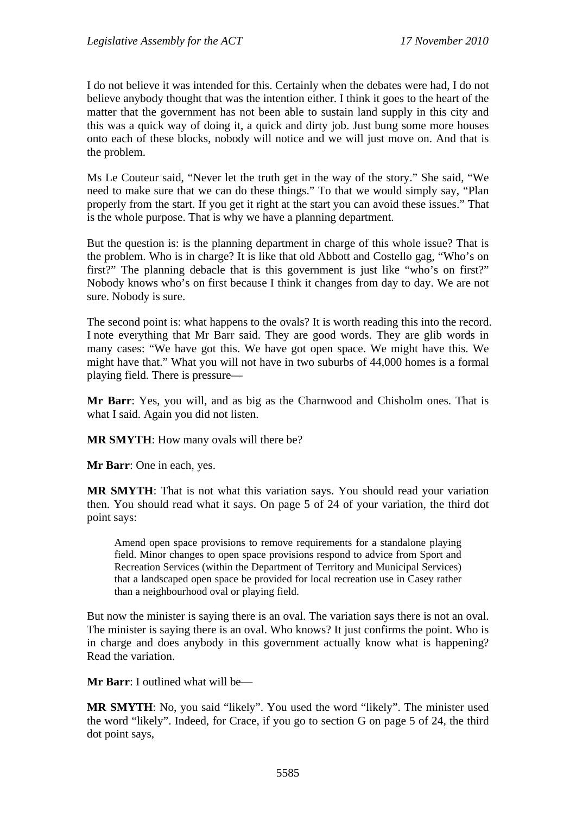I do not believe it was intended for this. Certainly when the debates were had, I do not believe anybody thought that was the intention either. I think it goes to the heart of the matter that the government has not been able to sustain land supply in this city and this was a quick way of doing it, a quick and dirty job. Just bung some more houses onto each of these blocks, nobody will notice and we will just move on. And that is the problem.

Ms Le Couteur said, "Never let the truth get in the way of the story." She said, "We need to make sure that we can do these things." To that we would simply say, "Plan properly from the start. If you get it right at the start you can avoid these issues." That is the whole purpose. That is why we have a planning department.

But the question is: is the planning department in charge of this whole issue? That is the problem. Who is in charge? It is like that old Abbott and Costello gag, "Who's on first?" The planning debacle that is this government is just like "who's on first?" Nobody knows who's on first because I think it changes from day to day. We are not sure. Nobody is sure.

The second point is: what happens to the ovals? It is worth reading this into the record. I note everything that Mr Barr said. They are good words. They are glib words in many cases: "We have got this. We have got open space. We might have this. We might have that." What you will not have in two suburbs of 44,000 homes is a formal playing field. There is pressure—

**Mr Barr**: Yes, you will, and as big as the Charnwood and Chisholm ones. That is what I said. Again you did not listen.

**MR SMYTH**: How many ovals will there be?

**Mr Barr**: One in each, yes.

**MR SMYTH**: That is not what this variation says. You should read your variation then. You should read what it says. On page 5 of 24 of your variation, the third dot point says:

Amend open space provisions to remove requirements for a standalone playing field. Minor changes to open space provisions respond to advice from Sport and Recreation Services (within the Department of Territory and Municipal Services) that a landscaped open space be provided for local recreation use in Casey rather than a neighbourhood oval or playing field.

But now the minister is saying there is an oval. The variation says there is not an oval. The minister is saying there is an oval. Who knows? It just confirms the point. Who is in charge and does anybody in this government actually know what is happening? Read the variation.

**Mr Barr**: I outlined what will be—

**MR SMYTH**: No, you said "likely". You used the word "likely". The minister used the word "likely". Indeed, for Crace, if you go to section G on page 5 of 24, the third dot point says,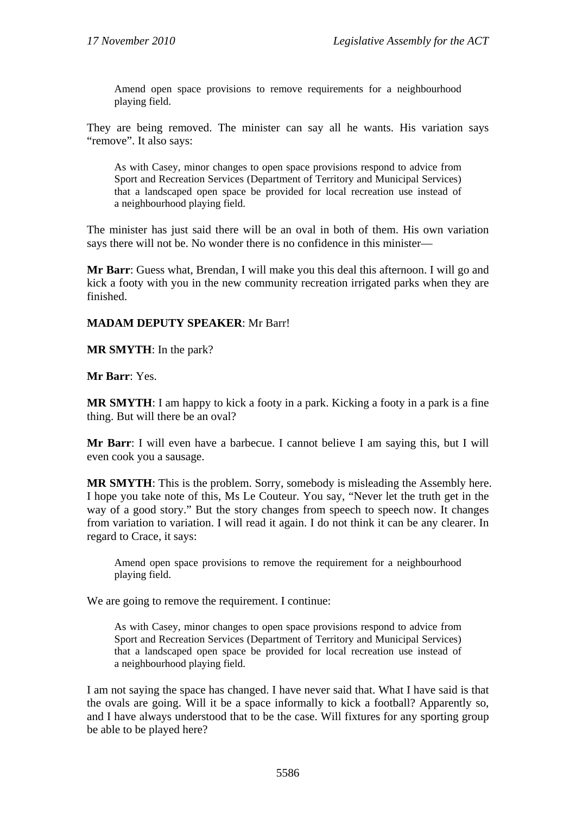Amend open space provisions to remove requirements for a neighbourhood playing field.

They are being removed. The minister can say all he wants. His variation says "remove". It also says:

As with Casey, minor changes to open space provisions respond to advice from Sport and Recreation Services (Department of Territory and Municipal Services) that a landscaped open space be provided for local recreation use instead of a neighbourhood playing field.

The minister has just said there will be an oval in both of them. His own variation says there will not be. No wonder there is no confidence in this minister—

**Mr Barr**: Guess what, Brendan, I will make you this deal this afternoon. I will go and kick a footy with you in the new community recreation irrigated parks when they are finished.

### **MADAM DEPUTY SPEAKER**: Mr Barr!

**MR SMYTH**: In the park?

**Mr Barr**: Yes.

**MR SMYTH**: I am happy to kick a footy in a park. Kicking a footy in a park is a fine thing. But will there be an oval?

**Mr Barr**: I will even have a barbecue. I cannot believe I am saying this, but I will even cook you a sausage.

**MR SMYTH**: This is the problem. Sorry, somebody is misleading the Assembly here. I hope you take note of this, Ms Le Couteur. You say, "Never let the truth get in the way of a good story." But the story changes from speech to speech now. It changes from variation to variation. I will read it again. I do not think it can be any clearer. In regard to Crace, it says:

Amend open space provisions to remove the requirement for a neighbourhood playing field.

We are going to remove the requirement. I continue:

As with Casey, minor changes to open space provisions respond to advice from Sport and Recreation Services (Department of Territory and Municipal Services) that a landscaped open space be provided for local recreation use instead of a neighbourhood playing field.

I am not saying the space has changed. I have never said that. What I have said is that the ovals are going. Will it be a space informally to kick a football? Apparently so, and I have always understood that to be the case. Will fixtures for any sporting group be able to be played here?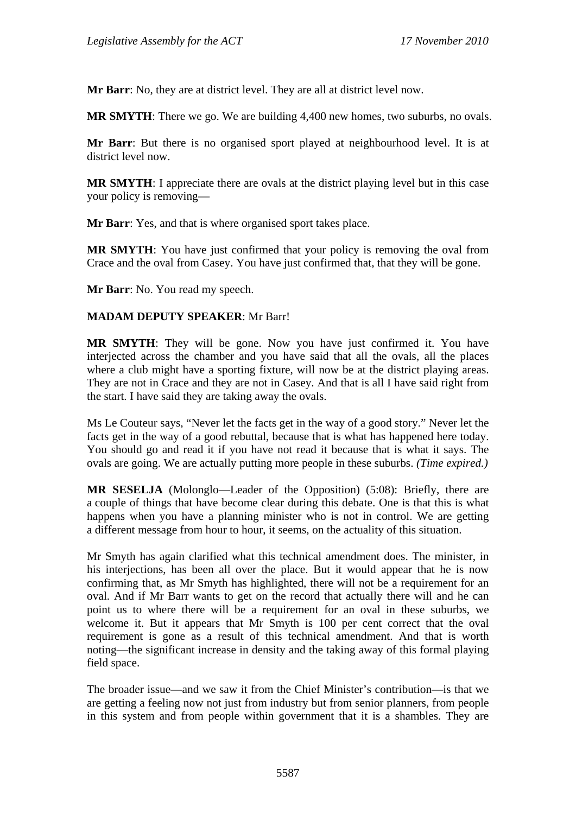**Mr Barr**: No, they are at district level. They are all at district level now.

**MR SMYTH:** There we go. We are building 4,400 new homes, two suburbs, no ovals.

**Mr Barr**: But there is no organised sport played at neighbourhood level. It is at district level now.

**MR SMYTH**: I appreciate there are ovals at the district playing level but in this case your policy is removing—

**Mr Barr**: Yes, and that is where organised sport takes place.

**MR SMYTH**: You have just confirmed that your policy is removing the oval from Crace and the oval from Casey. You have just confirmed that, that they will be gone.

**Mr Barr**: No. You read my speech.

### **MADAM DEPUTY SPEAKER**: Mr Barr!

**MR SMYTH**: They will be gone. Now you have just confirmed it. You have interjected across the chamber and you have said that all the ovals, all the places where a club might have a sporting fixture, will now be at the district playing areas. They are not in Crace and they are not in Casey. And that is all I have said right from the start. I have said they are taking away the ovals.

Ms Le Couteur says, "Never let the facts get in the way of a good story." Never let the facts get in the way of a good rebuttal, because that is what has happened here today. You should go and read it if you have not read it because that is what it says. The ovals are going. We are actually putting more people in these suburbs. *(Time expired.)*

**MR SESELJA** (Molonglo—Leader of the Opposition) (5:08): Briefly, there are a couple of things that have become clear during this debate. One is that this is what happens when you have a planning minister who is not in control. We are getting a different message from hour to hour, it seems, on the actuality of this situation.

Mr Smyth has again clarified what this technical amendment does. The minister, in his interjections, has been all over the place. But it would appear that he is now confirming that, as Mr Smyth has highlighted, there will not be a requirement for an oval. And if Mr Barr wants to get on the record that actually there will and he can point us to where there will be a requirement for an oval in these suburbs, we welcome it. But it appears that Mr Smyth is 100 per cent correct that the oval requirement is gone as a result of this technical amendment. And that is worth noting—the significant increase in density and the taking away of this formal playing field space.

The broader issue—and we saw it from the Chief Minister's contribution—is that we are getting a feeling now not just from industry but from senior planners, from people in this system and from people within government that it is a shambles. They are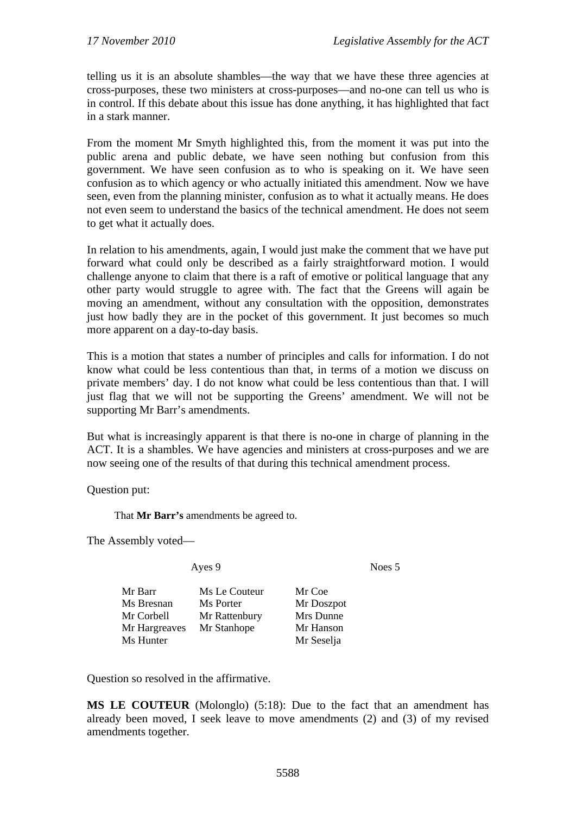telling us it is an absolute shambles—the way that we have these three agencies at cross-purposes, these two ministers at cross-purposes—and no-one can tell us who is in control. If this debate about this issue has done anything, it has highlighted that fact in a stark manner.

From the moment Mr Smyth highlighted this, from the moment it was put into the public arena and public debate, we have seen nothing but confusion from this government. We have seen confusion as to who is speaking on it. We have seen confusion as to which agency or who actually initiated this amendment. Now we have seen, even from the planning minister, confusion as to what it actually means. He does not even seem to understand the basics of the technical amendment. He does not seem to get what it actually does.

In relation to his amendments, again, I would just make the comment that we have put forward what could only be described as a fairly straightforward motion. I would challenge anyone to claim that there is a raft of emotive or political language that any other party would struggle to agree with. The fact that the Greens will again be moving an amendment, without any consultation with the opposition, demonstrates just how badly they are in the pocket of this government. It just becomes so much more apparent on a day-to-day basis.

This is a motion that states a number of principles and calls for information. I do not know what could be less contentious than that, in terms of a motion we discuss on private members' day. I do not know what could be less contentious than that. I will just flag that we will not be supporting the Greens' amendment. We will not be supporting Mr Barr's amendments.

But what is increasingly apparent is that there is no-one in charge of planning in the ACT. It is a shambles. We have agencies and ministers at cross-purposes and we are now seeing one of the results of that during this technical amendment process.

Question put:

That **Mr Barr's** amendments be agreed to.

The Assembly voted—

Ayes 9 Noes 5

| Mr Barr       | Ms Le Couteur | Mr Coe     |
|---------------|---------------|------------|
| Ms Bresnan    | Ms Porter     | Mr Doszpot |
| Mr Corbell    | Mr Rattenbury | Mrs Dunne  |
| Mr Hargreaves | Mr Stanhope   | Mr Hanson  |
| Ms Hunter     |               | Mr Seselja |

Question so resolved in the affirmative.

**MS LE COUTEUR** (Molonglo) (5:18): Due to the fact that an amendment has already been moved, I seek leave to move amendments (2) and (3) of my revised amendments together.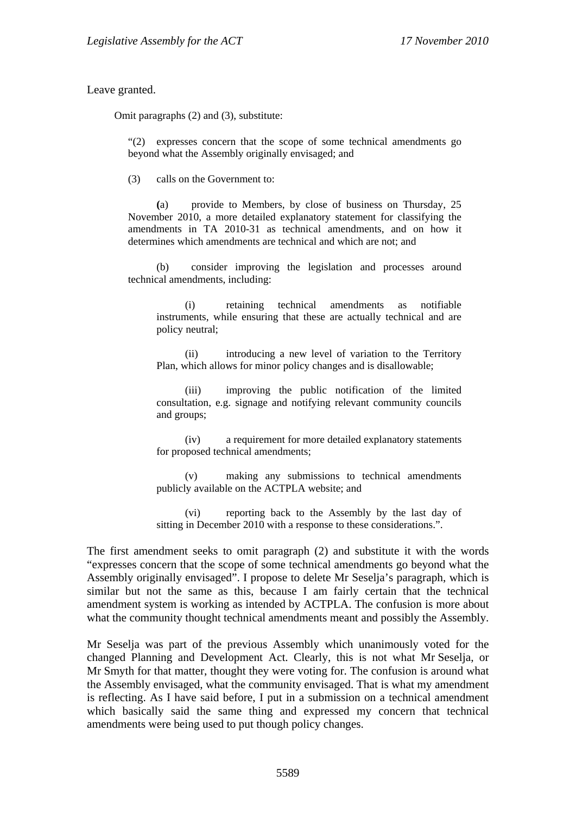Leave granted.

Omit paragraphs (2) and (3), substitute:

"(2) expresses concern that the scope of some technical amendments go beyond what the Assembly originally envisaged; and

(3) calls on the Government to:

 **(**a) provide to Members, by close of business on Thursday, 25 November 2010, a more detailed explanatory statement for classifying the amendments in TA 2010-31 as technical amendments, and on how it determines which amendments are technical and which are not; and

 (b) consider improving the legislation and processes around technical amendments, including:

(i) retaining technical amendments as notifiable instruments, while ensuring that these are actually technical and are policy neutral;

(ii) introducing a new level of variation to the Territory Plan, which allows for minor policy changes and is disallowable;

(iii) improving the public notification of the limited consultation, e.g. signage and notifying relevant community councils and groups;

(iv) a requirement for more detailed explanatory statements for proposed technical amendments;

(v) making any submissions to technical amendments publicly available on the ACTPLA website; and

(vi) reporting back to the Assembly by the last day of sitting in December 2010 with a response to these considerations.".

The first amendment seeks to omit paragraph (2) and substitute it with the words "expresses concern that the scope of some technical amendments go beyond what the Assembly originally envisaged". I propose to delete Mr Seselja's paragraph, which is similar but not the same as this, because I am fairly certain that the technical amendment system is working as intended by ACTPLA. The confusion is more about what the community thought technical amendments meant and possibly the Assembly.

Mr Seselja was part of the previous Assembly which unanimously voted for the changed Planning and Development Act. Clearly, this is not what Mr Seselja, or Mr Smyth for that matter, thought they were voting for. The confusion is around what the Assembly envisaged, what the community envisaged. That is what my amendment is reflecting. As I have said before, I put in a submission on a technical amendment which basically said the same thing and expressed my concern that technical amendments were being used to put though policy changes.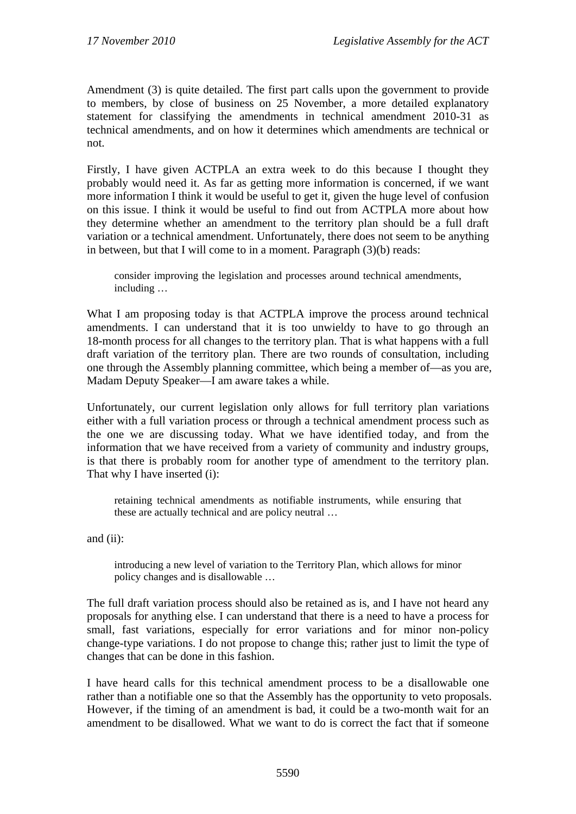Amendment (3) is quite detailed. The first part calls upon the government to provide to members, by close of business on 25 November, a more detailed explanatory statement for classifying the amendments in technical amendment 2010-31 as technical amendments, and on how it determines which amendments are technical or not.

Firstly, I have given ACTPLA an extra week to do this because I thought they probably would need it. As far as getting more information is concerned, if we want more information I think it would be useful to get it, given the huge level of confusion on this issue. I think it would be useful to find out from ACTPLA more about how they determine whether an amendment to the territory plan should be a full draft variation or a technical amendment. Unfortunately, there does not seem to be anything in between, but that I will come to in a moment. Paragraph (3)(b) reads:

consider improving the legislation and processes around technical amendments, including …

What I am proposing today is that ACTPLA improve the process around technical amendments. I can understand that it is too unwieldy to have to go through an 18-month process for all changes to the territory plan. That is what happens with a full draft variation of the territory plan. There are two rounds of consultation, including one through the Assembly planning committee, which being a member of—as you are, Madam Deputy Speaker—I am aware takes a while.

Unfortunately, our current legislation only allows for full territory plan variations either with a full variation process or through a technical amendment process such as the one we are discussing today. What we have identified today, and from the information that we have received from a variety of community and industry groups, is that there is probably room for another type of amendment to the territory plan. That why I have inserted (i):

retaining technical amendments as notifiable instruments, while ensuring that these are actually technical and are policy neutral …

and (ii):

introducing a new level of variation to the Territory Plan, which allows for minor policy changes and is disallowable …

The full draft variation process should also be retained as is, and I have not heard any proposals for anything else. I can understand that there is a need to have a process for small, fast variations, especially for error variations and for minor non-policy change-type variations. I do not propose to change this; rather just to limit the type of changes that can be done in this fashion.

I have heard calls for this technical amendment process to be a disallowable one rather than a notifiable one so that the Assembly has the opportunity to veto proposals. However, if the timing of an amendment is bad, it could be a two-month wait for an amendment to be disallowed. What we want to do is correct the fact that if someone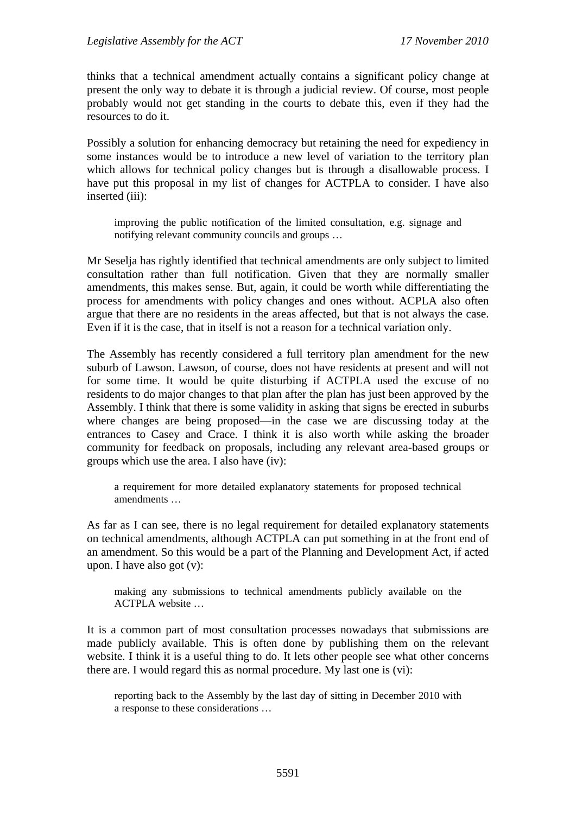thinks that a technical amendment actually contains a significant policy change at present the only way to debate it is through a judicial review. Of course, most people probably would not get standing in the courts to debate this, even if they had the resources to do it.

Possibly a solution for enhancing democracy but retaining the need for expediency in some instances would be to introduce a new level of variation to the territory plan which allows for technical policy changes but is through a disallowable process. I have put this proposal in my list of changes for ACTPLA to consider. I have also inserted (iii):

improving the public notification of the limited consultation, e.g. signage and notifying relevant community councils and groups …

Mr Seselja has rightly identified that technical amendments are only subject to limited consultation rather than full notification. Given that they are normally smaller amendments, this makes sense. But, again, it could be worth while differentiating the process for amendments with policy changes and ones without. ACPLA also often argue that there are no residents in the areas affected, but that is not always the case. Even if it is the case, that in itself is not a reason for a technical variation only.

The Assembly has recently considered a full territory plan amendment for the new suburb of Lawson. Lawson, of course, does not have residents at present and will not for some time. It would be quite disturbing if ACTPLA used the excuse of no residents to do major changes to that plan after the plan has just been approved by the Assembly. I think that there is some validity in asking that signs be erected in suburbs where changes are being proposed—in the case we are discussing today at the entrances to Casey and Crace. I think it is also worth while asking the broader community for feedback on proposals, including any relevant area-based groups or groups which use the area. I also have (iv):

a requirement for more detailed explanatory statements for proposed technical amendments …

As far as I can see, there is no legal requirement for detailed explanatory statements on technical amendments, although ACTPLA can put something in at the front end of an amendment. So this would be a part of the Planning and Development Act, if acted upon. I have also got (v):

making any submissions to technical amendments publicly available on the ACTPLA website …

It is a common part of most consultation processes nowadays that submissions are made publicly available. This is often done by publishing them on the relevant website. I think it is a useful thing to do. It lets other people see what other concerns there are. I would regard this as normal procedure. My last one is (vi):

reporting back to the Assembly by the last day of sitting in December 2010 with a response to these considerations …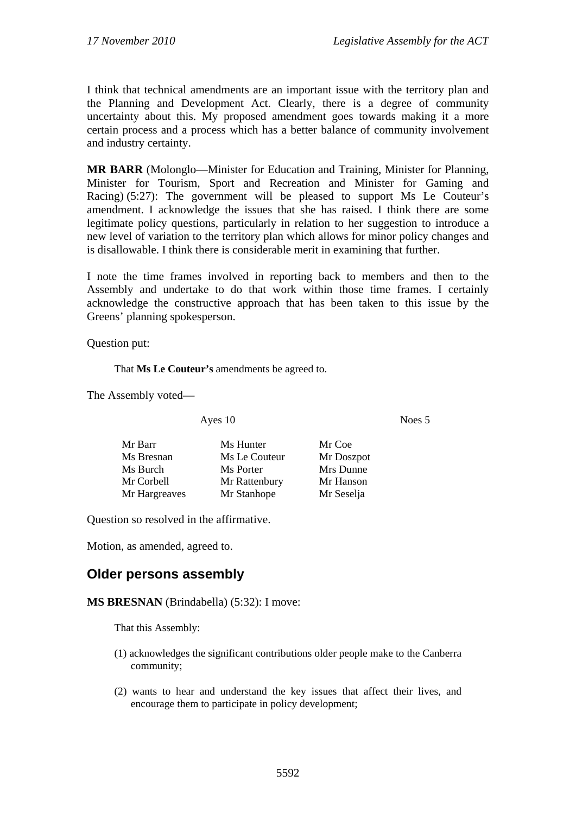I think that technical amendments are an important issue with the territory plan and the Planning and Development Act. Clearly, there is a degree of community uncertainty about this. My proposed amendment goes towards making it a more certain process and a process which has a better balance of community involvement and industry certainty.

**MR BARR** (Molonglo—Minister for Education and Training, Minister for Planning, Minister for Tourism, Sport and Recreation and Minister for Gaming and Racing) (5:27): The government will be pleased to support Ms Le Couteur's amendment. I acknowledge the issues that she has raised. I think there are some legitimate policy questions, particularly in relation to her suggestion to introduce a new level of variation to the territory plan which allows for minor policy changes and is disallowable. I think there is considerable merit in examining that further.

I note the time frames involved in reporting back to members and then to the Assembly and undertake to do that work within those time frames. I certainly acknowledge the constructive approach that has been taken to this issue by the Greens' planning spokesperson.

Question put:

That **Ms Le Couteur's** amendments be agreed to.

The Assembly voted—

Ayes 10 Noes 5

| Mr Barr       | Ms Hunter     | Mr Coe     |
|---------------|---------------|------------|
| Ms Bresnan    | Ms Le Couteur | Mr Doszpot |
| Ms Burch      | Ms Porter     | Mrs Dunne  |
| Mr Corbell    | Mr Rattenbury | Mr Hanson  |
| Mr Hargreaves | Mr Stanhope   | Mr Seselja |

Question so resolved in the affirmative.

Motion, as amended, agreed to.

## **Older persons assembly**

**MS BRESNAN** (Brindabella) (5:32): I move:

That this Assembly:

- (1) acknowledges the significant contributions older people make to the Canberra community;
- (2) wants to hear and understand the key issues that affect their lives, and encourage them to participate in policy development;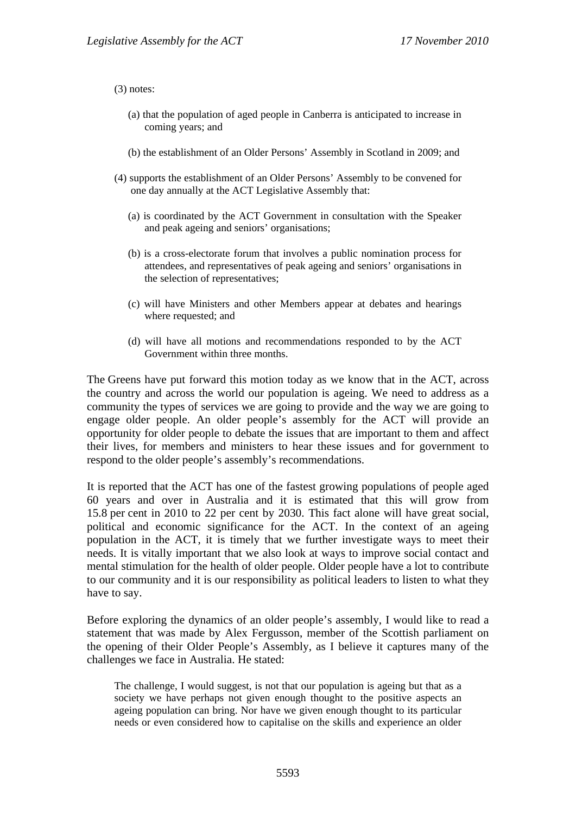(3) notes:

- (a) that the population of aged people in Canberra is anticipated to increase in coming years; and
- (b) the establishment of an Older Persons' Assembly in Scotland in 2009; and
- (4) supports the establishment of an Older Persons' Assembly to be convened for one day annually at the ACT Legislative Assembly that:
	- (a) is coordinated by the ACT Government in consultation with the Speaker and peak ageing and seniors' organisations;
	- (b) is a cross-electorate forum that involves a public nomination process for attendees, and representatives of peak ageing and seniors' organisations in the selection of representatives;
	- (c) will have Ministers and other Members appear at debates and hearings where requested; and
	- (d) will have all motions and recommendations responded to by the ACT Government within three months.

The Greens have put forward this motion today as we know that in the ACT, across the country and across the world our population is ageing. We need to address as a community the types of services we are going to provide and the way we are going to engage older people. An older people's assembly for the ACT will provide an opportunity for older people to debate the issues that are important to them and affect their lives, for members and ministers to hear these issues and for government to respond to the older people's assembly's recommendations.

It is reported that the ACT has one of the fastest growing populations of people aged 60 years and over in Australia and it is estimated that this will grow from 15.8 per cent in 2010 to 22 per cent by 2030. This fact alone will have great social, political and economic significance for the ACT. In the context of an ageing population in the ACT, it is timely that we further investigate ways to meet their needs. It is vitally important that we also look at ways to improve social contact and mental stimulation for the health of older people. Older people have a lot to contribute to our community and it is our responsibility as political leaders to listen to what they have to say.

Before exploring the dynamics of an older people's assembly, I would like to read a statement that was made by Alex Fergusson, member of the Scottish parliament on the opening of their Older People's Assembly, as I believe it captures many of the challenges we face in Australia. He stated:

The challenge, I would suggest, is not that our population is ageing but that as a society we have perhaps not given enough thought to the positive aspects an ageing population can bring. Nor have we given enough thought to its particular needs or even considered how to capitalise on the skills and experience an older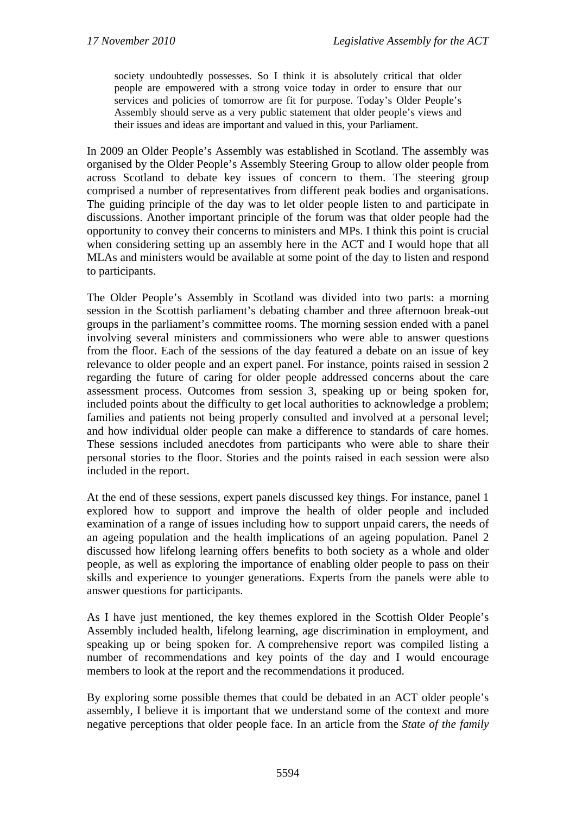society undoubtedly possesses. So I think it is absolutely critical that older people are empowered with a strong voice today in order to ensure that our services and policies of tomorrow are fit for purpose. Today's Older People's Assembly should serve as a very public statement that older people's views and their issues and ideas are important and valued in this, your Parliament.

In 2009 an Older People's Assembly was established in Scotland. The assembly was organised by the Older People's Assembly Steering Group to allow older people from across Scotland to debate key issues of concern to them. The steering group comprised a number of representatives from different peak bodies and organisations. The guiding principle of the day was to let older people listen to and participate in discussions. Another important principle of the forum was that older people had the opportunity to convey their concerns to ministers and MPs. I think this point is crucial when considering setting up an assembly here in the ACT and I would hope that all MLAs and ministers would be available at some point of the day to listen and respond to participants.

The Older People's Assembly in Scotland was divided into two parts: a morning session in the Scottish parliament's debating chamber and three afternoon break-out groups in the parliament's committee rooms. The morning session ended with a panel involving several ministers and commissioners who were able to answer questions from the floor. Each of the sessions of the day featured a debate on an issue of key relevance to older people and an expert panel. For instance, points raised in session 2 regarding the future of caring for older people addressed concerns about the care assessment process. Outcomes from session 3, speaking up or being spoken for, included points about the difficulty to get local authorities to acknowledge a problem; families and patients not being properly consulted and involved at a personal level; and how individual older people can make a difference to standards of care homes. These sessions included anecdotes from participants who were able to share their personal stories to the floor. Stories and the points raised in each session were also included in the report.

At the end of these sessions, expert panels discussed key things. For instance, panel 1 explored how to support and improve the health of older people and included examination of a range of issues including how to support unpaid carers, the needs of an ageing population and the health implications of an ageing population. Panel 2 discussed how lifelong learning offers benefits to both society as a whole and older people, as well as exploring the importance of enabling older people to pass on their skills and experience to younger generations. Experts from the panels were able to answer questions for participants.

As I have just mentioned, the key themes explored in the Scottish Older People's Assembly included health, lifelong learning, age discrimination in employment, and speaking up or being spoken for. A comprehensive report was compiled listing a number of recommendations and key points of the day and I would encourage members to look at the report and the recommendations it produced.

By exploring some possible themes that could be debated in an ACT older people's assembly, I believe it is important that we understand some of the context and more negative perceptions that older people face. In an article from the *State of the family*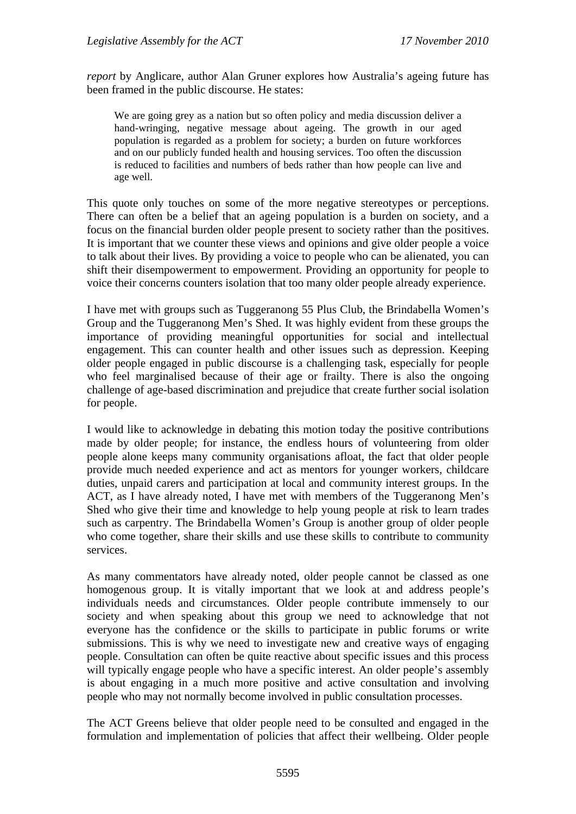*report* by Anglicare, author Alan Gruner explores how Australia's ageing future has been framed in the public discourse. He states:

We are going grey as a nation but so often policy and media discussion deliver a hand-wringing, negative message about ageing. The growth in our aged population is regarded as a problem for society; a burden on future workforces and on our publicly funded health and housing services. Too often the discussion is reduced to facilities and numbers of beds rather than how people can live and age well.

This quote only touches on some of the more negative stereotypes or perceptions. There can often be a belief that an ageing population is a burden on society, and a focus on the financial burden older people present to society rather than the positives. It is important that we counter these views and opinions and give older people a voice to talk about their lives. By providing a voice to people who can be alienated, you can shift their disempowerment to empowerment. Providing an opportunity for people to voice their concerns counters isolation that too many older people already experience.

I have met with groups such as Tuggeranong 55 Plus Club, the Brindabella Women's Group and the Tuggeranong Men's Shed. It was highly evident from these groups the importance of providing meaningful opportunities for social and intellectual engagement. This can counter health and other issues such as depression. Keeping older people engaged in public discourse is a challenging task, especially for people who feel marginalised because of their age or frailty. There is also the ongoing challenge of age-based discrimination and prejudice that create further social isolation for people.

I would like to acknowledge in debating this motion today the positive contributions made by older people; for instance, the endless hours of volunteering from older people alone keeps many community organisations afloat, the fact that older people provide much needed experience and act as mentors for younger workers, childcare duties, unpaid carers and participation at local and community interest groups. In the ACT, as I have already noted, I have met with members of the Tuggeranong Men's Shed who give their time and knowledge to help young people at risk to learn trades such as carpentry. The Brindabella Women's Group is another group of older people who come together, share their skills and use these skills to contribute to community services.

As many commentators have already noted, older people cannot be classed as one homogenous group. It is vitally important that we look at and address people's individuals needs and circumstances. Older people contribute immensely to our society and when speaking about this group we need to acknowledge that not everyone has the confidence or the skills to participate in public forums or write submissions. This is why we need to investigate new and creative ways of engaging people. Consultation can often be quite reactive about specific issues and this process will typically engage people who have a specific interest. An older people's assembly is about engaging in a much more positive and active consultation and involving people who may not normally become involved in public consultation processes.

The ACT Greens believe that older people need to be consulted and engaged in the formulation and implementation of policies that affect their wellbeing. Older people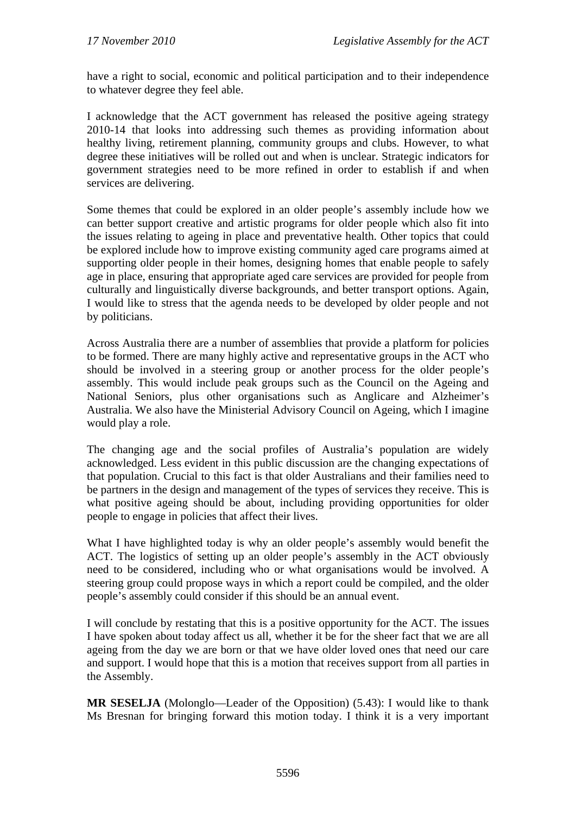have a right to social, economic and political participation and to their independence to whatever degree they feel able.

I acknowledge that the ACT government has released the positive ageing strategy 2010-14 that looks into addressing such themes as providing information about healthy living, retirement planning, community groups and clubs. However, to what degree these initiatives will be rolled out and when is unclear. Strategic indicators for government strategies need to be more refined in order to establish if and when services are delivering.

Some themes that could be explored in an older people's assembly include how we can better support creative and artistic programs for older people which also fit into the issues relating to ageing in place and preventative health. Other topics that could be explored include how to improve existing community aged care programs aimed at supporting older people in their homes, designing homes that enable people to safely age in place, ensuring that appropriate aged care services are provided for people from culturally and linguistically diverse backgrounds, and better transport options. Again, I would like to stress that the agenda needs to be developed by older people and not by politicians.

Across Australia there are a number of assemblies that provide a platform for policies to be formed. There are many highly active and representative groups in the ACT who should be involved in a steering group or another process for the older people's assembly. This would include peak groups such as the Council on the Ageing and National Seniors, plus other organisations such as Anglicare and Alzheimer's Australia. We also have the Ministerial Advisory Council on Ageing, which I imagine would play a role.

The changing age and the social profiles of Australia's population are widely acknowledged. Less evident in this public discussion are the changing expectations of that population. Crucial to this fact is that older Australians and their families need to be partners in the design and management of the types of services they receive. This is what positive ageing should be about, including providing opportunities for older people to engage in policies that affect their lives.

What I have highlighted today is why an older people's assembly would benefit the ACT. The logistics of setting up an older people's assembly in the ACT obviously need to be considered, including who or what organisations would be involved. A steering group could propose ways in which a report could be compiled, and the older people's assembly could consider if this should be an annual event.

I will conclude by restating that this is a positive opportunity for the ACT. The issues I have spoken about today affect us all, whether it be for the sheer fact that we are all ageing from the day we are born or that we have older loved ones that need our care and support. I would hope that this is a motion that receives support from all parties in the Assembly.

**MR SESELJA** (Molonglo—Leader of the Opposition) (5.43): I would like to thank Ms Bresnan for bringing forward this motion today. I think it is a very important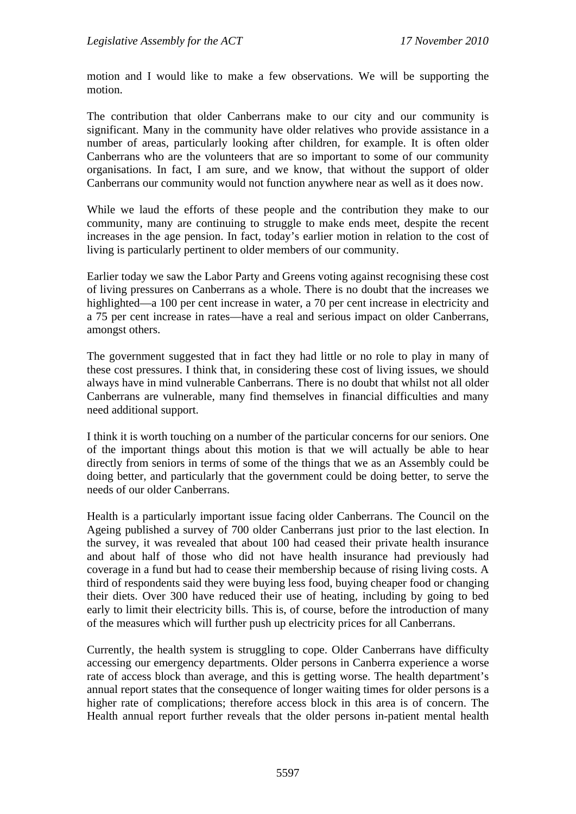motion and I would like to make a few observations. We will be supporting the motion.

The contribution that older Canberrans make to our city and our community is significant. Many in the community have older relatives who provide assistance in a number of areas, particularly looking after children, for example. It is often older Canberrans who are the volunteers that are so important to some of our community organisations. In fact, I am sure, and we know, that without the support of older Canberrans our community would not function anywhere near as well as it does now.

While we laud the efforts of these people and the contribution they make to our community, many are continuing to struggle to make ends meet, despite the recent increases in the age pension. In fact, today's earlier motion in relation to the cost of living is particularly pertinent to older members of our community.

Earlier today we saw the Labor Party and Greens voting against recognising these cost of living pressures on Canberrans as a whole. There is no doubt that the increases we highlighted—a 100 per cent increase in water, a 70 per cent increase in electricity and a 75 per cent increase in rates—have a real and serious impact on older Canberrans, amongst others.

The government suggested that in fact they had little or no role to play in many of these cost pressures. I think that, in considering these cost of living issues, we should always have in mind vulnerable Canberrans. There is no doubt that whilst not all older Canberrans are vulnerable, many find themselves in financial difficulties and many need additional support.

I think it is worth touching on a number of the particular concerns for our seniors. One of the important things about this motion is that we will actually be able to hear directly from seniors in terms of some of the things that we as an Assembly could be doing better, and particularly that the government could be doing better, to serve the needs of our older Canberrans.

Health is a particularly important issue facing older Canberrans. The Council on the Ageing published a survey of 700 older Canberrans just prior to the last election. In the survey, it was revealed that about 100 had ceased their private health insurance and about half of those who did not have health insurance had previously had coverage in a fund but had to cease their membership because of rising living costs. A third of respondents said they were buying less food, buying cheaper food or changing their diets. Over 300 have reduced their use of heating, including by going to bed early to limit their electricity bills. This is, of course, before the introduction of many of the measures which will further push up electricity prices for all Canberrans.

Currently, the health system is struggling to cope. Older Canberrans have difficulty accessing our emergency departments. Older persons in Canberra experience a worse rate of access block than average, and this is getting worse. The health department's annual report states that the consequence of longer waiting times for older persons is a higher rate of complications; therefore access block in this area is of concern. The Health annual report further reveals that the older persons in-patient mental health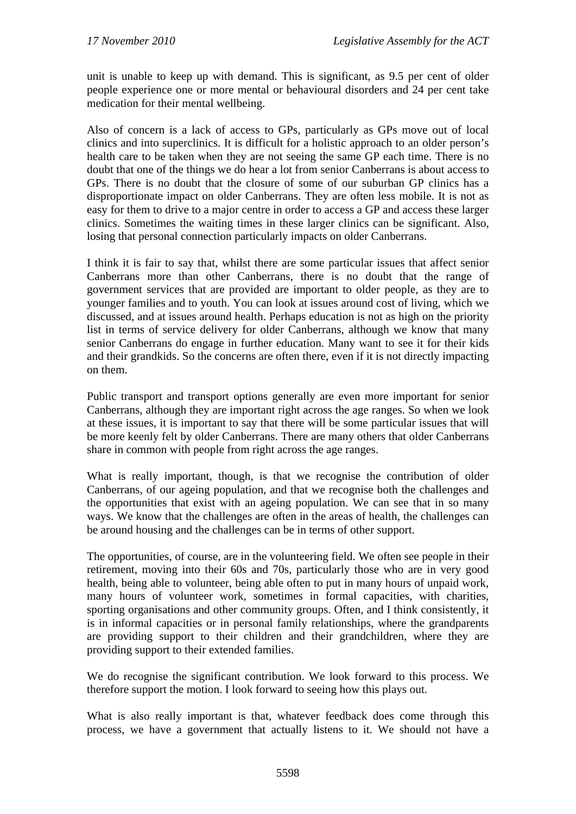unit is unable to keep up with demand. This is significant, as 9.5 per cent of older people experience one or more mental or behavioural disorders and 24 per cent take medication for their mental wellbeing.

Also of concern is a lack of access to GPs, particularly as GPs move out of local clinics and into superclinics. It is difficult for a holistic approach to an older person's health care to be taken when they are not seeing the same GP each time. There is no doubt that one of the things we do hear a lot from senior Canberrans is about access to GPs. There is no doubt that the closure of some of our suburban GP clinics has a disproportionate impact on older Canberrans. They are often less mobile. It is not as easy for them to drive to a major centre in order to access a GP and access these larger clinics. Sometimes the waiting times in these larger clinics can be significant. Also, losing that personal connection particularly impacts on older Canberrans.

I think it is fair to say that, whilst there are some particular issues that affect senior Canberrans more than other Canberrans, there is no doubt that the range of government services that are provided are important to older people, as they are to younger families and to youth. You can look at issues around cost of living, which we discussed, and at issues around health. Perhaps education is not as high on the priority list in terms of service delivery for older Canberrans, although we know that many senior Canberrans do engage in further education. Many want to see it for their kids and their grandkids. So the concerns are often there, even if it is not directly impacting on them.

Public transport and transport options generally are even more important for senior Canberrans, although they are important right across the age ranges. So when we look at these issues, it is important to say that there will be some particular issues that will be more keenly felt by older Canberrans. There are many others that older Canberrans share in common with people from right across the age ranges.

What is really important, though, is that we recognise the contribution of older Canberrans, of our ageing population, and that we recognise both the challenges and the opportunities that exist with an ageing population. We can see that in so many ways. We know that the challenges are often in the areas of health, the challenges can be around housing and the challenges can be in terms of other support.

The opportunities, of course, are in the volunteering field. We often see people in their retirement, moving into their 60s and 70s, particularly those who are in very good health, being able to volunteer, being able often to put in many hours of unpaid work, many hours of volunteer work, sometimes in formal capacities, with charities, sporting organisations and other community groups. Often, and I think consistently, it is in informal capacities or in personal family relationships, where the grandparents are providing support to their children and their grandchildren, where they are providing support to their extended families.

We do recognise the significant contribution. We look forward to this process. We therefore support the motion. I look forward to seeing how this plays out.

What is also really important is that, whatever feedback does come through this process, we have a government that actually listens to it. We should not have a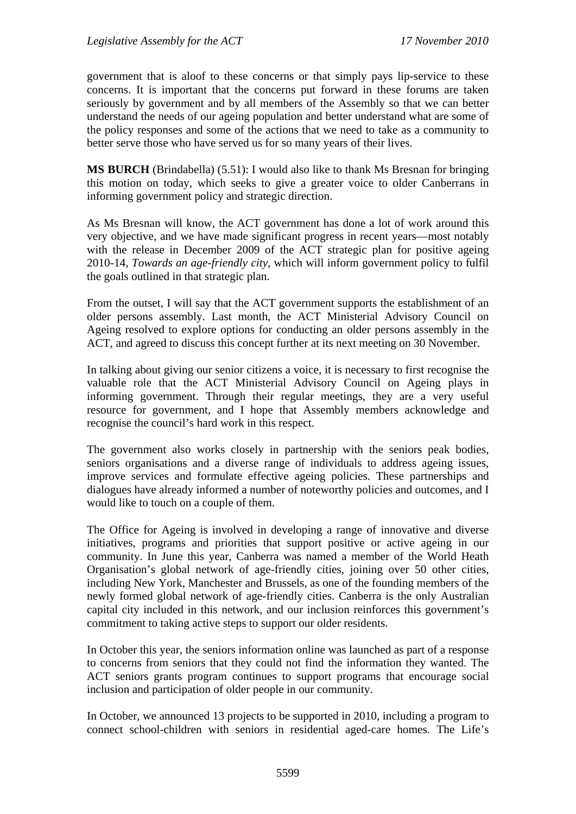government that is aloof to these concerns or that simply pays lip-service to these concerns. It is important that the concerns put forward in these forums are taken seriously by government and by all members of the Assembly so that we can better understand the needs of our ageing population and better understand what are some of the policy responses and some of the actions that we need to take as a community to better serve those who have served us for so many years of their lives.

**MS BURCH** (Brindabella) (5.51): I would also like to thank Ms Bresnan for bringing this motion on today, which seeks to give a greater voice to older Canberrans in informing government policy and strategic direction.

As Ms Bresnan will know, the ACT government has done a lot of work around this very objective, and we have made significant progress in recent years—most notably with the release in December 2009 of the ACT strategic plan for positive ageing 2010-14, *Towards an age-friendly city*, which will inform government policy to fulfil the goals outlined in that strategic plan.

From the outset, I will say that the ACT government supports the establishment of an older persons assembly. Last month, the ACT Ministerial Advisory Council on Ageing resolved to explore options for conducting an older persons assembly in the ACT, and agreed to discuss this concept further at its next meeting on 30 November.

In talking about giving our senior citizens a voice, it is necessary to first recognise the valuable role that the ACT Ministerial Advisory Council on Ageing plays in informing government. Through their regular meetings, they are a very useful resource for government, and I hope that Assembly members acknowledge and recognise the council's hard work in this respect.

The government also works closely in partnership with the seniors peak bodies, seniors organisations and a diverse range of individuals to address ageing issues, improve services and formulate effective ageing policies. These partnerships and dialogues have already informed a number of noteworthy policies and outcomes, and I would like to touch on a couple of them.

The Office for Ageing is involved in developing a range of innovative and diverse initiatives, programs and priorities that support positive or active ageing in our community. In June this year, Canberra was named a member of the World Heath Organisation's global network of age-friendly cities, joining over 50 other cities, including New York, Manchester and Brussels, as one of the founding members of the newly formed global network of age-friendly cities. Canberra is the only Australian capital city included in this network, and our inclusion reinforces this government's commitment to taking active steps to support our older residents.

In October this year, the seniors information online was launched as part of a response to concerns from seniors that they could not find the information they wanted. The ACT seniors grants program continues to support programs that encourage social inclusion and participation of older people in our community.

In October, we announced 13 projects to be supported in 2010, including a program to connect school-children with seniors in residential aged-care homes. The Life's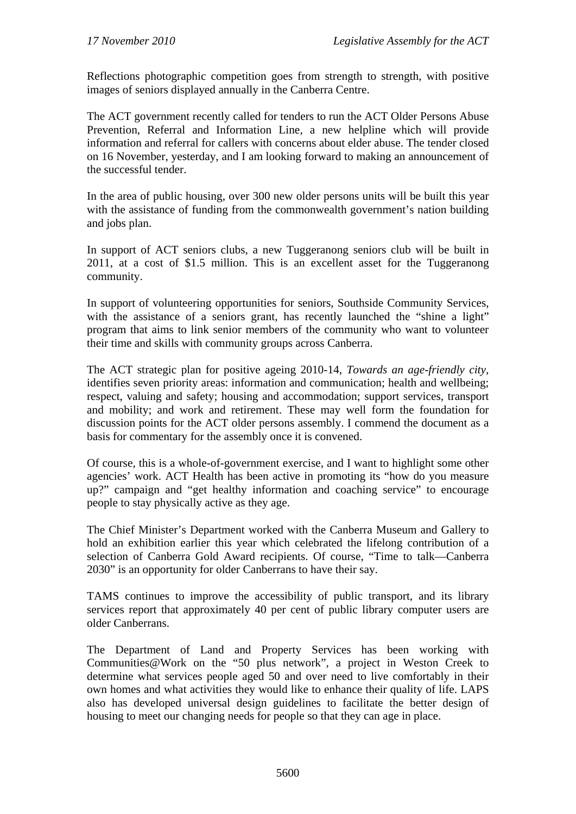Reflections photographic competition goes from strength to strength, with positive images of seniors displayed annually in the Canberra Centre.

The ACT government recently called for tenders to run the ACT Older Persons Abuse Prevention, Referral and Information Line, a new helpline which will provide information and referral for callers with concerns about elder abuse. The tender closed on 16 November, yesterday, and I am looking forward to making an announcement of the successful tender.

In the area of public housing, over 300 new older persons units will be built this year with the assistance of funding from the commonwealth government's nation building and jobs plan.

In support of ACT seniors clubs, a new Tuggeranong seniors club will be built in 2011, at a cost of \$1.5 million. This is an excellent asset for the Tuggeranong community.

In support of volunteering opportunities for seniors, Southside Community Services, with the assistance of a seniors grant, has recently launched the "shine a light" program that aims to link senior members of the community who want to volunteer their time and skills with community groups across Canberra.

The ACT strategic plan for positive ageing 2010-14, *Towards an age-friendly city,*  identifies seven priority areas: information and communication; health and wellbeing; respect, valuing and safety; housing and accommodation; support services, transport and mobility; and work and retirement. These may well form the foundation for discussion points for the ACT older persons assembly. I commend the document as a basis for commentary for the assembly once it is convened.

Of course, this is a whole-of-government exercise, and I want to highlight some other agencies' work. ACT Health has been active in promoting its "how do you measure up?" campaign and "get healthy information and coaching service" to encourage people to stay physically active as they age.

The Chief Minister's Department worked with the Canberra Museum and Gallery to hold an exhibition earlier this year which celebrated the lifelong contribution of a selection of Canberra Gold Award recipients. Of course, "Time to talk—Canberra 2030" is an opportunity for older Canberrans to have their say.

TAMS continues to improve the accessibility of public transport, and its library services report that approximately 40 per cent of public library computer users are older Canberrans.

The Department of Land and Property Services has been working with Communities@Work on the "50 plus network"*,* a project in Weston Creek to determine what services people aged 50 and over need to live comfortably in their own homes and what activities they would like to enhance their quality of life. LAPS also has developed universal design guidelines to facilitate the better design of housing to meet our changing needs for people so that they can age in place.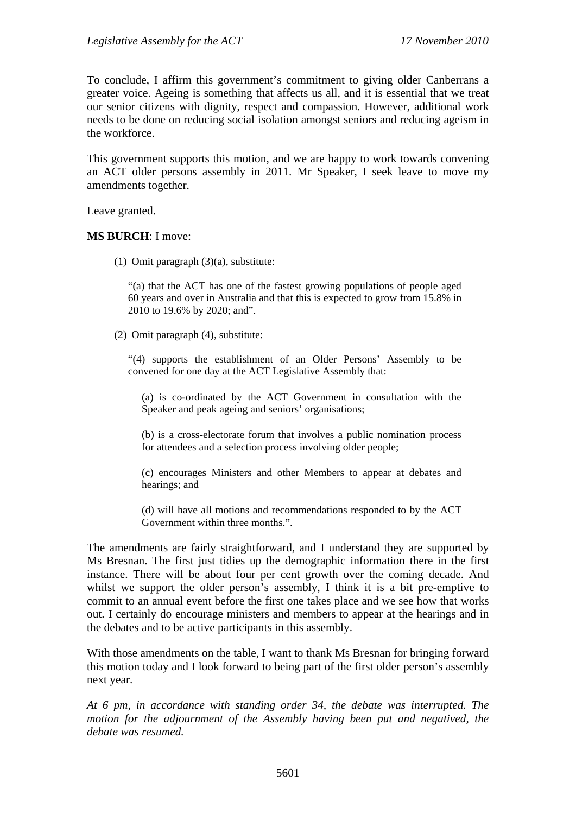To conclude, I affirm this government's commitment to giving older Canberrans a greater voice. Ageing is something that affects us all, and it is essential that we treat our senior citizens with dignity, respect and compassion. However, additional work needs to be done on reducing social isolation amongst seniors and reducing ageism in the workforce.

This government supports this motion, and we are happy to work towards convening an ACT older persons assembly in 2011. Mr Speaker, I seek leave to move my amendments together.

Leave granted.

#### **MS BURCH**: I move:

(1) Omit paragraph (3)(a), substitute:

"(a) that the ACT has one of the fastest growing populations of people aged 60 years and over in Australia and that this is expected to grow from 15.8% in 2010 to 19.6% by 2020; and".

(2) Omit paragraph (4), substitute:

"(4) supports the establishment of an Older Persons' Assembly to be convened for one day at the ACT Legislative Assembly that:

(a) is co-ordinated by the ACT Government in consultation with the Speaker and peak ageing and seniors' organisations;

(b) is a cross-electorate forum that involves a public nomination process for attendees and a selection process involving older people;

(c) encourages Ministers and other Members to appear at debates and hearings; and

(d) will have all motions and recommendations responded to by the ACT Government within three months.".

The amendments are fairly straightforward, and I understand they are supported by Ms Bresnan. The first just tidies up the demographic information there in the first instance. There will be about four per cent growth over the coming decade. And whilst we support the older person's assembly. I think it is a bit pre-emptive to commit to an annual event before the first one takes place and we see how that works out. I certainly do encourage ministers and members to appear at the hearings and in the debates and to be active participants in this assembly.

With those amendments on the table. I want to thank Ms Bresnan for bringing forward this motion today and I look forward to being part of the first older person's assembly next year.

*At 6 pm, in accordance with standing order 34, the debate was interrupted. The motion for the adjournment of the Assembly having been put and negatived, the debate was resumed.*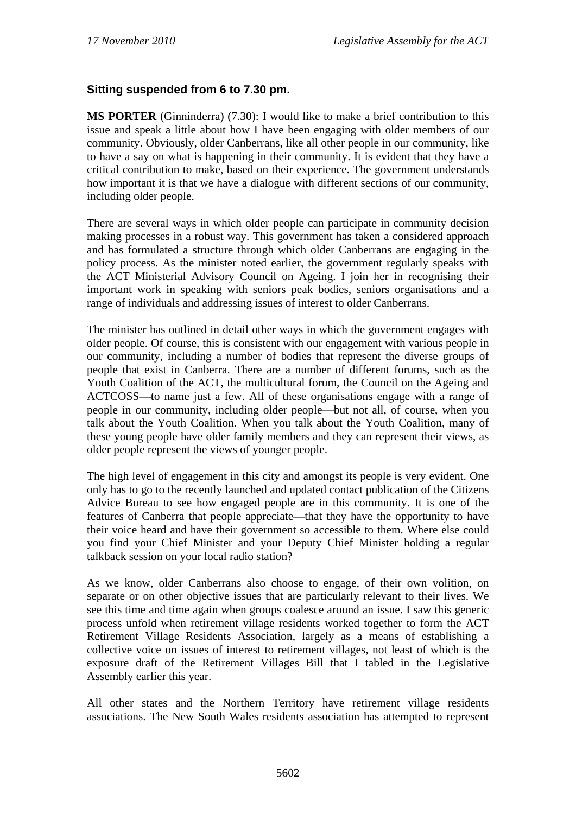## **Sitting suspended from 6 to 7.30 pm.**

**MS PORTER** (Ginninderra) (7.30): I would like to make a brief contribution to this issue and speak a little about how I have been engaging with older members of our community. Obviously, older Canberrans, like all other people in our community, like to have a say on what is happening in their community. It is evident that they have a critical contribution to make, based on their experience. The government understands how important it is that we have a dialogue with different sections of our community, including older people.

There are several ways in which older people can participate in community decision making processes in a robust way. This government has taken a considered approach and has formulated a structure through which older Canberrans are engaging in the policy process. As the minister noted earlier, the government regularly speaks with the ACT Ministerial Advisory Council on Ageing. I join her in recognising their important work in speaking with seniors peak bodies, seniors organisations and a range of individuals and addressing issues of interest to older Canberrans.

The minister has outlined in detail other ways in which the government engages with older people. Of course, this is consistent with our engagement with various people in our community, including a number of bodies that represent the diverse groups of people that exist in Canberra. There are a number of different forums, such as the Youth Coalition of the ACT, the multicultural forum, the Council on the Ageing and ACTCOSS—to name just a few. All of these organisations engage with a range of people in our community, including older people—but not all, of course, when you talk about the Youth Coalition. When you talk about the Youth Coalition, many of these young people have older family members and they can represent their views, as older people represent the views of younger people.

The high level of engagement in this city and amongst its people is very evident. One only has to go to the recently launched and updated contact publication of the Citizens Advice Bureau to see how engaged people are in this community. It is one of the features of Canberra that people appreciate—that they have the opportunity to have their voice heard and have their government so accessible to them. Where else could you find your Chief Minister and your Deputy Chief Minister holding a regular talkback session on your local radio station?

As we know, older Canberrans also choose to engage, of their own volition, on separate or on other objective issues that are particularly relevant to their lives. We see this time and time again when groups coalesce around an issue. I saw this generic process unfold when retirement village residents worked together to form the ACT Retirement Village Residents Association, largely as a means of establishing a collective voice on issues of interest to retirement villages, not least of which is the exposure draft of the Retirement Villages Bill that I tabled in the Legislative Assembly earlier this year.

All other states and the Northern Territory have retirement village residents associations. The New South Wales residents association has attempted to represent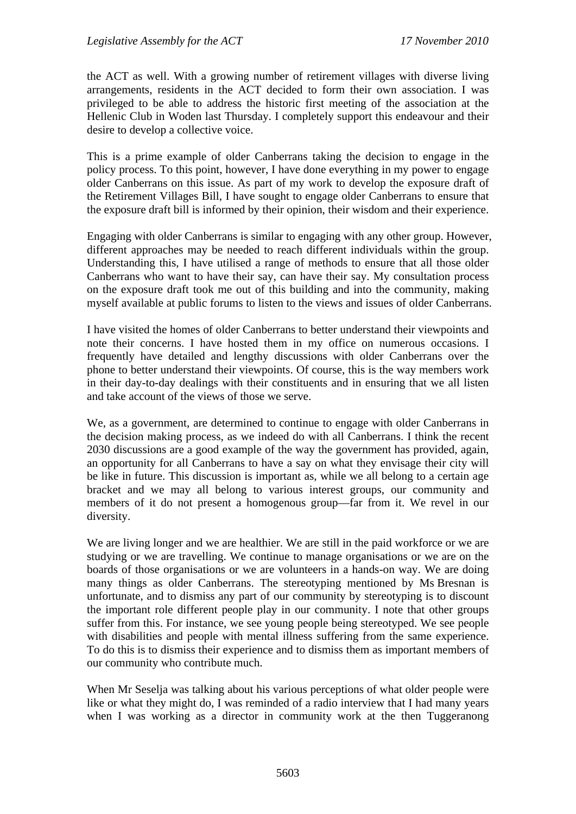the ACT as well. With a growing number of retirement villages with diverse living arrangements, residents in the ACT decided to form their own association. I was privileged to be able to address the historic first meeting of the association at the Hellenic Club in Woden last Thursday. I completely support this endeavour and their desire to develop a collective voice.

This is a prime example of older Canberrans taking the decision to engage in the policy process. To this point, however, I have done everything in my power to engage older Canberrans on this issue. As part of my work to develop the exposure draft of the Retirement Villages Bill, I have sought to engage older Canberrans to ensure that the exposure draft bill is informed by their opinion, their wisdom and their experience.

Engaging with older Canberrans is similar to engaging with any other group. However, different approaches may be needed to reach different individuals within the group. Understanding this, I have utilised a range of methods to ensure that all those older Canberrans who want to have their say, can have their say. My consultation process on the exposure draft took me out of this building and into the community, making myself available at public forums to listen to the views and issues of older Canberrans.

I have visited the homes of older Canberrans to better understand their viewpoints and note their concerns. I have hosted them in my office on numerous occasions. I frequently have detailed and lengthy discussions with older Canberrans over the phone to better understand their viewpoints. Of course, this is the way members work in their day-to-day dealings with their constituents and in ensuring that we all listen and take account of the views of those we serve.

We, as a government, are determined to continue to engage with older Canberrans in the decision making process, as we indeed do with all Canberrans. I think the recent 2030 discussions are a good example of the way the government has provided, again, an opportunity for all Canberrans to have a say on what they envisage their city will be like in future. This discussion is important as, while we all belong to a certain age bracket and we may all belong to various interest groups, our community and members of it do not present a homogenous group—far from it. We revel in our diversity.

We are living longer and we are healthier. We are still in the paid workforce or we are studying or we are travelling. We continue to manage organisations or we are on the boards of those organisations or we are volunteers in a hands-on way. We are doing many things as older Canberrans. The stereotyping mentioned by Ms Bresnan is unfortunate, and to dismiss any part of our community by stereotyping is to discount the important role different people play in our community. I note that other groups suffer from this. For instance, we see young people being stereotyped. We see people with disabilities and people with mental illness suffering from the same experience. To do this is to dismiss their experience and to dismiss them as important members of our community who contribute much.

When Mr Seselja was talking about his various perceptions of what older people were like or what they might do, I was reminded of a radio interview that I had many years when I was working as a director in community work at the then Tuggeranong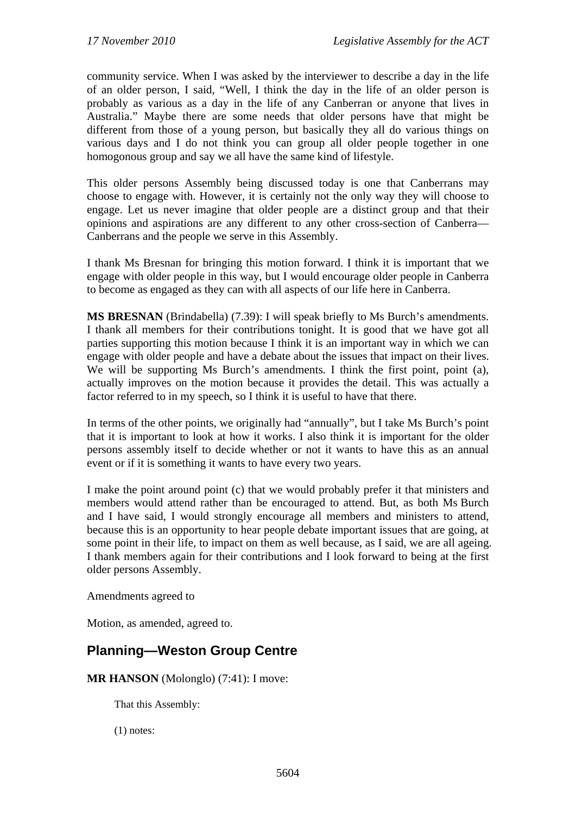community service. When I was asked by the interviewer to describe a day in the life of an older person, I said, "Well, I think the day in the life of an older person is probably as various as a day in the life of any Canberran or anyone that lives in Australia." Maybe there are some needs that older persons have that might be different from those of a young person, but basically they all do various things on various days and I do not think you can group all older people together in one homogonous group and say we all have the same kind of lifestyle.

This older persons Assembly being discussed today is one that Canberrans may choose to engage with. However, it is certainly not the only way they will choose to engage. Let us never imagine that older people are a distinct group and that their opinions and aspirations are any different to any other cross-section of Canberra— Canberrans and the people we serve in this Assembly.

I thank Ms Bresnan for bringing this motion forward. I think it is important that we engage with older people in this way, but I would encourage older people in Canberra to become as engaged as they can with all aspects of our life here in Canberra.

**MS BRESNAN** (Brindabella) (7.39): I will speak briefly to Ms Burch's amendments. I thank all members for their contributions tonight. It is good that we have got all parties supporting this motion because I think it is an important way in which we can engage with older people and have a debate about the issues that impact on their lives. We will be supporting Ms Burch's amendments. I think the first point, point (a), actually improves on the motion because it provides the detail. This was actually a factor referred to in my speech, so I think it is useful to have that there.

In terms of the other points, we originally had "annually", but I take Ms Burch's point that it is important to look at how it works. I also think it is important for the older persons assembly itself to decide whether or not it wants to have this as an annual event or if it is something it wants to have every two years.

I make the point around point (c) that we would probably prefer it that ministers and members would attend rather than be encouraged to attend. But, as both Ms Burch and I have said, I would strongly encourage all members and ministers to attend, because this is an opportunity to hear people debate important issues that are going, at some point in their life, to impact on them as well because, as I said, we are all ageing. I thank members again for their contributions and I look forward to being at the first older persons Assembly.

Amendments agreed to

Motion, as amended, agreed to.

## **Planning—Weston Group Centre**

**MR HANSON** (Molonglo) (7:41): I move:

That this Assembly:

(1) notes: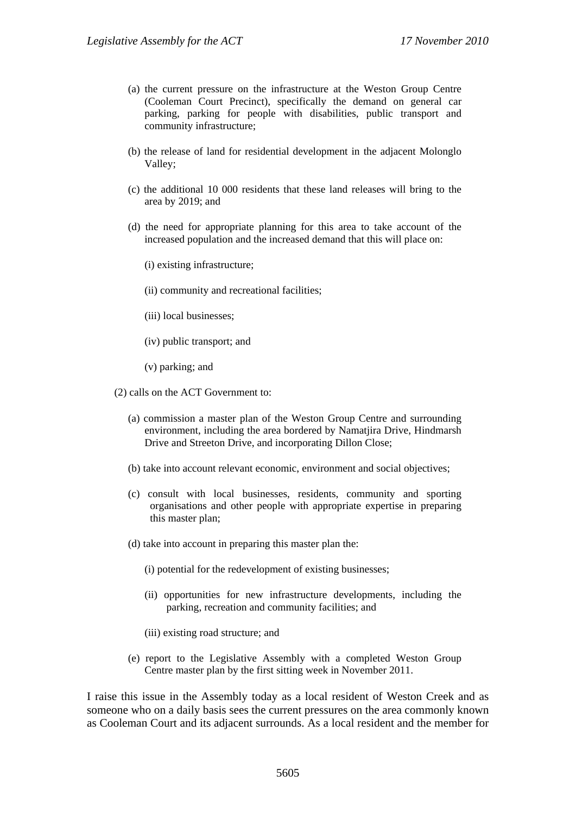- (a) the current pressure on the infrastructure at the Weston Group Centre (Cooleman Court Precinct), specifically the demand on general car parking, parking for people with disabilities, public transport and community infrastructure;
- (b) the release of land for residential development in the adjacent Molonglo Valley;
- (c) the additional 10 000 residents that these land releases will bring to the area by 2019; and
- (d) the need for appropriate planning for this area to take account of the increased population and the increased demand that this will place on:
	- (i) existing infrastructure;
	- (ii) community and recreational facilities;
	- (iii) local businesses;
	- (iv) public transport; and
	- (v) parking; and
- (2) calls on the ACT Government to:
	- (a) commission a master plan of the Weston Group Centre and surrounding environment, including the area bordered by Namatjira Drive, Hindmarsh Drive and Streeton Drive, and incorporating Dillon Close;
	- (b) take into account relevant economic, environment and social objectives;
	- (c) consult with local businesses, residents, community and sporting organisations and other people with appropriate expertise in preparing this master plan;
	- (d) take into account in preparing this master plan the:
		- (i) potential for the redevelopment of existing businesses;
		- (ii) opportunities for new infrastructure developments, including the parking, recreation and community facilities; and
		- (iii) existing road structure; and
	- (e) report to the Legislative Assembly with a completed Weston Group Centre master plan by the first sitting week in November 2011.

I raise this issue in the Assembly today as a local resident of Weston Creek and as someone who on a daily basis sees the current pressures on the area commonly known as Cooleman Court and its adjacent surrounds. As a local resident and the member for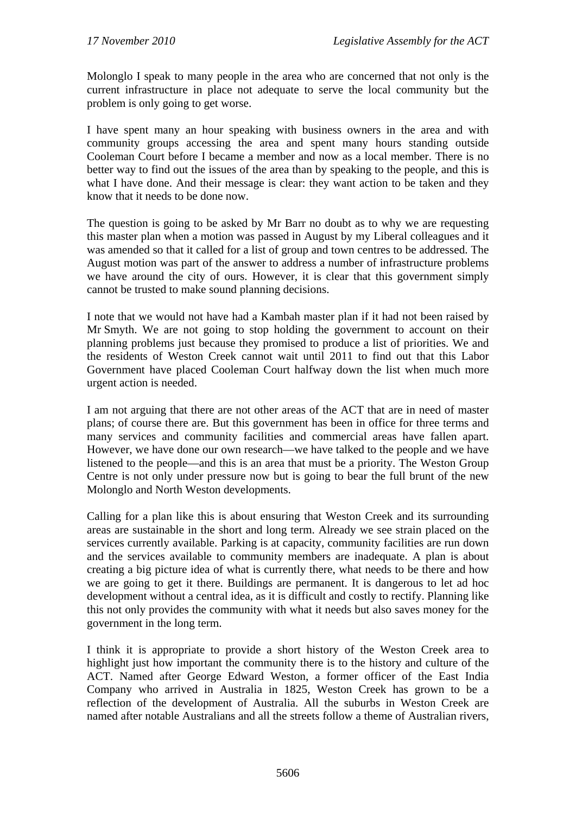Molonglo I speak to many people in the area who are concerned that not only is the current infrastructure in place not adequate to serve the local community but the problem is only going to get worse.

I have spent many an hour speaking with business owners in the area and with community groups accessing the area and spent many hours standing outside Cooleman Court before I became a member and now as a local member. There is no better way to find out the issues of the area than by speaking to the people, and this is what I have done. And their message is clear: they want action to be taken and they know that it needs to be done now.

The question is going to be asked by Mr Barr no doubt as to why we are requesting this master plan when a motion was passed in August by my Liberal colleagues and it was amended so that it called for a list of group and town centres to be addressed. The August motion was part of the answer to address a number of infrastructure problems we have around the city of ours. However, it is clear that this government simply cannot be trusted to make sound planning decisions.

I note that we would not have had a Kambah master plan if it had not been raised by Mr Smyth. We are not going to stop holding the government to account on their planning problems just because they promised to produce a list of priorities. We and the residents of Weston Creek cannot wait until 2011 to find out that this Labor Government have placed Cooleman Court halfway down the list when much more urgent action is needed.

I am not arguing that there are not other areas of the ACT that are in need of master plans; of course there are. But this government has been in office for three terms and many services and community facilities and commercial areas have fallen apart. However, we have done our own research—we have talked to the people and we have listened to the people—and this is an area that must be a priority. The Weston Group Centre is not only under pressure now but is going to bear the full brunt of the new Molonglo and North Weston developments.

Calling for a plan like this is about ensuring that Weston Creek and its surrounding areas are sustainable in the short and long term. Already we see strain placed on the services currently available. Parking is at capacity, community facilities are run down and the services available to community members are inadequate. A plan is about creating a big picture idea of what is currently there, what needs to be there and how we are going to get it there. Buildings are permanent. It is dangerous to let ad hoc development without a central idea, as it is difficult and costly to rectify. Planning like this not only provides the community with what it needs but also saves money for the government in the long term.

I think it is appropriate to provide a short history of the Weston Creek area to highlight just how important the community there is to the history and culture of the ACT. Named after George Edward Weston, a former officer of the East India Company who arrived in Australia in 1825, Weston Creek has grown to be a reflection of the development of Australia. All the suburbs in Weston Creek are named after notable Australians and all the streets follow a theme of Australian rivers,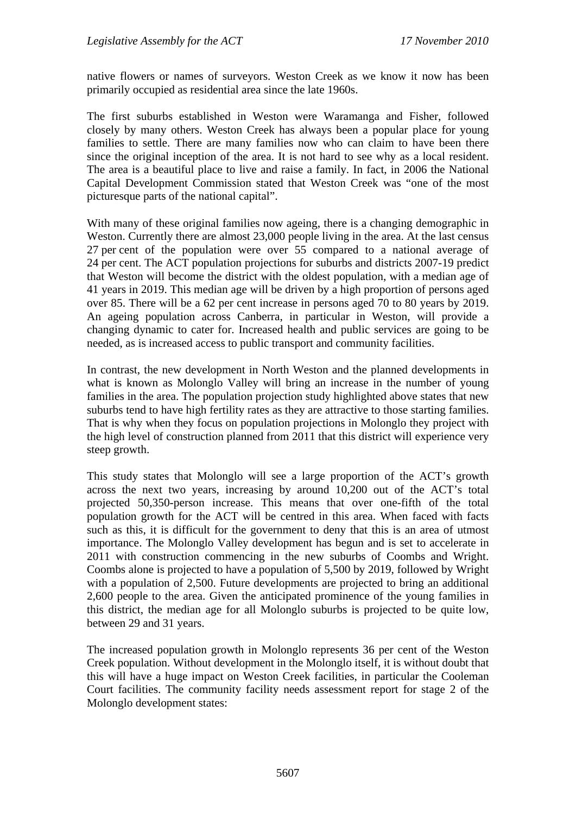native flowers or names of surveyors. Weston Creek as we know it now has been primarily occupied as residential area since the late 1960s.

The first suburbs established in Weston were Waramanga and Fisher, followed closely by many others. Weston Creek has always been a popular place for young families to settle. There are many families now who can claim to have been there since the original inception of the area. It is not hard to see why as a local resident. The area is a beautiful place to live and raise a family. In fact, in 2006 the National Capital Development Commission stated that Weston Creek was "one of the most picturesque parts of the national capital".

With many of these original families now ageing, there is a changing demographic in Weston. Currently there are almost 23,000 people living in the area. At the last census 27 per cent of the population were over 55 compared to a national average of 24 per cent. The ACT population projections for suburbs and districts 2007-19 predict that Weston will become the district with the oldest population, with a median age of 41 years in 2019. This median age will be driven by a high proportion of persons aged over 85. There will be a 62 per cent increase in persons aged 70 to 80 years by 2019. An ageing population across Canberra, in particular in Weston, will provide a changing dynamic to cater for. Increased health and public services are going to be needed, as is increased access to public transport and community facilities.

In contrast, the new development in North Weston and the planned developments in what is known as Molonglo Valley will bring an increase in the number of young families in the area. The population projection study highlighted above states that new suburbs tend to have high fertility rates as they are attractive to those starting families. That is why when they focus on population projections in Molonglo they project with the high level of construction planned from 2011 that this district will experience very steep growth.

This study states that Molonglo will see a large proportion of the ACT's growth across the next two years, increasing by around 10,200 out of the ACT's total projected 50,350-person increase. This means that over one-fifth of the total population growth for the ACT will be centred in this area. When faced with facts such as this, it is difficult for the government to deny that this is an area of utmost importance. The Molonglo Valley development has begun and is set to accelerate in 2011 with construction commencing in the new suburbs of Coombs and Wright. Coombs alone is projected to have a population of 5,500 by 2019, followed by Wright with a population of 2,500. Future developments are projected to bring an additional 2,600 people to the area. Given the anticipated prominence of the young families in this district, the median age for all Molonglo suburbs is projected to be quite low, between 29 and 31 years.

The increased population growth in Molonglo represents 36 per cent of the Weston Creek population. Without development in the Molonglo itself, it is without doubt that this will have a huge impact on Weston Creek facilities, in particular the Cooleman Court facilities. The community facility needs assessment report for stage 2 of the Molonglo development states: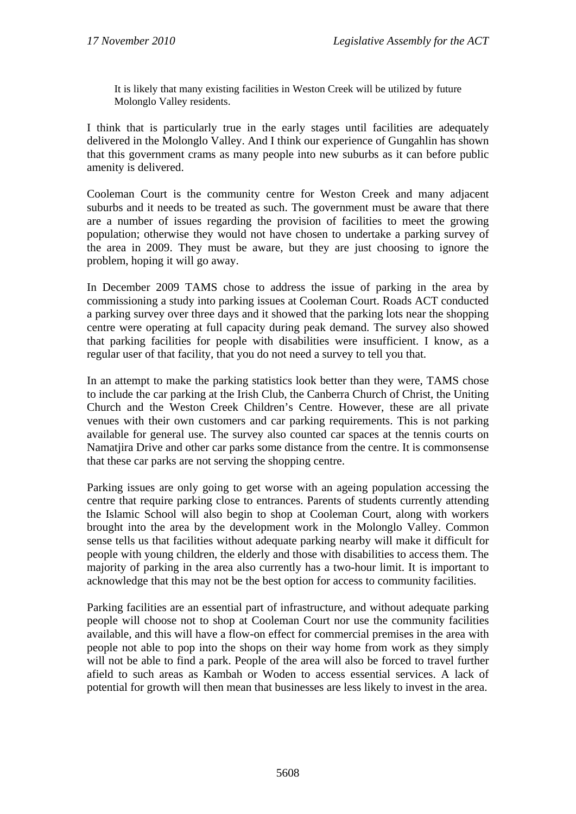It is likely that many existing facilities in Weston Creek will be utilized by future Molonglo Valley residents.

I think that is particularly true in the early stages until facilities are adequately delivered in the Molonglo Valley. And I think our experience of Gungahlin has shown that this government crams as many people into new suburbs as it can before public amenity is delivered.

Cooleman Court is the community centre for Weston Creek and many adjacent suburbs and it needs to be treated as such. The government must be aware that there are a number of issues regarding the provision of facilities to meet the growing population; otherwise they would not have chosen to undertake a parking survey of the area in 2009. They must be aware, but they are just choosing to ignore the problem, hoping it will go away.

In December 2009 TAMS chose to address the issue of parking in the area by commissioning a study into parking issues at Cooleman Court. Roads ACT conducted a parking survey over three days and it showed that the parking lots near the shopping centre were operating at full capacity during peak demand. The survey also showed that parking facilities for people with disabilities were insufficient. I know, as a regular user of that facility, that you do not need a survey to tell you that.

In an attempt to make the parking statistics look better than they were, TAMS chose to include the car parking at the Irish Club, the Canberra Church of Christ, the Uniting Church and the Weston Creek Children's Centre. However, these are all private venues with their own customers and car parking requirements. This is not parking available for general use. The survey also counted car spaces at the tennis courts on Namatjira Drive and other car parks some distance from the centre. It is commonsense that these car parks are not serving the shopping centre.

Parking issues are only going to get worse with an ageing population accessing the centre that require parking close to entrances. Parents of students currently attending the Islamic School will also begin to shop at Cooleman Court, along with workers brought into the area by the development work in the Molonglo Valley. Common sense tells us that facilities without adequate parking nearby will make it difficult for people with young children, the elderly and those with disabilities to access them. The majority of parking in the area also currently has a two-hour limit. It is important to acknowledge that this may not be the best option for access to community facilities.

Parking facilities are an essential part of infrastructure, and without adequate parking people will choose not to shop at Cooleman Court nor use the community facilities available, and this will have a flow-on effect for commercial premises in the area with people not able to pop into the shops on their way home from work as they simply will not be able to find a park. People of the area will also be forced to travel further afield to such areas as Kambah or Woden to access essential services. A lack of potential for growth will then mean that businesses are less likely to invest in the area.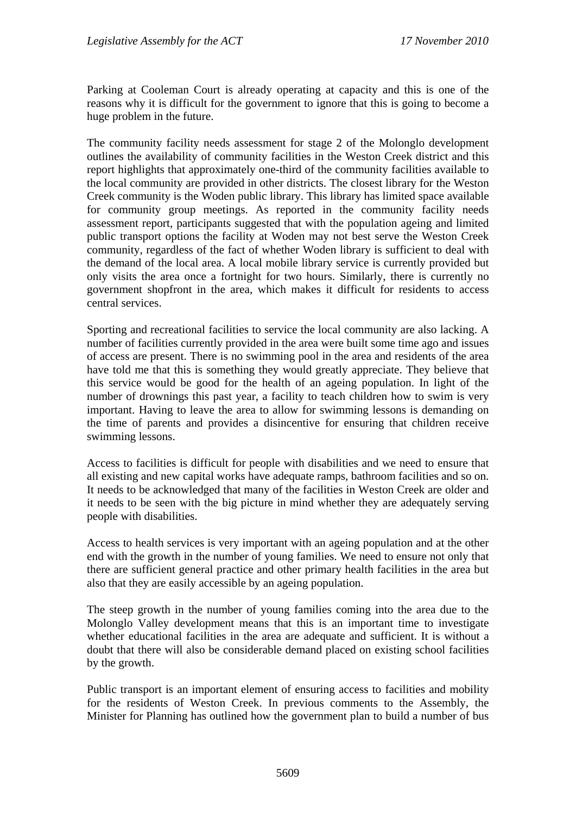Parking at Cooleman Court is already operating at capacity and this is one of the reasons why it is difficult for the government to ignore that this is going to become a huge problem in the future.

The community facility needs assessment for stage 2 of the Molonglo development outlines the availability of community facilities in the Weston Creek district and this report highlights that approximately one-third of the community facilities available to the local community are provided in other districts. The closest library for the Weston Creek community is the Woden public library. This library has limited space available for community group meetings. As reported in the community facility needs assessment report, participants suggested that with the population ageing and limited public transport options the facility at Woden may not best serve the Weston Creek community, regardless of the fact of whether Woden library is sufficient to deal with the demand of the local area. A local mobile library service is currently provided but only visits the area once a fortnight for two hours. Similarly, there is currently no government shopfront in the area, which makes it difficult for residents to access central services.

Sporting and recreational facilities to service the local community are also lacking. A number of facilities currently provided in the area were built some time ago and issues of access are present. There is no swimming pool in the area and residents of the area have told me that this is something they would greatly appreciate. They believe that this service would be good for the health of an ageing population. In light of the number of drownings this past year, a facility to teach children how to swim is very important. Having to leave the area to allow for swimming lessons is demanding on the time of parents and provides a disincentive for ensuring that children receive swimming lessons.

Access to facilities is difficult for people with disabilities and we need to ensure that all existing and new capital works have adequate ramps, bathroom facilities and so on. It needs to be acknowledged that many of the facilities in Weston Creek are older and it needs to be seen with the big picture in mind whether they are adequately serving people with disabilities.

Access to health services is very important with an ageing population and at the other end with the growth in the number of young families. We need to ensure not only that there are sufficient general practice and other primary health facilities in the area but also that they are easily accessible by an ageing population.

The steep growth in the number of young families coming into the area due to the Molonglo Valley development means that this is an important time to investigate whether educational facilities in the area are adequate and sufficient. It is without a doubt that there will also be considerable demand placed on existing school facilities by the growth.

Public transport is an important element of ensuring access to facilities and mobility for the residents of Weston Creek. In previous comments to the Assembly, the Minister for Planning has outlined how the government plan to build a number of bus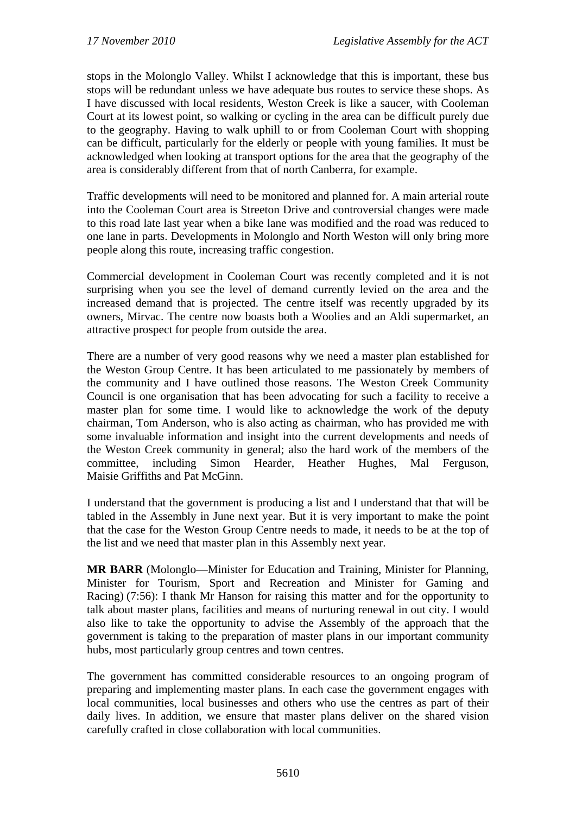stops in the Molonglo Valley. Whilst I acknowledge that this is important, these bus stops will be redundant unless we have adequate bus routes to service these shops. As I have discussed with local residents, Weston Creek is like a saucer, with Cooleman Court at its lowest point, so walking or cycling in the area can be difficult purely due to the geography. Having to walk uphill to or from Cooleman Court with shopping can be difficult, particularly for the elderly or people with young families. It must be acknowledged when looking at transport options for the area that the geography of the area is considerably different from that of north Canberra, for example.

Traffic developments will need to be monitored and planned for. A main arterial route into the Cooleman Court area is Streeton Drive and controversial changes were made to this road late last year when a bike lane was modified and the road was reduced to one lane in parts. Developments in Molonglo and North Weston will only bring more people along this route, increasing traffic congestion.

Commercial development in Cooleman Court was recently completed and it is not surprising when you see the level of demand currently levied on the area and the increased demand that is projected. The centre itself was recently upgraded by its owners, Mirvac. The centre now boasts both a Woolies and an Aldi supermarket, an attractive prospect for people from outside the area.

There are a number of very good reasons why we need a master plan established for the Weston Group Centre. It has been articulated to me passionately by members of the community and I have outlined those reasons. The Weston Creek Community Council is one organisation that has been advocating for such a facility to receive a master plan for some time. I would like to acknowledge the work of the deputy chairman, Tom Anderson, who is also acting as chairman, who has provided me with some invaluable information and insight into the current developments and needs of the Weston Creek community in general; also the hard work of the members of the committee, including Simon Hearder, Heather Hughes, Mal Ferguson, Maisie Griffiths and Pat McGinn.

I understand that the government is producing a list and I understand that that will be tabled in the Assembly in June next year. But it is very important to make the point that the case for the Weston Group Centre needs to made, it needs to be at the top of the list and we need that master plan in this Assembly next year.

**MR BARR** (Molonglo—Minister for Education and Training, Minister for Planning, Minister for Tourism, Sport and Recreation and Minister for Gaming and Racing) (7:56): I thank Mr Hanson for raising this matter and for the opportunity to talk about master plans, facilities and means of nurturing renewal in out city. I would also like to take the opportunity to advise the Assembly of the approach that the government is taking to the preparation of master plans in our important community hubs, most particularly group centres and town centres.

The government has committed considerable resources to an ongoing program of preparing and implementing master plans. In each case the government engages with local communities, local businesses and others who use the centres as part of their daily lives. In addition, we ensure that master plans deliver on the shared vision carefully crafted in close collaboration with local communities.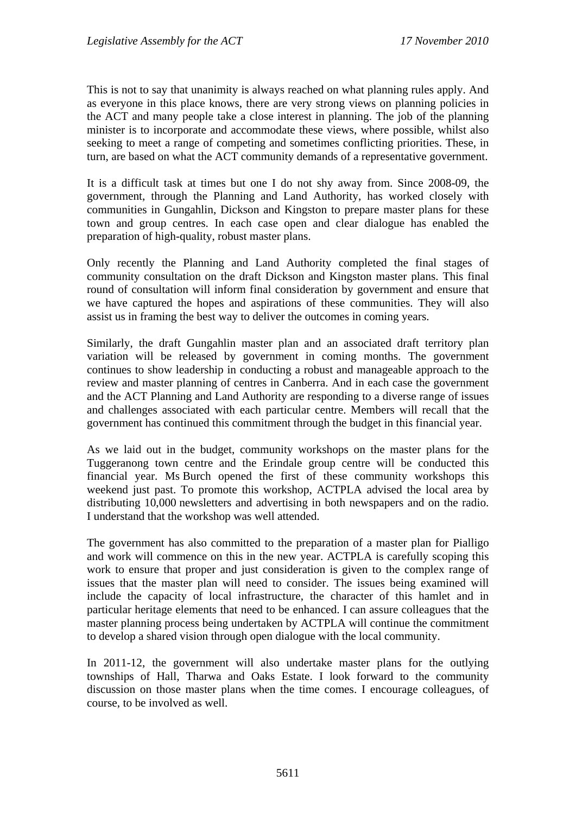This is not to say that unanimity is always reached on what planning rules apply. And as everyone in this place knows, there are very strong views on planning policies in the ACT and many people take a close interest in planning. The job of the planning minister is to incorporate and accommodate these views, where possible, whilst also seeking to meet a range of competing and sometimes conflicting priorities. These, in turn, are based on what the ACT community demands of a representative government.

It is a difficult task at times but one I do not shy away from. Since 2008-09, the government, through the Planning and Land Authority, has worked closely with communities in Gungahlin, Dickson and Kingston to prepare master plans for these town and group centres. In each case open and clear dialogue has enabled the preparation of high-quality, robust master plans.

Only recently the Planning and Land Authority completed the final stages of community consultation on the draft Dickson and Kingston master plans. This final round of consultation will inform final consideration by government and ensure that we have captured the hopes and aspirations of these communities. They will also assist us in framing the best way to deliver the outcomes in coming years.

Similarly, the draft Gungahlin master plan and an associated draft territory plan variation will be released by government in coming months. The government continues to show leadership in conducting a robust and manageable approach to the review and master planning of centres in Canberra. And in each case the government and the ACT Planning and Land Authority are responding to a diverse range of issues and challenges associated with each particular centre. Members will recall that the government has continued this commitment through the budget in this financial year.

As we laid out in the budget, community workshops on the master plans for the Tuggeranong town centre and the Erindale group centre will be conducted this financial year. Ms Burch opened the first of these community workshops this weekend just past. To promote this workshop, ACTPLA advised the local area by distributing 10,000 newsletters and advertising in both newspapers and on the radio. I understand that the workshop was well attended.

The government has also committed to the preparation of a master plan for Pialligo and work will commence on this in the new year. ACTPLA is carefully scoping this work to ensure that proper and just consideration is given to the complex range of issues that the master plan will need to consider. The issues being examined will include the capacity of local infrastructure, the character of this hamlet and in particular heritage elements that need to be enhanced. I can assure colleagues that the master planning process being undertaken by ACTPLA will continue the commitment to develop a shared vision through open dialogue with the local community.

In 2011-12, the government will also undertake master plans for the outlying townships of Hall, Tharwa and Oaks Estate. I look forward to the community discussion on those master plans when the time comes. I encourage colleagues, of course, to be involved as well.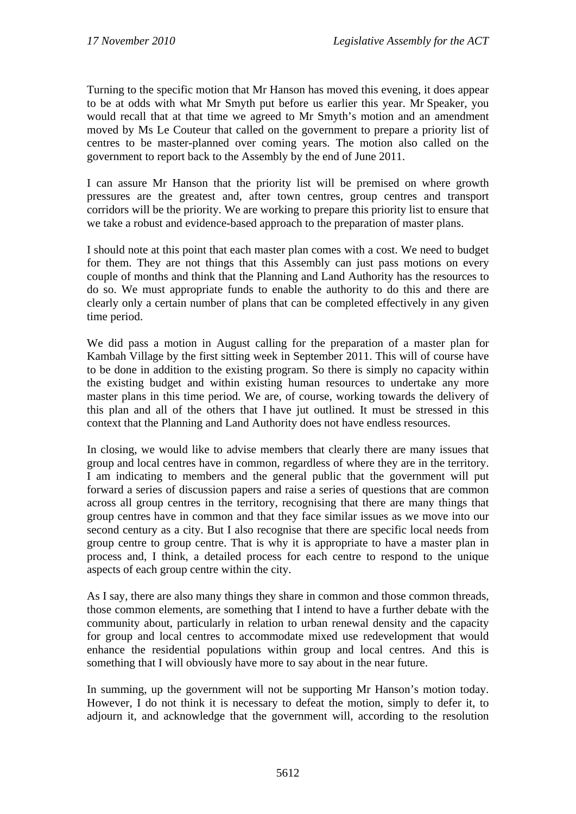Turning to the specific motion that Mr Hanson has moved this evening, it does appear to be at odds with what Mr Smyth put before us earlier this year. Mr Speaker, you would recall that at that time we agreed to Mr Smyth's motion and an amendment moved by Ms Le Couteur that called on the government to prepare a priority list of centres to be master-planned over coming years. The motion also called on the government to report back to the Assembly by the end of June 2011.

I can assure Mr Hanson that the priority list will be premised on where growth pressures are the greatest and, after town centres, group centres and transport corridors will be the priority. We are working to prepare this priority list to ensure that we take a robust and evidence-based approach to the preparation of master plans.

I should note at this point that each master plan comes with a cost. We need to budget for them. They are not things that this Assembly can just pass motions on every couple of months and think that the Planning and Land Authority has the resources to do so. We must appropriate funds to enable the authority to do this and there are clearly only a certain number of plans that can be completed effectively in any given time period.

We did pass a motion in August calling for the preparation of a master plan for Kambah Village by the first sitting week in September 2011. This will of course have to be done in addition to the existing program. So there is simply no capacity within the existing budget and within existing human resources to undertake any more master plans in this time period. We are, of course, working towards the delivery of this plan and all of the others that I have jut outlined. It must be stressed in this context that the Planning and Land Authority does not have endless resources.

In closing, we would like to advise members that clearly there are many issues that group and local centres have in common, regardless of where they are in the territory. I am indicating to members and the general public that the government will put forward a series of discussion papers and raise a series of questions that are common across all group centres in the territory, recognising that there are many things that group centres have in common and that they face similar issues as we move into our second century as a city. But I also recognise that there are specific local needs from group centre to group centre. That is why it is appropriate to have a master plan in process and, I think, a detailed process for each centre to respond to the unique aspects of each group centre within the city.

As I say, there are also many things they share in common and those common threads, those common elements, are something that I intend to have a further debate with the community about, particularly in relation to urban renewal density and the capacity for group and local centres to accommodate mixed use redevelopment that would enhance the residential populations within group and local centres. And this is something that I will obviously have more to say about in the near future.

In summing, up the government will not be supporting Mr Hanson's motion today. However, I do not think it is necessary to defeat the motion, simply to defer it, to adjourn it, and acknowledge that the government will, according to the resolution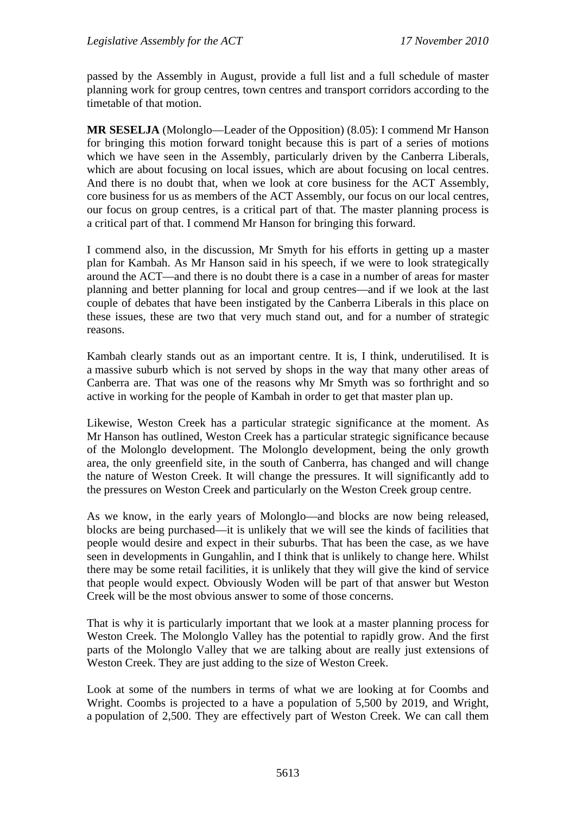passed by the Assembly in August, provide a full list and a full schedule of master planning work for group centres, town centres and transport corridors according to the timetable of that motion.

**MR SESELJA** (Molonglo—Leader of the Opposition) (8.05): I commend Mr Hanson for bringing this motion forward tonight because this is part of a series of motions which we have seen in the Assembly, particularly driven by the Canberra Liberals, which are about focusing on local issues, which are about focusing on local centres. And there is no doubt that, when we look at core business for the ACT Assembly, core business for us as members of the ACT Assembly, our focus on our local centres, our focus on group centres, is a critical part of that. The master planning process is a critical part of that. I commend Mr Hanson for bringing this forward.

I commend also, in the discussion, Mr Smyth for his efforts in getting up a master plan for Kambah. As Mr Hanson said in his speech, if we were to look strategically around the ACT—and there is no doubt there is a case in a number of areas for master planning and better planning for local and group centres—and if we look at the last couple of debates that have been instigated by the Canberra Liberals in this place on these issues, these are two that very much stand out, and for a number of strategic reasons.

Kambah clearly stands out as an important centre. It is, I think, underutilised. It is a massive suburb which is not served by shops in the way that many other areas of Canberra are. That was one of the reasons why Mr Smyth was so forthright and so active in working for the people of Kambah in order to get that master plan up.

Likewise, Weston Creek has a particular strategic significance at the moment. As Mr Hanson has outlined, Weston Creek has a particular strategic significance because of the Molonglo development. The Molonglo development, being the only growth area, the only greenfield site, in the south of Canberra, has changed and will change the nature of Weston Creek. It will change the pressures. It will significantly add to the pressures on Weston Creek and particularly on the Weston Creek group centre.

As we know, in the early years of Molonglo—and blocks are now being released, blocks are being purchased—it is unlikely that we will see the kinds of facilities that people would desire and expect in their suburbs. That has been the case, as we have seen in developments in Gungahlin, and I think that is unlikely to change here. Whilst there may be some retail facilities, it is unlikely that they will give the kind of service that people would expect. Obviously Woden will be part of that answer but Weston Creek will be the most obvious answer to some of those concerns.

That is why it is particularly important that we look at a master planning process for Weston Creek. The Molonglo Valley has the potential to rapidly grow. And the first parts of the Molonglo Valley that we are talking about are really just extensions of Weston Creek. They are just adding to the size of Weston Creek.

Look at some of the numbers in terms of what we are looking at for Coombs and Wright. Coombs is projected to a have a population of 5,500 by 2019, and Wright, a population of 2,500. They are effectively part of Weston Creek. We can call them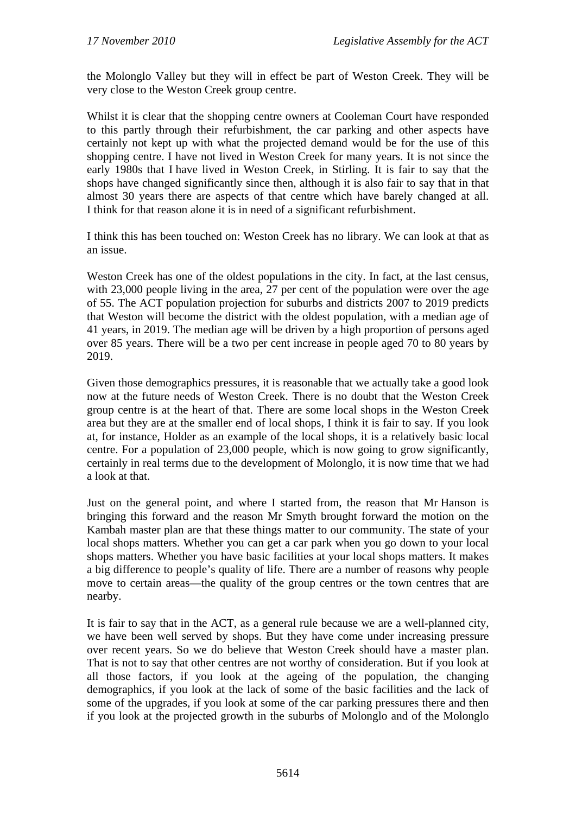the Molonglo Valley but they will in effect be part of Weston Creek. They will be very close to the Weston Creek group centre.

Whilst it is clear that the shopping centre owners at Cooleman Court have responded to this partly through their refurbishment, the car parking and other aspects have certainly not kept up with what the projected demand would be for the use of this shopping centre. I have not lived in Weston Creek for many years. It is not since the early 1980s that I have lived in Weston Creek, in Stirling. It is fair to say that the shops have changed significantly since then, although it is also fair to say that in that almost 30 years there are aspects of that centre which have barely changed at all. I think for that reason alone it is in need of a significant refurbishment.

I think this has been touched on: Weston Creek has no library. We can look at that as an issue.

Weston Creek has one of the oldest populations in the city. In fact, at the last census, with 23,000 people living in the area, 27 per cent of the population were over the age of 55. The ACT population projection for suburbs and districts 2007 to 2019 predicts that Weston will become the district with the oldest population, with a median age of 41 years, in 2019. The median age will be driven by a high proportion of persons aged over 85 years. There will be a two per cent increase in people aged 70 to 80 years by 2019.

Given those demographics pressures, it is reasonable that we actually take a good look now at the future needs of Weston Creek. There is no doubt that the Weston Creek group centre is at the heart of that. There are some local shops in the Weston Creek area but they are at the smaller end of local shops, I think it is fair to say. If you look at, for instance, Holder as an example of the local shops, it is a relatively basic local centre. For a population of 23,000 people, which is now going to grow significantly, certainly in real terms due to the development of Molonglo, it is now time that we had a look at that.

Just on the general point, and where I started from, the reason that Mr Hanson is bringing this forward and the reason Mr Smyth brought forward the motion on the Kambah master plan are that these things matter to our community. The state of your local shops matters. Whether you can get a car park when you go down to your local shops matters. Whether you have basic facilities at your local shops matters. It makes a big difference to people's quality of life. There are a number of reasons why people move to certain areas—the quality of the group centres or the town centres that are nearby.

It is fair to say that in the ACT, as a general rule because we are a well-planned city, we have been well served by shops. But they have come under increasing pressure over recent years. So we do believe that Weston Creek should have a master plan. That is not to say that other centres are not worthy of consideration. But if you look at all those factors, if you look at the ageing of the population, the changing demographics, if you look at the lack of some of the basic facilities and the lack of some of the upgrades, if you look at some of the car parking pressures there and then if you look at the projected growth in the suburbs of Molonglo and of the Molonglo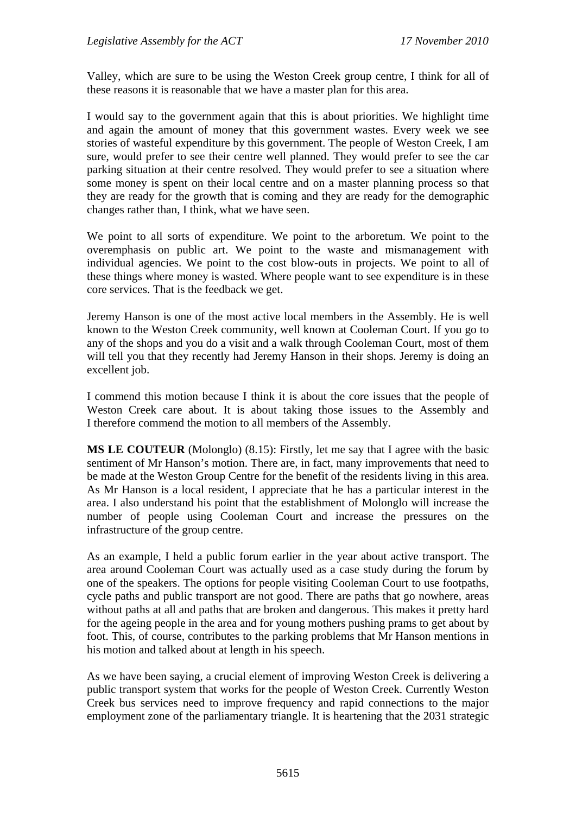Valley, which are sure to be using the Weston Creek group centre, I think for all of these reasons it is reasonable that we have a master plan for this area.

I would say to the government again that this is about priorities. We highlight time and again the amount of money that this government wastes. Every week we see stories of wasteful expenditure by this government. The people of Weston Creek, I am sure, would prefer to see their centre well planned. They would prefer to see the car parking situation at their centre resolved. They would prefer to see a situation where some money is spent on their local centre and on a master planning process so that they are ready for the growth that is coming and they are ready for the demographic changes rather than, I think, what we have seen.

We point to all sorts of expenditure. We point to the arboretum. We point to the overemphasis on public art. We point to the waste and mismanagement with individual agencies. We point to the cost blow-outs in projects. We point to all of these things where money is wasted. Where people want to see expenditure is in these core services. That is the feedback we get.

Jeremy Hanson is one of the most active local members in the Assembly. He is well known to the Weston Creek community, well known at Cooleman Court. If you go to any of the shops and you do a visit and a walk through Cooleman Court, most of them will tell you that they recently had Jeremy Hanson in their shops. Jeremy is doing an excellent job.

I commend this motion because I think it is about the core issues that the people of Weston Creek care about. It is about taking those issues to the Assembly and I therefore commend the motion to all members of the Assembly.

**MS LE COUTEUR** (Molonglo) (8.15): Firstly, let me say that I agree with the basic sentiment of Mr Hanson's motion. There are, in fact, many improvements that need to be made at the Weston Group Centre for the benefit of the residents living in this area. As Mr Hanson is a local resident, I appreciate that he has a particular interest in the area. I also understand his point that the establishment of Molonglo will increase the number of people using Cooleman Court and increase the pressures on the infrastructure of the group centre.

As an example, I held a public forum earlier in the year about active transport. The area around Cooleman Court was actually used as a case study during the forum by one of the speakers. The options for people visiting Cooleman Court to use footpaths, cycle paths and public transport are not good. There are paths that go nowhere, areas without paths at all and paths that are broken and dangerous. This makes it pretty hard for the ageing people in the area and for young mothers pushing prams to get about by foot. This, of course, contributes to the parking problems that Mr Hanson mentions in his motion and talked about at length in his speech.

As we have been saying, a crucial element of improving Weston Creek is delivering a public transport system that works for the people of Weston Creek. Currently Weston Creek bus services need to improve frequency and rapid connections to the major employment zone of the parliamentary triangle. It is heartening that the 2031 strategic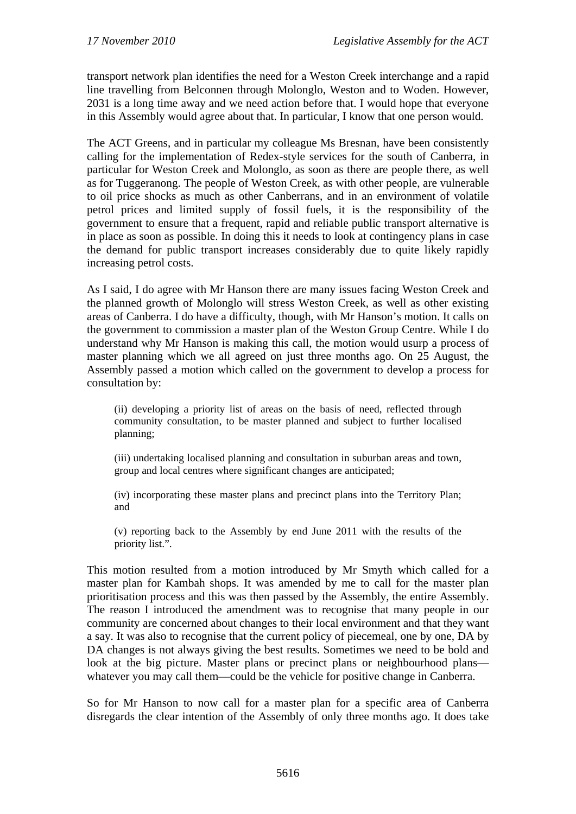transport network plan identifies the need for a Weston Creek interchange and a rapid line travelling from Belconnen through Molonglo, Weston and to Woden. However, 2031 is a long time away and we need action before that. I would hope that everyone in this Assembly would agree about that. In particular, I know that one person would.

The ACT Greens, and in particular my colleague Ms Bresnan, have been consistently calling for the implementation of Redex-style services for the south of Canberra, in particular for Weston Creek and Molonglo, as soon as there are people there, as well as for Tuggeranong. The people of Weston Creek, as with other people, are vulnerable to oil price shocks as much as other Canberrans, and in an environment of volatile petrol prices and limited supply of fossil fuels, it is the responsibility of the government to ensure that a frequent, rapid and reliable public transport alternative is in place as soon as possible. In doing this it needs to look at contingency plans in case the demand for public transport increases considerably due to quite likely rapidly increasing petrol costs.

As I said, I do agree with Mr Hanson there are many issues facing Weston Creek and the planned growth of Molonglo will stress Weston Creek, as well as other existing areas of Canberra. I do have a difficulty, though, with Mr Hanson's motion. It calls on the government to commission a master plan of the Weston Group Centre. While I do understand why Mr Hanson is making this call, the motion would usurp a process of master planning which we all agreed on just three months ago. On 25 August, the Assembly passed a motion which called on the government to develop a process for consultation by:

(ii) developing a priority list of areas on the basis of need, reflected through community consultation, to be master planned and subject to further localised planning;

(iii) undertaking localised planning and consultation in suburban areas and town, group and local centres where significant changes are anticipated;

(iv) incorporating these master plans and precinct plans into the Territory Plan; and

(v) reporting back to the Assembly by end June 2011 with the results of the priority list.".

This motion resulted from a motion introduced by Mr Smyth which called for a master plan for Kambah shops. It was amended by me to call for the master plan prioritisation process and this was then passed by the Assembly, the entire Assembly. The reason I introduced the amendment was to recognise that many people in our community are concerned about changes to their local environment and that they want a say. It was also to recognise that the current policy of piecemeal, one by one, DA by DA changes is not always giving the best results. Sometimes we need to be bold and look at the big picture. Master plans or precinct plans or neighbourhood plans whatever you may call them—could be the vehicle for positive change in Canberra.

So for Mr Hanson to now call for a master plan for a specific area of Canberra disregards the clear intention of the Assembly of only three months ago. It does take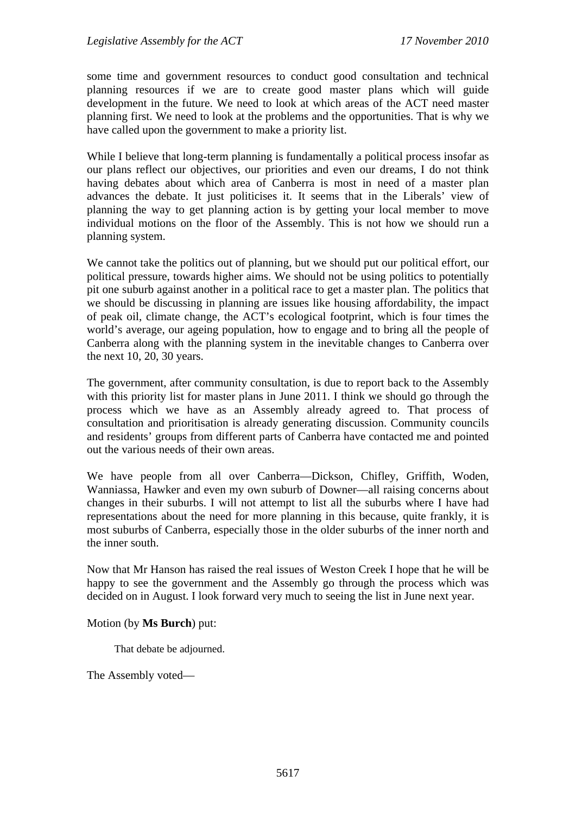some time and government resources to conduct good consultation and technical planning resources if we are to create good master plans which will guide development in the future. We need to look at which areas of the ACT need master planning first. We need to look at the problems and the opportunities. That is why we have called upon the government to make a priority list.

While I believe that long-term planning is fundamentally a political process insofar as our plans reflect our objectives, our priorities and even our dreams, I do not think having debates about which area of Canberra is most in need of a master plan advances the debate. It just politicises it. It seems that in the Liberals' view of planning the way to get planning action is by getting your local member to move individual motions on the floor of the Assembly. This is not how we should run a planning system.

We cannot take the politics out of planning, but we should put our political effort, our political pressure, towards higher aims. We should not be using politics to potentially pit one suburb against another in a political race to get a master plan. The politics that we should be discussing in planning are issues like housing affordability, the impact of peak oil, climate change, the ACT's ecological footprint, which is four times the world's average, our ageing population, how to engage and to bring all the people of Canberra along with the planning system in the inevitable changes to Canberra over the next 10, 20, 30 years.

The government, after community consultation, is due to report back to the Assembly with this priority list for master plans in June 2011. I think we should go through the process which we have as an Assembly already agreed to. That process of consultation and prioritisation is already generating discussion. Community councils and residents' groups from different parts of Canberra have contacted me and pointed out the various needs of their own areas.

We have people from all over Canberra—Dickson, Chifley, Griffith, Woden, Wanniassa, Hawker and even my own suburb of Downer—all raising concerns about changes in their suburbs. I will not attempt to list all the suburbs where I have had representations about the need for more planning in this because, quite frankly, it is most suburbs of Canberra, especially those in the older suburbs of the inner north and the inner south.

Now that Mr Hanson has raised the real issues of Weston Creek I hope that he will be happy to see the government and the Assembly go through the process which was decided on in August. I look forward very much to seeing the list in June next year.

#### Motion (by **Ms Burch**) put:

That debate be adjourned.

The Assembly voted—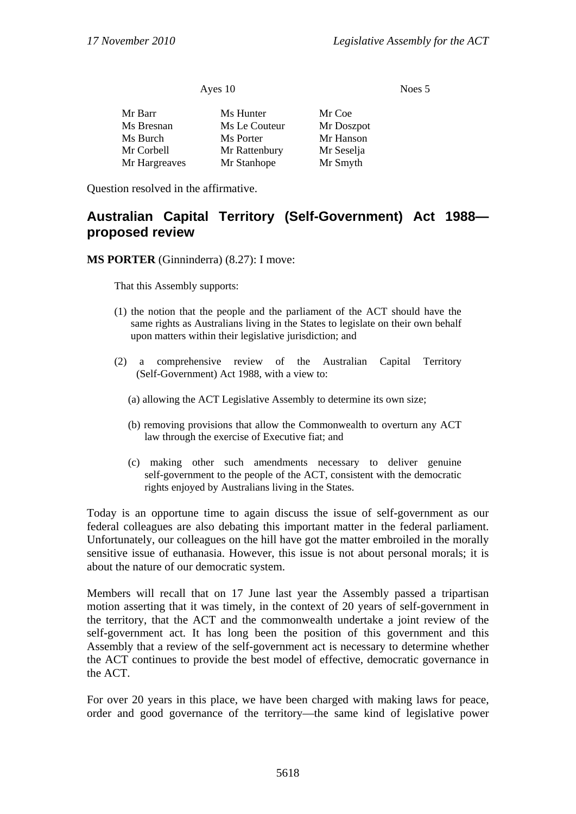| Ayes 10       |               | Noes 5     |  |
|---------------|---------------|------------|--|
| Mr Barr       | Ms Hunter     | Mr Coe     |  |
| Ms Bresnan    | Ms Le Couteur | Mr Doszpot |  |
| Ms Burch      | Ms Porter     | Mr Hanson  |  |
| Mr Corbell    | Mr Rattenbury | Mr Seselja |  |
| Mr Hargreaves | Mr Stanhope   | Mr Smyth   |  |

Question resolved in the affirmative.

# **Australian Capital Territory (Self-Government) Act 1988 proposed review**

**MS PORTER** (Ginninderra) (8.27): I move:

That this Assembly supports:

- (1) the notion that the people and the parliament of the ACT should have the same rights as Australians living in the States to legislate on their own behalf upon matters within their legislative jurisdiction; and
- (2) a comprehensive review of the Australian Capital Territory (Self-Government) Act 1988, with a view to:
	- (a) allowing the ACT Legislative Assembly to determine its own size;
	- (b) removing provisions that allow the Commonwealth to overturn any ACT law through the exercise of Executive fiat; and
	- (c) making other such amendments necessary to deliver genuine self-government to the people of the ACT, consistent with the democratic rights enjoyed by Australians living in the States.

Today is an opportune time to again discuss the issue of self-government as our federal colleagues are also debating this important matter in the federal parliament. Unfortunately, our colleagues on the hill have got the matter embroiled in the morally sensitive issue of euthanasia. However, this issue is not about personal morals; it is about the nature of our democratic system.

Members will recall that on 17 June last year the Assembly passed a tripartisan motion asserting that it was timely, in the context of 20 years of self-government in the territory, that the ACT and the commonwealth undertake a joint review of the self-government act. It has long been the position of this government and this Assembly that a review of the self-government act is necessary to determine whether the ACT continues to provide the best model of effective, democratic governance in the ACT.

For over 20 years in this place, we have been charged with making laws for peace, order and good governance of the territory—the same kind of legislative power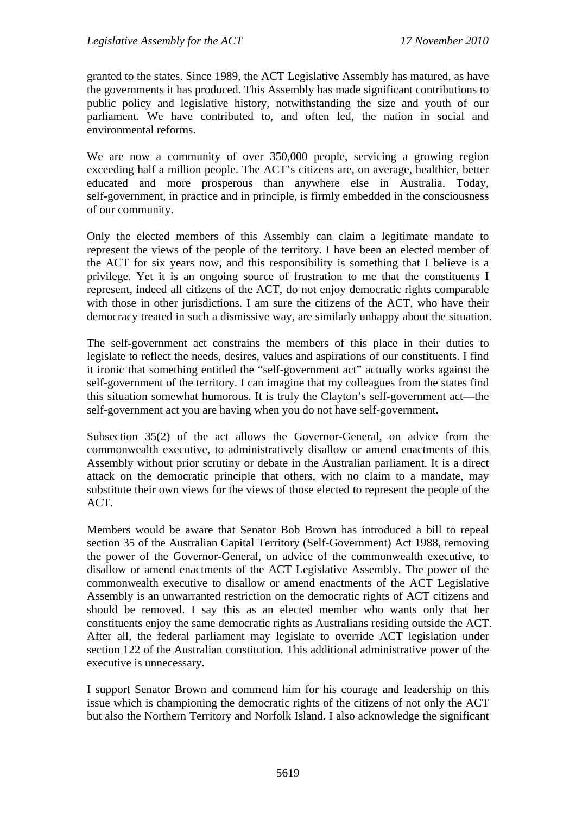granted to the states. Since 1989, the ACT Legislative Assembly has matured, as have the governments it has produced. This Assembly has made significant contributions to public policy and legislative history, notwithstanding the size and youth of our parliament. We have contributed to, and often led, the nation in social and environmental reforms.

We are now a community of over 350,000 people, servicing a growing region exceeding half a million people. The ACT's citizens are, on average, healthier, better educated and more prosperous than anywhere else in Australia. Today, self-government, in practice and in principle, is firmly embedded in the consciousness of our community.

Only the elected members of this Assembly can claim a legitimate mandate to represent the views of the people of the territory. I have been an elected member of the ACT for six years now, and this responsibility is something that I believe is a privilege. Yet it is an ongoing source of frustration to me that the constituents I represent, indeed all citizens of the ACT, do not enjoy democratic rights comparable with those in other jurisdictions. I am sure the citizens of the ACT, who have their democracy treated in such a dismissive way, are similarly unhappy about the situation.

The self-government act constrains the members of this place in their duties to legislate to reflect the needs, desires, values and aspirations of our constituents. I find it ironic that something entitled the "self-government act" actually works against the self-government of the territory. I can imagine that my colleagues from the states find this situation somewhat humorous. It is truly the Clayton's self-government act—the self-government act you are having when you do not have self-government.

Subsection 35(2) of the act allows the Governor-General, on advice from the commonwealth executive, to administratively disallow or amend enactments of this Assembly without prior scrutiny or debate in the Australian parliament. It is a direct attack on the democratic principle that others, with no claim to a mandate, may substitute their own views for the views of those elected to represent the people of the ACT.

Members would be aware that Senator Bob Brown has introduced a bill to repeal section 35 of the Australian Capital Territory (Self-Government) Act 1988, removing the power of the Governor-General, on advice of the commonwealth executive, to disallow or amend enactments of the ACT Legislative Assembly. The power of the commonwealth executive to disallow or amend enactments of the ACT Legislative Assembly is an unwarranted restriction on the democratic rights of ACT citizens and should be removed. I say this as an elected member who wants only that her constituents enjoy the same democratic rights as Australians residing outside the ACT. After all, the federal parliament may legislate to override ACT legislation under section 122 of the Australian constitution. This additional administrative power of the executive is unnecessary.

I support Senator Brown and commend him for his courage and leadership on this issue which is championing the democratic rights of the citizens of not only the ACT but also the Northern Territory and Norfolk Island. I also acknowledge the significant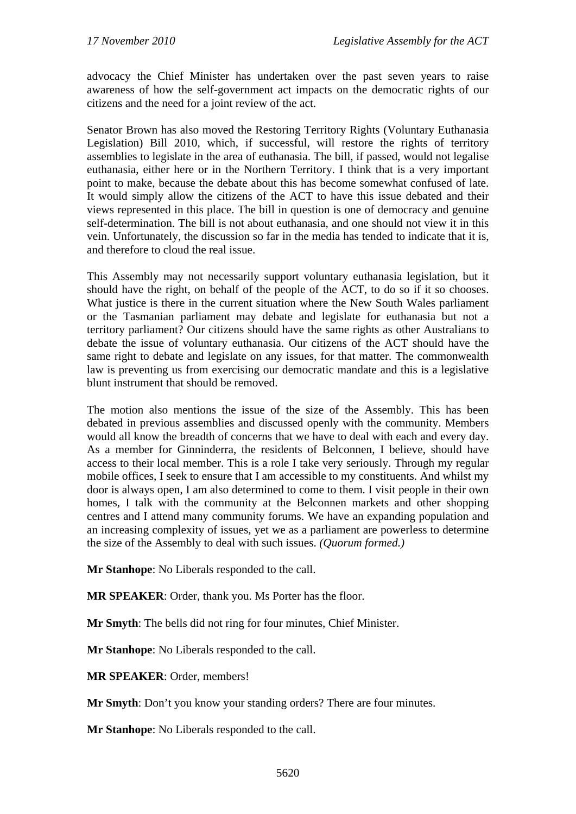advocacy the Chief Minister has undertaken over the past seven years to raise awareness of how the self-government act impacts on the democratic rights of our citizens and the need for a joint review of the act.

Senator Brown has also moved the Restoring Territory Rights (Voluntary Euthanasia Legislation) Bill 2010, which, if successful, will restore the rights of territory assemblies to legislate in the area of euthanasia. The bill, if passed, would not legalise euthanasia, either here or in the Northern Territory. I think that is a very important point to make, because the debate about this has become somewhat confused of late. It would simply allow the citizens of the ACT to have this issue debated and their views represented in this place. The bill in question is one of democracy and genuine self-determination. The bill is not about euthanasia, and one should not view it in this vein. Unfortunately, the discussion so far in the media has tended to indicate that it is, and therefore to cloud the real issue.

This Assembly may not necessarily support voluntary euthanasia legislation, but it should have the right, on behalf of the people of the ACT, to do so if it so chooses. What justice is there in the current situation where the New South Wales parliament or the Tasmanian parliament may debate and legislate for euthanasia but not a territory parliament? Our citizens should have the same rights as other Australians to debate the issue of voluntary euthanasia. Our citizens of the ACT should have the same right to debate and legislate on any issues, for that matter. The commonwealth law is preventing us from exercising our democratic mandate and this is a legislative blunt instrument that should be removed.

The motion also mentions the issue of the size of the Assembly. This has been debated in previous assemblies and discussed openly with the community. Members would all know the breadth of concerns that we have to deal with each and every day. As a member for Ginninderra, the residents of Belconnen, I believe, should have access to their local member. This is a role I take very seriously. Through my regular mobile offices, I seek to ensure that I am accessible to my constituents. And whilst my door is always open, I am also determined to come to them. I visit people in their own homes, I talk with the community at the Belconnen markets and other shopping centres and I attend many community forums. We have an expanding population and an increasing complexity of issues, yet we as a parliament are powerless to determine the size of the Assembly to deal with such issues. *(Quorum formed.)* 

**Mr Stanhope**: No Liberals responded to the call.

**MR SPEAKER**: Order, thank you. Ms Porter has the floor.

**Mr Smyth**: The bells did not ring for four minutes, Chief Minister.

**Mr Stanhope**: No Liberals responded to the call.

**MR SPEAKER**: Order, members!

**Mr Smyth**: Don't you know your standing orders? There are four minutes.

**Mr Stanhope**: No Liberals responded to the call.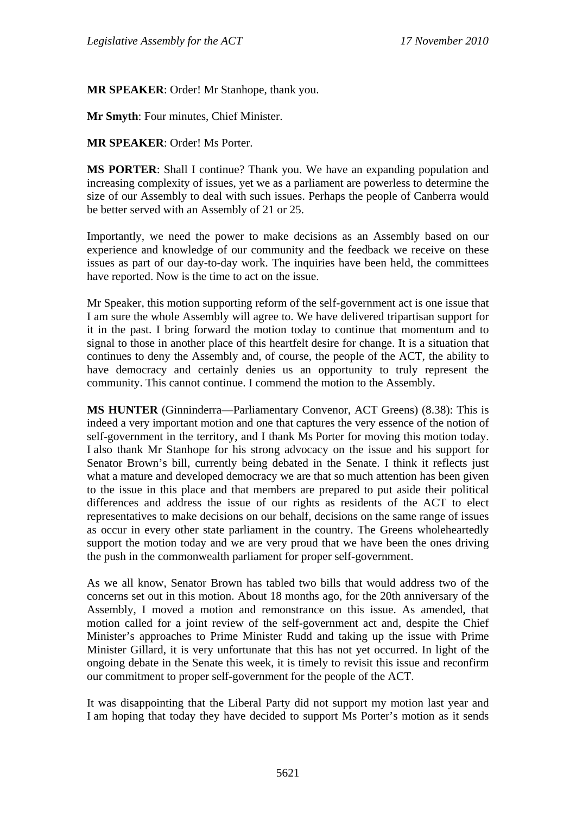**MR SPEAKER**: Order! Mr Stanhope, thank you.

**Mr Smyth**: Four minutes, Chief Minister.

**MR SPEAKER**: Order! Ms Porter.

**MS PORTER**: Shall I continue? Thank you. We have an expanding population and increasing complexity of issues, yet we as a parliament are powerless to determine the size of our Assembly to deal with such issues. Perhaps the people of Canberra would be better served with an Assembly of 21 or 25.

Importantly, we need the power to make decisions as an Assembly based on our experience and knowledge of our community and the feedback we receive on these issues as part of our day-to-day work. The inquiries have been held, the committees have reported. Now is the time to act on the issue.

Mr Speaker, this motion supporting reform of the self-government act is one issue that I am sure the whole Assembly will agree to. We have delivered tripartisan support for it in the past. I bring forward the motion today to continue that momentum and to signal to those in another place of this heartfelt desire for change. It is a situation that continues to deny the Assembly and, of course, the people of the ACT, the ability to have democracy and certainly denies us an opportunity to truly represent the community. This cannot continue. I commend the motion to the Assembly.

**MS HUNTER** (Ginninderra—Parliamentary Convenor, ACT Greens) (8.38): This is indeed a very important motion and one that captures the very essence of the notion of self-government in the territory, and I thank Ms Porter for moving this motion today. I also thank Mr Stanhope for his strong advocacy on the issue and his support for Senator Brown's bill, currently being debated in the Senate. I think it reflects just what a mature and developed democracy we are that so much attention has been given to the issue in this place and that members are prepared to put aside their political differences and address the issue of our rights as residents of the ACT to elect representatives to make decisions on our behalf, decisions on the same range of issues as occur in every other state parliament in the country. The Greens wholeheartedly support the motion today and we are very proud that we have been the ones driving the push in the commonwealth parliament for proper self-government.

As we all know, Senator Brown has tabled two bills that would address two of the concerns set out in this motion. About 18 months ago, for the 20th anniversary of the Assembly, I moved a motion and remonstrance on this issue. As amended, that motion called for a joint review of the self-government act and, despite the Chief Minister's approaches to Prime Minister Rudd and taking up the issue with Prime Minister Gillard, it is very unfortunate that this has not yet occurred. In light of the ongoing debate in the Senate this week, it is timely to revisit this issue and reconfirm our commitment to proper self-government for the people of the ACT.

It was disappointing that the Liberal Party did not support my motion last year and I am hoping that today they have decided to support Ms Porter's motion as it sends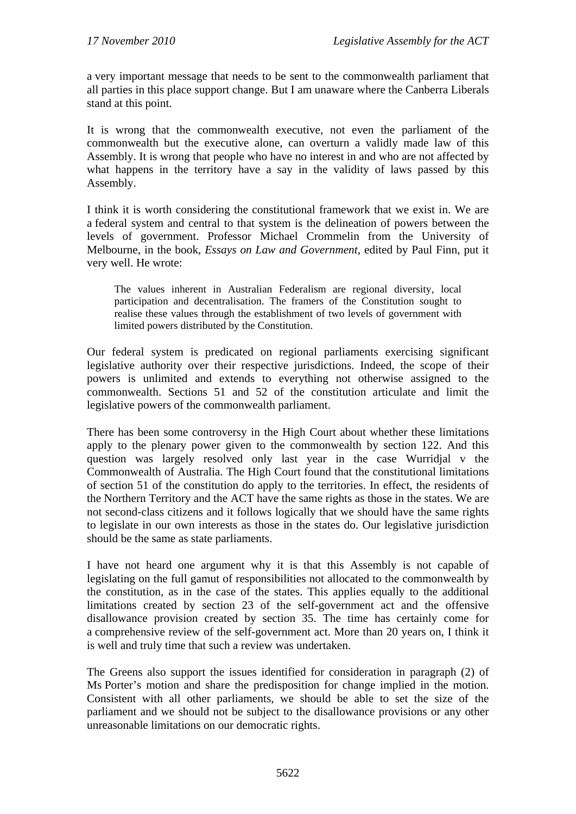a very important message that needs to be sent to the commonwealth parliament that all parties in this place support change. But I am unaware where the Canberra Liberals stand at this point.

It is wrong that the commonwealth executive, not even the parliament of the commonwealth but the executive alone, can overturn a validly made law of this Assembly. It is wrong that people who have no interest in and who are not affected by what happens in the territory have a say in the validity of laws passed by this Assembly.

I think it is worth considering the constitutional framework that we exist in. We are a federal system and central to that system is the delineation of powers between the levels of government. Professor Michael Crommelin from the University of Melbourne, in the book, *Essays on Law and Government*, edited by Paul Finn, put it very well. He wrote:

The values inherent in Australian Federalism are regional diversity, local participation and decentralisation. The framers of the Constitution sought to realise these values through the establishment of two levels of government with limited powers distributed by the Constitution.

Our federal system is predicated on regional parliaments exercising significant legislative authority over their respective jurisdictions. Indeed, the scope of their powers is unlimited and extends to everything not otherwise assigned to the commonwealth. Sections 51 and 52 of the constitution articulate and limit the legislative powers of the commonwealth parliament.

There has been some controversy in the High Court about whether these limitations apply to the plenary power given to the commonwealth by section 122. And this question was largely resolved only last year in the case Wurridjal v the Commonwealth of Australia. The High Court found that the constitutional limitations of section 51 of the constitution do apply to the territories. In effect, the residents of the Northern Territory and the ACT have the same rights as those in the states. We are not second-class citizens and it follows logically that we should have the same rights to legislate in our own interests as those in the states do. Our legislative jurisdiction should be the same as state parliaments.

I have not heard one argument why it is that this Assembly is not capable of legislating on the full gamut of responsibilities not allocated to the commonwealth by the constitution, as in the case of the states. This applies equally to the additional limitations created by section 23 of the self-government act and the offensive disallowance provision created by section 35. The time has certainly come for a comprehensive review of the self-government act. More than 20 years on, I think it is well and truly time that such a review was undertaken.

The Greens also support the issues identified for consideration in paragraph (2) of Ms Porter's motion and share the predisposition for change implied in the motion. Consistent with all other parliaments, we should be able to set the size of the parliament and we should not be subject to the disallowance provisions or any other unreasonable limitations on our democratic rights.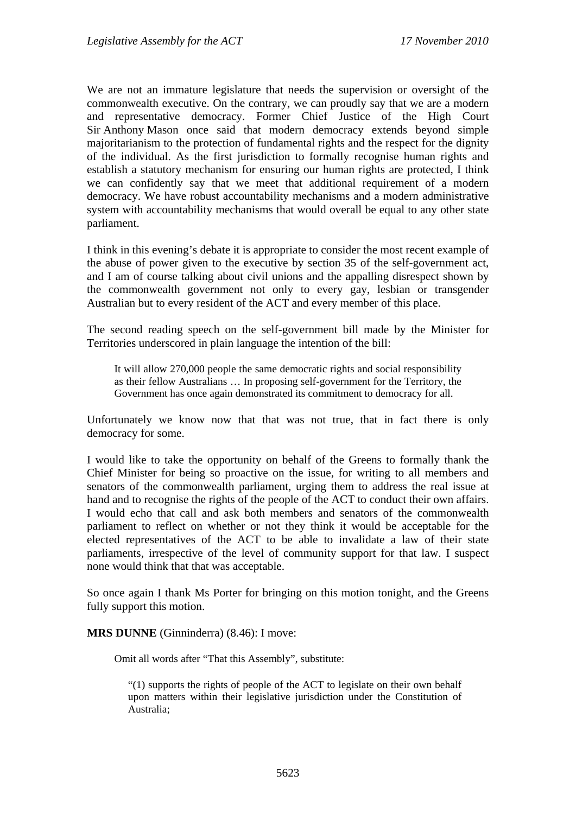We are not an immature legislature that needs the supervision or oversight of the commonwealth executive. On the contrary, we can proudly say that we are a modern and representative democracy. Former Chief Justice of the High Court Sir Anthony Mason once said that modern democracy extends beyond simple majoritarianism to the protection of fundamental rights and the respect for the dignity of the individual. As the first jurisdiction to formally recognise human rights and establish a statutory mechanism for ensuring our human rights are protected, I think we can confidently say that we meet that additional requirement of a modern democracy. We have robust accountability mechanisms and a modern administrative system with accountability mechanisms that would overall be equal to any other state parliament.

I think in this evening's debate it is appropriate to consider the most recent example of the abuse of power given to the executive by section 35 of the self-government act, and I am of course talking about civil unions and the appalling disrespect shown by the commonwealth government not only to every gay, lesbian or transgender Australian but to every resident of the ACT and every member of this place.

The second reading speech on the self-government bill made by the Minister for Territories underscored in plain language the intention of the bill:

It will allow 270,000 people the same democratic rights and social responsibility as their fellow Australians … In proposing self-government for the Territory, the Government has once again demonstrated its commitment to democracy for all.

Unfortunately we know now that that was not true, that in fact there is only democracy for some.

I would like to take the opportunity on behalf of the Greens to formally thank the Chief Minister for being so proactive on the issue, for writing to all members and senators of the commonwealth parliament, urging them to address the real issue at hand and to recognise the rights of the people of the ACT to conduct their own affairs. I would echo that call and ask both members and senators of the commonwealth parliament to reflect on whether or not they think it would be acceptable for the elected representatives of the ACT to be able to invalidate a law of their state parliaments, irrespective of the level of community support for that law. I suspect none would think that that was acceptable.

So once again I thank Ms Porter for bringing on this motion tonight, and the Greens fully support this motion.

**MRS DUNNE** (Ginninderra) (8.46): I move:

Omit all words after "That this Assembly", substitute:

"(1) supports the rights of people of the ACT to legislate on their own behalf upon matters within their legislative jurisdiction under the Constitution of Australia;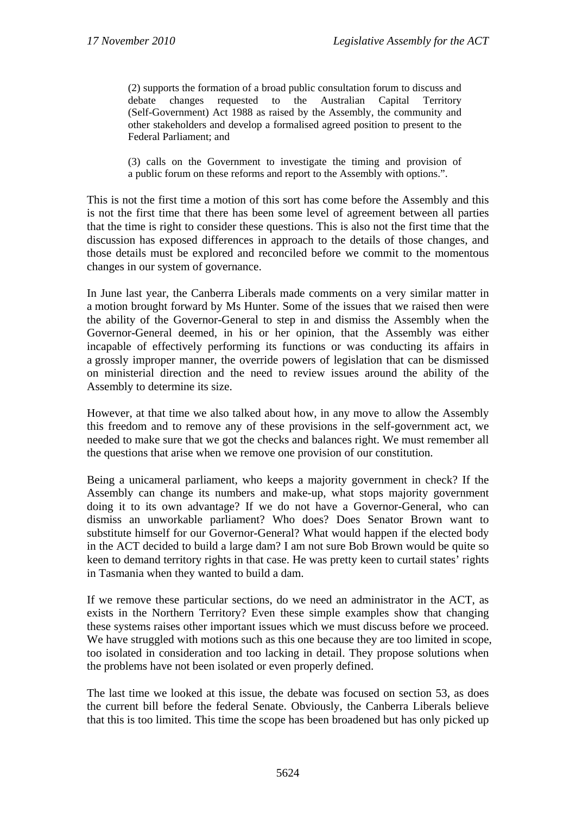(2) supports the formation of a broad public consultation forum to discuss and debate changes requested to the Australian Capital Territory (Self*-*Government) Act 1988 as raised by the Assembly, the community and other stakeholders and develop a formalised agreed position to present to the Federal Parliament; and

(3) calls on the Government to investigate the timing and provision of a public forum on these reforms and report to the Assembly with options.".

This is not the first time a motion of this sort has come before the Assembly and this is not the first time that there has been some level of agreement between all parties that the time is right to consider these questions. This is also not the first time that the discussion has exposed differences in approach to the details of those changes, and those details must be explored and reconciled before we commit to the momentous changes in our system of governance.

In June last year, the Canberra Liberals made comments on a very similar matter in a motion brought forward by Ms Hunter. Some of the issues that we raised then were the ability of the Governor-General to step in and dismiss the Assembly when the Governor-General deemed, in his or her opinion, that the Assembly was either incapable of effectively performing its functions or was conducting its affairs in a grossly improper manner, the override powers of legislation that can be dismissed on ministerial direction and the need to review issues around the ability of the Assembly to determine its size.

However, at that time we also talked about how, in any move to allow the Assembly this freedom and to remove any of these provisions in the self-government act, we needed to make sure that we got the checks and balances right. We must remember all the questions that arise when we remove one provision of our constitution.

Being a unicameral parliament, who keeps a majority government in check? If the Assembly can change its numbers and make-up, what stops majority government doing it to its own advantage? If we do not have a Governor-General, who can dismiss an unworkable parliament? Who does? Does Senator Brown want to substitute himself for our Governor-General? What would happen if the elected body in the ACT decided to build a large dam? I am not sure Bob Brown would be quite so keen to demand territory rights in that case. He was pretty keen to curtail states' rights in Tasmania when they wanted to build a dam.

If we remove these particular sections, do we need an administrator in the ACT, as exists in the Northern Territory? Even these simple examples show that changing these systems raises other important issues which we must discuss before we proceed. We have struggled with motions such as this one because they are too limited in scope, too isolated in consideration and too lacking in detail. They propose solutions when the problems have not been isolated or even properly defined.

The last time we looked at this issue, the debate was focused on section 53, as does the current bill before the federal Senate. Obviously, the Canberra Liberals believe that this is too limited. This time the scope has been broadened but has only picked up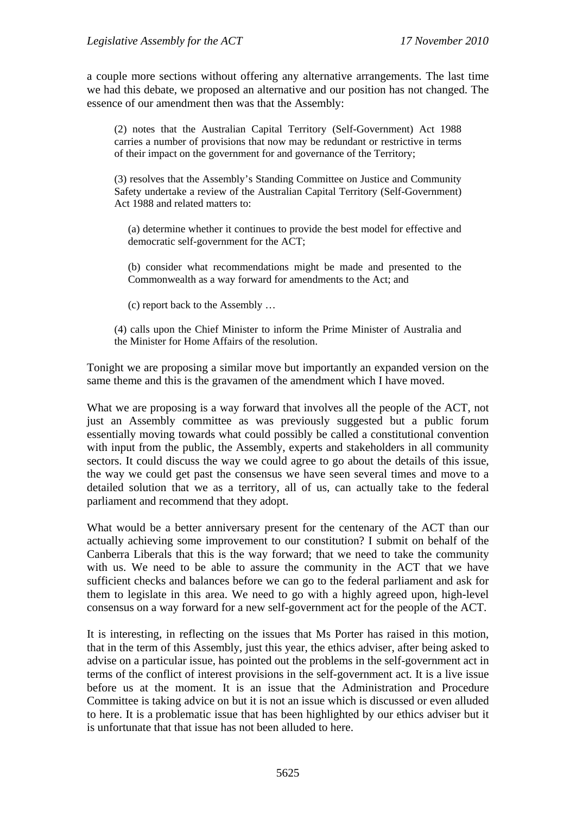a couple more sections without offering any alternative arrangements. The last time we had this debate, we proposed an alternative and our position has not changed. The essence of our amendment then was that the Assembly:

(2) notes that the Australian Capital Territory (Self-Government) Act 1988 carries a number of provisions that now may be redundant or restrictive in terms of their impact on the government for and governance of the Territory;

(3) resolves that the Assembly's Standing Committee on Justice and Community Safety undertake a review of the Australian Capital Territory (Self-Government) Act 1988 and related matters to:

(a) determine whether it continues to provide the best model for effective and democratic self-government for the ACT;

(b) consider what recommendations might be made and presented to the Commonwealth as a way forward for amendments to the Act; and

(c) report back to the Assembly …

(4) calls upon the Chief Minister to inform the Prime Minister of Australia and the Minister for Home Affairs of the resolution.

Tonight we are proposing a similar move but importantly an expanded version on the same theme and this is the gravamen of the amendment which I have moved.

What we are proposing is a way forward that involves all the people of the ACT, not just an Assembly committee as was previously suggested but a public forum essentially moving towards what could possibly be called a constitutional convention with input from the public, the Assembly, experts and stakeholders in all community sectors. It could discuss the way we could agree to go about the details of this issue, the way we could get past the consensus we have seen several times and move to a detailed solution that we as a territory, all of us, can actually take to the federal parliament and recommend that they adopt.

What would be a better anniversary present for the centenary of the ACT than our actually achieving some improvement to our constitution? I submit on behalf of the Canberra Liberals that this is the way forward; that we need to take the community with us. We need to be able to assure the community in the ACT that we have sufficient checks and balances before we can go to the federal parliament and ask for them to legislate in this area. We need to go with a highly agreed upon, high-level consensus on a way forward for a new self-government act for the people of the ACT.

It is interesting, in reflecting on the issues that Ms Porter has raised in this motion, that in the term of this Assembly, just this year, the ethics adviser, after being asked to advise on a particular issue, has pointed out the problems in the self-government act in terms of the conflict of interest provisions in the self-government act. It is a live issue before us at the moment. It is an issue that the Administration and Procedure Committee is taking advice on but it is not an issue which is discussed or even alluded to here. It is a problematic issue that has been highlighted by our ethics adviser but it is unfortunate that that issue has not been alluded to here.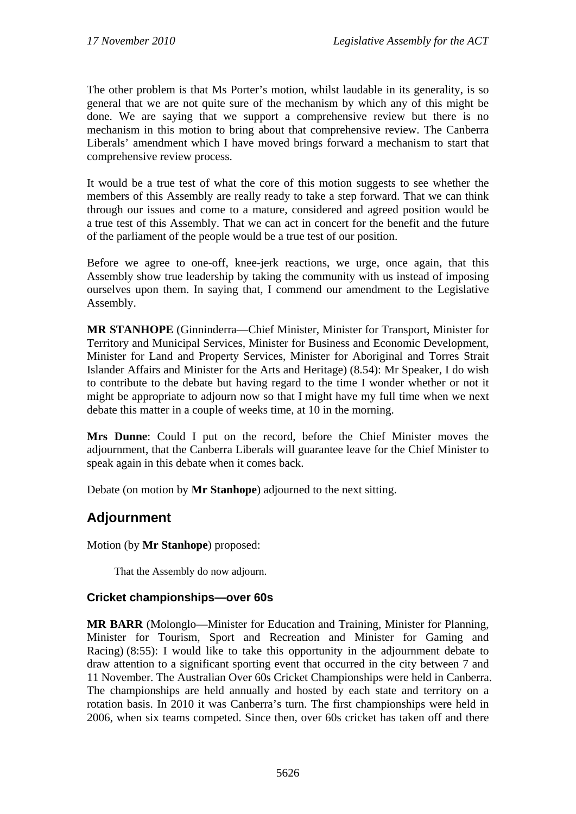The other problem is that Ms Porter's motion, whilst laudable in its generality, is so general that we are not quite sure of the mechanism by which any of this might be done. We are saying that we support a comprehensive review but there is no mechanism in this motion to bring about that comprehensive review. The Canberra Liberals' amendment which I have moved brings forward a mechanism to start that comprehensive review process.

It would be a true test of what the core of this motion suggests to see whether the members of this Assembly are really ready to take a step forward. That we can think through our issues and come to a mature, considered and agreed position would be a true test of this Assembly. That we can act in concert for the benefit and the future of the parliament of the people would be a true test of our position.

Before we agree to one-off, knee-jerk reactions, we urge, once again, that this Assembly show true leadership by taking the community with us instead of imposing ourselves upon them. In saying that, I commend our amendment to the Legislative Assembly.

**MR STANHOPE** (Ginninderra—Chief Minister, Minister for Transport, Minister for Territory and Municipal Services, Minister for Business and Economic Development, Minister for Land and Property Services, Minister for Aboriginal and Torres Strait Islander Affairs and Minister for the Arts and Heritage) (8.54): Mr Speaker, I do wish to contribute to the debate but having regard to the time I wonder whether or not it might be appropriate to adjourn now so that I might have my full time when we next debate this matter in a couple of weeks time, at 10 in the morning.

**Mrs Dunne**: Could I put on the record, before the Chief Minister moves the adjournment, that the Canberra Liberals will guarantee leave for the Chief Minister to speak again in this debate when it comes back.

Debate (on motion by **Mr Stanhope**) adjourned to the next sitting.

## **Adjournment**

Motion (by **Mr Stanhope**) proposed:

That the Assembly do now adjourn.

## **Cricket championships—over 60s**

**MR BARR** (Molonglo—Minister for Education and Training, Minister for Planning, Minister for Tourism, Sport and Recreation and Minister for Gaming and Racing) (8:55): I would like to take this opportunity in the adjournment debate to draw attention to a significant sporting event that occurred in the city between 7 and 11 November. The Australian Over 60s Cricket Championships were held in Canberra. The championships are held annually and hosted by each state and territory on a rotation basis. In 2010 it was Canberra's turn. The first championships were held in 2006, when six teams competed. Since then, over 60s cricket has taken off and there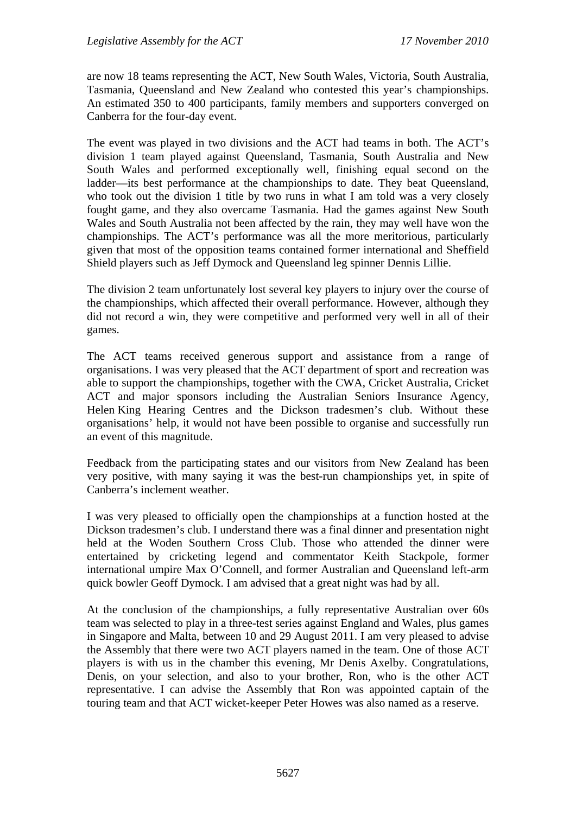are now 18 teams representing the ACT, New South Wales, Victoria, South Australia, Tasmania, Queensland and New Zealand who contested this year's championships. An estimated 350 to 400 participants, family members and supporters converged on Canberra for the four-day event.

The event was played in two divisions and the ACT had teams in both. The ACT's division 1 team played against Queensland, Tasmania, South Australia and New South Wales and performed exceptionally well, finishing equal second on the ladder—its best performance at the championships to date. They beat Queensland, who took out the division 1 title by two runs in what I am told was a very closely fought game, and they also overcame Tasmania. Had the games against New South Wales and South Australia not been affected by the rain, they may well have won the championships. The ACT's performance was all the more meritorious, particularly given that most of the opposition teams contained former international and Sheffield Shield players such as Jeff Dymock and Queensland leg spinner Dennis Lillie.

The division 2 team unfortunately lost several key players to injury over the course of the championships, which affected their overall performance. However, although they did not record a win, they were competitive and performed very well in all of their games.

The ACT teams received generous support and assistance from a range of organisations. I was very pleased that the ACT department of sport and recreation was able to support the championships, together with the CWA, Cricket Australia, Cricket ACT and major sponsors including the Australian Seniors Insurance Agency, Helen King Hearing Centres and the Dickson tradesmen's club. Without these organisations' help, it would not have been possible to organise and successfully run an event of this magnitude.

Feedback from the participating states and our visitors from New Zealand has been very positive, with many saying it was the best-run championships yet, in spite of Canberra's inclement weather.

I was very pleased to officially open the championships at a function hosted at the Dickson tradesmen's club. I understand there was a final dinner and presentation night held at the Woden Southern Cross Club. Those who attended the dinner were entertained by cricketing legend and commentator Keith Stackpole, former international umpire Max O'Connell, and former Australian and Queensland left-arm quick bowler Geoff Dymock. I am advised that a great night was had by all.

At the conclusion of the championships, a fully representative Australian over 60s team was selected to play in a three-test series against England and Wales, plus games in Singapore and Malta, between 10 and 29 August 2011. I am very pleased to advise the Assembly that there were two ACT players named in the team. One of those ACT players is with us in the chamber this evening, Mr Denis Axelby. Congratulations, Denis, on your selection, and also to your brother, Ron, who is the other ACT representative. I can advise the Assembly that Ron was appointed captain of the touring team and that ACT wicket-keeper Peter Howes was also named as a reserve.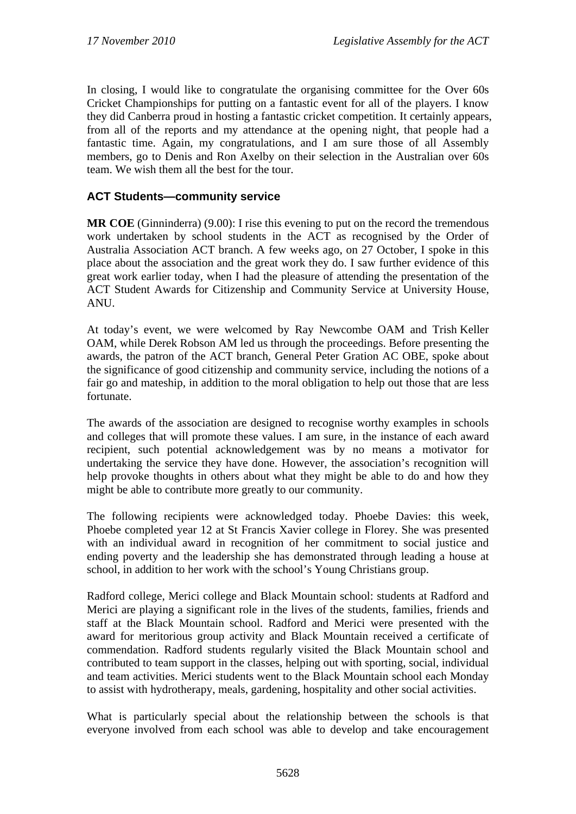In closing, I would like to congratulate the organising committee for the Over 60s Cricket Championships for putting on a fantastic event for all of the players. I know they did Canberra proud in hosting a fantastic cricket competition. It certainly appears, from all of the reports and my attendance at the opening night, that people had a fantastic time. Again, my congratulations, and I am sure those of all Assembly members, go to Denis and Ron Axelby on their selection in the Australian over 60s team. We wish them all the best for the tour.

## **ACT Students—community service**

**MR COE** (Ginninderra) (9.00): I rise this evening to put on the record the tremendous work undertaken by school students in the ACT as recognised by the Order of Australia Association ACT branch. A few weeks ago, on 27 October, I spoke in this place about the association and the great work they do. I saw further evidence of this great work earlier today, when I had the pleasure of attending the presentation of the ACT Student Awards for Citizenship and Community Service at University House, ANU.

At today's event, we were welcomed by Ray Newcombe OAM and Trish Keller OAM, while Derek Robson AM led us through the proceedings. Before presenting the awards, the patron of the ACT branch, General Peter Gration AC OBE, spoke about the significance of good citizenship and community service, including the notions of a fair go and mateship, in addition to the moral obligation to help out those that are less fortunate.

The awards of the association are designed to recognise worthy examples in schools and colleges that will promote these values. I am sure, in the instance of each award recipient, such potential acknowledgement was by no means a motivator for undertaking the service they have done. However, the association's recognition will help provoke thoughts in others about what they might be able to do and how they might be able to contribute more greatly to our community.

The following recipients were acknowledged today. Phoebe Davies: this week, Phoebe completed year 12 at St Francis Xavier college in Florey. She was presented with an individual award in recognition of her commitment to social justice and ending poverty and the leadership she has demonstrated through leading a house at school, in addition to her work with the school's Young Christians group.

Radford college, Merici college and Black Mountain school: students at Radford and Merici are playing a significant role in the lives of the students, families, friends and staff at the Black Mountain school. Radford and Merici were presented with the award for meritorious group activity and Black Mountain received a certificate of commendation. Radford students regularly visited the Black Mountain school and contributed to team support in the classes, helping out with sporting, social, individual and team activities. Merici students went to the Black Mountain school each Monday to assist with hydrotherapy, meals, gardening, hospitality and other social activities.

What is particularly special about the relationship between the schools is that everyone involved from each school was able to develop and take encouragement